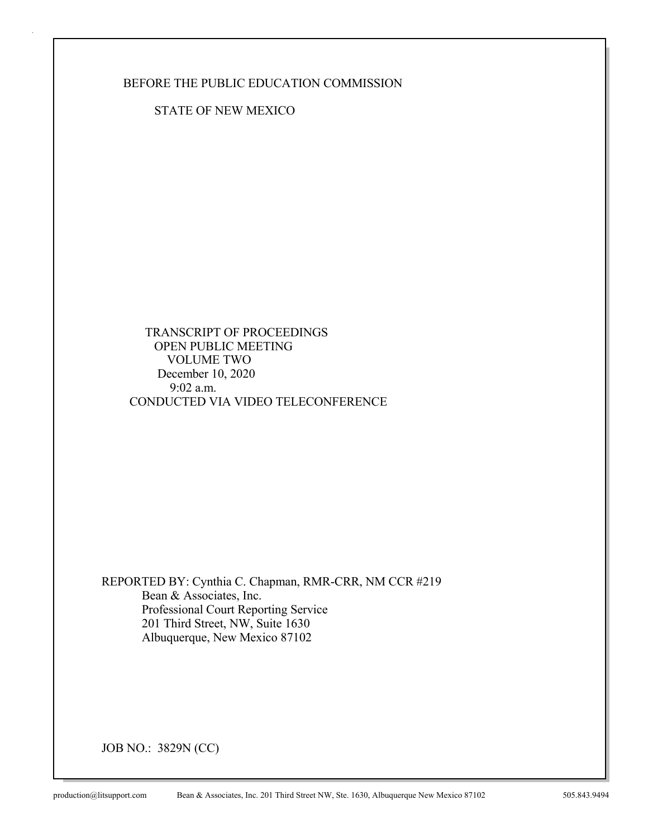BEFORE THE PUBLIC EDUCATION COMMISSION

STATE OF NEW MEXICO

 TRANSCRIPT OF PROCEEDINGS OPEN PUBLIC MEETING VOLUME TWO December 10, 2020 9:02 a.m. CONDUCTED VIA VIDEO TELECONFERENCE

REPORTED BY: Cynthia C. Chapman, RMR-CRR, NM CCR #219 Bean & Associates, Inc. Professional Court Reporting Service 201 Third Street, NW, Suite 1630 Albuquerque, New Mexico 87102

JOB NO.: 3829N (CC)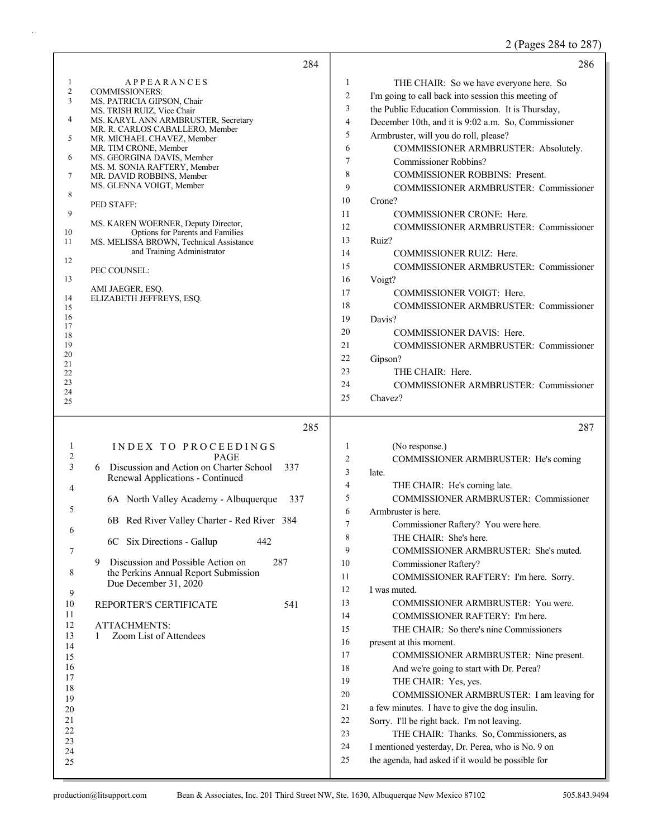2 (Pages 284 to 287)

| 284                                                                                                                                                                                                                                                                                                                                                                                                                                                                                                                                                                                                                                                                          | 286                                                                                                                                                                                                                                                                                                                                                                                                                                                                                                                                                                                                                                                                                                                                                                                                                                                                                                                                                                                                                                                                                                    |
|------------------------------------------------------------------------------------------------------------------------------------------------------------------------------------------------------------------------------------------------------------------------------------------------------------------------------------------------------------------------------------------------------------------------------------------------------------------------------------------------------------------------------------------------------------------------------------------------------------------------------------------------------------------------------|--------------------------------------------------------------------------------------------------------------------------------------------------------------------------------------------------------------------------------------------------------------------------------------------------------------------------------------------------------------------------------------------------------------------------------------------------------------------------------------------------------------------------------------------------------------------------------------------------------------------------------------------------------------------------------------------------------------------------------------------------------------------------------------------------------------------------------------------------------------------------------------------------------------------------------------------------------------------------------------------------------------------------------------------------------------------------------------------------------|
| <b>APPEARANCES</b><br>1<br>2<br><b>COMMISSIONERS:</b><br>3<br>MS. PATRICIA GIPSON, Chair<br>MS. TRISH RUIZ, Vice Chair<br>4<br>MS. KARYL ANN ARMBRUSTER, Secretary<br>MR. R. CARLOS CABALLERO, Member<br>5<br>MR. MICHAEL CHAVEZ, Member<br>MR. TIM CRONE, Member<br>MS. GEORGINA DAVIS, Member<br>6<br>MS. M. SONIA RAFTERY, Member<br>7<br>MR. DAVID ROBBINS, Member<br>MS. GLENNA VOIGT, Member<br>8<br>PED STAFF:<br>9<br>MS. KAREN WOERNER, Deputy Director,<br>Options for Parents and Families<br>10<br>MS. MELISSA BROWN, Technical Assistance<br>11<br>and Training Administrator<br>12<br>PEC COUNSEL:<br>13<br>AMI JAEGER, ESQ.<br>14<br>ELIZABETH JEFFREYS, ESQ. | 1<br>THE CHAIR: So we have everyone here. So<br>$\boldsymbol{2}$<br>I'm going to call back into session this meeting of<br>3<br>the Public Education Commission. It is Thursday,<br>$\overline{4}$<br>December 10th, and it is 9:02 a.m. So, Commissioner<br>5<br>Armbruster, will you do roll, please?<br>6<br>COMMISSIONER ARMBRUSTER: Absolutely.<br>7<br>Commissioner Robbins?<br>8<br><b>COMMISSIONER ROBBINS: Present.</b><br>9<br>COMMISSIONER ARMBRUSTER: Commissioner<br>10<br>Crone?<br>11<br>COMMISSIONER CRONE: Here.<br>COMMISSIONER ARMBRUSTER: Commissioner<br>12<br>13<br>Ruiz?<br>14<br>COMMISSIONER RUIZ: Here.<br>15<br>COMMISSIONER ARMBRUSTER: Commissioner<br>16<br>Voigt?<br>17<br>COMMISSIONER VOIGT: Here.                                                                                                                                                                                                                                                                                                                                                                    |
| 15<br>16<br>17<br>18<br>19<br>20<br>21<br>22<br>23<br>24<br>25<br>285                                                                                                                                                                                                                                                                                                                                                                                                                                                                                                                                                                                                        | 18<br>COMMISSIONER ARMBRUSTER: Commissioner<br>19<br>Davis?<br>20<br>COMMISSIONER DAVIS: Here.<br>21<br>COMMISSIONER ARMBRUSTER: Commissioner<br>22<br>Gipson?<br>23<br>THE CHAIR: Here.<br>24<br>COMMISSIONER ARMBRUSTER: Commissioner<br>25<br>Chavez?<br>287                                                                                                                                                                                                                                                                                                                                                                                                                                                                                                                                                                                                                                                                                                                                                                                                                                        |
| INDEX TO PROCEEDINGS<br>1<br>$\overline{c}$<br><b>PAGE</b><br>3<br>Discussion and Action on Charter School<br>337<br>6<br>Renewal Applications - Continued<br>4<br>6A North Valley Academy - Albuquerque<br>337<br>5<br>6B Red River Valley Charter - Red River 384<br>6<br>6C Six Directions - Gallup<br>442<br>7<br>Discussion and Possible Action on<br>287<br>9<br>the Perkins Annual Report Submission<br>8<br>Due December 31, 2020<br>9<br>10<br>REPORTER'S CERTIFICATE<br>541<br>11<br>12<br><b>ATTACHMENTS:</b><br>13<br>Zoom List of Attendees<br>1<br>14<br>15<br>16<br>17<br>18<br>19<br>20<br>21<br>22<br>23<br>24<br>25                                        | 1<br>(No response.)<br>2<br>COMMISSIONER ARMBRUSTER: He's coming<br>3<br>late.<br>$\overline{4}$<br>THE CHAIR: He's coming late.<br>5<br><b>COMMISSIONER ARMBRUSTER: Commissioner</b><br>6<br>Armbruster is here.<br>7<br>Commissioner Raftery? You were here.<br>$\,8\,$<br>THE CHAIR: She's here.<br>9<br>COMMISSIONER ARMBRUSTER: She's muted.<br>10<br>Commissioner Raftery?<br>11<br>COMMISSIONER RAFTERY: I'm here. Sorry.<br>12<br>I was muted.<br>13<br>COMMISSIONER ARMBRUSTER: You were.<br>14<br>COMMISSIONER RAFTERY: I'm here.<br>15<br>THE CHAIR: So there's nine Commissioners<br>16<br>present at this moment.<br>17<br>COMMISSIONER ARMBRUSTER: Nine present.<br>18<br>And we're going to start with Dr. Perea?<br>19<br>THE CHAIR: Yes, yes.<br>20<br>COMMISSIONER ARMBRUSTER: I am leaving for<br>21<br>a few minutes. I have to give the dog insulin.<br>22<br>Sorry. I'll be right back. I'm not leaving.<br>23<br>THE CHAIR: Thanks. So, Commissioners, as<br>24<br>I mentioned yesterday, Dr. Perea, who is No. 9 on<br>25<br>the agenda, had asked if it would be possible for |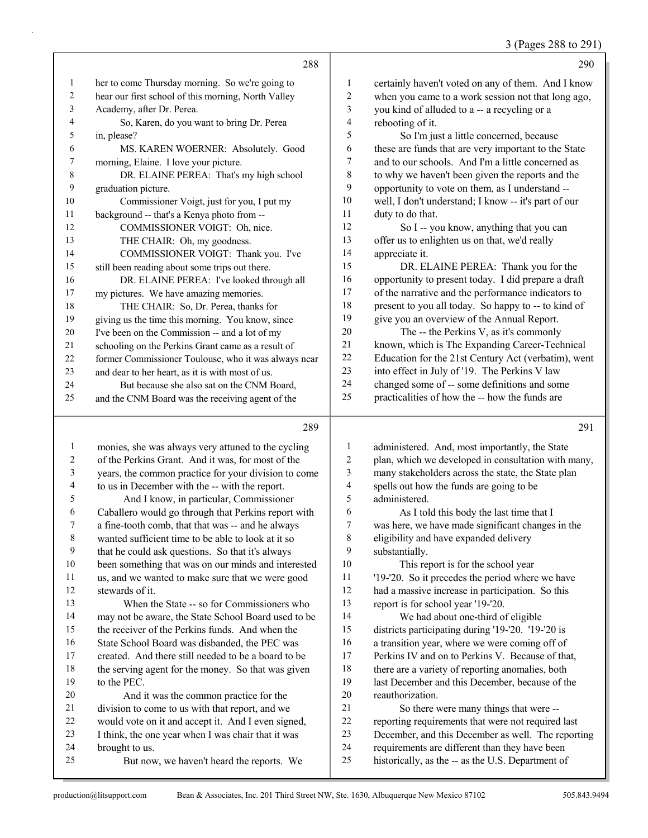3 (Pages 288 to 291)

|              | 288                                                  |    | 290                                                  |
|--------------|------------------------------------------------------|----|------------------------------------------------------|
| $\mathbf{1}$ | her to come Thursday morning. So we're going to      | 1  | certainly haven't voted on any of them. And I know   |
| 2            | hear our first school of this morning, North Valley  | 2  | when you came to a work session not that long ago,   |
| 3            | Academy, after Dr. Perea.                            | 3  | you kind of alluded to a -- a recycling or a         |
| 4            | So, Karen, do you want to bring Dr. Perea            | 4  | rebooting of it.                                     |
| 5            | in, please?                                          | 5  | So I'm just a little concerned, because              |
| 6            | MS. KAREN WOERNER: Absolutely. Good                  | 6  | these are funds that are very important to the State |
| 7            | morning, Elaine. I love your picture.                | 7  | and to our schools. And I'm a little concerned as    |
| 8            | DR. ELAINE PEREA: That's my high school              | 8  | to why we haven't been given the reports and the     |
| 9            | graduation picture.                                  | 9  | opportunity to vote on them, as I understand --      |
| 10           | Commissioner Voigt, just for you, I put my           | 10 | well, I don't understand; I know -- it's part of our |
| 11           | background -- that's a Kenya photo from --           | 11 | duty to do that.                                     |
| 12           | COMMISSIONER VOIGT: Oh, nice.                        | 12 | So I -- you know, anything that you can              |
| 13           | THE CHAIR: Oh, my goodness.                          | 13 | offer us to enlighten us on that, we'd really        |
| 14           | COMMISSIONER VOIGT: Thank you. I've                  | 14 | appreciate it.                                       |
| 15           | still been reading about some trips out there.       | 15 | DR. ELAINE PEREA: Thank you for the                  |
| 16           | DR. ELAINE PEREA: I've looked through all            | 16 | opportunity to present today. I did prepare a draft  |
| 17           | my pictures. We have amazing memories.               | 17 | of the narrative and the performance indicators to   |
| 18           | THE CHAIR: So, Dr. Perea, thanks for                 | 18 | present to you all today. So happy to -- to kind of  |
| 19           | giving us the time this morning. You know, since     | 19 | give you an overview of the Annual Report.           |
| 20           | I've been on the Commission -- and a lot of my       | 20 | The -- the Perkins V, as it's commonly               |
| 21           | schooling on the Perkins Grant came as a result of   | 21 | known, which is The Expanding Career-Technical       |
| 22           | former Commissioner Toulouse, who it was always near | 22 | Education for the 21st Century Act (verbatim), went  |
| 23           | and dear to her heart, as it is with most of us.     | 23 | into effect in July of '19. The Perkins V law        |
| 24           | But because she also sat on the CNM Board,           | 24 | changed some of -- some definitions and some         |
| 25           | and the CNM Board was the receiving agent of the     | 25 | practicalities of how the -- how the funds are       |
|              |                                                      |    |                                                      |

#### 

 monies, she was always very attuned to the cycling of the Perkins Grant. And it was, for most of the years, the common practice for your division to come to us in December with the -- with the report. 5 And I know, in particular, Commissioner Caballero would go through that Perkins report with a fine-tooth comb, that that was -- and he always wanted sufficient time to be able to look at it so that he could ask questions. So that it's always been something that was on our minds and interested us, and we wanted to make sure that we were good stewards of it. 13 When the State -- so for Commissioners who may not be aware, the State School Board used to be the receiver of the Perkins funds. And when the State School Board was disbanded, the PEC was created. And there still needed to be a board to be the serving agent for the money. So that was given to the PEC. 20 And it was the common practice for the division to come to us with that report, and we would vote on it and accept it. And I even signed, I think, the one year when I was chair that it was brought to us. 25 But now, we haven't heard the reports. We administered. And, most importantly, the State plan, which we developed in consultation with many, many stakeholders across the state, the State plan spells out how the funds are going to be administered. 6 As I told this body the last time that I was here, we have made significant changes in the eligibility and have expanded delivery substantially. 10 This report is for the school year '19-'20. So it precedes the period where we have had a massive increase in participation. So this report is for school year '19-'20. 14 We had about one-third of eligible districts participating during '19-'20. '19-'20 is a transition year, where we were coming off of Perkins IV and on to Perkins V. Because of that, 18 there are a variety of reporting anomalies, both last December and this December, because of the reauthorization. 21 So there were many things that were -- reporting requirements that were not required last December, and this December as well. The reporting requirements are different than they have been historically, as the -- as the U.S. Department of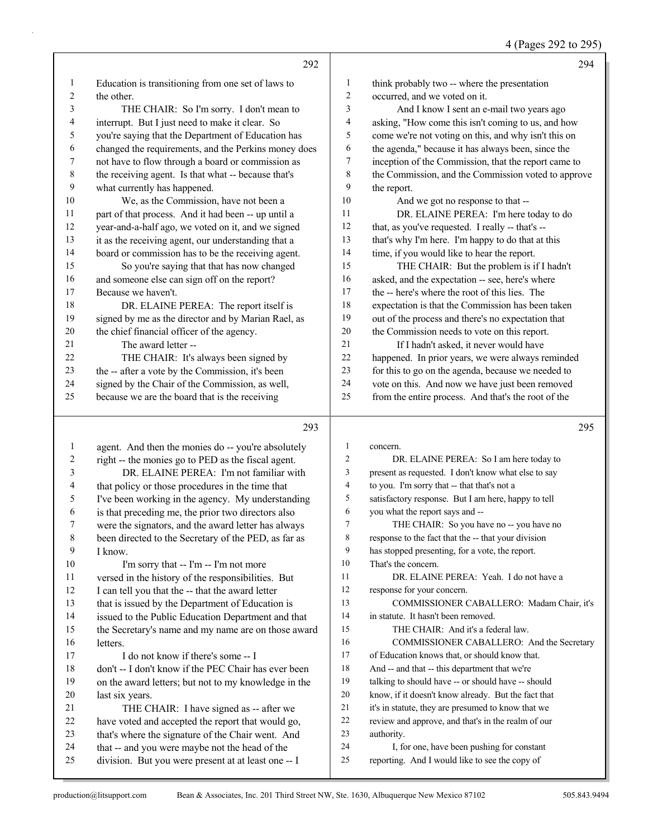|  | 4 (Pages 292 to 295) |  |  |  |
|--|----------------------|--|--|--|
|--|----------------------|--|--|--|

|    | 292                                                  |    | 294                                                  |
|----|------------------------------------------------------|----|------------------------------------------------------|
| 1  | Education is transitioning from one set of laws to   | 1  | think probably two -- where the presentation         |
| 2  | the other.                                           | 2  | occurred, and we voted on it.                        |
| 3  | THE CHAIR: So I'm sorry. I don't mean to             | 3  | And I know I sent an e-mail two years ago            |
| 4  | interrupt. But I just need to make it clear. So      | 4  | asking, "How come this isn't coming to us, and how   |
| 5  | you're saying that the Department of Education has   | 5  | come we're not voting on this, and why isn't this on |
| 6  | changed the requirements, and the Perkins money does | 6  | the agenda," because it has always been, since the   |
| 7  | not have to flow through a board or commission as    | 7  | inception of the Commission, that the report came to |
| 8  | the receiving agent. Is that what -- because that's  | 8  | the Commission, and the Commission voted to approve  |
| 9  | what currently has happened.                         | 9  | the report.                                          |
| 10 | We, as the Commission, have not been a               | 10 | And we got no response to that --                    |
| 11 | part of that process. And it had been -- up until a  | 11 | DR. ELAINE PEREA: I'm here today to do               |
| 12 | year-and-a-half ago, we voted on it, and we signed   | 12 | that, as you've requested. I really -- that's --     |
| 13 | it as the receiving agent, our understanding that a  | 13 | that's why I'm here. I'm happy to do that at this    |
| 14 | board or commission has to be the receiving agent.   | 14 | time, if you would like to hear the report.          |
| 15 | So you're saying that that has now changed           | 15 | THE CHAIR: But the problem is if I hadn't            |
| 16 | and someone else can sign off on the report?         | 16 | asked, and the expectation -- see, here's where      |
| 17 | Because we haven't.                                  | 17 | the -- here's where the root of this lies. The       |
| 18 | DR. ELAINE PEREA: The report itself is               | 18 | expectation is that the Commission has been taken    |
| 19 | signed by me as the director and by Marian Rael, as  | 19 | out of the process and there's no expectation that   |
| 20 | the chief financial officer of the agency.           | 20 | the Commission needs to vote on this report.         |
| 21 | The award letter --                                  | 21 | If I hadn't asked, it never would have               |
| 22 | THE CHAIR: It's always been signed by                | 22 | happened. In prior years, we were always reminded    |
| 23 | the -- after a vote by the Commission, it's been     | 23 | for this to go on the agenda, because we needed to   |
| 24 | signed by the Chair of the Commission, as well,      | 24 | vote on this. And now we have just been removed      |
| 25 | because we are the board that is the receiving       | 25 | from the entire process. And that's the root of the  |
|    | 293                                                  |    | 295                                                  |

# 

| 1  | agent. And then the monies do -- you're absolutely   | 1               | concern.                                            |
|----|------------------------------------------------------|-----------------|-----------------------------------------------------|
| 2  | right -- the monies go to PED as the fiscal agent.   | $\overline{c}$  | DR. ELAINE PEREA: So I am here today to             |
| 3  | DR. ELAINE PEREA: I'm not familiar with              | 3               | present as requested. I don't know what else to say |
| 4  | that policy or those procedures in the time that     | 4               | to you. I'm sorry that -- that that's not a         |
| 5  | I've been working in the agency. My understanding    | 5               | satisfactory response. But I am here, happy to tell |
| 6  | is that preceding me, the prior two directors also   | 6               | you what the report says and --                     |
| 7  | were the signators, and the award letter has always  | $7\phantom{.0}$ | THE CHAIR: So you have no -- you have no            |
| 8  | been directed to the Secretary of the PED, as far as | 8               | response to the fact that the -- that your division |
| 9  | I know.                                              | 9               | has stopped presenting, for a vote, the report.     |
| 10 | I'm sorry that -- I'm -- I'm not more                | 10              | That's the concern.                                 |
| 11 | versed in the history of the responsibilities. But   | 11              | DR. ELAINE PEREA: Yeah. I do not have a             |
| 12 | I can tell you that the -- that the award letter     | 12              | response for your concern.                          |
| 13 | that is issued by the Department of Education is     | 13              | COMMISSIONER CABALLERO: Madam Chair, it's           |
| 14 | issued to the Public Education Department and that   | 14              | in statute. It hasn't been removed.                 |
| 15 | the Secretary's name and my name are on those award  | 15              | THE CHAIR: And it's a federal law.                  |
| 16 | letters.                                             | 16              | COMMISSIONER CABALLERO: And the Secretary           |
| 17 | I do not know if there's some -- I                   | 17              | of Education knows that, or should know that.       |
| 18 | don't -- I don't know if the PEC Chair has ever been | 18              | And -- and that -- this department that we're       |
| 19 | on the award letters; but not to my knowledge in the | 19              | talking to should have -- or should have -- should  |
| 20 | last six years.                                      | 20              | know, if it doesn't know already. But the fact that |
| 21 | THE CHAIR: I have signed as -- after we              | 21              | it's in statute, they are presumed to know that we  |
| 22 | have voted and accepted the report that would go,    | 22              | review and approve, and that's in the realm of our  |
| 23 | that's where the signature of the Chair went. And    | 23              | authority.                                          |
| 24 | that -- and you were maybe not the head of the       | 24              | I, for one, have been pushing for constant          |
| 25 | division. But you were present at at least one -- I  | 25              | reporting. And I would like to see the copy of      |
|    |                                                      |                 |                                                     |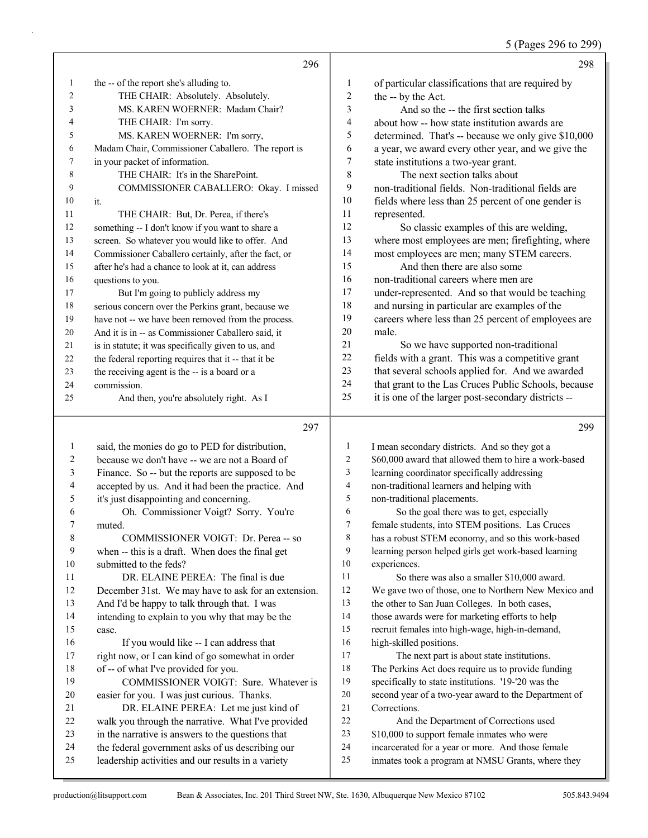5 (Pages 296 to 299)

|                |                                                                                                       |                  | $\sim$ (1 agos 270 to 277)                                                                       |
|----------------|-------------------------------------------------------------------------------------------------------|------------------|--------------------------------------------------------------------------------------------------|
|                | 296                                                                                                   |                  | 298                                                                                              |
| 1              | the -- of the report she's alluding to.                                                               | 1                | of particular classifications that are required by                                               |
| 2              | THE CHAIR: Absolutely. Absolutely.                                                                    | 2                | the -- by the Act.                                                                               |
| 3              | MS. KAREN WOERNER: Madam Chair?                                                                       | 3                | And so the -- the first section talks                                                            |
| 4              | THE CHAIR: I'm sorry.                                                                                 | 4                | about how -- how state institution awards are                                                    |
| 5              | MS. KAREN WOERNER: I'm sorry,                                                                         | 5                | determined. That's -- because we only give \$10,000                                              |
| 6              | Madam Chair, Commissioner Caballero. The report is                                                    | 6                | a year, we award every other year, and we give the                                               |
| 7              | in your packet of information.                                                                        | $\boldsymbol{7}$ | state institutions a two-year grant.                                                             |
| 8              | THE CHAIR: It's in the SharePoint.                                                                    | $\,$ 8 $\,$      | The next section talks about                                                                     |
| 9              | COMMISSIONER CABALLERO: Okay. I missed                                                                | 9                | non-traditional fields. Non-traditional fields are                                               |
| 10             | it.                                                                                                   | $10\,$           | fields where less than 25 percent of one gender is                                               |
| 11             | THE CHAIR: But, Dr. Perea, if there's                                                                 | 11               | represented.                                                                                     |
| 12             | something -- I don't know if you want to share a                                                      | 12               | So classic examples of this are welding,                                                         |
| 13             | screen. So whatever you would like to offer. And                                                      | 13               | where most employees are men; firefighting, where                                                |
| 14             | Commissioner Caballero certainly, after the fact, or                                                  | 14               | most employees are men; many STEM careers.                                                       |
| 15             | after he's had a chance to look at it, can address                                                    | 15               | And then there are also some                                                                     |
| 16             | questions to you.                                                                                     | 16               | non-traditional careers where men are                                                            |
| 17             | But I'm going to publicly address my                                                                  | 17               | under-represented. And so that would be teaching                                                 |
| 18             | serious concern over the Perkins grant, because we                                                    | 18               | and nursing in particular are examples of the                                                    |
| 19             | have not -- we have been removed from the process.                                                    | 19               | careers where less than 25 percent of employees are                                              |
| $20\,$         | And it is in -- as Commissioner Caballero said, it                                                    | 20               | male.                                                                                            |
| $21\,$         | is in statute; it was specifically given to us, and                                                   | 21               | So we have supported non-traditional                                                             |
| 22             | the federal reporting requires that it -- that it be                                                  | 22               | fields with a grant. This was a competitive grant                                                |
| 23             | the receiving agent is the -- is a board or a                                                         | 23               | that several schools applied for. And we awarded                                                 |
| 24             | commission.                                                                                           | 24               | that grant to the Las Cruces Public Schools, because                                             |
| 25             | And then, you're absolutely right. As I                                                               | 25               | it is one of the larger post-secondary districts --                                              |
|                |                                                                                                       |                  |                                                                                                  |
|                | 297                                                                                                   |                  | 299                                                                                              |
| $\mathbf{1}$   | said, the monies do go to PED for distribution,                                                       | 1                | I mean secondary districts. And so they got a                                                    |
| $\overline{c}$ | because we don't have -- we are not a Board of                                                        | $\overline{2}$   | \$60,000 award that allowed them to hire a work-based                                            |
| 3              | Finance. So -- but the reports are supposed to be                                                     | 3                | learning coordinator specifically addressing                                                     |
| 4              | accepted by us. And it had been the practice. And                                                     | $\overline{4}$   | non-traditional learners and helping with                                                        |
| 5              | it's just disappointing and concerning.                                                               | 5                | non-traditional placements.                                                                      |
| 6              | Oh. Commissioner Voigt? Sorry. You're                                                                 | 6                | So the goal there was to get, especially                                                         |
| 7              | muted.                                                                                                | 7                | female students, into STEM positions. Las Cruces                                                 |
| $\,$ $\,$      | COMMISSIONER VOIGT: Dr. Perea -- so                                                                   | 8                | has a robust STEM economy, and so this work-based                                                |
| 9              | when -- this is a draft. When does the final get                                                      | 9                | learning person helped girls get work-based learning                                             |
| $10\,$         | submitted to the feds?                                                                                | 10               | experiences.                                                                                     |
| 11             | DR. ELAINE PEREA: The final is due                                                                    | $11\,$           | So there was also a smaller \$10,000 award.                                                      |
| 12             | December 31st. We may have to ask for an extension.                                                   | $12\,$           | We gave two of those, one to Northern New Mexico and                                             |
| 13             | And I'd be happy to talk through that. I was                                                          | 13               | the other to San Juan Colleges. In both cases,                                                   |
| 14             | intending to explain to you why that may be the                                                       | 14               | those awards were for marketing efforts to help                                                  |
| 15             | case.                                                                                                 | 15               | recruit females into high-wage, high-in-demand,                                                  |
| 16             | If you would like -- I can address that                                                               | 16               | high-skilled positions.                                                                          |
| 17             | right now, or I can kind of go somewhat in order                                                      | 17               | The next part is about state institutions.                                                       |
| 18             | of -- of what I've provided for you.                                                                  | 18               | The Perkins Act does require us to provide funding                                               |
| 19             | COMMISSIONER VOIGT: Sure. Whatever is                                                                 | 19               | specifically to state institutions. '19-'20 was the                                              |
| $20\,$         | easier for you. I was just curious. Thanks.                                                           | $20\,$           | second year of a two-year award to the Department of                                             |
| 21             | DR. ELAINE PEREA: Let me just kind of                                                                 | $21\,$           | Corrections.                                                                                     |
| $22\,$         | walk you through the narrative. What I've provided                                                    | 22               | And the Department of Corrections used                                                           |
| 23             | in the narrative is answers to the questions that<br>the federal government asks of us describing our | 23<br>24         | \$10,000 to support female inmates who were<br>incarcerated for a year or more. And those female |
| 24             |                                                                                                       |                  |                                                                                                  |

inmates took a program at NMSU Grants, where they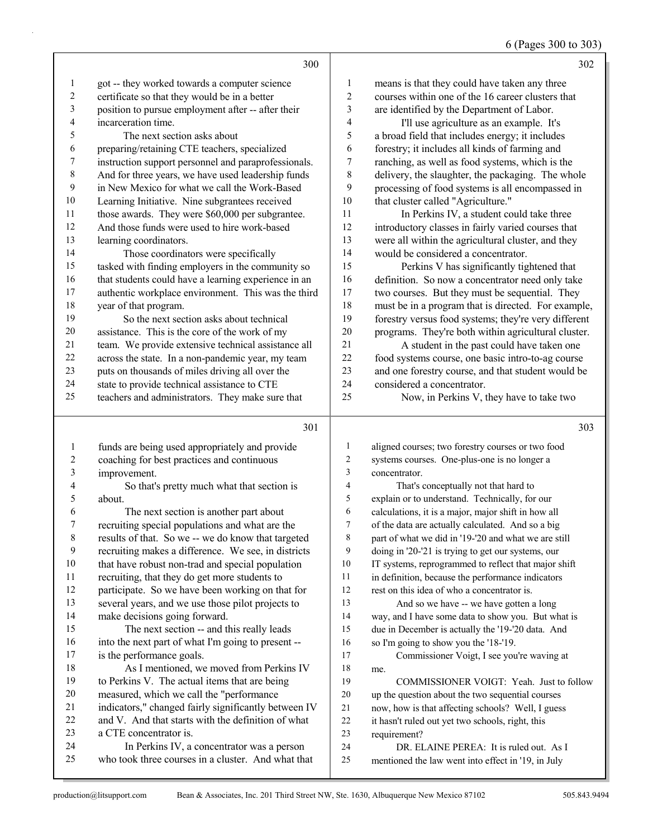## 6 (Pages 300 to 303)

|                          | 300                                                  |                          | 302                                                  |
|--------------------------|------------------------------------------------------|--------------------------|------------------------------------------------------|
| 1                        | got -- they worked towards a computer science        | $\mathbf{1}$             | means is that they could have taken any three        |
| $\sqrt{2}$               | certificate so that they would be in a better        | $\overline{c}$           | courses within one of the 16 career clusters that    |
| 3                        | position to pursue employment after -- after their   | 3                        | are identified by the Department of Labor.           |
| $\overline{\mathcal{L}}$ | incarceration time.                                  | $\overline{4}$           | I'll use agriculture as an example. It's             |
| 5                        | The next section asks about                          | 5                        | a broad field that includes energy; it includes      |
| 6                        | preparing/retaining CTE teachers, specialized        | 6                        | forestry; it includes all kinds of farming and       |
| $\overline{7}$           | instruction support personnel and paraprofessionals. | $\boldsymbol{7}$         | ranching, as well as food systems, which is the      |
| $\,$ $\,$                | And for three years, we have used leadership funds   | $\,$ 8 $\,$              | delivery, the slaughter, the packaging. The whole    |
| 9                        | in New Mexico for what we call the Work-Based        | 9                        | processing of food systems is all encompassed in     |
| 10                       | Learning Initiative. Nine subgrantees received       | 10                       | that cluster called "Agriculture."                   |
| $11\,$                   | those awards. They were \$60,000 per subgrantee.     | 11                       | In Perkins IV, a student could take three            |
| 12                       | And those funds were used to hire work-based         | 12                       | introductory classes in fairly varied courses that   |
| 13                       | learning coordinators.                               | 13                       | were all within the agricultural cluster, and they   |
| 14                       | Those coordinators were specifically                 | 14                       | would be considered a concentrator.                  |
| 15                       | tasked with finding employers in the community so    | 15                       | Perkins V has significantly tightened that           |
| 16                       | that students could have a learning experience in an | 16                       | definition. So now a concentrator need only take     |
| 17                       | authentic workplace environment. This was the third  | $17$                     | two courses. But they must be sequential. They       |
| 18                       | year of that program.                                | 18                       | must be in a program that is directed. For example,  |
| 19                       | So the next section asks about technical             | 19                       | forestry versus food systems; they're very different |
| $20\,$                   | assistance. This is the core of the work of my       | 20                       | programs. They're both within agricultural cluster.  |
| $21\,$                   | team. We provide extensive technical assistance all  | 21                       | A student in the past could have taken one           |
| 22                       | across the state. In a non-pandemic year, my team    | 22                       | food systems course, one basic intro-to-ag course    |
| 23                       | puts on thousands of miles driving all over the      | 23                       | and one forestry course, and that student would be   |
| 24                       | state to provide technical assistance to CTE         | 24                       | considered a concentrator.                           |
| 25                       | teachers and administrators. They make sure that     | 25                       | Now, in Perkins V, they have to take two             |
|                          | 301                                                  |                          | 303                                                  |
| $\mathbf{1}$             | funds are being used appropriately and provide       | $\mathbf{1}$             | aligned courses; two forestry courses or two food    |
| $\overline{2}$           | coaching for best practices and continuous           | $\sqrt{2}$               | systems courses. One-plus-one is no longer a         |
| $\mathfrak{Z}$           | improvement.                                         | 3                        | concentrator.                                        |
| $\overline{\mathcal{L}}$ | So that's pretty much what that section is           | $\overline{\mathcal{A}}$ | That's conceptually not that hard to                 |
| 5                        | about.                                               | 5                        | explain or to understand. Technically, for our       |
| 6                        | The next section is another part about               | 6                        | calculations, it is a major, major shift in how all  |
| $\boldsymbol{7}$         | recruiting special populations and what are the      | $\boldsymbol{7}$         | of the data are actually calculated. And so a big    |
| 8                        | results of that. So we -- we do know that targeted   | $\,8\,$                  | part of what we did in '19-'20 and what we are still |
| 9                        | recruiting makes a difference. We see, in districts  | 9                        | doing in '20-'21 is trying to get our systems, our   |
| 10                       | that have robust non-trad and special population     | 10                       | IT systems, reprogrammed to reflect that major shift |
| 11                       | recruiting, that they do get more students to        | 11                       | in definition, because the performance indicators    |
| 12                       | participate. So we have been working on that for     | $12\,$                   | rest on this idea of who a concentrator is.          |
| 13                       | several years, and we use those pilot projects to    | 13                       | And so we have -- we have gotten a long              |

 make decisions going forward. 15 The next section -- and this really leads into the next part of what I'm going to present -- is the performance goals.

## 18 As I mentioned, we moved from Perkins IV<br>19 to Perkins V. The actual items that are being to Perkins V. The actual items that are being measured, which we call the "performance indicators," changed fairly significantly between IV and V. And that starts with the definition of what a CTE concentrator is.

24 In Perkins IV, a concentrator was a person who took three courses in a cluster. And what that

19 COMMISSIONER VOIGT: Yeah. Just to follow up the question about the two sequential courses

 way, and I have some data to show you. But what is due in December is actually the '19-'20 data. And

17 Commissioner Voigt, I see you're waving at

so I'm going to show you the '18-'19.

now, how is that affecting schools? Well, I guess

- it hasn't ruled out yet two schools, right, this
- requirement?

me.

24 DR. ELAINE PEREA: It is ruled out. As I

mentioned the law went into effect in '19, in July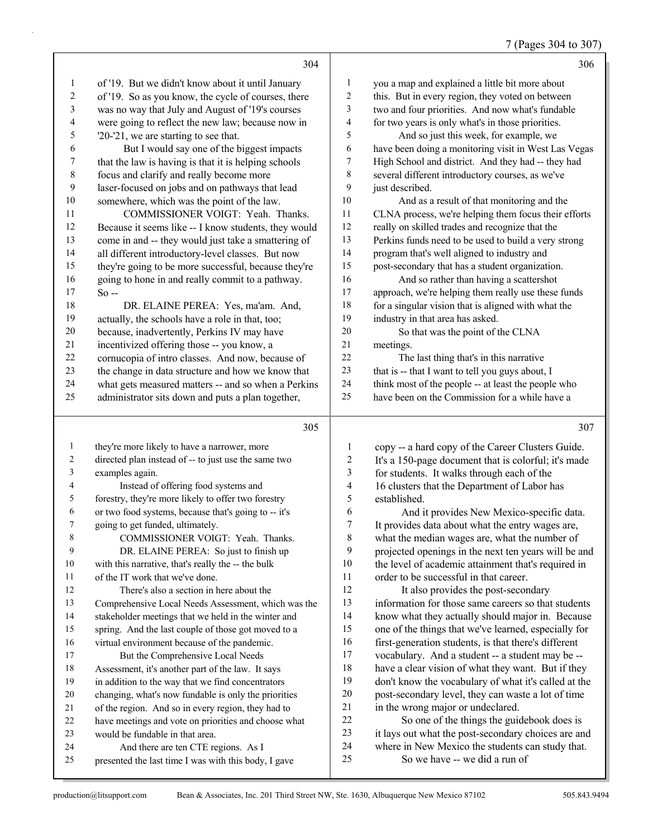|  | 7 (Pages 304 to 307) |  |
|--|----------------------|--|
|--|----------------------|--|

|                | 304                                                  |                | 306                                                  |
|----------------|------------------------------------------------------|----------------|------------------------------------------------------|
| $\mathbf{1}$   | of '19. But we didn't know about it until January    | $\mathbf{1}$   | you a map and explained a little bit more about      |
| 2              | of '19. So as you know, the cycle of courses, there  | 2              | this. But in every region, they voted on between     |
| 3              | was no way that July and August of '19's courses     | 3              | two and four priorities. And now what's fundable     |
| 4              | were going to reflect the new law; because now in    | 4              | for two years is only what's in those priorities.    |
| 5              | $20-21$ , we are starting to see that.               | 5              | And so just this week, for example, we               |
| 6              | But I would say one of the biggest impacts           | 6              | have been doing a monitoring visit in West Las Vegas |
| 7              | that the law is having is that it is helping schools | 7              | High School and district. And they had -- they had   |
| $\,8\,$        | focus and clarify and really become more             | 8              | several different introductory courses, as we've     |
| 9              | laser-focused on jobs and on pathways that lead      | 9              | just described.                                      |
| 10             | somewhere, which was the point of the law.           | $10\,$         | And as a result of that monitoring and the           |
| 11             | COMMISSIONER VOIGT: Yeah. Thanks.                    | 11             | CLNA process, we're helping them focus their efforts |
| 12             | Because it seems like -- I know students, they would | 12             | really on skilled trades and recognize that the      |
| 13             | come in and -- they would just take a smattering of  | 13             | Perkins funds need to be used to build a very strong |
| 14             | all different introductory-level classes. But now    | 14             | program that's well aligned to industry and          |
| 15             | they're going to be more successful, because they're | 15             | post-secondary that has a student organization.      |
| 16             | going to hone in and really commit to a pathway.     | 16             | And so rather than having a scattershot              |
| 17             | $So -$                                               | 17             | approach, we're helping them really use these funds  |
| 18             | DR. ELAINE PEREA: Yes, ma'am. And,                   | 18             | for a singular vision that is aligned with what the  |
| 19             | actually, the schools have a role in that, too;      | 19             | industry in that area has asked.                     |
| $20\,$         | because, inadvertently, Perkins IV may have          | 20             | So that was the point of the CLNA                    |
| 21             | incentivized offering those -- you know, a           | 21             | meetings.                                            |
| 22             | cornucopia of intro classes. And now, because of     | 22             | The last thing that's in this narrative              |
| 23             | the change in data structure and how we know that    | 23             | that is -- that I want to tell you guys about, I     |
| 24             | what gets measured matters -- and so when a Perkins  | 24             | think most of the people -- at least the people who  |
| 25             | administrator sits down and puts a plan together,    | 25             | have been on the Commission for a while have a       |
|                | 305                                                  |                | 307                                                  |
| $\mathbf{1}$   | they're more likely to have a narrower, more         | $\mathbf{1}$   | copy -- a hard copy of the Career Clusters Guide.    |
| $\overline{2}$ | directed plan instead of -- to just use the same two | $\sqrt{2}$     | It's a 150-page document that is colorful; it's made |
| 3              | examples again.                                      | $\mathfrak{Z}$ | for students. It walks through each of the           |
| $\overline{4}$ | Instead of offering food systems and                 | 4              | 16 clusters that the Department of Labor has         |
| 5              | forestry, they're more likely to offer two forestry  | 5              | established.                                         |

 going to get funded, ultimately. 8 COMMISSIONER VOIGT: Yeah. Thanks. 9 DR. ELAINE PEREA: So just to finish up with this narrative, that's really the -- the bulk of the IT work that we've done. 12 There's also a section in here about the Comprehensive Local Needs Assessment, which was the stakeholder meetings that we held in the winter and spring. And the last couple of those got moved to a virtual environment because of the pandemic. 17 But the Comprehensive Local Needs Assessment, it's another part of the law. It says in addition to the way that we find concentrators changing, what's now fundable is only the priorities of the region. And so in every region, they had to

or two food systems, because that's going to -- it's

have meetings and vote on priorities and choose what

- would be fundable in that area.
- 24 And there are ten CTE regions. As I

6 And it provides New Mexico-specific data.<br>7 It provides data about what the entry wages are. It provides data about what the entry wages are, what the median wages are, what the number of projected openings in the next ten years will be and the level of academic attainment that's required in order to be successful in that career.

12 It also provides the post-secondary information for those same careers so that students know what they actually should major in. Because one of the things that we've learned, especially for first-generation students, is that there's different vocabulary. And a student -- a student may be -- 18 have a clear vision of what they want. But if they<br>19 don't know the vocabulary of what it's called at the don't know the vocabulary of what it's called at the post-secondary level, they can waste a lot of time 21 in the wrong major or undeclared.

22 So one of the things the guidebook does is it lays out what the post-secondary choices are and where in New Mexico the students can study that. 25 So we have -- we did a run of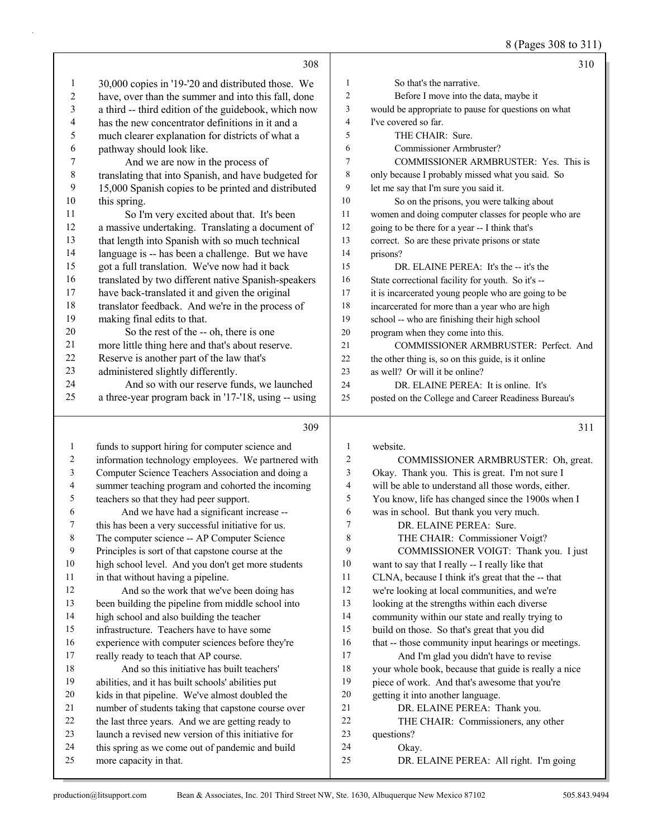8 (Pages 308 to 311)

|                  |                                                      |                          | $0(1 \text{ uS} \omega)$ $00 \omega 11$              |
|------------------|------------------------------------------------------|--------------------------|------------------------------------------------------|
|                  | 308                                                  |                          | 310                                                  |
| 1                | 30,000 copies in '19-'20 and distributed those. We   | 1                        | So that's the narrative.                             |
| $\boldsymbol{2}$ | have, over than the summer and into this fall, done  | $\overline{c}$           | Before I move into the data, maybe it                |
| $\mathfrak{Z}$   | a third -- third edition of the guidebook, which now | 3                        | would be appropriate to pause for questions on what  |
| 4                | has the new concentrator definitions in it and a     | 4                        | I've covered so far.                                 |
| 5                | much clearer explanation for districts of what a     | 5                        | THE CHAIR: Sure.                                     |
| 6                | pathway should look like.                            | 6                        | Commissioner Armbruster?                             |
| $\boldsymbol{7}$ | And we are now in the process of                     | $\tau$                   | COMMISSIONER ARMBRUSTER: Yes. This is                |
| $\,$ $\,$        | translating that into Spanish, and have budgeted for | $\,8\,$                  | only because I probably missed what you said. So     |
| 9                | 15,000 Spanish copies to be printed and distributed  | 9                        | let me say that I'm sure you said it.                |
| 10               | this spring.                                         | $10\,$                   | So on the prisons, you were talking about            |
| 11               | So I'm very excited about that. It's been            | 11                       | women and doing computer classes for people who are  |
| 12               | a massive undertaking. Translating a document of     | 12                       | going to be there for a year -- I think that's       |
| 13               | that length into Spanish with so much technical      | 13                       | correct. So are these private prisons or state       |
| 14               | language is -- has been a challenge. But we have     | 14                       | prisons?                                             |
| 15               | got a full translation. We've now had it back        | 15                       | DR. ELAINE PEREA: It's the -- it's the               |
| 16               | translated by two different native Spanish-speakers  | 16                       | State correctional facility for youth. So it's --    |
| 17               | have back-translated it and given the original       | $17\,$                   | it is incarcerated young people who are going to be  |
| 18               | translator feedback. And we're in the process of     | 18                       | incarcerated for more than a year who are high       |
| 19               | making final edits to that.                          | 19                       | school -- who are finishing their high school        |
| 20               | So the rest of the -- oh, there is one               | 20                       | program when they come into this.                    |
| 21               | more little thing here and that's about reserve.     | 21                       | COMMISSIONER ARMBRUSTER: Perfect. And                |
| 22               | Reserve is another part of the law that's            | 22                       | the other thing is, so on this guide, is it online   |
| 23               | administered slightly differently.                   | 23                       | as well? Or will it be online?                       |
| 24               | And so with our reserve funds, we launched           | 24                       | DR. ELAINE PEREA: It is online. It's                 |
| 25               | a three-year program back in '17-'18, using -- using | 25                       | posted on the College and Career Readiness Bureau's  |
|                  | 309                                                  |                          | 311                                                  |
| 1                | funds to support hiring for computer science and     | $\mathbf{1}$             | website.                                             |
| 2                | information technology employees. We partnered with  | 2                        | COMMISSIONER ARMBRUSTER: Oh, great.                  |
| 3                | Computer Science Teachers Association and doing a    | $\mathfrak{Z}$           | Okay. Thank you. This is great. I'm not sure I       |
| 4                | summer teaching program and cohorted the incoming    | $\overline{\mathcal{A}}$ | will be able to understand all those words, either.  |
| 5                | teachers so that they had peer support.              | 5                        | You know, life has changed since the 1900s when I    |
| 6                | And we have had a significant increase --            | 6                        | was in school. But thank you very much.              |
| 7                | this has been a very successful initiative for us.   | 7                        | DR. ELAINE PEREA: Sure.                              |
| 8                | The computer science -- AP Computer Science          | 8                        | THE CHAIR: Commissioner Voigt?                       |
| 9                | Principles is sort of that capstone course at the    | 9                        | COMMISSIONER VOIGT: Thank you. I just                |
| 10               | high school level. And you don't get more students   | $10\,$                   | want to say that I really -- I really like that      |
| 11               | in that without having a pipeline.                   | 11                       | CLNA, because I think it's great that the -- that    |
| 12               | And so the work that we've been doing has            | 12                       | we're looking at local communities, and we're        |
| 13               | been building the pipeline from middle school into   | 13                       | looking at the strengths within each diverse         |
| 14               | high school and also building the teacher            | 14                       | community within our state and really trying to      |
| 15               | infrastructure. Teachers have to have some           | 15                       | build on those. So that's great that you did         |
| 16               | experience with computer sciences before they're     | 16                       | that -- those community input hearings or meetings.  |
| 17               | really ready to teach that AP course.                | 17                       | And I'm glad you didn't have to revise               |
| 18               | And so this initiative has built teachers'           | 18                       | your whole book, because that guide is really a nice |
| 19               | abilities, and it has built schools' abilities put   | 19                       | piece of work. And that's awesome that you're        |
| 20               | kids in that pipeline. We've almost doubled the      | $20\,$                   | getting it into another language.                    |

- getting it into another language.
	- 21 DR. ELAINE PEREA: Thank you.
	- 22 THE CHAIR: Commissioners, any other

questions?

- 24 Okay.
- 25 DR. ELAINE PEREA: All right. I'm going

more capacity in that.

 number of students taking that capstone course over the last three years. And we are getting ready to launch a revised new version of this initiative for this spring as we come out of pandemic and build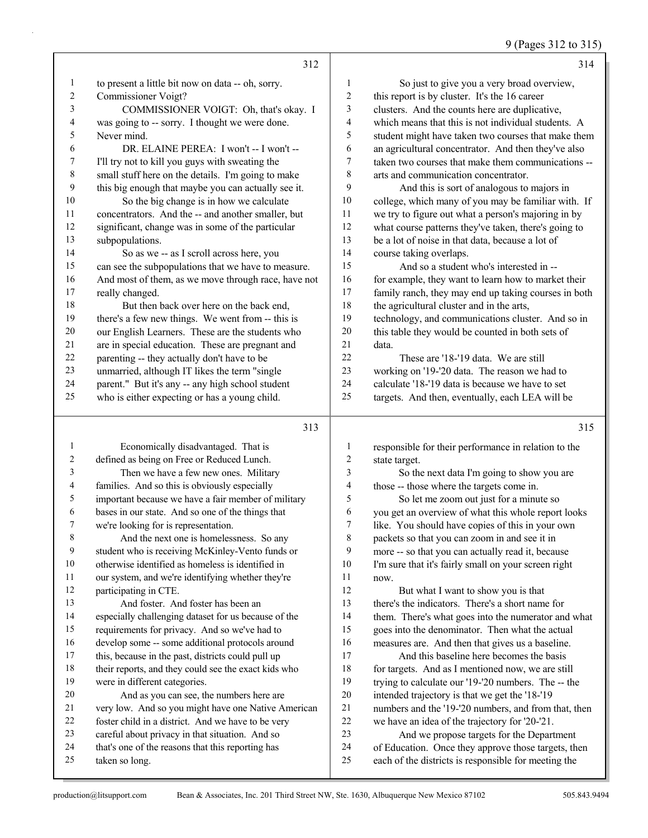# 9 (Pages 312 to 315)

|                  | 312                                                                                               |                       | 314                                                                                                         |
|------------------|---------------------------------------------------------------------------------------------------|-----------------------|-------------------------------------------------------------------------------------------------------------|
| $\mathbf{1}$     | to present a little bit now on data -- oh, sorry.                                                 | 1                     | So just to give you a very broad overview,                                                                  |
| $\boldsymbol{2}$ | Commissioner Voigt?                                                                               | $\overline{c}$        | this report is by cluster. It's the 16 career                                                               |
| 3                | COMMISSIONER VOIGT: Oh, that's okay. I                                                            | $\mathfrak{Z}$        | clusters. And the counts here are duplicative,                                                              |
| 4                | was going to -- sorry. I thought we were done.                                                    | 4                     | which means that this is not individual students. A                                                         |
| 5                | Never mind.                                                                                       | 5                     | student might have taken two courses that make them                                                         |
| 6                | DR. ELAINE PEREA: I won't -- I won't --                                                           | 6                     | an agricultural concentrator. And then they've also                                                         |
| 7                | I'll try not to kill you guys with sweating the                                                   | $\boldsymbol{7}$      | taken two courses that make them communications --                                                          |
| $\,$ $\,$        | small stuff here on the details. I'm going to make                                                | 8                     | arts and communication concentrator.                                                                        |
| 9                | this big enough that maybe you can actually see it.                                               | 9                     | And this is sort of analogous to majors in                                                                  |
| 10               | So the big change is in how we calculate                                                          | $10\,$                | college, which many of you may be familiar with. If                                                         |
| 11               | concentrators. And the -- and another smaller, but                                                | 11                    | we try to figure out what a person's majoring in by                                                         |
| 12               | significant, change was in some of the particular                                                 | 12                    | what course patterns they've taken, there's going to                                                        |
| 13               | subpopulations.                                                                                   | 13                    | be a lot of noise in that data, because a lot of                                                            |
| 14               | So as we -- as I scroll across here, you                                                          | 14                    | course taking overlaps.                                                                                     |
| 15               | can see the subpopulations that we have to measure.                                               | 15                    | And so a student who's interested in --                                                                     |
| 16               | And most of them, as we move through race, have not                                               | 16                    | for example, they want to learn how to market their                                                         |
| 17               | really changed.                                                                                   | $17\,$                | family ranch, they may end up taking courses in both                                                        |
| 18               | But then back over here on the back end,                                                          | 18                    | the agricultural cluster and in the arts,                                                                   |
| 19               | there's a few new things. We went from -- this is                                                 | 19                    | technology, and communications cluster. And so in                                                           |
| $20\,$           | our English Learners. These are the students who                                                  | $20\,$                | this table they would be counted in both sets of                                                            |
| 21               | are in special education. These are pregnant and                                                  | 21                    | data.                                                                                                       |
| $22\,$           | parenting -- they actually don't have to be                                                       | 22<br>23              | These are '18-'19 data. We are still                                                                        |
| 23<br>24         | unmarried, although IT likes the term "single                                                     | 24                    | working on '19-'20 data. The reason we had to<br>calculate '18-'19 data is because we have to set           |
| 25               | parent." But it's any -- any high school student<br>who is either expecting or has a young child. | 25                    | targets. And then, eventually, each LEA will be                                                             |
|                  |                                                                                                   |                       |                                                                                                             |
|                  |                                                                                                   |                       |                                                                                                             |
|                  | 313                                                                                               |                       | 315                                                                                                         |
| 1                |                                                                                                   |                       |                                                                                                             |
| 2                | Economically disadvantaged. That is                                                               | $\mathbf{1}$          | responsible for their performance in relation to the                                                        |
| 3                | defined as being on Free or Reduced Lunch.                                                        | $\boldsymbol{2}$<br>3 | state target.                                                                                               |
| 4                | Then we have a few new ones. Military<br>families. And so this is obviously especially            | 4                     | So the next data I'm going to show you are<br>those -- those where the targets come in.                     |
| 5                | important because we have a fair member of military                                               | 5                     | So let me zoom out just for a minute so                                                                     |
| 6                | bases in our state. And so one of the things that                                                 | 6                     | you get an overview of what this whole report looks                                                         |
| 7                | we're looking for is representation.                                                              | $\tau$                | like. You should have copies of this in your own                                                            |
| 8                | And the next one is homelessness. So any                                                          | 8                     | packets so that you can zoom in and see it in                                                               |
| 9                | student who is receiving McKinley-Vento funds or                                                  | 9                     | more -- so that you can actually read it, because                                                           |
| 10               | otherwise identified as homeless is identified in                                                 | 10                    | I'm sure that it's fairly small on your screen right                                                        |
| 11               | our system, and we're identifying whether they're                                                 | 11                    | now.                                                                                                        |
| 12               | participating in CTE.                                                                             | 12                    | But what I want to show you is that                                                                         |
| 13               | And foster. And foster has been an                                                                | 13                    | there's the indicators. There's a short name for                                                            |
| 14               | especially challenging dataset for us because of the                                              | 14                    | them. There's what goes into the numerator and what                                                         |
| 15               | requirements for privacy. And so we've had to                                                     | 15                    | goes into the denominator. Then what the actual                                                             |
| 16               | develop some -- some additional protocols around                                                  | 16                    | measures are. And then that gives us a baseline.                                                            |
| 17               | this, because in the past, districts could pull up                                                | 17                    | And this baseline here becomes the basis                                                                    |
| 18               | their reports, and they could see the exact kids who                                              | 18                    | for targets. And as I mentioned now, we are still                                                           |
| 19               | were in different categories.                                                                     | 19                    | trying to calculate our '19-'20 numbers. The -- the                                                         |
| 20               | And as you can see, the numbers here are                                                          | $20\,$                | intended trajectory is that we get the '18-'19                                                              |
| 21               | very low. And so you might have one Native American                                               | 21                    | numbers and the '19-'20 numbers, and from that, then                                                        |
| 22               | foster child in a district. And we have to be very                                                | 22                    | we have an idea of the trajectory for '20-'21.                                                              |
| 23<br>24         | careful about privacy in that situation. And so                                                   | 23<br>24              | And we propose targets for the Department                                                                   |
| 25               | that's one of the reasons that this reporting has<br>taken so long.                               | 25                    | of Education. Once they approve those targets, then<br>each of the districts is responsible for meeting the |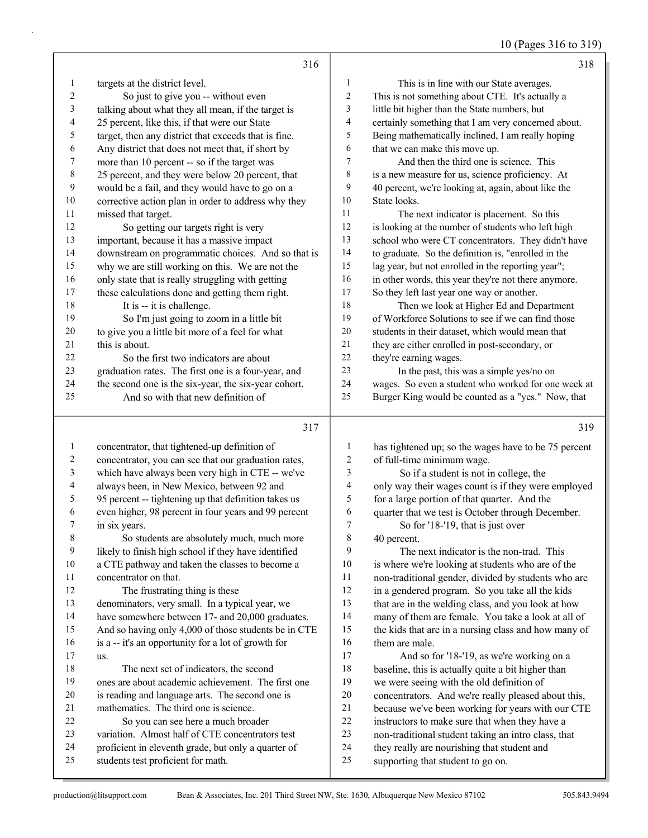10 (Pages 316 to 319)

|                | 316                                                                                    |                  | 318                                                                                                |
|----------------|----------------------------------------------------------------------------------------|------------------|----------------------------------------------------------------------------------------------------|
| 1              | targets at the district level.                                                         | 1                | This is in line with our State averages.                                                           |
| $\overline{c}$ | So just to give you -- without even                                                    | $\boldsymbol{2}$ | This is not something about CTE. It's actually a                                                   |
| 3              | talking about what they all mean, if the target is                                     | $\mathfrak{Z}$   | little bit higher than the State numbers, but                                                      |
| 4              | 25 percent, like this, if that were our State                                          | $\overline{4}$   | certainly something that I am very concerned about.                                                |
| 5              | target, then any district that exceeds that is fine.                                   | 5                | Being mathematically inclined, I am really hoping                                                  |
| 6              | Any district that does not meet that, if short by                                      | 6                | that we can make this move up.                                                                     |
| 7              | more than 10 percent -- so if the target was                                           | 7                | And then the third one is science. This                                                            |
| $\,8\,$        | 25 percent, and they were below 20 percent, that                                       | $\,8\,$          | is a new measure for us, science proficiency. At                                                   |
| $\overline{9}$ | would be a fail, and they would have to go on a                                        | 9                | 40 percent, we're looking at, again, about like the                                                |
| 10             | corrective action plan in order to address why they                                    | 10               | State looks.                                                                                       |
| 11             | missed that target.                                                                    | 11               | The next indicator is placement. So this                                                           |
| 12             | So getting our targets right is very                                                   | 12               | is looking at the number of students who left high                                                 |
| 13             | important, because it has a massive impact                                             | 13               | school who were CT concentrators. They didn't have                                                 |
| 14             | downstream on programmatic choices. And so that is                                     | 14               | to graduate. So the definition is, "enrolled in the                                                |
| 15             | why we are still working on this. We are not the                                       | 15               | lag year, but not enrolled in the reporting year";                                                 |
| 16             | only state that is really struggling with getting                                      | 16               | in other words, this year they're not there anymore.                                               |
| 17             | these calculations done and getting them right.                                        | 17               | So they left last year one way or another.                                                         |
| 18             | It is -- it is challenge.                                                              | 18               | Then we look at Higher Ed and Department                                                           |
| 19             | So I'm just going to zoom in a little bit                                              | 19               | of Workforce Solutions to see if we can find those                                                 |
| 20             | to give you a little bit more of a feel for what                                       | 20               | students in their dataset, which would mean that                                                   |
| 21             | this is about.                                                                         | 21               | they are either enrolled in post-secondary, or                                                     |
| 22             | So the first two indicators are about                                                  | 22               | they're earning wages.                                                                             |
| 23             | graduation rates. The first one is a four-year, and                                    | 23               | In the past, this was a simple yes/no on                                                           |
| 24             | the second one is the six-year, the six-year cohort.                                   | 24               | wages. So even a student who worked for one week at                                                |
| 25             | And so with that new definition of                                                     | 25               | Burger King would be counted as a "yes." Now, that                                                 |
|                | 317                                                                                    |                  | 319                                                                                                |
| $\mathbf{1}$   | concentrator, that tightened-up definition of                                          | 1                | has tightened up; so the wages have to be 75 percent                                               |
| $\overline{c}$ | concentrator, you can see that our graduation rates,                                   | 2                | of full-time minimum wage.                                                                         |
| 3              | which have always been very high in CTE -- we've                                       | 3                | So if a student is not in college, the                                                             |
| 4              | always been, in New Mexico, between 92 and                                             | 4                | only way their wages count is if they were employed                                                |
| 5              | 95 percent -- tightening up that definition takes us                                   | 5                | for a large portion of that quarter. And the                                                       |
| 6              | even higher, 98 percent in four years and 99 percent                                   | 6                | quarter that we test is October through December.                                                  |
| 7              | in six years.                                                                          | 7                | So for '18-'19, that is just over                                                                  |
| 8              | So students are absolutely much, much more                                             | 8                | 40 percent.                                                                                        |
| 9              | likely to finish high school if they have identified                                   | 9                | The next indicator is the non-trad. This                                                           |
| 10             | a CTE pathway and taken the classes to become a                                        | 10               | is where we're looking at students who are of the                                                  |
| 11             | concentrator on that.                                                                  | 11               | non-traditional gender, divided by students who are                                                |
| 12             | The frustrating thing is these                                                         | 12               | in a gendered program. So you take all the kids                                                    |
| 13             | denominators, very small. In a typical year, we                                        | 13               | that are in the welding class, and you look at how                                                 |
| 14             | have somewhere between 17- and 20,000 graduates.                                       | 14               | many of them are female. You take a look at all of                                                 |
| 15             | And so having only 4,000 of those students be in CTE                                   | 15               | the kids that are in a nursing class and how many of                                               |
| 16             | is a -- it's an opportunity for a lot of growth for                                    | 16               | them are male.                                                                                     |
| 17             | us.                                                                                    | 17               | And so for '18-'19, as we're working on a                                                          |
| 18             | The next set of indicators, the second                                                 | 18               | baseline, this is actually quite a bit higher than                                                 |
| 19             | ones are about academic achievement. The first one                                     | 19               | we were seeing with the old definition of                                                          |
| 20             | is reading and language arts. The second one is                                        | $20\,$           | concentrators. And we're really pleased about this,                                                |
| 21             | mathematics. The third one is science.                                                 | 21<br>22         | because we've been working for years with our CTE                                                  |
| 22<br>23       | So you can see here a much broader<br>variation. Almost half of CTE concentrators test | 23               | instructors to make sure that when they have a                                                     |
| 24             | proficient in eleventh grade, but only a quarter of                                    | 24               | non-traditional student taking an intro class, that<br>they really are nourishing that student and |
|                |                                                                                        |                  |                                                                                                    |
| 25             | students test proficient for math.                                                     | $25\,$           | supporting that student to go on.                                                                  |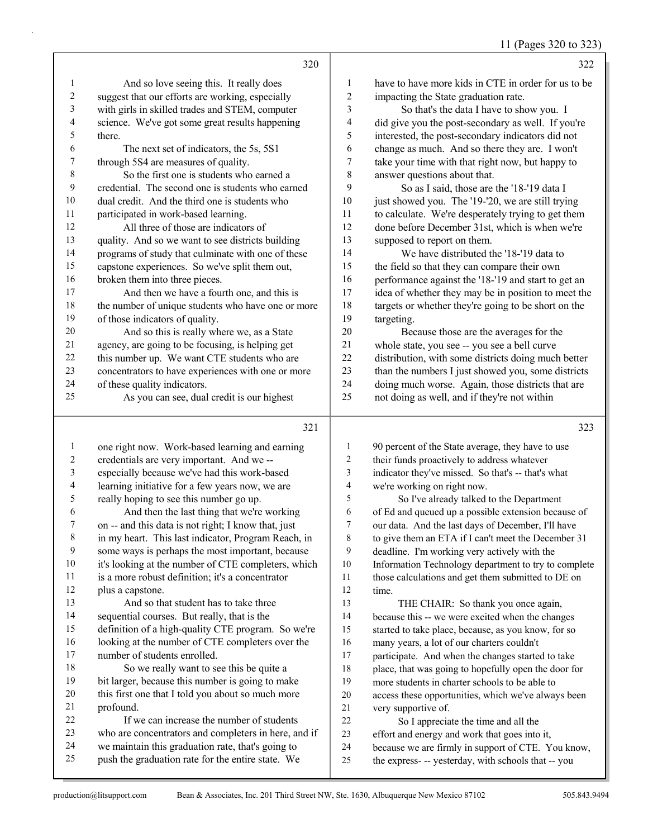11 (Pages 320 to 323)

|                | 320                                                                                                    |                | 322                                                                                                       |
|----------------|--------------------------------------------------------------------------------------------------------|----------------|-----------------------------------------------------------------------------------------------------------|
| $\mathbf{1}$   | And so love seeing this. It really does                                                                | 1              | have to have more kids in CTE in order for us to be                                                       |
| 2              | suggest that our efforts are working, especially                                                       | $\overline{c}$ | impacting the State graduation rate.                                                                      |
| 3              | with girls in skilled trades and STEM, computer                                                        | 3              | So that's the data I have to show you. I                                                                  |
| 4              | science. We've got some great results happening                                                        | 4              | did give you the post-secondary as well. If you're                                                        |
| 5              | there.                                                                                                 | 5              | interested, the post-secondary indicators did not                                                         |
| 6              | The next set of indicators, the 5s, 5S1                                                                | 6              | change as much. And so there they are. I won't                                                            |
| 7              | through 5S4 are measures of quality.                                                                   | 7              | take your time with that right now, but happy to                                                          |
| 8              | So the first one is students who earned a                                                              | 8              | answer questions about that.                                                                              |
| $\overline{9}$ | credential. The second one is students who earned                                                      | 9              | So as I said, those are the '18-'19 data I                                                                |
| 10             | dual credit. And the third one is students who                                                         | 10             | just showed you. The '19-'20, we are still trying                                                         |
| 11             | participated in work-based learning.                                                                   | 11             | to calculate. We're desperately trying to get them                                                        |
| 12             | All three of those are indicators of                                                                   | 12             | done before December 31st, which is when we're                                                            |
| 13             | quality. And so we want to see districts building                                                      | 13             | supposed to report on them.                                                                               |
| 14             | programs of study that culminate with one of these                                                     | 14             | We have distributed the '18-'19 data to                                                                   |
| 15             | capstone experiences. So we've split them out,                                                         | 15             | the field so that they can compare their own                                                              |
| 16             | broken them into three pieces.                                                                         | 16             | performance against the '18-'19 and start to get an                                                       |
| 17             | And then we have a fourth one, and this is                                                             | 17             | idea of whether they may be in position to meet the                                                       |
| 18             | the number of unique students who have one or more                                                     | 18             | targets or whether they're going to be short on the                                                       |
| 19             | of those indicators of quality.                                                                        | 19             | targeting.                                                                                                |
| 20             | And so this is really where we, as a State                                                             | 20             | Because those are the averages for the                                                                    |
| 21             | agency, are going to be focusing, is helping get                                                       | 21             | whole state, you see -- you see a bell curve                                                              |
| 22             | this number up. We want CTE students who are                                                           | 22             | distribution, with some districts doing much better                                                       |
| 23             | concentrators to have experiences with one or more                                                     | 23             | than the numbers I just showed you, some districts                                                        |
| 24             | of these quality indicators.                                                                           | 24             | doing much worse. Again, those districts that are                                                         |
| 25             | As you can see, dual credit is our highest                                                             | 25             | not doing as well, and if they're not within                                                              |
|                | 321                                                                                                    |                | 323                                                                                                       |
| 1              | one right now. Work-based learning and earning                                                         | 1              | 90 percent of the State average, they have to use                                                         |
| 2              | credentials are very important. And we --                                                              | $\overline{c}$ | their funds proactively to address whatever                                                               |
| 3              | especially because we've had this work-based                                                           | 3              | indicator they've missed. So that's -- that's what                                                        |
| 4              | learning initiative for a few years now, we are                                                        | $\overline{4}$ | we're working on right now.                                                                               |
| 5              | really hoping to see this number go up.                                                                | 5              | So I've already talked to the Department                                                                  |
| 6              | And then the last thing that we're working                                                             | 6              | of Ed and queued up a possible extension because of                                                       |
| 7              | on -- and this data is not right; I know that, just                                                    | 7              | our data. And the last days of December, I'll have                                                        |
| 8              | in my heart. This last indicator, Program Reach, in                                                    | 8              | to give them an ETA if I can't meet the December 31                                                       |
| 9              | some ways is perhaps the most important, because                                                       | 9              | deadline. I'm working very actively with the                                                              |
| 10             | it's looking at the number of CTE completers, which                                                    | $10\,$         | Information Technology department to try to complete                                                      |
| 11             | is a more robust definition; it's a concentrator                                                       | 11             | those calculations and get them submitted to DE on                                                        |
| 12             | plus a capstone.                                                                                       | 12             | time.                                                                                                     |
| 13             | And so that student has to take three                                                                  | 13             | THE CHAIR: So thank you once again,                                                                       |
| 14             | sequential courses. But really, that is the                                                            | 14             | because this -- we were excited when the changes                                                          |
| 15             | definition of a high-quality CTE program. So we're                                                     | 15             | started to take place, because, as you know, for so                                                       |
| 16             | looking at the number of CTE completers over the                                                       | 16             | many years, a lot of our charters couldn't                                                                |
| 17             | number of students enrolled.                                                                           | 17             | participate. And when the changes started to take                                                         |
| 18             | So we really want to see this be quite a                                                               | 18             | place, that was going to hopefully open the door for                                                      |
| 19             | bit larger, because this number is going to make                                                       | 19             | more students in charter schools to be able to                                                            |
| 20             | this first one that I told you about so much more                                                      | $20\,$         | access these opportunities, which we've always been                                                       |
| 21<br>22       | profound.<br>If we can increase the number of students                                                 | 21             | very supportive of.                                                                                       |
| 23             | who are concentrators and completers in here, and if                                                   | 22<br>23       | So I appreciate the time and all the                                                                      |
|                |                                                                                                        |                | effort and energy and work that goes into it,                                                             |
|                |                                                                                                        |                |                                                                                                           |
| 24<br>25       | we maintain this graduation rate, that's going to<br>push the graduation rate for the entire state. We | 24<br>25       | because we are firmly in support of CTE. You know,<br>the express- -- yesterday, with schools that -- you |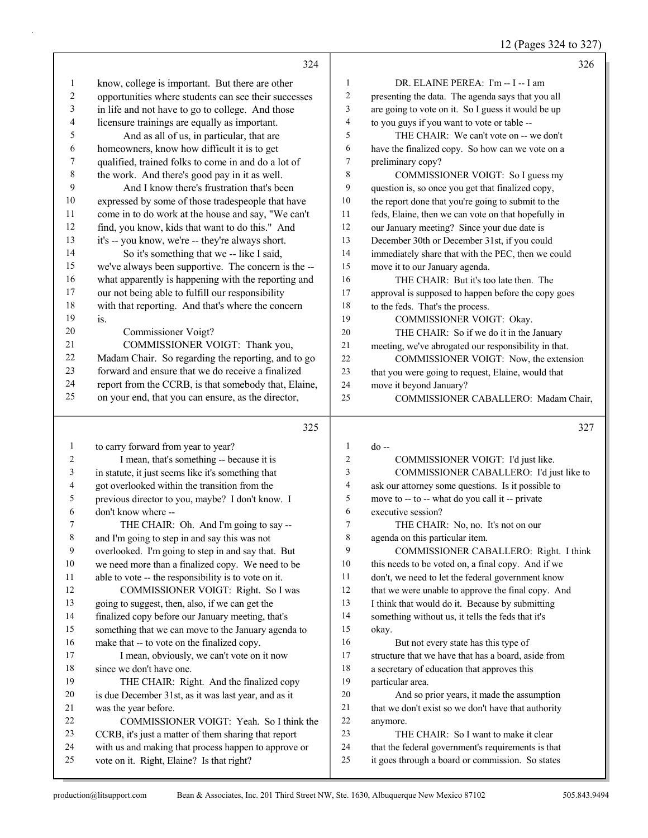12 (Pages 324 to 327)

|                         | 324                                                                                               |                | 326                                                                                                    |
|-------------------------|---------------------------------------------------------------------------------------------------|----------------|--------------------------------------------------------------------------------------------------------|
| $\mathbf{1}$            | know, college is important. But there are other                                                   | $\mathbf{1}$   | DR. ELAINE PEREA: I'm -- I -- I am                                                                     |
| $\overline{\mathbf{c}}$ | opportunities where students can see their successes                                              | 2              | presenting the data. The agenda says that you all                                                      |
| 3                       | in life and not have to go to college. And those                                                  | 3              | are going to vote on it. So I guess it would be up                                                     |
| 4                       | licensure trainings are equally as important.                                                     | 4              | to you guys if you want to vote or table --                                                            |
| 5                       | And as all of us, in particular, that are                                                         | 5              | THE CHAIR: We can't vote on -- we don't                                                                |
| 6                       | homeowners, know how difficult it is to get                                                       | 6              | have the finalized copy. So how can we vote on a                                                       |
| 7                       | qualified, trained folks to come in and do a lot of                                               | 7              | preliminary copy?                                                                                      |
| 8                       | the work. And there's good pay in it as well.                                                     | 8              | COMMISSIONER VOIGT: So I guess my                                                                      |
| 9                       | And I know there's frustration that's been                                                        | 9              | question is, so once you get that finalized copy,                                                      |
| 10                      | expressed by some of those tradespeople that have                                                 | 10             | the report done that you're going to submit to the                                                     |
| 11                      | come in to do work at the house and say, "We can't                                                | 11             | feds, Elaine, then we can vote on that hopefully in                                                    |
| 12                      | find, you know, kids that want to do this." And                                                   | 12             | our January meeting? Since your due date is                                                            |
| 13                      | it's -- you know, we're -- they're always short.                                                  | 13             | December 30th or December 31st, if you could                                                           |
| 14                      | So it's something that we -- like I said,                                                         | 14             | immediately share that with the PEC, then we could                                                     |
| 15                      | we've always been supportive. The concern is the --                                               | 15             | move it to our January agenda.                                                                         |
| 16                      | what apparently is happening with the reporting and                                               | 16             | THE CHAIR: But it's too late then. The                                                                 |
| 17                      | our not being able to fulfill our responsibility                                                  | 17             | approval is supposed to happen before the copy goes                                                    |
| 18                      | with that reporting. And that's where the concern                                                 | $18\,$         | to the feds. That's the process.                                                                       |
| 19                      | is.                                                                                               | 19             | COMMISSIONER VOIGT: Okay.                                                                              |
| 20                      | Commissioner Voigt?                                                                               | 20             | THE CHAIR: So if we do it in the January                                                               |
| 21                      | COMMISSIONER VOIGT: Thank you,                                                                    | $21\,$         | meeting, we've abrogated our responsibility in that.                                                   |
| 22                      | Madam Chair. So regarding the reporting, and to go                                                | 22             | COMMISSIONER VOIGT: Now, the extension                                                                 |
| 23                      | forward and ensure that we do receive a finalized                                                 | 23             | that you were going to request, Elaine, would that                                                     |
| 24                      | report from the CCRB, is that somebody that, Elaine,                                              | 24             | move it beyond January?                                                                                |
| 25                      | on your end, that you can ensure, as the director,                                                | 25             | COMMISSIONER CABALLERO: Madam Chair,                                                                   |
|                         |                                                                                                   |                |                                                                                                        |
|                         |                                                                                                   |                |                                                                                                        |
|                         | 325                                                                                               |                | 327                                                                                                    |
| $\mathbf{1}$            | to carry forward from year to year?                                                               | $\mathbf{1}$   | $do -$                                                                                                 |
| 2                       | I mean, that's something -- because it is                                                         | $\overline{c}$ | COMMISSIONER VOIGT: I'd just like.                                                                     |
| 3                       | in statute, it just seems like it's something that                                                | 3              | COMMISSIONER CABALLERO: I'd just like to                                                               |
| 4                       | got overlooked within the transition from the                                                     | 4              | ask our attorney some questions. Is it possible to                                                     |
| 5                       | previous director to you, maybe? I don't know. I                                                  | 5              | move to -- to -- what do you call it -- private                                                        |
| 6                       | don't know where --                                                                               | $\epsilon$     | executive session?                                                                                     |
| 7                       | THE CHAIR: Oh. And I'm going to say --                                                            | 7              | THE CHAIR: No, no. It's not on our                                                                     |
| 8                       | and I'm going to step in and say this was not                                                     | 8              | agenda on this particular item.                                                                        |
| 9                       | overlooked. I'm going to step in and say that. But                                                | 9              | COMMISSIONER CABALLERO: Right. I think                                                                 |
| 10                      | we need more than a finalized copy. We need to be                                                 | 10             | this needs to be voted on, a final copy. And if we                                                     |
| 11                      | able to vote -- the responsibility is to vote on it.                                              | 11             | don't, we need to let the federal government know                                                      |
| 12                      | COMMISSIONER VOIGT: Right. So I was                                                               | 12             | that we were unable to approve the final copy. And                                                     |
| 13                      | going to suggest, then, also, if we can get the                                                   | 13             | I think that would do it. Because by submitting                                                        |
| 14                      | finalized copy before our January meeting, that's                                                 | 14             | something without us, it tells the feds that it's                                                      |
| 15                      | something that we can move to the January agenda to                                               | 15             | okay.                                                                                                  |
| 16                      | make that -- to vote on the finalized copy.                                                       | 16             | But not every state has this type of                                                                   |
| 17                      | I mean, obviously, we can't vote on it now                                                        | 17             | structure that we have that has a board, aside from                                                    |
| 18                      | since we don't have one.                                                                          | 18             | a secretary of education that approves this                                                            |
| 19                      | THE CHAIR: Right. And the finalized copy                                                          | 19             | particular area.                                                                                       |
| 20                      | is due December 31st, as it was last year, and as it                                              | 20             | And so prior years, it made the assumption                                                             |
| 21                      | was the year before.                                                                              | 21             | that we don't exist so we don't have that authority                                                    |
| 22                      | COMMISSIONER VOIGT: Yeah. So I think the                                                          | 22             | anymore.                                                                                               |
| 23                      | CCRB, it's just a matter of them sharing that report                                              | 23             | THE CHAIR: So I want to make it clear                                                                  |
| 24<br>25                | with us and making that process happen to approve or<br>vote on it. Right, Elaine? Is that right? | 24<br>25       | that the federal government's requirements is that<br>it goes through a board or commission. So states |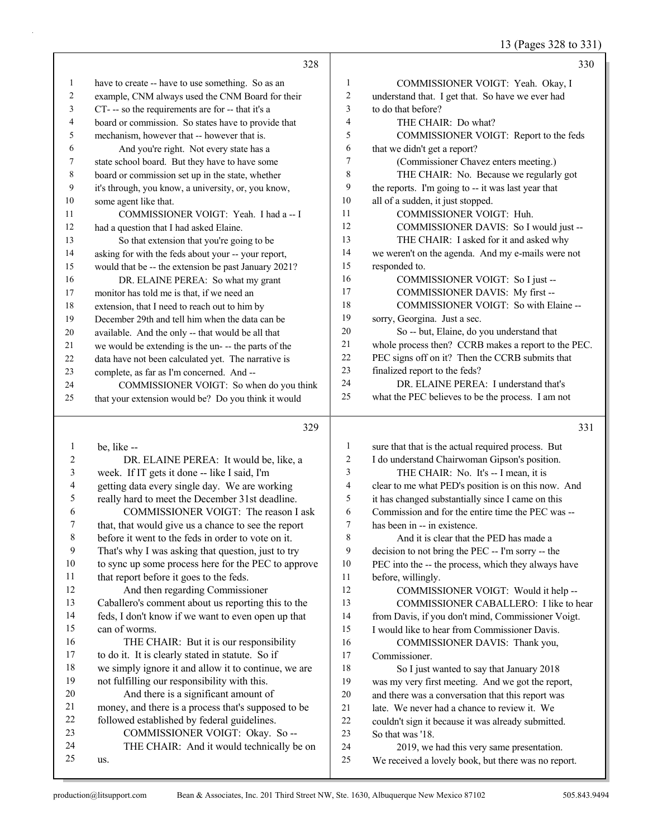13 (Pages 328 to 331)

|                | 328                                                  |                | 330                                                 |
|----------------|------------------------------------------------------|----------------|-----------------------------------------------------|
| 1              | have to create -- have to use something. So as an    | 1              | COMMISSIONER VOIGT: Yeah. Okay, I                   |
| $\overline{2}$ | example, CNM always used the CNM Board for their     | $\overline{c}$ | understand that. I get that. So have we ever had    |
| 3              | CT--- so the requirements are for-- that it's a      | 3              | to do that before?                                  |
| 4              | board or commission. So states have to provide that  | 4              | THE CHAIR: Do what?                                 |
| 5              | mechanism, however that -- however that is.          | 5              | COMMISSIONER VOIGT: Report to the feds              |
| 6              | And you're right. Not every state has a              | 6              | that we didn't get a report?                        |
| 7              | state school board. But they have to have some       | 7              | (Commissioner Chavez enters meeting.)               |
| 8              | board or commission set up in the state, whether     | 8              | THE CHAIR: No. Because we regularly got             |
| 9              | it's through, you know, a university, or, you know,  | 9              | the reports. I'm going to -- it was last year that  |
| 10             | some agent like that.                                | 10             | all of a sudden, it just stopped.                   |
| 11             | COMMISSIONER VOIGT: Yeah. I had a -- I               | 11             | <b>COMMISSIONER VOIGT: Huh.</b>                     |
| 12             | had a question that I had asked Elaine.              | 12             | COMMISSIONER DAVIS: So I would just --              |
| 13             | So that extension that you're going to be            | 13             | THE CHAIR: I asked for it and asked why             |
| 14             | asking for with the feds about your -- your report,  | 14             | we weren't on the agenda. And my e-mails were not   |
| 15             | would that be -- the extension be past January 2021? | 15             | responded to.                                       |
| 16             | DR. ELAINE PEREA: So what my grant                   | 16             | COMMISSIONER VOIGT: So I just --                    |
| 17             | monitor has told me is that, if we need an           | 17             | COMMISSIONER DAVIS: My first --                     |
| 18             | extension, that I need to reach out to him by        | 18             | COMMISSIONER VOIGT: So with Elaine --               |
| 19             | December 29th and tell him when the data can be      | 19             | sorry, Georgina. Just a sec.                        |
| 20             | available. And the only -- that would be all that    | 20             | So -- but, Elaine, do you understand that           |
| 21             | we would be extending is the un- -- the parts of the | 21             | whole process then? CCRB makes a report to the PEC. |
| 22             | data have not been calculated yet. The narrative is  | 22             | PEC signs off on it? Then the CCRB submits that     |
| 23             | complete, as far as I'm concerned. And --            | 23             | finalized report to the feds?                       |
| 24             | COMMISSIONER VOIGT: So when do you think             | 24             | DR. ELAINE PEREA: I understand that's               |
| 25             | that your extension would be? Do you think it would  | 25             | what the PEC believes to be the process. I am not   |
|                | 329                                                  |                | 331                                                 |
|                |                                                      |                |                                                     |

| 1  | be. like --                                          |    | sure that that is the actual required process. But  |
|----|------------------------------------------------------|----|-----------------------------------------------------|
| 2  | DR. ELAINE PEREA: It would be, like, a               | 2  | I do understand Chairwoman Gipson's position.       |
| 3  | week. If IT gets it done -- like I said, I'm         | 3  | THE CHAIR: No. It's -- I mean, it is                |
| 4  | getting data every single day. We are working        | 4  | clear to me what PED's position is on this now. And |
| 5  | really hard to meet the December 31st deadline.      | 5  | it has changed substantially since I came on this   |
| 6  | COMMISSIONER VOIGT: The reason I ask                 | 6  | Commission and for the entire time the PEC was --   |
| 7  | that, that would give us a chance to see the report  | 7  | has been in -- in existence.                        |
| 8  | before it went to the feds in order to vote on it.   | 8  | And it is clear that the PED has made a             |
| 9  | That's why I was asking that question, just to try   | 9  | decision to not bring the PEC -- I'm sorry -- the   |
| 10 | to sync up some process here for the PEC to approve  | 10 | PEC into the -- the process, which they always have |
| 11 | that report before it goes to the feds.              | 11 | before, willingly.                                  |
| 12 | And then regarding Commissioner                      | 12 | COMMISSIONER VOIGT: Would it help --                |
| 13 | Caballero's comment about us reporting this to the   | 13 | COMMISSIONER CABALLERO: I like to hear              |
| 14 | feds, I don't know if we want to even open up that   | 14 | from Davis, if you don't mind, Commissioner Voigt.  |
| 15 | can of worms.                                        | 15 | I would like to hear from Commissioner Davis.       |
| 16 | THE CHAIR: But it is our responsibility              | 16 | COMMISSIONER DAVIS: Thank you,                      |
| 17 | to do it. It is clearly stated in statute. So if     | 17 | Commissioner.                                       |
| 18 | we simply ignore it and allow it to continue, we are | 18 | So I just wanted to say that January 2018           |
| 19 | not fulfilling our responsibility with this.         | 19 | was my very first meeting. And we got the report,   |
| 20 | And there is a significant amount of                 | 20 | and there was a conversation that this report was   |
| 21 | money, and there is a process that's supposed to be  | 21 | late. We never had a chance to review it. We        |
| 22 | followed established by federal guidelines.          | 22 | couldn't sign it because it was already submitted.  |
| 23 | COMMISSIONER VOIGT: Okay. So --                      | 23 | So that was '18.                                    |
| 24 | THE CHAIR: And it would technically be on            | 24 | 2019, we had this very same presentation.           |
| 25 | us.                                                  | 25 | We received a lovely book, but there was no report. |
|    |                                                      |    |                                                     |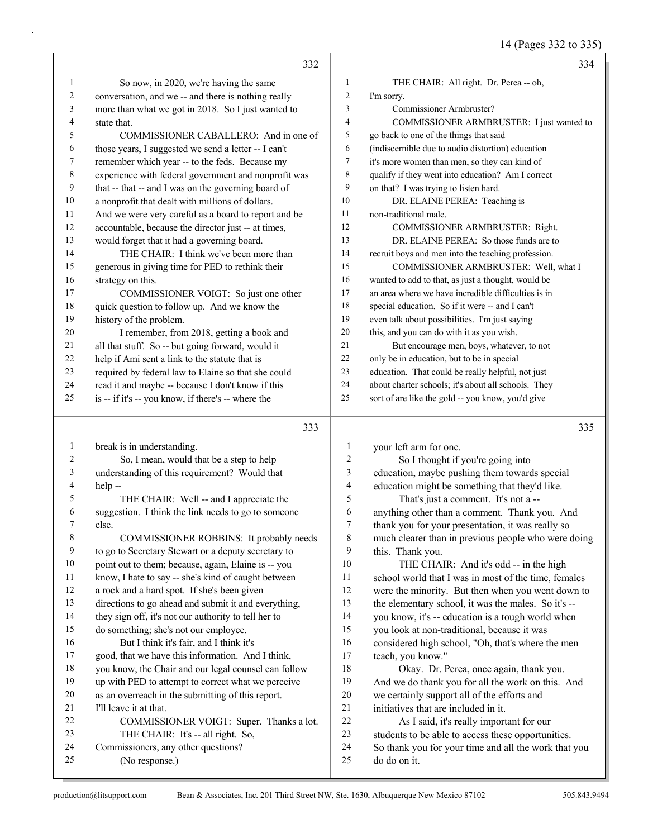14 (Pages 332 to 335)

|              | 332                                                  |                  | 334                                                  |
|--------------|------------------------------------------------------|------------------|------------------------------------------------------|
| $\mathbf{1}$ | So now, in 2020, we're having the same               | $\mathbf{1}$     | THE CHAIR: All right. Dr. Perea -- oh,               |
| 2            | conversation, and we -- and there is nothing really  | $\overline{c}$   | I'm sorry.                                           |
| 3            | more than what we got in 2018. So I just wanted to   | 3                | Commissioner Armbruster?                             |
| 4            | state that.                                          | 4                | COMMISSIONER ARMBRUSTER: I just wanted to            |
| 5            | COMMISSIONER CABALLERO: And in one of                | 5                | go back to one of the things that said               |
| 6            | those years, I suggested we send a letter -- I can't | 6                | (indiscernible due to audio distortion) education    |
| 7            | remember which year -- to the feds. Because my       | 7                | it's more women than men, so they can kind of        |
| 8            | experience with federal government and nonprofit was | 8                | qualify if they went into education? Am I correct    |
| 9            | that -- that -- and I was on the governing board of  | 9                | on that? I was trying to listen hard.                |
| 10           | a nonprofit that dealt with millions of dollars.     | 10               | DR. ELAINE PEREA: Teaching is                        |
| 11           | And we were very careful as a board to report and be | 11               | non-traditional male.                                |
| 12           | accountable, because the director just -- at times,  | 12               | COMMISSIONER ARMBRUSTER: Right.                      |
| 13           | would forget that it had a governing board.          | 13               | DR. ELAINE PEREA: So those funds are to              |
| 14           | THE CHAIR: I think we've been more than              | 14               | recruit boys and men into the teaching profession.   |
| 15           | generous in giving time for PED to rethink their     | 15               | COMMISSIONER ARMBRUSTER: Well, what I                |
| 16           | strategy on this.                                    | 16               | wanted to add to that, as just a thought, would be   |
| 17           | COMMISSIONER VOIGT: So just one other                | 17               | an area where we have incredible difficulties is in  |
| 18           | quick question to follow up. And we know the         | 18               | special education. So if it were -- and I can't      |
| 19           | history of the problem.                              | 19               | even talk about possibilities. I'm just saying       |
| 20           | I remember, from 2018, getting a book and            | 20               | this, and you can do with it as you wish.            |
| 21           | all that stuff. So -- but going forward, would it    | 21               | But encourage men, boys, whatever, to not            |
| 22           | help if Ami sent a link to the statute that is       | 22               | only be in education, but to be in special           |
| 23           | required by federal law to Elaine so that she could  | 23               | education. That could be really helpful, not just    |
| 24           | read it and maybe -- because I don't know if this    | 24               | about charter schools; it's about all schools. They  |
| 25           | is -- if it's -- you know, if there's -- where the   | 25               | sort of are like the gold -- you know, you'd give    |
|              | 333                                                  |                  | 335                                                  |
| $\mathbf{1}$ | break is in understanding.                           | 1                | your left arm for one.                               |
| 2            | So, I mean, would that be a step to help             | $\overline{c}$   | So I thought if you're going into                    |
| 3            | understanding of this requirement? Would that        | 3                | education, maybe pushing them towards special        |
| 4            | help--                                               | $\overline{4}$   | education might be something that they'd like.       |
| 5            | THE CHAIR: Well -- and I appreciate the              | 5                | That's just a comment. It's not a --                 |
| 6            | suggestion. I think the link needs to go to someone  | 6                | anything other than a comment. Thank you. And        |
|              | else.                                                | $\boldsymbol{7}$ | thank you for your presentation, it was really so    |
| 8            | COMMISSIONER ROBBINS: It probably needs              | 8                | much clearer than in previous people who were doing  |
| 9            | to go to Secretary Stewart or a deputy secretary to  | 9                | this. Thank you.                                     |
| 10           | point out to them; because, again, Elaine is -- you  | 10               | THE CHAIR: And it's odd -- in the high               |
| 11           | know, I hate to say -- she's kind of caught between  | 11               | school world that I was in most of the time, females |
| 12           | a rock and a hard spot. If she's been given          | 12               | were the minority. But then when you went down to    |
| 13           | directions to go ahead and submit it and everything, | 13               | the elementary school, it was the males. So it's --  |
| 14           | they sign off, it's not our authority to tell her to | 14               | you know, it's -- education is a tough world when    |
| 15           | do something; she's not our employee.                | 15               | you look at non-traditional, because it was          |
| 16           | But I think it's fair, and I think it's              | 16               | considered high school, "Oh, that's where the men    |
| 17           | good, that we have this information. And I think,    | 17               | teach, you know."                                    |
| 18           | you know, the Chair and our legal counsel can follow | 18               | Okay. Dr. Perea, once again, thank you.              |
| 19           | up with PED to attempt to correct what we perceive   | 19               | And we do thank you for all the work on this. And    |
| 20           | as an overreach in the submitting of this report.    | 20               | we certainly support all of the efforts and          |
| 21           | I'll leave it at that.                               | 21               | initiatives that are included in it.                 |
| 22           | COMMISSIONER VOIGT: Super. Thanks a lot.             | 22               | As I said, it's really important for our             |
| 23           | THE CHAIR: It's -- all right. So,                    | 23               | students to be able to access these opportunities.   |
| 24           | Commissioners, any other questions?                  | 24               | So thank you for your time and all the work that you |
| 25           | (No response.)                                       | 25               | do do on it.                                         |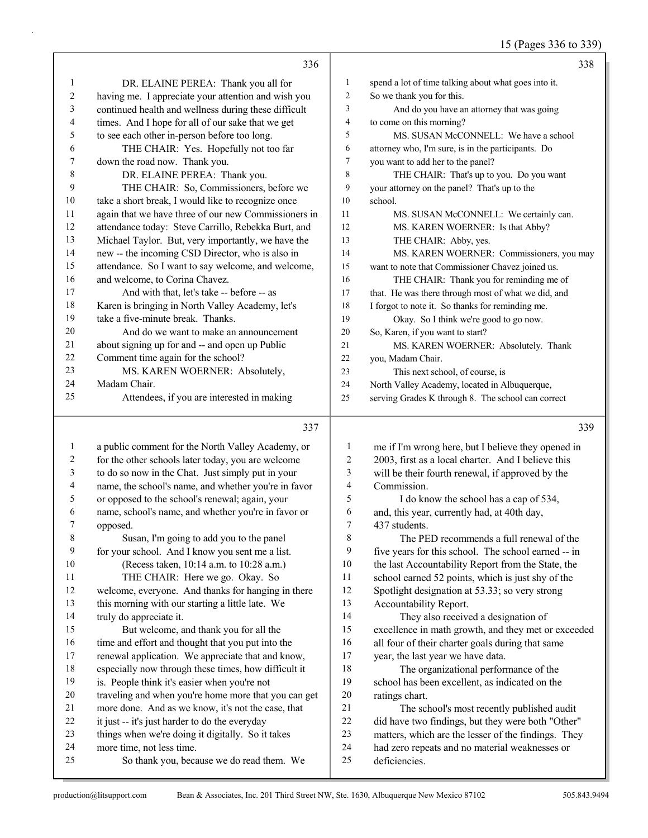# 15 (Pages 336 to 339)

|                  |                                                      |                  | $13$ (Fages 330 to 337)                              |
|------------------|------------------------------------------------------|------------------|------------------------------------------------------|
|                  | 336                                                  |                  | 338                                                  |
| 1                | DR. ELAINE PEREA: Thank you all for                  | 1                | spend a lot of time talking about what goes into it. |
| $\boldsymbol{2}$ | having me. I appreciate your attention and wish you  | $\overline{c}$   | So we thank you for this.                            |
| 3                | continued health and wellness during these difficult | 3                | And do you have an attorney that was going           |
| 4                | times. And I hope for all of our sake that we get    | 4                | to come on this morning?                             |
| 5                | to see each other in-person before too long.         | 5                | MS. SUSAN McCONNELL: We have a school                |
| 6                | THE CHAIR: Yes. Hopefully not too far                | 6                | attorney who, I'm sure, is in the participants. Do   |
| 7                | down the road now. Thank you.                        | $\tau$           | you want to add her to the panel?                    |
| 8                | DR. ELAINE PEREA: Thank you.                         | 8                | THE CHAIR: That's up to you. Do you want             |
| 9                | THE CHAIR: So, Commissioners, before we              | 9                | your attorney on the panel? That's up to the         |
| 10               | take a short break, I would like to recognize once   | 10               | school.                                              |
| 11               | again that we have three of our new Commissioners in | 11               | MS. SUSAN McCONNELL: We certainly can.               |
| 12               | attendance today: Steve Carrillo, Rebekka Burt, and  | 12               | MS. KAREN WOERNER: Is that Abby?                     |
| 13               | Michael Taylor. But, very importantly, we have the   | 13               | THE CHAIR: Abby, yes.                                |
| 14               | new -- the incoming CSD Director, who is also in     | 14               | MS. KAREN WOERNER: Commissioners, you may            |
| 15               | attendance. So I want to say welcome, and welcome,   | 15               | want to note that Commissioner Chavez joined us.     |
| 16               | and welcome, to Corina Chavez.                       | 16               | THE CHAIR: Thank you for reminding me of             |
| 17               | And with that, let's take -- before -- as            | 17               | that. He was there through most of what we did, and  |
| 18               | Karen is bringing in North Valley Academy, let's     | 18               | I forgot to note it. So thanks for reminding me.     |
| 19               | take a five-minute break. Thanks.                    | 19               | Okay. So I think we're good to go now.               |
| 20               | And do we want to make an announcement               | 20               | So, Karen, if you want to start?                     |
| 21               | about signing up for and -- and open up Public       | 21               | MS. KAREN WOERNER: Absolutely. Thank                 |
| 22               | Comment time again for the school?                   | 22               | you, Madam Chair.                                    |
| 23               | MS. KAREN WOERNER: Absolutely,                       | 23               | This next school, of course, is                      |
| 24               | Madam Chair.                                         | 24               | North Valley Academy, located in Albuquerque,        |
| 25               | Attendees, if you are interested in making           | 25               | serving Grades K through 8. The school can correct   |
|                  | 337                                                  |                  | 339                                                  |
| $\mathbf{1}$     | a public comment for the North Valley Academy, or    | $\mathbf{1}$     | me if I'm wrong here, but I believe they opened in   |
| 2                | for the other schools later today, you are welcome   | 2                | 2003, first as a local charter. And I believe this   |
| 3                | to do so now in the Chat. Just simply put in your    | 3                | will be their fourth renewal, if approved by the     |
| 4                | name, the school's name, and whether you're in favor | 4                | Commission.                                          |
| 5                | or opposed to the school's renewal; again, your      | 5                | I do know the school has a cap of 534,               |
| 6                | name, school's name, and whether you're in favor or  | 6                | and, this year, currently had, at 40th day,          |
| 7                | opposed.                                             | $\boldsymbol{7}$ | 437 students.                                        |
| 8                | Susan, I'm going to add you to the panel             | 8                | The PED recommends a full renewal of the             |
| 9                | for your school. And I know you sent me a list.      | 9                | five years for this school. The school earned -- in  |
| 10               | (Recess taken, 10:14 a.m. to 10:28 a.m.)             | 10               | the last Accountability Report from the State, the   |
| 11               | THE CHAIR: Here we go. Okay. So                      | 11               | school earned 52 points, which is just shy of the    |
| 12               | welcome, everyone. And thanks for hanging in there   | 12               | Spotlight designation at 53.33; so very strong       |
| 13               | this morning with our starting a little late. We     | 13               | Accountability Report.                               |
| 14               | truly do appreciate it.                              | 14               | They also received a designation of                  |
| 15               | But welcome, and thank you for all the               | 15               | excellence in math growth, and they met or exceeded  |
| 16               | time and effort and thought that you put into the    | 16               | all four of their charter goals during that same     |
| 17               | renewal application. We appreciate that and know,    | 17               | year, the last year we have data.                    |
| 18               | especially now through these times, how difficult it | 18               | The organizational performance of the                |

18 The organizational performance of the school has been excellent, as indicated on the ratings chart.

21 The school's most recently published audit did have two findings, but they were both "Other" matters, which are the lesser of the findings. They had zero repeats and no material weaknesses or deficiencies.

is. People think it's easier when you're not

 it just -- it's just harder to do the everyday things when we're doing it digitally. So it takes

more time, not less time.

 traveling and when you're home more that you can get more done. And as we know, it's not the case, that

25 So thank you, because we do read them. We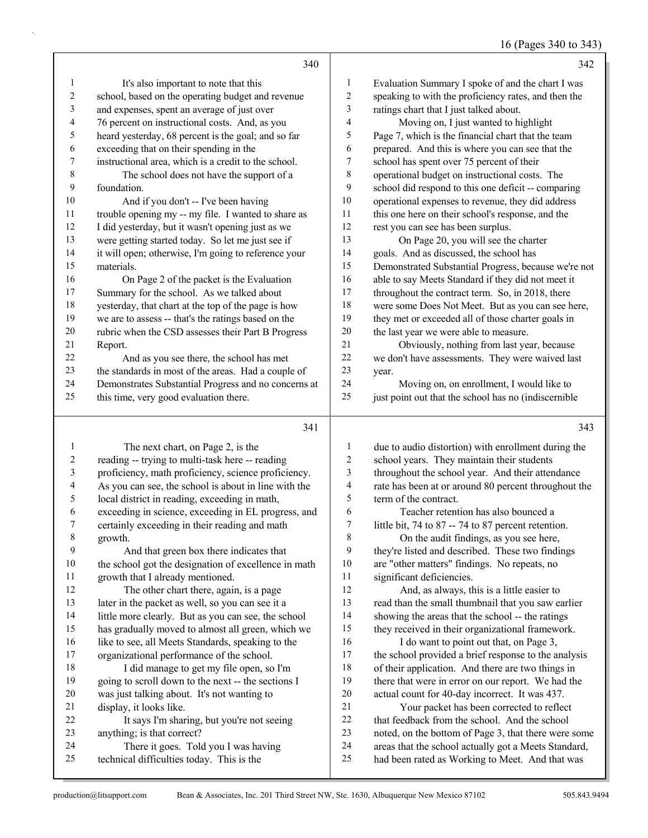## 16 (Pages 340 to 343)

|                | 340                                                  |              | 342                                                  |
|----------------|------------------------------------------------------|--------------|------------------------------------------------------|
| $\mathbf{1}$   | It's also important to note that this                | $\mathbf{1}$ | Evaluation Summary I spoke of and the chart I was    |
| $\overline{c}$ | school, based on the operating budget and revenue    | 2            | speaking to with the proficiency rates, and then the |
| 3              | and expenses, spent an average of just over          | 3            | ratings chart that I just talked about.              |
| 4              | 76 percent on instructional costs. And, as you       | 4            | Moving on, I just wanted to highlight                |
| 5              | heard yesterday, 68 percent is the goal; and so far  | 5            | Page 7, which is the financial chart that the team   |
| 6              | exceeding that on their spending in the              | 6            | prepared. And this is where you can see that the     |
| 7              | instructional area, which is a credit to the school. | 7            | school has spent over 75 percent of their            |
| 8              | The school does not have the support of a            | $\,$ $\,$    | operational budget on instructional costs. The       |
| 9              | foundation.                                          | 9            | school did respond to this one deficit -- comparing  |
| 10             | And if you don't -- I've been having                 | 10           | operational expenses to revenue, they did address    |
| 11             | trouble opening my -- my file. I wanted to share as  | 11           | this one here on their school's response, and the    |
| 12             | I did yesterday, but it wasn't opening just as we    | 12           | rest you can see has been surplus.                   |
| 13             | were getting started today. So let me just see if    | 13           | On Page 20, you will see the charter                 |
| 14             | it will open; otherwise, I'm going to reference your | 14           | goals. And as discussed, the school has              |
| 15             | materials.                                           | 15           | Demonstrated Substantial Progress, because we're not |
| 16             | On Page 2 of the packet is the Evaluation            | 16           | able to say Meets Standard if they did not meet it   |
| 17             | Summary for the school. As we talked about           | 17           | throughout the contract term. So, in 2018, there     |
| 18             | yesterday, that chart at the top of the page is how  | 18           | were some Does Not Meet. But as you can see here,    |
| 19             | we are to assess -- that's the ratings based on the  | 19           | they met or exceeded all of those charter goals in   |
| 20             | rubric when the CSD assesses their Part B Progress   | 20           | the last year we were able to measure.               |
| 21             | Report.                                              | 21           | Obviously, nothing from last year, because           |
| 22             | And as you see there, the school has met             | $22\,$       | we don't have assessments. They were waived last     |
| 23             | the standards in most of the areas. Had a couple of  | 23           | year.                                                |
| 24             | Demonstrates Substantial Progress and no concerns at | 24           | Moving on, on enrollment, I would like to            |
| 25             | this time, very good evaluation there.               | 25           | just point out that the school has no (indiscernible |
|                | 341                                                  |              | 343                                                  |
| $\mathbf{1}$   | The next chart, on Page 2, is the                    | 1            | due to audio distortion) with enrollment during the  |
| 2              | reading -- trying to multi-task here -- reading      | 2            | school years. They maintain their students           |
| 3              | proficiency, math proficiency, science proficiency.  | 3            | throughout the school year. And their attendance     |
| 4              | As you can see, the school is about in line with the | 4            | rate has been at or around 80 percent throughout the |
| 5              | local district in reading, exceeding in math,        | 5            | term of the contract.                                |
| 6              | exceeding in science, exceeding in EL progress, and  | 6            | Teacher retention has also bounced a                 |
| 7              | certainly exceeding in their reading and math        | 7            | little bit, 74 to 87 -- 74 to 87 percent retention.  |
| 8              | growth.                                              | 8            | On the audit findings, as you see here,              |
| 9              | And that green box there indicates that              | 9            | they're listed and described. These two findings     |
| 10             | the school got the designation of excellence in math | 10           | are "other matters" findings. No repeats, no         |
| 11             | growth that I already mentioned.                     | 11           | significant deficiencies.                            |
| 12             | The other chart there, again, is a page              | 12           | And, as always, this is a little easier to           |
| 13             | later in the packet as well, so you can see it a     | 13           | read than the small thumbnail that you saw earlier   |
| 14             | little more clearly. But as you can see, the school  | 14           | showing the areas that the school -- the ratings     |
| 15             | has gradually moved to almost all green, which we    | 15           | they received in their organizational framework.     |
| 16             | like to see, all Meets Standards, speaking to the    | 16           | I do want to point out that, on Page 3,              |
| 17             | organizational performance of the school.            | 17           | the school provided a brief response to the analysis |
| 18             | I did manage to get my file open, so I'm             | 18           | of their application. And there are two things in    |
| 19             | going to scroll down to the next -- the sections I   | 19           | there that were in error on our report. We had the   |

 display, it looks like. 22 It says I'm sharing, but you're not seeing anything; is that correct? 24 There it goes. Told you I was having

technical difficulties today. This is the

was just talking about. It's not wanting to

production@litsupport.com Bean & Associates, Inc. 201 Third Street NW, Ste. 1630, Albuquerque New Mexico 87102 505.843.9494

 actual count for 40-day incorrect. It was 437. 21 Your packet has been corrected to reflect that feedback from the school. And the school noted, on the bottom of Page 3, that there were some areas that the school actually got a Meets Standard, had been rated as Working to Meet. And that was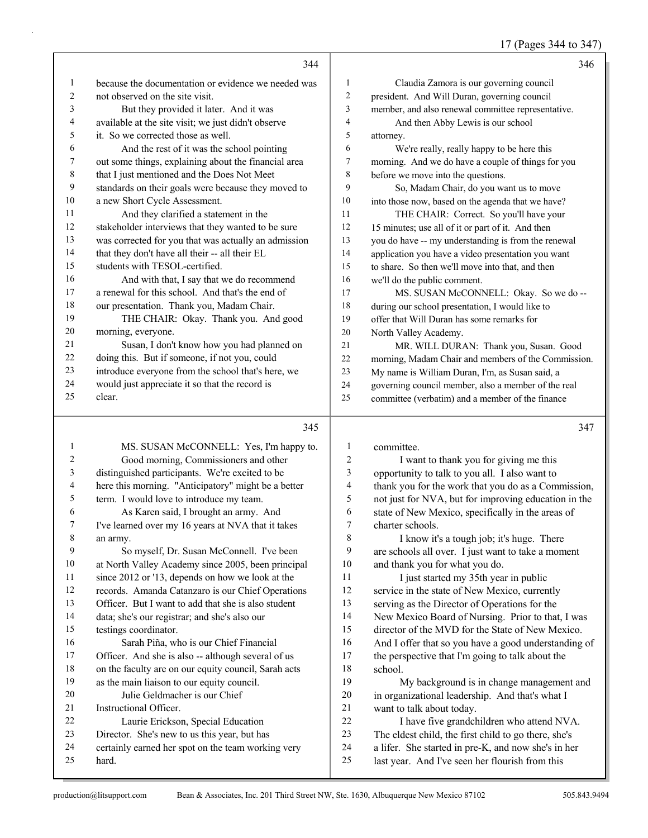17 (Pages 344 to 347)

|         | 344                                                  |    | 346                                                 |
|---------|------------------------------------------------------|----|-----------------------------------------------------|
| 1       | because the documentation or evidence we needed was  | 1  | Claudia Zamora is our governing council             |
| 2       | not observed on the site visit.                      | 2  | president. And Will Duran, governing council        |
| 3       | But they provided it later. And it was               | 3  | member, and also renewal committee representative.  |
| 4       | available at the site visit; we just didn't observe  | 4  | And then Abby Lewis is our school                   |
| 5       | it. So we corrected those as well.                   | 5  | attorney.                                           |
| 6       | And the rest of it was the school pointing           | 6  | We're really, really happy to be here this          |
| 7       | out some things, explaining about the financial area | 7  | morning. And we do have a couple of things for you  |
| $\,8\,$ | that I just mentioned and the Does Not Meet          | 8  | before we move into the questions.                  |
| 9       | standards on their goals were because they moved to  | 9  | So, Madam Chair, do you want us to move             |
| 10      | a new Short Cycle Assessment.                        | 10 | into those now, based on the agenda that we have?   |
| 11      | And they clarified a statement in the                | 11 | THE CHAIR: Correct. So you'll have your             |
| 12      | stakeholder interviews that they wanted to be sure   | 12 | 15 minutes; use all of it or part of it. And then   |
| 13      | was corrected for you that was actually an admission | 13 | you do have -- my understanding is from the renewal |
| 14      | that they don't have all their -- all their EL       | 14 | application you have a video presentation you want  |
| 15      | students with TESOL-certified.                       | 15 | to share. So then we'll move into that, and then    |
| 16      | And with that, I say that we do recommend            | 16 | we'll do the public comment.                        |
| 17      | a renewal for this school. And that's the end of     | 17 | MS. SUSAN McCONNELL: Okay. So we do --              |
| 18      | our presentation. Thank you, Madam Chair.            | 18 | during our school presentation, I would like to     |
| 19      | THE CHAIR: Okay. Thank you. And good                 | 19 | offer that Will Duran has some remarks for          |
| 20      | morning, everyone.                                   | 20 | North Valley Academy.                               |
| 21      | Susan, I don't know how you had planned on           | 21 | MR. WILL DURAN: Thank you, Susan. Good              |
| 22      | doing this. But if someone, if not you, could        | 22 | morning, Madam Chair and members of the Commission. |
| 23      | introduce everyone from the school that's here, we   | 23 | My name is William Duran, I'm, as Susan said, a     |
| 24      | would just appreciate it so that the record is       | 24 | governing council member, also a member of the real |
| 25      | clear.                                               | 25 | committee (verbatim) and a member of the finance    |
|         |                                                      |    |                                                     |

# $\frac{1}{345}$

|    | 34J                                                  |                | 34 I                                                 |
|----|------------------------------------------------------|----------------|------------------------------------------------------|
| 1  | MS. SUSAN McCONNELL: Yes, I'm happy to.              | 1              | committee.                                           |
| 2  | Good morning, Commissioners and other                | $\overline{c}$ | I want to thank you for giving me this               |
| 3  | distinguished participants. We're excited to be      | 3              | opportunity to talk to you all. I also want to       |
| 4  | here this morning. "Anticipatory" might be a better  | 4              | thank you for the work that you do as a Commission,  |
| 5  | term. I would love to introduce my team.             | 5              | not just for NVA, but for improving education in the |
| 6  | As Karen said, I brought an army. And                | 6              | state of New Mexico, specifically in the areas of    |
| 7  | I've learned over my 16 years at NVA that it takes   | 7              | charter schools.                                     |
| 8  | an army.                                             | 8              | I know it's a tough job; it's huge. There            |
| 9  | So myself, Dr. Susan McConnell. I've been            | 9              | are schools all over. I just want to take a moment   |
| 10 | at North Valley Academy since 2005, been principal   | 10             | and thank you for what you do.                       |
| 11 | since 2012 or '13, depends on how we look at the     | 11             | I just started my 35th year in public                |
| 12 | records. Amanda Catanzaro is our Chief Operations    | 12             | service in the state of New Mexico, currently        |
| 13 | Officer. But I want to add that she is also student  | 13             | serving as the Director of Operations for the        |
| 14 | data; she's our registrar; and she's also our        | 14             | New Mexico Board of Nursing. Prior to that, I was    |
| 15 | testings coordinator.                                | 15             | director of the MVD for the State of New Mexico.     |
| 16 | Sarah Piña, who is our Chief Financial               | 16             | And I offer that so you have a good understanding of |
| 17 | Officer. And she is also -- although several of us   | 17             | the perspective that I'm going to talk about the     |
| 18 | on the faculty are on our equity council, Sarah acts | 18             | school.                                              |
| 19 | as the main liaison to our equity council.           | 19             | My background is in change management and            |
| 20 | Julie Geldmacher is our Chief                        | 20             | in organizational leadership. And that's what I      |
| 21 | Instructional Officer.                               | 21             | want to talk about today.                            |
| 22 | Laurie Erickson, Special Education                   | 22             | I have five grandchildren who attend NVA.            |
| 23 | Director. She's new to us this year, but has         | 23             | The eldest child, the first child to go there, she's |
| 24 | certainly earned her spot on the team working very   | 24             | a lifer. She started in pre-K, and now she's in her  |
| 25 | hard.                                                | 25             | last year. And I've seen her flourish from this      |
|    |                                                      |                |                                                      |

| 5  | not just for NVA, but for improving education in the |
|----|------------------------------------------------------|
| 6  | state of New Mexico, specifically in the areas of    |
| 7  | charter schools.                                     |
| 8  | I know it's a tough job; it's huge. There            |
| 9  | are schools all over. I just want to take a moment   |
| 10 | and thank you for what you do.                       |
| 11 | I just started my 35th year in public                |
| 12 | service in the state of New Mexico, currently        |
| 13 | serving as the Director of Operations for the        |
| 14 | New Mexico Board of Nursing. Prior to that, I was    |
| 15 | director of the MVD for the State of New Mexico.     |
| 16 | And I offer that so you have a good understanding of |
| 17 | the perspective that I'm going to talk about the     |
| 18 | school                                               |
| 19 | My background is in change management and            |
| 20 | in organizational leadership. And that's what I      |
| 21 | want to talk about today.                            |
| 22 | I have five grandchildren who attend NVA.            |
| 23 | The eldest child, the first child to go there, she's |
| 24 | a lifer. She started in pre-K, and now she's in her  |
| 25 | last year. And I've seen her flourish from this      |
|    |                                                      |
|    |                                                      |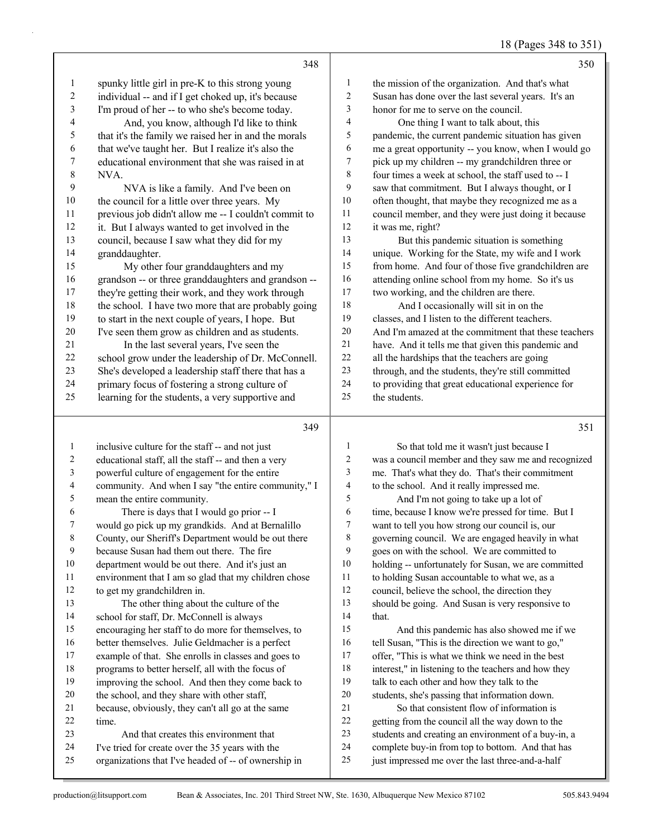| 18 (Pages 348 to 351) |
|-----------------------|
|-----------------------|

|                         | 348                                                                               |                  | 350                                                                                         |
|-------------------------|-----------------------------------------------------------------------------------|------------------|---------------------------------------------------------------------------------------------|
| $\mathbf{1}$            | spunky little girl in pre-K to this strong young                                  | $\mathbf{1}$     | the mission of the organization. And that's what                                            |
| $\overline{\mathbf{c}}$ | individual -- and if I get choked up, it's because                                | $\overline{c}$   | Susan has done over the last several years. It's an                                         |
| 3                       | I'm proud of her -- to who she's become today.                                    | 3                | honor for me to serve on the council.                                                       |
| 4                       | And, you know, although I'd like to think                                         | 4                | One thing I want to talk about, this                                                        |
| 5                       | that it's the family we raised her in and the morals                              | 5                | pandemic, the current pandemic situation has given                                          |
| 6                       | that we've taught her. But I realize it's also the                                | 6                | me a great opportunity -- you know, when I would go                                         |
| 7                       | educational environment that she was raised in at                                 | 7                | pick up my children -- my grandchildren three or                                            |
| 8                       | NVA.                                                                              | $\,$ $\,$        | four times a week at school, the staff used to -- I                                         |
| 9                       | NVA is like a family. And I've been on                                            | 9                | saw that commitment. But I always thought, or I                                             |
| 10                      | the council for a little over three years. My                                     | 10               | often thought, that maybe they recognized me as a                                           |
| 11                      | previous job didn't allow me -- I couldn't commit to                              | 11               | council member, and they were just doing it because                                         |
| 12                      | it. But I always wanted to get involved in the                                    | 12               | it was me, right?                                                                           |
| 13                      | council, because I saw what they did for my                                       | 13               | But this pandemic situation is something                                                    |
| 14                      | granddaughter.                                                                    | 14               | unique. Working for the State, my wife and I work                                           |
| 15                      | My other four granddaughters and my                                               | 15               | from home. And four of those five grandchildren are                                         |
| 16                      | grandson -- or three granddaughters and grandson --                               | 16               | attending online school from my home. So it's us                                            |
| 17                      | they're getting their work, and they work through                                 | 17               | two working, and the children are there.                                                    |
| 18                      | the school. I have two more that are probably going                               | 18               | And I occasionally will sit in on the                                                       |
| 19                      | to start in the next couple of years, I hope. But                                 | 19               | classes, and I listen to the different teachers.                                            |
| $20\,$                  | I've seen them grow as children and as students.                                  | $20\,$           | And I'm amazed at the commitment that these teachers                                        |
| $21\,$                  | In the last several years, I've seen the                                          | 21               | have. And it tells me that given this pandemic and                                          |
| $22\,$                  | school grow under the leadership of Dr. McConnell.                                | 22               | all the hardships that the teachers are going                                               |
| 23                      | She's developed a leadership staff there that has a                               | 23               | through, and the students, they're still committed                                          |
| 24                      | primary focus of fostering a strong culture of                                    | 24               | to providing that great educational experience for                                          |
| 25                      | learning for the students, a very supportive and                                  | 25               | the students.                                                                               |
|                         |                                                                                   |                  |                                                                                             |
|                         |                                                                                   |                  |                                                                                             |
|                         | 349                                                                               |                  | 351                                                                                         |
| $\mathbf{1}$            |                                                                                   | $\mathbf{1}$     |                                                                                             |
| $\overline{\mathbf{c}}$ | inclusive culture for the staff -- and not just                                   | $\boldsymbol{2}$ | So that told me it wasn't just because I                                                    |
| 3                       | educational staff, all the staff -- and then a very                               | 3                | was a council member and they saw me and recognized                                         |
| 4                       | powerful culture of engagement for the entire                                     | 4                | me. That's what they do. That's their commitment                                            |
| 5                       | community. And when I say "the entire community," I<br>mean the entire community. | 5                | to the school. And it really impressed me.                                                  |
| 6                       | There is days that I would go prior -- I                                          | 6                | And I'm not going to take up a lot of<br>time, because I know we're pressed for time. But I |
| 7                       | would go pick up my grandkids. And at Bernalillo                                  | $\tau$           | want to tell you how strong our council is, our                                             |
| 8                       | County, our Sheriff's Department would be out there                               | 8                | governing council. We are engaged heavily in what                                           |
| 9                       | because Susan had them out there. The fire                                        | 9                | goes on with the school. We are committed to                                                |
| $10\,$                  | department would be out there. And it's just an                                   | 10               | holding -- unfortunately for Susan, we are committed                                        |
| 11                      | environment that I am so glad that my children chose                              | 11               | to holding Susan accountable to what we, as a                                               |
| 12                      | to get my grandchildren in.                                                       | 12               | council, believe the school, the direction they                                             |
| 13                      | The other thing about the culture of the                                          | 13               | should be going. And Susan is very responsive to                                            |
| 14                      | school for staff, Dr. McConnell is always                                         | 14               | that.                                                                                       |
| 15                      | encouraging her staff to do more for themselves, to                               | 15               | And this pandemic has also showed me if we                                                  |
| 16                      | better themselves. Julie Geldmacher is a perfect                                  | 16               | tell Susan, "This is the direction we want to go,"                                          |
| 17                      | example of that. She enrolls in classes and goes to                               | 17               | offer, "This is what we think we need in the best                                           |
| 18                      | programs to better herself, all with the focus of                                 | 18               | interest," in listening to the teachers and how they                                        |
| 19                      | improving the school. And then they come back to                                  | 19               | talk to each other and how they talk to the                                                 |
| $20\,$                  | the school, and they share with other staff,                                      | 20               | students, she's passing that information down.                                              |
| 21                      | because, obviously, they can't all go at the same                                 | $21\,$           | So that consistent flow of information is                                                   |
| $22\,$                  | time.                                                                             | $22\,$           | getting from the council all the way down to the                                            |
| 23                      | And that creates this environment that                                            | 23               | students and creating an environment of a buy-in, a                                         |
| $24\,$                  | I've tried for create over the 35 years with the                                  | 24               | complete buy-in from top to bottom. And that has                                            |
| 25                      | organizations that I've headed of -- of ownership in                              | 25               | just impressed me over the last three-and-a-half                                            |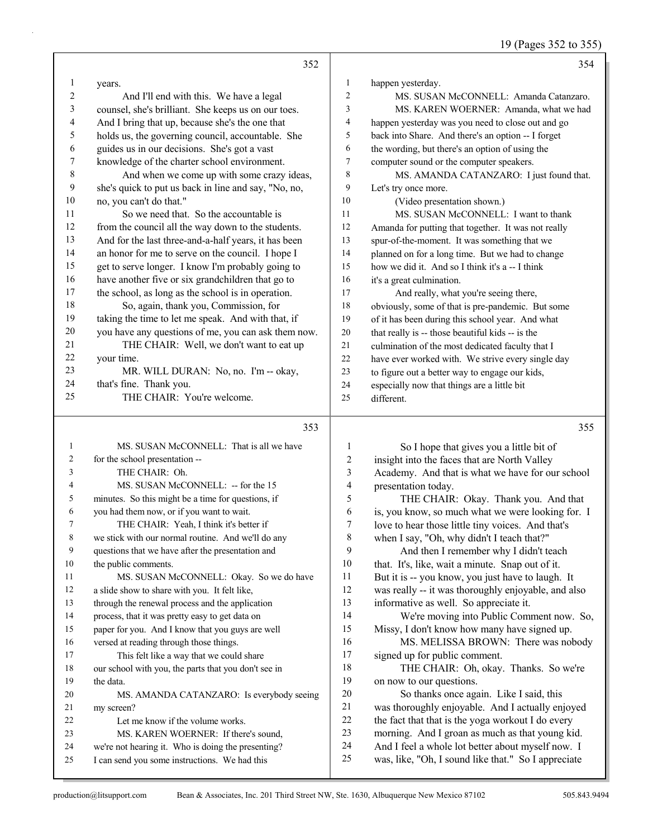19 (Pages 352 to 355)

|                  | 352                                                                                                 |                              | 354                                                                                                      |
|------------------|-----------------------------------------------------------------------------------------------------|------------------------------|----------------------------------------------------------------------------------------------------------|
| 1                | years.                                                                                              | 1                            | happen yesterday.                                                                                        |
| 2                | And I'll end with this. We have a legal                                                             | $\sqrt{2}$                   | MS. SUSAN McCONNELL: Amanda Catanzaro.                                                                   |
| 3                | counsel, she's brilliant. She keeps us on our toes.                                                 | 3                            | MS. KAREN WOERNER: Amanda, what we had                                                                   |
| 4                | And I bring that up, because she's the one that                                                     | 4                            | happen yesterday was you need to close out and go                                                        |
| 5                | holds us, the governing council, accountable. She                                                   | 5                            | back into Share. And there's an option -- I forget                                                       |
| 6                | guides us in our decisions. She's got a vast                                                        | 6                            | the wording, but there's an option of using the                                                          |
| $\boldsymbol{7}$ | knowledge of the charter school environment.                                                        | 7                            | computer sound or the computer speakers.                                                                 |
| $\,$ $\,$        | And when we come up with some crazy ideas,                                                          | 8                            | MS. AMANDA CATANZARO: I just found that.                                                                 |
| 9                | she's quick to put us back in line and say, "No, no,                                                | 9                            | Let's try once more.                                                                                     |
| $10\,$           | no, you can't do that."                                                                             | 10                           | (Video presentation shown.)                                                                              |
| 11               | So we need that. So the accountable is                                                              | 11                           | MS. SUSAN McCONNELL: I want to thank                                                                     |
| 12               | from the council all the way down to the students.                                                  | 12                           | Amanda for putting that together. It was not really                                                      |
| 13               | And for the last three-and-a-half years, it has been                                                | 13                           | spur-of-the-moment. It was something that we                                                             |
| 14               | an honor for me to serve on the council. I hope I                                                   | 14                           | planned on for a long time. But we had to change                                                         |
| 15               | get to serve longer. I know I'm probably going to                                                   | 15                           | how we did it. And so I think it's a -- I think                                                          |
| 16               | have another five or six grandchildren that go to                                                   | 16                           | it's a great culmination.                                                                                |
| 17               | the school, as long as the school is in operation.                                                  | 17                           | And really, what you're seeing there,                                                                    |
| 18               | So, again, thank you, Commission, for                                                               | 18                           | obviously, some of that is pre-pandemic. But some                                                        |
| 19               | taking the time to let me speak. And with that, if                                                  | 19                           | of it has been during this school year. And what                                                         |
| 20               | you have any questions of me, you can ask them now.                                                 | 20                           | that really is -- those beautiful kids -- is the                                                         |
| 21               | THE CHAIR: Well, we don't want to eat up                                                            | $21\,$                       | culmination of the most dedicated faculty that I                                                         |
| 22               | your time.                                                                                          | 22                           | have ever worked with. We strive every single day                                                        |
| 23               | MR. WILL DURAN: No, no. I'm -- okay,                                                                | 23                           | to figure out a better way to engage our kids,                                                           |
| 24<br>25         | that's fine. Thank you.<br>THE CHAIR: You're welcome.                                               | 24                           | especially now that things are a little bit                                                              |
|                  |                                                                                                     | 25                           | different.                                                                                               |
|                  |                                                                                                     |                              |                                                                                                          |
|                  | 353                                                                                                 |                              | 355                                                                                                      |
| 1                |                                                                                                     |                              |                                                                                                          |
| 2                | MS. SUSAN McCONNELL: That is all we have                                                            | 1                            | So I hope that gives you a little bit of                                                                 |
| 3                | for the school presentation --<br>THE CHAIR: Oh.                                                    | $\overline{\mathbf{c}}$<br>3 | insight into the faces that are North Valley                                                             |
| 4                | MS. SUSAN McCONNELL: -- for the 15                                                                  | 4                            | Academy. And that is what we have for our school                                                         |
| 5                | minutes. So this might be a time for questions, if                                                  | 5                            | presentation today.<br>THE CHAIR: Okay. Thank you. And that                                              |
| 6                | you had them now, or if you want to wait.                                                           | 6                            | is, you know, so much what we were looking for. I                                                        |
| 7                | THE CHAIR: Yeah, I think it's better if                                                             | 7                            | love to hear those little tiny voices. And that's                                                        |
| 8                | we stick with our normal routine. And we'll do any                                                  | 8                            | when I say, "Oh, why didn't I teach that?"                                                               |
| 9                | questions that we have after the presentation and                                                   | 9                            | And then I remember why I didn't teach                                                                   |
| 10               | the public comments.                                                                                | 10                           | that. It's, like, wait a minute. Snap out of it.                                                         |
| 11               | MS. SUSAN McCONNELL: Okay. So we do have                                                            | 11                           | But it is -- you know, you just have to laugh. It                                                        |
| 12               | a slide show to share with you. It felt like,                                                       | 12                           | was really -- it was thoroughly enjoyable, and also                                                      |
| 13               | through the renewal process and the application                                                     | 13                           | informative as well. So appreciate it.                                                                   |
| 14               | process, that it was pretty easy to get data on                                                     | 14                           | We're moving into Public Comment now. So,                                                                |
| 15               | paper for you. And I know that you guys are well                                                    | 15                           | Missy, I don't know how many have signed up.                                                             |
| 16               | versed at reading through those things.                                                             | 16                           | MS. MELISSA BROWN: There was nobody                                                                      |
| 17               | This felt like a way that we could share                                                            | 17                           | signed up for public comment.                                                                            |
| 18               | our school with you, the parts that you don't see in                                                | 18                           | THE CHAIR: Oh, okay. Thanks. So we're                                                                    |
| 19               | the data.                                                                                           | 19                           | on now to our questions.                                                                                 |
| 20               | MS. AMANDA CATANZARO: Is everybody seeing                                                           | $20\,$                       | So thanks once again. Like I said, this                                                                  |
| 21               | my screen?                                                                                          | 21                           | was thoroughly enjoyable. And I actually enjoyed                                                         |
| 22               | Let me know if the volume works.                                                                    | 22                           | the fact that that is the yoga workout I do every                                                        |
| 23<br>24         | MS. KAREN WOERNER: If there's sound,                                                                | 23<br>24                     | morning. And I groan as much as that young kid.                                                          |
| 25               | we're not hearing it. Who is doing the presenting?<br>I can send you some instructions. We had this | 25                           | And I feel a whole lot better about myself now. I<br>was, like, "Oh, I sound like that." So I appreciate |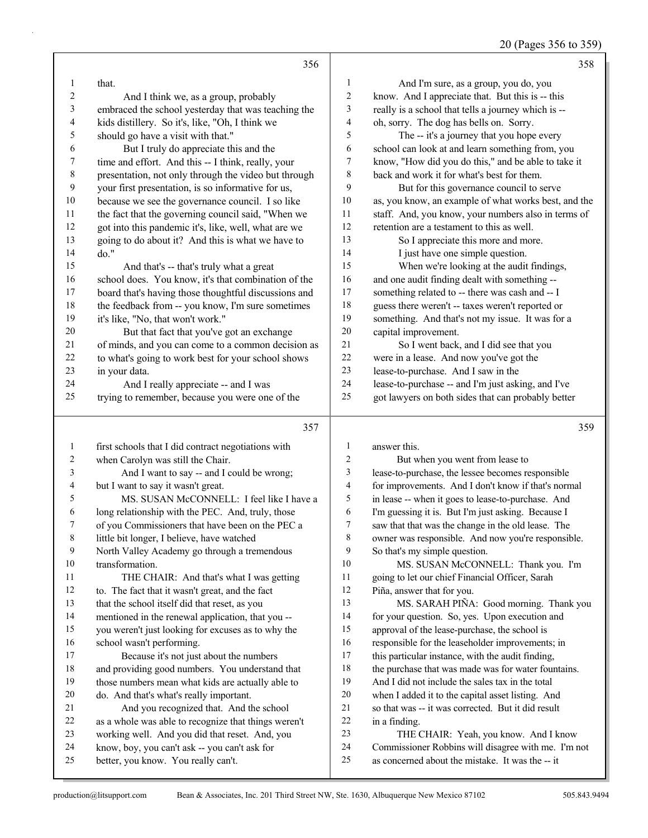20 (Pages 356 to 359)

|                  | 356                                                                                     |                         | 358                                                                                                     |
|------------------|-----------------------------------------------------------------------------------------|-------------------------|---------------------------------------------------------------------------------------------------------|
| 1                | that.                                                                                   | 1                       | And I'm sure, as a group, you do, you                                                                   |
| $\boldsymbol{2}$ | And I think we, as a group, probably                                                    | $\overline{c}$          | know. And I appreciate that. But this is -- this                                                        |
| 3                | embraced the school yesterday that was teaching the                                     | 3                       | really is a school that tells a journey which is --                                                     |
| 4                | kids distillery. So it's, like, "Oh, I think we                                         | 4                       | oh, sorry. The dog has bells on. Sorry.                                                                 |
| 5                | should go have a visit with that."                                                      | 5                       | The -- it's a journey that you hope every                                                               |
| 6                | But I truly do appreciate this and the                                                  | 6                       | school can look at and learn something from, you                                                        |
| $\boldsymbol{7}$ | time and effort. And this -- I think, really, your                                      | $\boldsymbol{7}$        | know, "How did you do this," and be able to take it                                                     |
| $\,$ $\,$        | presentation, not only through the video but through                                    | $\,$ 8 $\,$             | back and work it for what's best for them.                                                              |
| $\mathbf{9}$     | your first presentation, is so informative for us,                                      | 9                       | But for this governance council to serve                                                                |
| 10               | because we see the governance council. I so like                                        | $10\,$                  | as, you know, an example of what works best, and the                                                    |
| 11               | the fact that the governing council said, "When we                                      | 11                      | staff. And, you know, your numbers also in terms of                                                     |
| 12               | got into this pandemic it's, like, well, what are we                                    | 12                      | retention are a testament to this as well.                                                              |
| 13               | going to do about it? And this is what we have to                                       | 13                      | So I appreciate this more and more.                                                                     |
| 14               | do."                                                                                    | 14                      | I just have one simple question.                                                                        |
| 15               | And that's -- that's truly what a great                                                 | 15                      | When we're looking at the audit findings,                                                               |
| 16               | school does. You know, it's that combination of the                                     | 16                      | and one audit finding dealt with something --                                                           |
| 17               | board that's having those thoughtful discussions and                                    | 17                      | something related to -- there was cash and -- I                                                         |
| 18               | the feedback from -- you know, I'm sure sometimes                                       | 18                      | guess there weren't -- taxes weren't reported or                                                        |
| 19               | it's like, "No, that won't work."                                                       | 19                      |                                                                                                         |
| $20\,$           |                                                                                         | 20                      | something. And that's not my issue. It was for a<br>capital improvement.                                |
| 21               | But that fact that you've got an exchange                                               | 21                      |                                                                                                         |
| $22\,$           | of minds, and you can come to a common decision as                                      | $22\,$                  | So I went back, and I did see that you                                                                  |
| 23               | to what's going to work best for your school shows                                      | 23                      | were in a lease. And now you've got the                                                                 |
| 24               | in your data.                                                                           | 24                      | lease-to-purchase. And I saw in the                                                                     |
| 25               | And I really appreciate -- and I was<br>trying to remember, because you were one of the | 25                      | lease-to-purchase -- and I'm just asking, and I've                                                      |
|                  |                                                                                         |                         | got lawyers on both sides that can probably better                                                      |
|                  |                                                                                         |                         |                                                                                                         |
|                  |                                                                                         |                         |                                                                                                         |
|                  | 357                                                                                     |                         | 359                                                                                                     |
| $\mathbf{1}$     | first schools that I did contract negotiations with                                     | $\mathbf{1}$            | answer this.                                                                                            |
| 2                | when Carolyn was still the Chair.                                                       | $\overline{c}$          | But when you went from lease to                                                                         |
| 3                | And I want to say -- and I could be wrong;                                              | 3                       | lease-to-purchase, the lessee becomes responsible                                                       |
| $\overline{4}$   | but I want to say it wasn't great.                                                      | $\overline{\mathbf{4}}$ | for improvements. And I don't know if that's normal                                                     |
| 5                | MS. SUSAN McCONNELL: I feel like I have a                                               | 5                       | in lease -- when it goes to lease-to-purchase. And                                                      |
| 6                | long relationship with the PEC. And, truly, those                                       | 6                       | I'm guessing it is. But I'm just asking. Because I                                                      |
| 7                | of you Commissioners that have been on the PEC a                                        | 7                       | saw that that was the change in the old lease. The                                                      |
| 8                | little bit longer, I believe, have watched                                              | 8                       | owner was responsible. And now you're responsible.                                                      |
| 9                | North Valley Academy go through a tremendous                                            | 9                       | So that's my simple question.                                                                           |
| 10               | transformation.                                                                         | 10                      | MS. SUSAN McCONNELL: Thank you. I'm                                                                     |
| 11               | THE CHAIR: And that's what I was getting                                                | 11                      | going to let our chief Financial Officer, Sarah                                                         |
| 12               | to. The fact that it wasn't great, and the fact                                         | 12                      | Piña, answer that for you.                                                                              |
| 13               | that the school itself did that reset, as you                                           | 13                      | MS. SARAH PIÑA: Good morning. Thank you                                                                 |
| 14               | mentioned in the renewal application, that you --                                       | 14                      | for your question. So, yes. Upon execution and                                                          |
| 15               | you weren't just looking for excuses as to why the                                      | 15                      | approval of the lease-purchase, the school is                                                           |
| 16               | school wasn't performing.                                                               | 16                      | responsible for the leaseholder improvements; in                                                        |
| 17               | Because it's not just about the numbers                                                 | 17                      | this particular instance, with the audit finding,                                                       |
| $18\,$           | and providing good numbers. You understand that                                         | 18                      | the purchase that was made was for water fountains.                                                     |
| 19               | those numbers mean what kids are actually able to                                       | 19                      | And I did not include the sales tax in the total                                                        |
| $20\,$           | do. And that's what's really important.                                                 | $20\,$                  | when I added it to the capital asset listing. And                                                       |
| 21               | And you recognized that. And the school                                                 | 21                      | so that was -- it was corrected. But it did result                                                      |
| 22               | as a whole was able to recognize that things weren't                                    | $22\,$                  | in a finding.                                                                                           |
| 23               | working well. And you did that reset. And, you                                          | 23                      | THE CHAIR: Yeah, you know. And I know                                                                   |
| 24<br>25         | know, boy, you can't ask -- you can't ask for<br>better, you know. You really can't.    | 24<br>25                | Commissioner Robbins will disagree with me. I'm not<br>as concerned about the mistake. It was the -- it |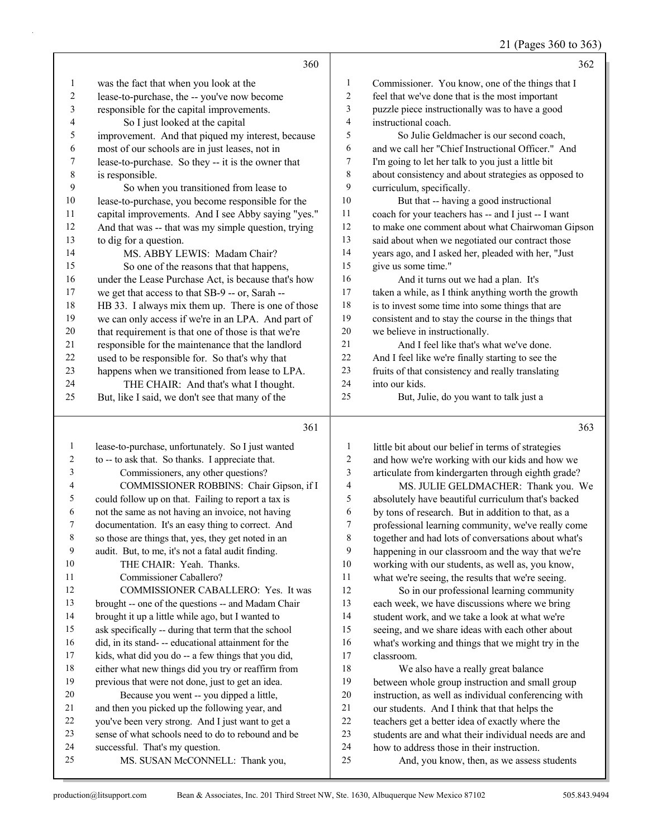21 (Pages 360 to 363)

|                          | 360                                                 |                         | 362                                                  |
|--------------------------|-----------------------------------------------------|-------------------------|------------------------------------------------------|
| $\mathbf{1}$             | was the fact that when you look at the              | 1                       | Commissioner. You know, one of the things that I     |
| $\sqrt{2}$               | lease-to-purchase, the -- you've now become         | $\overline{\mathbf{c}}$ | feel that we've done that is the most important      |
| 3                        | responsible for the capital improvements.           | 3                       | puzzle piece instructionally was to have a good      |
| $\overline{\mathcal{L}}$ | So I just looked at the capital                     | 4                       | instructional coach.                                 |
| 5                        | improvement. And that piqued my interest, because   | 5                       | So Julie Geldmacher is our second coach,             |
| 6                        | most of our schools are in just leases, not in      | 6                       | and we call her "Chief Instructional Officer." And   |
| 7                        | lease-to-purchase. So they -- it is the owner that  | 7                       | I'm going to let her talk to you just a little bit   |
| $\,$ $\,$                | is responsible.                                     | 8                       | about consistency and about strategies as opposed to |
| 9                        | So when you transitioned from lease to              | 9                       | curriculum, specifically.                            |
| 10                       | lease-to-purchase, you become responsible for the   | 10                      | But that -- having a good instructional              |
| 11                       | capital improvements. And I see Abby saying "yes."  | 11                      | coach for your teachers has -- and I just -- I want  |
| 12                       | And that was -- that was my simple question, trying | 12                      | to make one comment about what Chairwoman Gipson     |
| 13                       | to dig for a question.                              | 13                      | said about when we negotiated our contract those     |
| 14                       | MS. ABBY LEWIS: Madam Chair?                        | 14                      | years ago, and I asked her, pleaded with her, "Just  |
| 15                       | So one of the reasons that that happens,            | 15                      | give us some time."                                  |
| 16                       | under the Lease Purchase Act, is because that's how | 16                      | And it turns out we had a plan. It's                 |
| 17                       | we get that access to that SB-9 -- or, Sarah --     | 17                      | taken a while, as I think anything worth the growth  |
| 18                       | HB 33. I always mix them up. There is one of those  | 18                      | is to invest some time into some things that are     |
| 19                       | we can only access if we're in an LPA. And part of  | 19                      | consistent and to stay the course in the things that |
| $20\,$                   | that requirement is that one of those is that we're | $20\,$                  | we believe in instructionally.                       |
| 21                       | responsible for the maintenance that the landlord   | 21                      | And I feel like that's what we've done.              |
| 22                       | used to be responsible for. So that's why that      | $22\,$                  | And I feel like we're finally starting to see the    |
| 23                       | happens when we transitioned from lease to LPA.     | 23                      | fruits of that consistency and really translating    |
| 24                       | THE CHAIR: And that's what I thought.               | $24\,$                  | into our kids.                                       |
| 25                       | But, like I said, we don't see that many of the     | 25                      | But, Julie, do you want to talk just a               |
|                          | 361                                                 |                         | 363                                                  |
| $\mathbf{1}$             | lease-to-purchase, unfortunately. So I just wanted  | $\mathbf{1}$            | little bit about our belief in terms of strategies   |
| 2                        | to -- to ask that. So thanks. I appreciate that.    | 2                       | and how we're working with our kids and how we       |
| 3                        | Commissioners, any other questions?                 | 3                       | articulate from kindergarten through eighth grade?   |
| 4                        | COMMISSIONER ROBBINS: Chair Gipson, if I            | 4                       | MS. JULIE GELDMACHER: Thank you. We                  |
| 5                        | could follow up on that. Failing to report a tax is | 5                       | absolutely have beautiful curriculum that's backed   |
| 6                        | not the same as not having an invoice, not having   | 6                       | by tons of research. But in addition to that, as a   |
| 7                        | documentation. It's an easy thing to correct. And   | $\overline{7}$          | professional learning community, we've really come   |
| 8                        | so those are things that, yes, they get noted in an | 8                       | together and had lots of conversations about what's  |
| 9                        | audit. But, to me, it's not a fatal audit finding.  | 9                       | happening in our classroom and the way that we're    |
| 10                       | THE CHAIR: Yeah. Thanks.                            | 10                      | working with our students, as well as, you know,     |
| 11                       | Commissioner Caballero?                             | 11                      | what we're seeing, the results that we're seeing.    |
| 12                       | COMMISSIONER CABALLERO: Yes. It was                 | 12                      | So in our professional learning community            |
| 13                       | brought -- one of the questions -- and Madam Chair  | 13                      | each week, we have discussions where we bring        |

brought it up a little while ago, but I wanted to

- ask specifically -- during that term that the school
- did, in its stand- -- educational attainment for the
- kids, what did you do -- a few things that you did, either what new things did you try or reaffirm from
- previous that were not done, just to get an idea.
- 20 Because you went -- you dipped a little,
- and then you picked up the following year, and
- you've been very strong. And I just want to get a sense of what schools need to do to rebound and be

25 MS. SUSAN McCONNELL: Thank you,

successful. That's my question.

 students are and what their individual needs are and how to address those in their instruction.

classroom.

25 And, you know, then, as we assess students

 student work, and we take a look at what we're seeing, and we share ideas with each other about what's working and things that we might try in the

18 We also have a really great balance between whole group instruction and small group instruction, as well as individual conferencing with our students. And I think that that helps the teachers get a better idea of exactly where the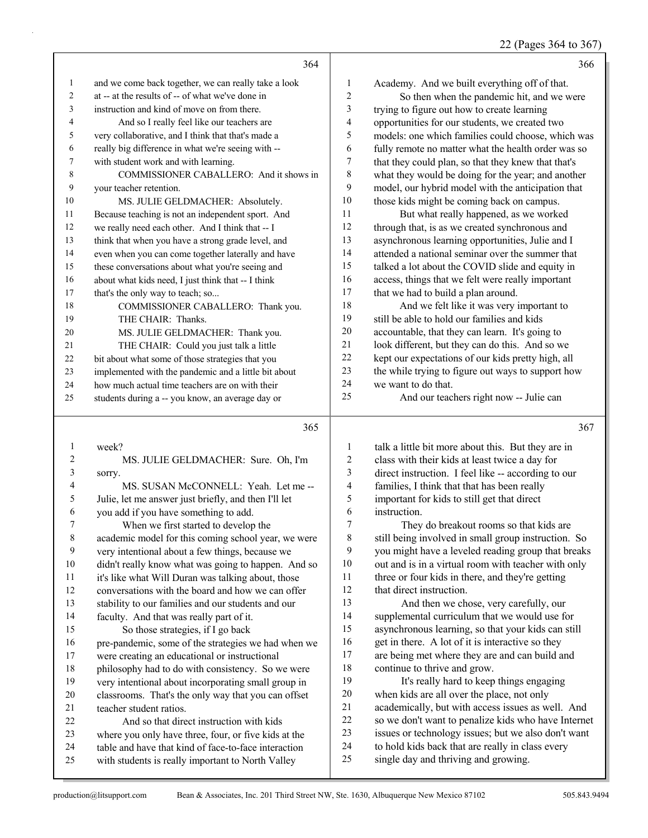22 (Pages 364 to 367)

|                | 364                                                  |                | 366                                                 |
|----------------|------------------------------------------------------|----------------|-----------------------------------------------------|
| $\mathbf{1}$   | and we come back together, we can really take a look | $\mathbf{1}$   | Academy. And we built everything off of that.       |
| $\overline{c}$ | at -- at the results of -- of what we've done in     | $\overline{c}$ | So then when the pandemic hit, and we were          |
| 3              | instruction and kind of move on from there.          | 3              | trying to figure out how to create learning         |
| 4              | And so I really feel like our teachers are           | 4              | opportunities for our students, we created two      |
| 5              | very collaborative, and I think that that's made a   | 5              | models: one which families could choose, which was  |
| 6              | really big difference in what we're seeing with --   | 6              | fully remote no matter what the health order was so |
| 7              | with student work and with learning.                 | $\tau$         | that they could plan, so that they knew that that's |
| 8              | COMMISSIONER CABALLERO: And it shows in              | 8              | what they would be doing for the year; and another  |
| 9              | your teacher retention.                              | 9              | model, our hybrid model with the anticipation that  |
| 10             | MS. JULIE GELDMACHER: Absolutely.                    | 10             | those kids might be coming back on campus.          |
| 11             | Because teaching is not an independent sport. And    | 11             | But what really happened, as we worked              |
| 12             | we really need each other. And I think that -- I     | 12             | through that, is as we created synchronous and      |
| 13             | think that when you have a strong grade level, and   | 13             | asynchronous learning opportunities, Julie and I    |
| 14             | even when you can come together laterally and have   | 14             | attended a national seminar over the summer that    |
| 15             | these conversations about what you're seeing and     | 15             | talked a lot about the COVID slide and equity in    |
| 16             | about what kids need, I just think that -- I think   | 16             | access, things that we felt were really important   |
| 17             | that's the only way to teach; so                     | $17\,$         | that we had to build a plan around.                 |
| 18             | COMMISSIONER CABALLERO: Thank you.                   | 18             | And we felt like it was very important to           |
| 19             | THE CHAIR: Thanks.                                   | 19             | still be able to hold our families and kids         |
| 20             | MS. JULIE GELDMACHER: Thank you.                     | $20\,$         | accountable, that they can learn. It's going to     |
| 21             | THE CHAIR: Could you just talk a little              | 21             | look different, but they can do this. And so we     |
| 22             | bit about what some of those strategies that you     | $22\,$         | kept our expectations of our kids pretty high, all  |
| 23             | implemented with the pandemic and a little bit about | 23             | the while trying to figure out ways to support how  |
| 24             | how much actual time teachers are on with their      | 24             | we want to do that.                                 |
| 25             | students during a -- you know, an average day or     | 25             | And our teachers right now -- Julie can             |
|                | 365                                                  |                | 367                                                 |
| 1              | week?                                                | 1              | talk a little bit more about this. But they are in  |
| 2              | MS. JULIE GELDMACHER: Sure. Oh, I'm                  | $\overline{c}$ | class with their kids at least twice a day for      |
| 3              | sorry.                                               | 3              | direct instruction. I feel like -- according to our |
| 4              | MS. SUSAN McCONNELL: Yeah. Let me --                 | 4              | families, I think that that has been really         |
| 5              | Julie, let me answer just briefly, and then I'll let | 5              | important for kids to still get that direct         |
| 6              | you add if you have something to add.                | 6              | instruction.                                        |
| 7              | When we first started to develop the                 | 7              | They do breakout rooms so that kids are             |
| $\,$ $\,$      | academic model for this coming school year, we were  | $\,$ 8 $\,$    | still being involved in small group instruction. So |
| 9              | very intentional about a few things, because we      | 9              | you might have a leveled reading group that breaks  |
| $10\,$         | didn't really know what was going to happen. And so  | $10\,$         | out and is in a virtual room with teacher with only |
| $11\,$         | it's like what Will Duran was talking about, those   | 11             | three or four kids in there, and they're getting    |
| 12             | conversations with the board and how we can offer    | 12             | that direct instruction.                            |
| 13             | stability to our families and our students and our   | 13             | And then we chose, very carefully, our              |
| 14             | faculty. And that was really part of it.             | 14             | supplemental curriculum that we would use for       |
| 15             | So those strategies, if I go back                    | 15             | asynchronous learning, so that your kids can still  |

 pre-pandemic, some of the strategies we had when we were creating an educational or instructional philosophy had to do with consistency. So we were very intentional about incorporating small group in classrooms. That's the only way that you can offset

 teacher student ratios. 22 And so that direct instruction with kids where you only have three, four, or five kids at the table and have that kind of face-to-face interaction with students is really important to North Valley

16 get in there. A lot of it is interactive so they are being met where they are and can build and 18 continue to thrive and grow.<br>19 It's really hard to keep

It's really hard to keep things engaging when kids are all over the place, not only academically, but with access issues as well. And so we don't want to penalize kids who have Internet issues or technology issues; but we also don't want to hold kids back that are really in class every single day and thriving and growing.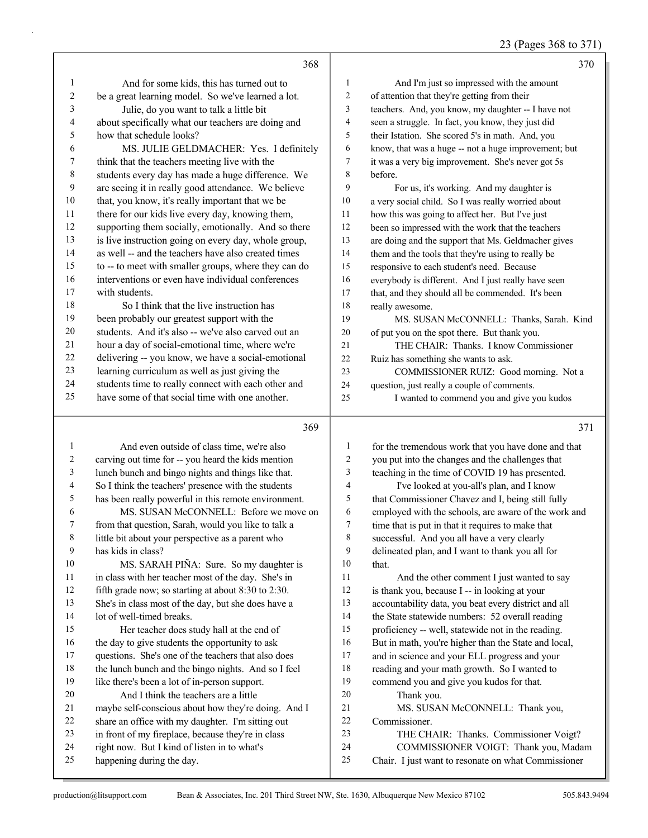23 (Pages 368 to 371)

|              | 368                                                  |                 | 370                                                  |
|--------------|------------------------------------------------------|-----------------|------------------------------------------------------|
| $\mathbf{1}$ | And for some kids, this has turned out to            | $\mathbf{1}$    | And I'm just so impressed with the amount            |
| 2            | be a great learning model. So we've learned a lot.   | 2               | of attention that they're getting from their         |
| 3            | Julie, do you want to talk a little bit              | 3               | teachers. And, you know, my daughter -- I have not   |
| 4            | about specifically what our teachers are doing and   | $\overline{4}$  | seen a struggle. In fact, you know, they just did    |
| 5            | how that schedule looks?                             | 5               | their Istation. She scored 5's in math. And, you     |
| 6            | MS. JULIE GELDMACHER: Yes. I definitely              | 6               | know, that was a huge -- not a huge improvement; but |
| 7            | think that the teachers meeting live with the        | $7\phantom{.0}$ | it was a very big improvement. She's never got 5s    |
| $\,$ $\,$    | students every day has made a huge difference. We    | 8               | before.                                              |
| 9            | are seeing it in really good attendance. We believe  | 9               | For us, it's working. And my daughter is             |
| 10           | that, you know, it's really important that we be     | $10\,$          | a very social child. So I was really worried about   |
| 11           | there for our kids live every day, knowing them,     | 11              | how this was going to affect her. But I've just      |
| 12           | supporting them socially, emotionally. And so there  | 12              | been so impressed with the work that the teachers    |
| 13           | is live instruction going on every day, whole group, | 13              | are doing and the support that Ms. Geldmacher gives  |
| 14           | as well -- and the teachers have also created times  | 14              | them and the tools that they're using to really be   |
| 15           | to -- to meet with smaller groups, where they can do | 15              | responsive to each student's need. Because           |
| 16           | interventions or even have individual conferences    | 16              | everybody is different. And I just really have seen  |
| 17           | with students.                                       | 17              | that, and they should all be commended. It's been    |
| 18           | So I think that the live instruction has             | 18              | really awesome.                                      |
| 19           | been probably our greatest support with the          | 19              | MS. SUSAN McCONNELL: Thanks, Sarah. Kind             |
| 20           | students. And it's also -- we've also carved out an  | 20              | of put you on the spot there. But thank you.         |
| 21           | hour a day of social-emotional time, where we're     | 21              | THE CHAIR: Thanks. I know Commissioner               |
| 22           | delivering -- you know, we have a social-emotional   | 22              | Ruiz has something she wants to ask.                 |
| 23           | learning curriculum as well as just giving the       | 23              | COMMISSIONER RUIZ: Good morning. Not a               |
| 24           | students time to really connect with each other and  | 24              | question, just really a couple of comments.          |
| 25           | have some of that social time with one another.      | 25              | I wanted to commend you and give you kudos           |
|              | 369                                                  |                 | 371                                                  |
| 1            | And even outside of class time, we're also           | 1               | for the tremendous work that you have done and that  |
| 2            | carving out time for -- you heard the kids mention   | 2               | you put into the changes and the challenges that     |
| 3            | lunch bunch and bingo nights and things like that.   | 3               | teaching in the time of COVID 19 has presented.      |
| 4            | So I think the teachers' presence with the students  | 4               | I've looked at you-all's plan, and I know            |

 has been really powerful in this remote environment. 6 MS. SUSAN McCONNELL: Before we move on from that question, Sarah, would you like to talk a little bit about your perspective as a parent who has kids in class? 10 MS. SARAH PIÑA: Sure. So my daughter is 11 in class with her teacher most of the day. She's in

 fifth grade now; so starting at about 8:30 to 2:30. She's in class most of the day, but she does have a lot of well-timed breaks. 15 Her teacher does study hall at the end of 16 the day to give students the opportunity to ask questions. She's one of the teachers that also does

- the lunch bunch and the bingo nights. And so I feel
- like there's been a lot of in-person support. 20 And I think the teachers are a little
- maybe self-conscious about how they're doing. And I
- share an office with my daughter. I'm sitting out
- in front of my fireplace, because they're in class
- right now. But I kind of listen in to what's
- happening during the day.

4 I've looked at you-all's plan, and I know that Commissioner Chavez and I, being still fully 6 employed with the schools, are aware of the work and<br>
7 time that is put in that it requires to make that time that is put in that it requires to make that successful. And you all have a very clearly delineated plan, and I want to thank you all for

10 that. 11 And the other comment I just wanted to say is thank you, because I -- in looking at your accountability data, you beat every district and all 14 the State statewide numbers: 52 overall reading proficiency -- well, statewide not in the reading. But in math, you're higher than the State and local, and in science and your ELL progress and your reading and your math growth. So I wanted to commend you and give you kudos for that. 20 Thank you. 21 MS. SUSAN McCONNELL: Thank you, Commissioner.

- 23 THE CHAIR: Thanks. Commissioner Voigt?
- 24 COMMISSIONER VOIGT: Thank you, Madam
- Chair. I just want to resonate on what Commissioner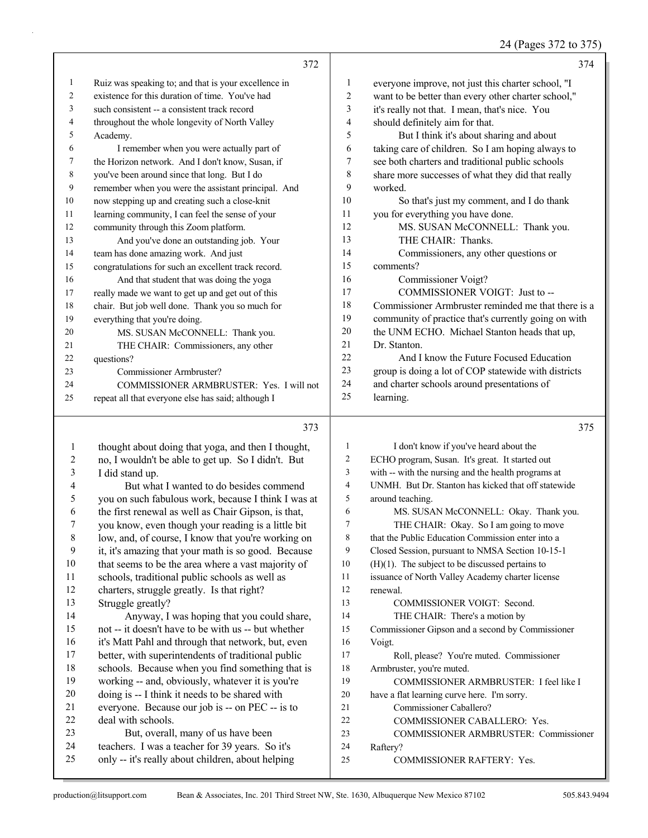## 24 (Pages 372 to 375)

|                     | 372                                                  |                          | 374                                                  |
|---------------------|------------------------------------------------------|--------------------------|------------------------------------------------------|
| $\mathbf{1}$        | Ruiz was speaking to; and that is your excellence in | 1                        | everyone improve, not just this charter school, "I   |
| 2                   | existence for this duration of time. You've had      | 2                        | want to be better than every other charter school,"  |
| 3                   | such consistent -- a consistent track record         | 3                        | it's really not that. I mean, that's nice. You       |
| 4                   | throughout the whole longevity of North Valley       | 4                        | should definitely aim for that.                      |
| 5                   | Academy.                                             | 5                        | But I think it's about sharing and about             |
| 6                   | I remember when you were actually part of            | 6                        | taking care of children. So I am hoping always to    |
| 7                   | the Horizon network. And I don't know, Susan, if     | 7                        | see both charters and traditional public schools     |
| 8                   | you've been around since that long. But I do         | 8                        | share more successes of what they did that really    |
| 9                   | remember when you were the assistant principal. And  | 9                        | worked.                                              |
| 10                  | now stepping up and creating such a close-knit       | 10                       | So that's just my comment, and I do thank            |
| 11                  | learning community, I can feel the sense of your     | 11                       | you for everything you have done.                    |
| 12                  | community through this Zoom platform.                | 12                       | MS. SUSAN McCONNELL: Thank you.                      |
| 13                  | And you've done an outstanding job. Your             | 13                       | THE CHAIR: Thanks.                                   |
| 14                  | team has done amazing work. And just                 | 14                       | Commissioners, any other questions or                |
| 15                  | congratulations for such an excellent track record.  | 15                       | comments?                                            |
| 16                  | And that student that was doing the yoga             | 16                       | Commissioner Voigt?                                  |
| 17                  | really made we want to get up and get out of this    | 17                       | COMMISSIONER VOIGT: Just to --                       |
| 18                  | chair. But job well done. Thank you so much for      | 18                       | Commissioner Armbruster reminded me that there is a  |
| 19                  | everything that you're doing.                        | 19                       | community of practice that's currently going on with |
| 20                  | MS. SUSAN McCONNELL: Thank you.                      | 20                       | the UNM ECHO. Michael Stanton heads that up,         |
| 21                  | THE CHAIR: Commissioners, any other                  | 21                       | Dr. Stanton.                                         |
| 22                  | questions?                                           | 22                       | And I know the Future Focused Education              |
| 23                  | Commissioner Armbruster?                             | 23                       | group is doing a lot of COP statewide with districts |
| 24                  | COMMISSIONER ARMBRUSTER: Yes. I will not             | 24                       | and charter schools around presentations of          |
| 25                  | repeat all that everyone else has said; although I   | 25                       | learning.                                            |
|                     | 373                                                  |                          | 375                                                  |
|                     |                                                      | 1                        | I don't know if you've heard about the               |
| $\mathbf{1}$        | thought about doing that yoga, and then I thought,   | $\overline{c}$           | ECHO program, Susan. It's great. It started out      |
| 2                   | no, I wouldn't be able to get up. So I didn't. But   | 3                        | with -- with the nursing and the health programs at  |
| 3                   | I did stand up.                                      | $\overline{\mathcal{A}}$ | UNMH. But Dr. Stanton has kicked that off statewide  |
| 4                   | But what I wanted to do besides commend              | 5                        | around teaching.                                     |
| 5<br>6              | you on such fabulous work, because I think I was at  | 6                        | MS. SUSAN McCONNELL: Okay. Thank you.                |
| 7                   | the first renewal as well as Chair Gipson, is that,  | 7                        |                                                      |
|                     | you know, even though your reading is a little bit   |                          | THE CHAIR: Okay. So I am going to move               |
| $8\phantom{1}$<br>9 | low, and, of course, I know that you're working on   | 8<br>9                   | that the Public Education Commission enter into a    |
|                     | it, it's amazing that your math is so good. Because  |                          | Closed Session, pursuant to NMSA Section 10-15-1     |
| 10                  | that seems to be the area where a vast majority of   | 10                       | $(H)(1)$ . The subject to be discussed pertains to   |
| 11                  | schools, traditional public schools as well as       | 11                       | issuance of North Valley Academy charter license     |
| 12                  | charters, struggle greatly. Is that right?           | 12<br>13                 | renewal.                                             |
| 13                  | Struggle greatly?                                    |                          | COMMISSIONER VOIGT: Second.                          |
| 14                  | Anyway, I was hoping that you could share,           | 14                       | THE CHAIR: There's a motion by                       |
| 15                  | not -- it doesn't have to be with us -- but whether  | 15                       | Commissioner Gipson and a second by Commissioner     |
| 16                  | it's Matt Pahl and through that network, but, even   | 16                       | Voigt.                                               |
| 17                  | better, with superintendents of traditional public   | 17                       | Roll, please? You're muted. Commissioner             |
| 18                  | schools. Because when you find something that is     | 18                       | Armbruster, you're muted.                            |
| 19                  | working -- and, obviously, whatever it is you're     | 19                       | COMMISSIONER ARMBRUSTER: I feel like I               |
| 20                  | doing is -- I think it needs to be shared with       | 20                       | have a flat learning curve here. I'm sorry.          |
| 21                  | everyone. Because our job is -- on PEC -- is to      | 21                       | Commissioner Caballero?                              |
| 22                  | deal with schools.                                   | $22\,$                   | COMMISSIONER CABALLERO: Yes.                         |
| 23                  | But, overall, many of us have been                   | 23                       | COMMISSIONER ARMBRUSTER: Commissioner                |

25 COMMISSIONER RAFTERY: Yes.

 teachers. I was a teacher for 39 years. So it's only -- it's really about children, about helping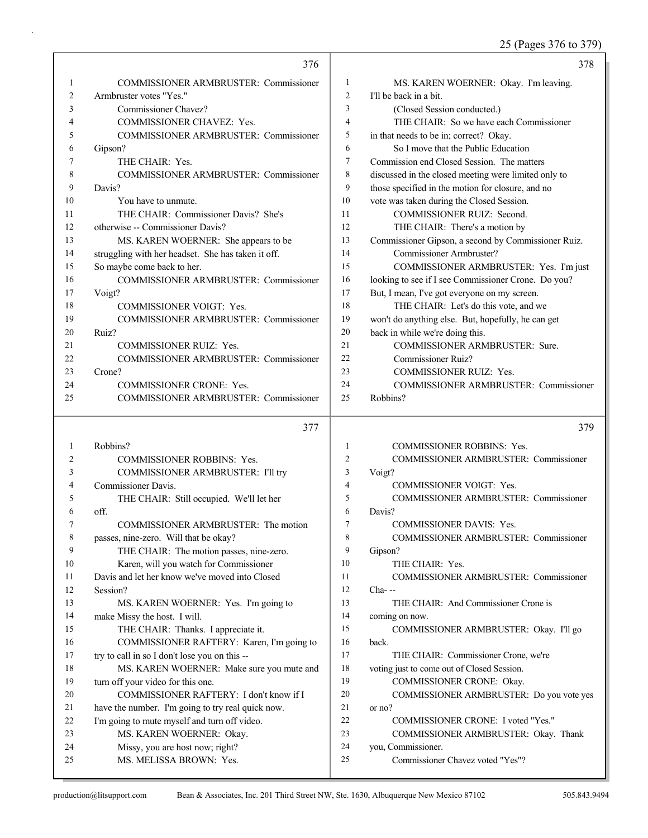25 (Pages 376 to 379)

|                | 376                                                        |                | 378                                                    |
|----------------|------------------------------------------------------------|----------------|--------------------------------------------------------|
| 1              | <b>COMMISSIONER ARMBRUSTER: Commissioner</b>               | $\mathbf{1}$   | MS. KAREN WOERNER: Okay. I'm leaving.                  |
| $\overline{c}$ | Armbruster votes "Yes."                                    | $\overline{c}$ | I'll be back in a bit.                                 |
| 3              | Commissioner Chavez?                                       | 3              | (Closed Session conducted.)                            |
| 4              | COMMISSIONER CHAVEZ: Yes.                                  | $\overline{4}$ | THE CHAIR: So we have each Commissioner                |
| 5              | COMMISSIONER ARMBRUSTER: Commissioner                      | 5              | in that needs to be in; correct? Okay.                 |
| 6              | Gipson?                                                    | 6              | So I move that the Public Education                    |
| 7              | THE CHAIR: Yes.                                            | 7              | Commission end Closed Session. The matters             |
| 8              | <b>COMMISSIONER ARMBRUSTER: Commissioner</b>               | 8              | discussed in the closed meeting were limited only to   |
| 9              | Davis?                                                     | 9              | those specified in the motion for closure, and no      |
| 10             | You have to unmute.                                        | 10             | vote was taken during the Closed Session.              |
| 11             | THE CHAIR: Commissioner Davis? She's                       | 11             | COMMISSIONER RUIZ: Second.                             |
| 12             | otherwise -- Commissioner Davis?                           | 12             | THE CHAIR: There's a motion by                         |
| 13             | MS. KAREN WOERNER: She appears to be                       | 13             | Commissioner Gipson, a second by Commissioner Ruiz.    |
| 14             | struggling with her headset. She has taken it off.         | 14             | Commissioner Armbruster?                               |
| 15             | So maybe come back to her.                                 | 15             | COMMISSIONER ARMBRUSTER: Yes. I'm just                 |
| 16             | COMMISSIONER ARMBRUSTER: Commissioner                      | 16             | looking to see if I see Commissioner Crone. Do you?    |
| 17             | Voigt?                                                     | 17             | But, I mean, I've got everyone on my screen.           |
| 18             | <b>COMMISSIONER VOIGT: Yes.</b>                            | 18             | THE CHAIR: Let's do this vote, and we                  |
| 19             | COMMISSIONER ARMBRUSTER: Commissioner                      | 19             | won't do anything else. But, hopefully, he can get     |
| 20             | Ruiz?                                                      | 20             | back in while we're doing this.                        |
| 21             | <b>COMMISSIONER RUIZ: Yes.</b>                             | 21             | COMMISSIONER ARMBRUSTER: Sure.                         |
| 22             | COMMISSIONER ARMBRUSTER: Commissioner                      | 22             | Commissioner Ruiz?                                     |
| 23             | Crone?                                                     | 23             | <b>COMMISSIONER RUIZ: Yes.</b>                         |
| 24             | <b>COMMISSIONER CRONE: Yes.</b>                            | 24             | COMMISSIONER ARMBRUSTER: Commissioner                  |
| 25             | COMMISSIONER ARMBRUSTER: Commissioner                      | 25             | Robbins?                                               |
|                |                                                            |                |                                                        |
|                |                                                            |                |                                                        |
|                | 377                                                        |                | 379                                                    |
|                |                                                            |                |                                                        |
| 1              | Robbins?                                                   | 1              | <b>COMMISSIONER ROBBINS: Yes.</b>                      |
| 2              | <b>COMMISSIONER ROBBINS: Yes.</b>                          | 2              | COMMISSIONER ARMBRUSTER: Commissioner                  |
| 3              | COMMISSIONER ARMBRUSTER: I'll try                          | 3              | Voigt?                                                 |
| 4              | Commissioner Davis.                                        | 4              | <b>COMMISSIONER VOIGT: Yes.</b>                        |
| 5              | THE CHAIR: Still occupied. We'll let her                   | 5              | COMMISSIONER ARMBRUSTER: Commissioner                  |
| 6              | off.                                                       | 6              | Davis?                                                 |
| 7              | COMMISSIONER ARMBRUSTER: The motion                        | 7              | <b>COMMISSIONER DAVIS: Yes.</b>                        |
| 8              | passes, nine-zero. Will that be okay?                      | 8              | COMMISSIONER ARMBRUSTER: Commissioner                  |
| 9              | THE CHAIR: The motion passes, nine-zero.                   | 9              | Gipson?                                                |
| 10             | Karen, will you watch for Commissioner                     | 10             | THE CHAIR: Yes.                                        |
| 11             | Davis and let her know we've moved into Closed             | 11             | COMMISSIONER ARMBRUSTER: Commissioner                  |
| 12             | Session?                                                   | 12             | $Cha-$                                                 |
| 13             | MS. KAREN WOERNER: Yes. I'm going to                       | 13             | THE CHAIR: And Commissioner Crone is                   |
| 14             | make Missy the host. I will.                               | 14             | coming on now.                                         |
| 15             | THE CHAIR: Thanks. I appreciate it.                        | 15             | COMMISSIONER ARMBRUSTER: Okay. I'll go                 |
| 16             | COMMISSIONER RAFTERY: Karen, I'm going to                  | 16             | back.                                                  |
| 17             | try to call in so I don't lose you on this --              | 17             | THE CHAIR: Commissioner Crone, we're                   |
| 18             | MS. KAREN WOERNER: Make sure you mute and                  | 18<br>19       | voting just to come out of Closed Session.             |
| 19             | turn off your video for this one.                          |                | COMMISSIONER CRONE: Okay.                              |
| 20             | COMMISSIONER RAFTERY: I don't know if I                    | 20             | COMMISSIONER ARMBRUSTER: Do you vote yes               |
| 21             | have the number. I'm going to try real quick now.          | 21             | or no?                                                 |
| 22             | I'm going to mute myself and turn off video.               | 22<br>23       | COMMISSIONER CRONE: I voted "Yes."                     |
| 23             | MS. KAREN WOERNER: Okay.                                   |                | COMMISSIONER ARMBRUSTER: Okay. Thank                   |
| 24<br>25       | Missy, you are host now; right?<br>MS. MELISSA BROWN: Yes. | 24<br>25       | you, Commissioner.<br>Commissioner Chavez voted "Yes"? |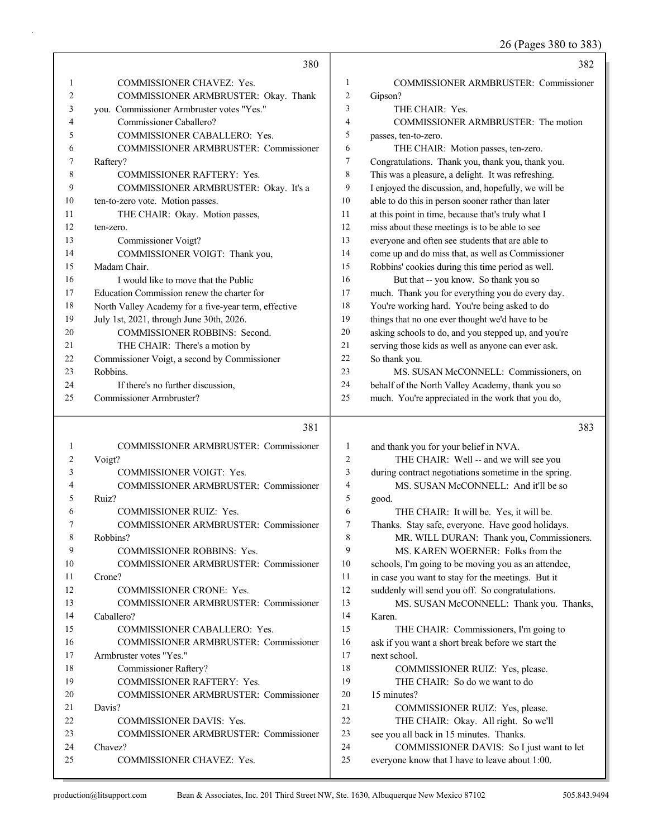26 (Pages 380 to 383)

|              | 380                                                  |                | 382                                                                                           |
|--------------|------------------------------------------------------|----------------|-----------------------------------------------------------------------------------------------|
| 1            | COMMISSIONER CHAVEZ: Yes.                            | 1              | <b>COMMISSIONER ARMBRUSTER: Commissioner</b>                                                  |
| 2            | COMMISSIONER ARMBRUSTER: Okay. Thank                 | 2              | Gipson?                                                                                       |
| 3            | you. Commissioner Armbruster votes "Yes."            | 3              | THE CHAIR: Yes.                                                                               |
| 4            | Commissioner Caballero?                              | $\overline{4}$ | COMMISSIONER ARMBRUSTER: The motion                                                           |
| 5            | COMMISSIONER CABALLERO: Yes.                         | 5              | passes, ten-to-zero.                                                                          |
| 6            | COMMISSIONER ARMBRUSTER: Commissioner                | 6              | THE CHAIR: Motion passes, ten-zero.                                                           |
| 7            | Raftery?                                             | 7              | Congratulations. Thank you, thank you, thank you.                                             |
| 8            | <b>COMMISSIONER RAFTERY: Yes.</b>                    | 8              | This was a pleasure, a delight. It was refreshing.                                            |
| 9            | COMMISSIONER ARMBRUSTER: Okay. It's a                | 9              | I enjoyed the discussion, and, hopefully, we will be                                          |
| 10           | ten-to-zero vote. Motion passes.                     | 10             | able to do this in person sooner rather than later                                            |
| 11           | THE CHAIR: Okay. Motion passes,                      | 11             | at this point in time, because that's truly what I                                            |
| 12           | ten-zero.                                            | 12             | miss about these meetings is to be able to see                                                |
| 13           | Commissioner Voigt?                                  | 13             | everyone and often see students that are able to                                              |
| 14           | COMMISSIONER VOIGT: Thank you,                       | 14             | come up and do miss that, as well as Commissioner                                             |
| 15           | Madam Chair.                                         | 15             | Robbins' cookies during this time period as well.                                             |
| 16           | I would like to move that the Public                 | 16             | But that -- you know. So thank you so                                                         |
| 17           | Education Commission renew the charter for           | 17             | much. Thank you for everything you do every day.                                              |
| 18           | North Valley Academy for a five-year term, effective | 18             | You're working hard. You're being asked to do                                                 |
| 19           | July 1st, 2021, through June 30th, 2026.             | 19             | things that no one ever thought we'd have to be                                               |
| 20           | <b>COMMISSIONER ROBBINS: Second.</b>                 | 20             | asking schools to do, and you stepped up, and you're                                          |
| 21           | THE CHAIR: There's a motion by                       | 21             | serving those kids as well as anyone can ever ask.                                            |
| 22           | Commissioner Voigt, a second by Commissioner         | 22             | So thank you.                                                                                 |
| 23           | Robbins.                                             | 23             | MS. SUSAN McCONNELL: Commissioners, on                                                        |
| 24           | If there's no further discussion,                    | 24             | behalf of the North Valley Academy, thank you so                                              |
| 25           | Commissioner Armbruster?                             | 25             | much. You're appreciated in the work that you do,                                             |
|              |                                                      |                |                                                                                               |
|              |                                                      |                |                                                                                               |
|              | 381                                                  |                | 383                                                                                           |
| $\mathbf{1}$ | <b>COMMISSIONER ARMBRUSTER: Commissioner</b>         | 1              |                                                                                               |
| 2            | Voigt?                                               | $\overline{2}$ | and thank you for your belief in NVA.<br>THE CHAIR: Well -- and we will see you               |
| 3            | <b>COMMISSIONER VOIGT: Yes.</b>                      | 3              | during contract negotiations sometime in the spring.                                          |
| 4            | COMMISSIONER ARMBRUSTER: Commissioner                | $\overline{4}$ | MS. SUSAN McCONNELL: And it'll be so                                                          |
| 5            | Ruiz?                                                | 5              | good.                                                                                         |
| 6            | COMMISSIONER RUIZ: Yes.                              | 6              | THE CHAIR: It will be. Yes, it will be.                                                       |
| 7            | COMMISSIONER ARMBRUSTER: Commissioner                | 7              |                                                                                               |
| 8            | Robbins?                                             | $\,$ 8 $\,$    | Thanks. Stay safe, everyone. Have good holidays.<br>MR. WILL DURAN: Thank you, Commissioners. |
| 9            | COMMISSIONER ROBBINS: Yes.                           | 9              | MS. KAREN WOERNER: Folks from the                                                             |
| 10           | COMMISSIONER ARMBRUSTER: Commissioner                | 10             | schools, I'm going to be moving you as an attendee,                                           |
| 11           | Crone?                                               | 11             | in case you want to stay for the meetings. But it                                             |
| 12           | COMMISSIONER CRONE: Yes.                             | 12             | suddenly will send you off. So congratulations.                                               |
| 13           | COMMISSIONER ARMBRUSTER: Commissioner                | 13             | MS. SUSAN McCONNELL: Thank you. Thanks,                                                       |
| 14           | Caballero?                                           | 14             | Karen.                                                                                        |
| 15           | COMMISSIONER CABALLERO: Yes.                         | 15             | THE CHAIR: Commissioners, I'm going to                                                        |
| 16           | COMMISSIONER ARMBRUSTER: Commissioner                | 16             |                                                                                               |
| 17           | Armbruster votes "Yes."                              | 17             | ask if you want a short break before we start the<br>next school.                             |
| 18           | Commissioner Raftery?                                | 18             | COMMISSIONER RUIZ: Yes, please.                                                               |
| 19           | COMMISSIONER RAFTERY: Yes.                           | 19             | THE CHAIR: So do we want to do                                                                |
| 20           | COMMISSIONER ARMBRUSTER: Commissioner                | 20             | 15 minutes?                                                                                   |
| 21           | Davis?                                               | 21             | COMMISSIONER RUIZ: Yes, please.                                                               |
| 22           | COMMISSIONER DAVIS: Yes.                             | 22             | THE CHAIR: Okay. All right. So we'll                                                          |
| 23           | COMMISSIONER ARMBRUSTER: Commissioner                | 23             | see you all back in 15 minutes. Thanks.                                                       |
| 24           | Chavez?                                              | 24             | COMMISSIONER DAVIS: So I just want to let                                                     |
| 25           | COMMISSIONER CHAVEZ: Yes.                            | 25             | everyone know that I have to leave about 1:00.                                                |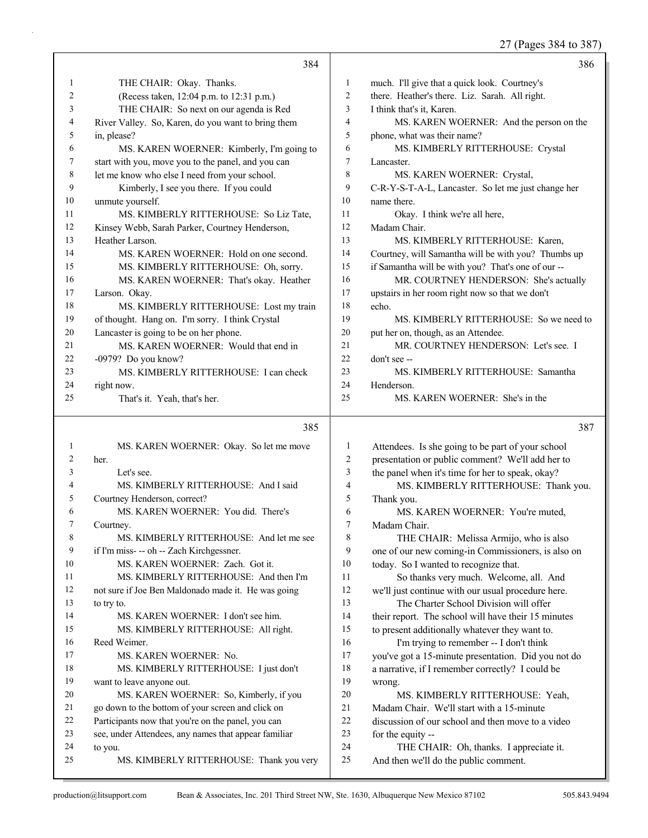27 (Pages 384 to 387)

|    | 384                                                |     | 386                                                 |
|----|----------------------------------------------------|-----|-----------------------------------------------------|
| 1  | THE CHAIR: Okay. Thanks.                           | 1   | much. I'll give that a quick look. Courtney's       |
| 2  | (Recess taken, 12:04 p.m. to 12:31 p.m.)           | 2   | there. Heather's there. Liz. Sarah. All right.      |
| 3  | THE CHAIR: So next on our agenda is Red            | 3   | I think that's it, Karen.                           |
| 4  | River Valley. So, Karen, do you want to bring them | 4   | MS. KAREN WOERNER: And the person on the            |
| 5  | in, please?                                        | 5   | phone, what was their name?                         |
| 6  | MS. KAREN WOERNER: Kimberly, I'm going to          | 6   | MS. KIMBERLY RITTERHOUSE: Crystal                   |
| 7  | start with you, move you to the panel, and you can | 7   | Lancaster.                                          |
| 8  | let me know who else I need from your school.      | 8   | MS. KAREN WOERNER: Crystal,                         |
| 9  | Kimberly, I see you there. If you could            | 9   | C-R-Y-S-T-A-L, Lancaster. So let me just change her |
| 10 | unmute yourself.                                   | 10  | name there.                                         |
| 11 | MS. KIMBERLY RITTERHOUSE: So Liz Tate,             | 11  | Okay. I think we're all here,                       |
| 12 | Kinsey Webb, Sarah Parker, Courtney Henderson,     | 12  | Madam Chair.                                        |
| 13 | Heather Larson.                                    | 13  | MS. KIMBERLY RITTERHOUSE: Karen.                    |
| 14 | MS. KAREN WOERNER: Hold on one second.             | 14  | Courtney, will Samantha will be with you? Thumbs up |
| 15 | MS. KIMBERLY RITTERHOUSE: Oh, sorry.               | 15  | if Samantha will be with you? That's one of our --  |
| 16 | MS. KAREN WOERNER: That's okay. Heather            | 16  | MR. COURTNEY HENDERSON: She's actually              |
| 17 | Larson. Okay.                                      | 17  | upstairs in her room right now so that we don't     |
| 18 | MS. KIMBERLY RITTERHOUSE: Lost my train            | 18  | echo.                                               |
| 19 | of thought. Hang on. I'm sorry. I think Crystal    | 19  | MS. KIMBERLY RITTERHOUSE: So we need to             |
| 20 | Lancaster is going to be on her phone.             | 20  | put her on, though, as an Attendee.                 |
| 21 | MS. KAREN WOERNER: Would that end in               | 21  | MR. COURTNEY HENDERSON: Let's see. I                |
| 22 | -0979? Do you know?                                | 22. | don't see --                                        |
| 23 | MS. KIMBERLY RITTERHOUSE: I can check              | 23  | MS. KIMBERLY RITTERHOUSE: Samantha                  |
| 24 | right now.                                         | 24  | Henderson.                                          |
| 25 | That's it. Yeah, that's her.                       | 25  | MS. KAREN WOERNER: She's in the                     |

# $385$

|    | 385                                                  |     | 387                                                 |
|----|------------------------------------------------------|-----|-----------------------------------------------------|
| 1  | MS. KAREN WOERNER: Okay. So let me move              | 1   | Attendees. Is she going to be part of your school   |
| 2  | her.                                                 | 2   | presentation or public comment? We'll add her to    |
| 3  | Let's see.                                           | 3   | the panel when it's time for her to speak, okay?    |
| 4  | MS. KIMBERLY RITTERHOUSE: And I said                 | 4   | MS. KIMBERLY RITTERHOUSE: Thank you.                |
| 5  | Courtney Henderson, correct?                         | 5   | Thank you.                                          |
| 6  | MS. KAREN WOERNER: You did. There's                  | 6   | MS. KAREN WOERNER: You're muted.                    |
| 7  | Courtney.                                            | 7   | Madam Chair.                                        |
| 8  | MS. KIMBERLY RITTERHOUSE: And let me see             | 8   | THE CHAIR: Melissa Armijo, who is also              |
| 9  | if I'm miss- -- oh -- Zach Kirchgessner.             | 9   | one of our new coming-in Commissioners, is also on  |
| 10 | MS. KAREN WOERNER: Zach. Got it.                     | 10  | today. So I wanted to recognize that.               |
| 11 | MS. KIMBERLY RITTERHOUSE: And then I'm               | 11  | So thanks very much. Welcome, all. And              |
| 12 | not sure if Joe Ben Maldonado made it. He was going  | 12  | we'll just continue with our usual procedure here.  |
| 13 | to try to.                                           | 13  | The Charter School Division will offer              |
| 14 | MS. KAREN WOERNER: I don't see him.                  | 14  | their report. The school will have their 15 minutes |
| 15 | MS. KIMBERLY RITTERHOUSE: All right.                 | 15  | to present additionally whatever they want to.      |
| 16 | Reed Weimer.                                         | 16  | I'm trying to remember -- I don't think             |
| 17 | MS. KAREN WOERNER: No.                               | 17  | you've got a 15-minute presentation. Did you not do |
| 18 | MS. KIMBERLY RITTERHOUSE: I just don't               | 18  | a narrative, if I remember correctly? I could be    |
| 19 | want to leave anyone out.                            | 19  | wrong.                                              |
| 20 | MS. KAREN WOERNER: So, Kimberly, if you              | 20  | MS. KIMBERLY RITTERHOUSE: Yeah,                     |
| 21 | go down to the bottom of your screen and click on    | 21  | Madam Chair. We'll start with a 15-minute           |
| 22 | Participants now that you're on the panel, you can   | 22. | discussion of our school and then move to a video   |
| 23 | see, under Attendees, any names that appear familiar | 23  | for the equity --                                   |
| 24 | to you.                                              | 24  | THE CHAIR: Oh, thanks. I appreciate it.             |
| 25 | MS. KIMBERLY RITTERHOUSE: Thank you very             | 25  | And then we'll do the public comment.               |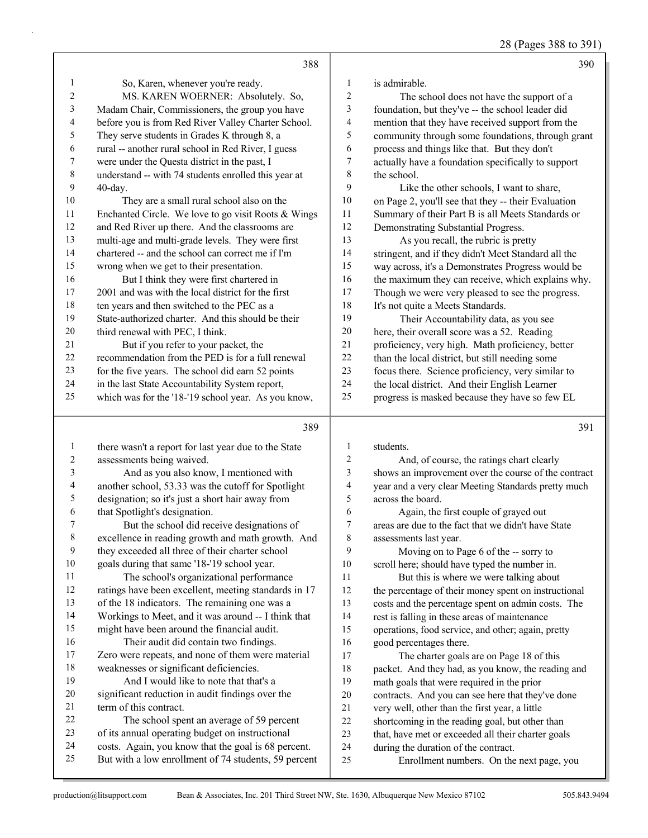28 (Pages 388 to 391)

|                         | 388                                                                                                         |                          | 390                                                                                               |
|-------------------------|-------------------------------------------------------------------------------------------------------------|--------------------------|---------------------------------------------------------------------------------------------------|
| 1                       | So, Karen, whenever you're ready.                                                                           | $\mathbf{1}$             | is admirable.                                                                                     |
| $\overline{c}$          | MS. KAREN WOERNER: Absolutely. So,                                                                          | $\overline{2}$           | The school does not have the support of a                                                         |
| 3                       | Madam Chair, Commissioners, the group you have                                                              | 3                        | foundation, but they've -- the school leader did                                                  |
| 4                       | before you is from Red River Valley Charter School.                                                         | $\overline{4}$           | mention that they have received support from the                                                  |
| 5                       | They serve students in Grades K through 8, a                                                                | 5                        | community through some foundations, through grant                                                 |
| $\epsilon$              | rural -- another rural school in Red River, I guess                                                         | 6                        | process and things like that. But they don't                                                      |
| $\boldsymbol{7}$        | were under the Questa district in the past, I                                                               | $\boldsymbol{7}$         | actually have a foundation specifically to support                                                |
| $\,$ $\,$               | understand -- with 74 students enrolled this year at                                                        | $\,$ 8 $\,$              | the school.                                                                                       |
| 9                       | 40-day.                                                                                                     | 9                        | Like the other schools, I want to share,                                                          |
| $10\,$                  | They are a small rural school also on the                                                                   | $10\,$                   | on Page 2, you'll see that they -- their Evaluation                                               |
| 11                      | Enchanted Circle. We love to go visit Roots & Wings                                                         | 11                       | Summary of their Part B is all Meets Standards or                                                 |
| 12                      | and Red River up there. And the classrooms are                                                              | 12                       | Demonstrating Substantial Progress.                                                               |
| 13                      | multi-age and multi-grade levels. They were first                                                           | 13                       | As you recall, the rubric is pretty                                                               |
| 14                      | chartered -- and the school can correct me if I'm                                                           | 14                       | stringent, and if they didn't Meet Standard all the                                               |
| 15                      | wrong when we get to their presentation.                                                                    | 15                       | way across, it's a Demonstrates Progress would be                                                 |
| 16                      | But I think they were first chartered in                                                                    | 16                       | the maximum they can receive, which explains why.                                                 |
| 17                      | 2001 and was with the local district for the first                                                          | 17                       | Though we were very pleased to see the progress.                                                  |
| $18\,$                  | ten years and then switched to the PEC as a                                                                 | 18                       | It's not quite a Meets Standards.                                                                 |
| 19                      | State-authorized charter. And this should be their                                                          | 19                       | Their Accountability data, as you see                                                             |
| $20\,$                  | third renewal with PEC, I think.                                                                            | 20                       | here, their overall score was a 52. Reading                                                       |
| 21                      | But if you refer to your packet, the                                                                        | 21                       | proficiency, very high. Math proficiency, better                                                  |
| $22\,$                  | recommendation from the PED is for a full renewal                                                           | 22                       | than the local district, but still needing some                                                   |
| 23                      | for the five years. The school did earn 52 points                                                           | 23                       | focus there. Science proficiency, very similar to                                                 |
| 24                      | in the last State Accountability System report,                                                             | 24                       | the local district. And their English Learner                                                     |
| 25                      | which was for the '18-'19 school year. As you know,                                                         | 25                       | progress is masked because they have so few EL                                                    |
|                         |                                                                                                             |                          |                                                                                                   |
|                         |                                                                                                             |                          |                                                                                                   |
|                         | 389                                                                                                         |                          | 391                                                                                               |
| $\mathbf{1}$            |                                                                                                             | $\mathbf{1}$             | students.                                                                                         |
| $\overline{c}$          | there wasn't a report for last year due to the State                                                        | $\overline{2}$           |                                                                                                   |
| $\mathfrak{Z}$          | assessments being waived.<br>And as you also know, I mentioned with                                         | 3                        | And, of course, the ratings chart clearly<br>shows an improvement over the course of the contract |
| $\overline{\mathbf{4}}$ | another school, 53.33 was the cutoff for Spotlight                                                          | $\overline{\mathcal{A}}$ | year and a very clear Meeting Standards pretty much                                               |
| 5                       | designation; so it's just a short hair away from                                                            | 5                        | across the board.                                                                                 |
| 6                       | that Spotlight's designation.                                                                               | 6                        | Again, the first couple of grayed out                                                             |
| 7                       | But the school did receive designations of                                                                  | 7                        | areas are due to the fact that we didn't have State                                               |
| 8                       | excellence in reading growth and math growth. And                                                           | 8                        | assessments last year.                                                                            |
| 9                       | they exceeded all three of their charter school                                                             | 9                        | Moving on to Page 6 of the -- sorry to                                                            |
| 10                      | goals during that same '18-'19 school year.                                                                 | 10                       | scroll here; should have typed the number in.                                                     |
| 11                      | The school's organizational performance                                                                     | 11                       | But this is where we were talking about                                                           |
| 12                      | ratings have been excellent, meeting standards in 17                                                        | 12                       | the percentage of their money spent on instructional                                              |
| 13                      | of the 18 indicators. The remaining one was a                                                               | 13                       | costs and the percentage spent on admin costs. The                                                |
| 14                      | Workings to Meet, and it was around -- I think that                                                         | 14                       | rest is falling in these areas of maintenance                                                     |
| 15                      | might have been around the financial audit.                                                                 | 15                       | operations, food service, and other; again, pretty                                                |
| 16                      | Their audit did contain two findings.                                                                       | 16                       | good percentages there.                                                                           |
| 17                      | Zero were repeats, and none of them were material                                                           | 17                       | The charter goals are on Page 18 of this                                                          |
| 18                      | weaknesses or significant deficiencies.                                                                     | 18                       | packet. And they had, as you know, the reading and                                                |
| 19                      | And I would like to note that that's a                                                                      | 19                       | math goals that were required in the prior                                                        |
| 20                      | significant reduction in audit findings over the                                                            | $20\,$                   | contracts. And you can see here that they've done                                                 |
| 21                      | term of this contract.                                                                                      | 21                       | very well, other than the first year, a little                                                    |
| 22                      | The school spent an average of 59 percent                                                                   | 22                       | shortcoming in the reading goal, but other than                                                   |
| 23                      | of its annual operating budget on instructional                                                             | 23                       | that, have met or exceeded all their charter goals                                                |
| 24<br>25                | costs. Again, you know that the goal is 68 percent.<br>But with a low enrollment of 74 students, 59 percent | 24<br>25                 | during the duration of the contract.<br>Enrollment numbers. On the next page, you                 |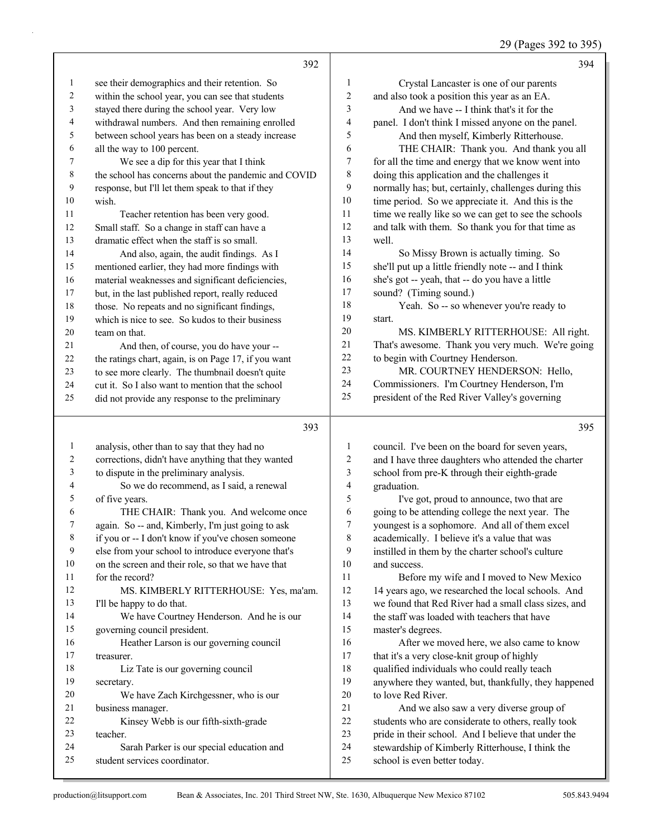29 (Pages 392 to 395)

|              | 392                                                                        |                | 394                                                                              |
|--------------|----------------------------------------------------------------------------|----------------|----------------------------------------------------------------------------------|
| $\mathbf{1}$ | see their demographics and their retention. So                             | 1              | Crystal Lancaster is one of our parents                                          |
| $\sqrt{2}$   | within the school year, you can see that students                          | $\overline{c}$ | and also took a position this year as an EA.                                     |
| 3            | stayed there during the school year. Very low                              | 3              | And we have -- I think that's it for the                                         |
| 4            | withdrawal numbers. And then remaining enrolled                            | 4              | panel. I don't think I missed anyone on the panel.                               |
| 5            | between school years has been on a steady increase                         | 5              | And then myself, Kimberly Ritterhouse.                                           |
| 6            | all the way to 100 percent.                                                | 6              | THE CHAIR: Thank you. And thank you all                                          |
| 7            | We see a dip for this year that I think                                    | 7              | for all the time and energy that we know went into                               |
| $\,$ 8 $\,$  | the school has concerns about the pandemic and COVID                       | $\,$ $\,$      | doing this application and the challenges it                                     |
| 9            | response, but I'll let them speak to that if they                          | 9              | normally has; but, certainly, challenges during this                             |
| 10           | wish.                                                                      | $10\,$         | time period. So we appreciate it. And this is the                                |
| 11           | Teacher retention has been very good.                                      | 11             | time we really like so we can get to see the schools                             |
| 12           | Small staff. So a change in staff can have a                               | 12             | and talk with them. So thank you for that time as                                |
| 13           | dramatic effect when the staff is so small.                                | 13             | well.                                                                            |
| 14           | And also, again, the audit findings. As I                                  | 14             | So Missy Brown is actually timing. So                                            |
| 15           | mentioned earlier, they had more findings with                             | 15             | she'll put up a little friendly note -- and I think                              |
| 16           | material weaknesses and significant deficiencies,                          | 16             | she's got -- yeah, that -- do you have a little                                  |
| 17           | but, in the last published report, really reduced                          | 17             | sound? (Timing sound.)                                                           |
| 18           | those. No repeats and no significant findings,                             | $18\,$         | Yeah. So -- so whenever you're ready to                                          |
| 19           | which is nice to see. So kudos to their business                           | 19             | start.                                                                           |
| $20\,$       | team on that.                                                              | $20\,$         | MS. KIMBERLY RITTERHOUSE: All right.                                             |
| 21           | And then, of course, you do have your --                                   | 21             | That's awesome. Thank you very much. We're going                                 |
| $22\,$       | the ratings chart, again, is on Page 17, if you want                       | 22             | to begin with Courtney Henderson.                                                |
| 23           | to see more clearly. The thumbnail doesn't quite                           | 23             | MR. COURTNEY HENDERSON: Hello,                                                   |
| 24           | cut it. So I also want to mention that the school                          | 24             | Commissioners. I'm Courtney Henderson, I'm                                       |
| 25           | did not provide any response to the preliminary                            | 25             | president of the Red River Valley's governing                                    |
|              |                                                                            |                |                                                                                  |
|              |                                                                            |                |                                                                                  |
|              | 393                                                                        |                | 395                                                                              |
| $\mathbf{1}$ | analysis, other than to say that they had no                               | 1              | council. I've been on the board for seven years,                                 |
| 2            | corrections, didn't have anything that they wanted                         | $\overline{c}$ | and I have three daughters who attended the charter                              |
| 3            | to dispute in the preliminary analysis.                                    | 3              | school from pre-K through their eighth-grade                                     |
| 4            | So we do recommend, as I said, a renewal                                   | 4              | graduation.                                                                      |
| 5            | of five years.                                                             | 5              | I've got, proud to announce, two that are                                        |
| 6<br>7       | THE CHAIR: Thank you. And welcome once                                     | 6<br>7         | going to be attending college the next year. The                                 |
|              | again. So -- and, Kimberly, I'm just going to ask                          | 8              | youngest is a sophomore. And all of them excel                                   |
| 8<br>9       | if you or -- I don't know if you've chosen someone                         | 9              | academically. I believe it's a value that was                                    |
| $10\,$       | else from your school to introduce everyone that's                         | 10             | instilled in them by the charter school's culture<br>and success.                |
| 11           | on the screen and their role, so that we have that<br>for the record?      | 11             | Before my wife and I moved to New Mexico                                         |
| 12           | MS. KIMBERLY RITTERHOUSE: Yes, ma'am.                                      | 12             | 14 years ago, we researched the local schools. And                               |
| 13           | I'll be happy to do that.                                                  | 13             | we found that Red River had a small class sizes, and                             |
| 14           | We have Courtney Henderson. And he is our                                  | 14             | the staff was loaded with teachers that have                                     |
| 15           | governing council president.                                               | 15             | master's degrees.                                                                |
| 16           | Heather Larson is our governing council                                    | 16             | After we moved here, we also came to know                                        |
| 17           | treasurer.                                                                 | 17             | that it's a very close-knit group of highly                                      |
| 18           | Liz Tate is our governing council                                          | 18             | qualified individuals who could really teach                                     |
| 19           | secretary.                                                                 | 19             | anywhere they wanted, but, thankfully, they happened                             |
| 20           | We have Zach Kirchgessner, who is our                                      | $20\,$         | to love Red River.                                                               |
| 21           | business manager.                                                          | 21             | And we also saw a very diverse group of                                          |
| $22\,$       | Kinsey Webb is our fifth-sixth-grade                                       | $22\,$         | students who are considerate to others, really took                              |
| 23           | teacher.                                                                   | 23             | pride in their school. And I believe that under the                              |
| 24<br>25     | Sarah Parker is our special education and<br>student services coordinator. | 24<br>25       | stewardship of Kimberly Ritterhouse, I think the<br>school is even better today. |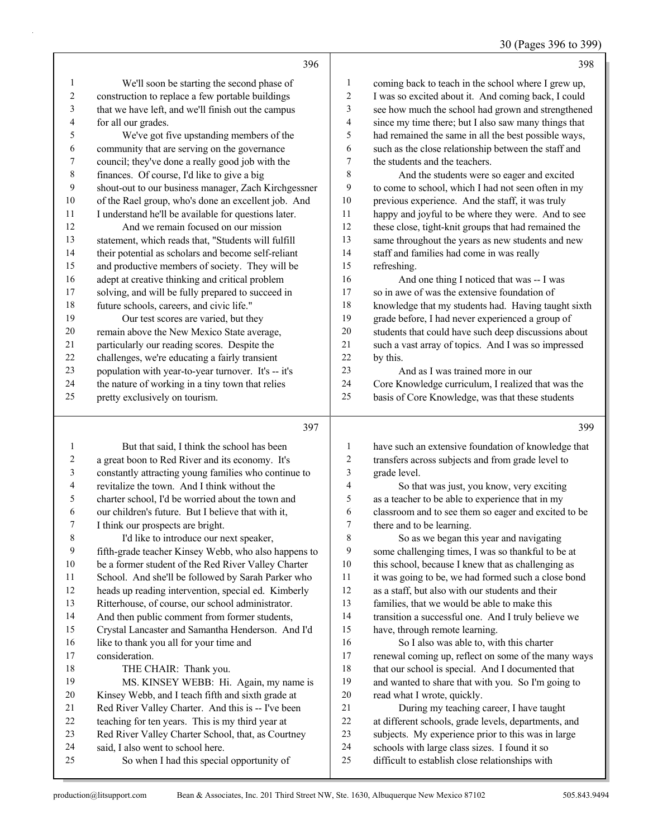## 30 (Pages 396 to 399)

|                          | 396                                                  |                         | 398                                                  |
|--------------------------|------------------------------------------------------|-------------------------|------------------------------------------------------|
| $\mathbf{1}$             | We'll soon be starting the second phase of           | $\mathbf{1}$            | coming back to teach in the school where I grew up,  |
| $\sqrt{2}$               | construction to replace a few portable buildings     | $\sqrt{2}$              | I was so excited about it. And coming back, I could  |
| 3                        | that we have left, and we'll finish out the campus   | $\mathfrak{Z}$          | see how much the school had grown and strengthened   |
| $\overline{\mathcal{L}}$ | for all our grades.                                  | $\overline{\mathbf{4}}$ | since my time there; but I also saw many things that |
| 5                        | We've got five upstanding members of the             | 5                       | had remained the same in all the best possible ways, |
| 6                        | community that are serving on the governance         | 6                       | such as the close relationship between the staff and |
| $\boldsymbol{7}$         | council; they've done a really good job with the     | $\tau$                  | the students and the teachers.                       |
| $\,$ $\,$                | finances. Of course, I'd like to give a big          | $\,$ 8 $\,$             | And the students were so eager and excited           |
| 9                        | shout-out to our business manager, Zach Kirchgessner | 9                       | to come to school, which I had not seen often in my  |
| $10\,$                   | of the Rael group, who's done an excellent job. And  | 10                      | previous experience. And the staff, it was truly     |
| 11                       | I understand he'll be available for questions later. | 11                      | happy and joyful to be where they were. And to see   |
| 12                       | And we remain focused on our mission                 | 12                      | these close, tight-knit groups that had remained the |
| 13                       | statement, which reads that, "Students will fulfill  | 13                      | same throughout the years as new students and new    |
| 14                       | their potential as scholars and become self-reliant  | 14                      | staff and families had come in was really            |
| 15                       | and productive members of society. They will be      | 15                      | refreshing.                                          |
| 16                       | adept at creative thinking and critical problem      | 16                      | And one thing I noticed that was -- I was            |
| 17                       | solving, and will be fully prepared to succeed in    | $17\,$                  | so in awe of was the extensive foundation of         |
| $18\,$                   | future schools, careers, and civic life."            | 18                      | knowledge that my students had. Having taught sixth  |
| 19                       | Our test scores are varied, but they                 | 19                      | grade before, I had never experienced a group of     |
| $20\,$                   | remain above the New Mexico State average,           | 20                      | students that could have such deep discussions about |
| $21\,$                   | particularly our reading scores. Despite the         | 21                      | such a vast array of topics. And I was so impressed  |
| $22\,$                   | challenges, we're educating a fairly transient       | 22                      | by this.                                             |
| 23                       | population with year-to-year turnover. It's -- it's  | 23                      | And as I was trained more in our                     |
| 24                       | the nature of working in a tiny town that relies     | 24                      | Core Knowledge curriculum, I realized that was the   |
| 25                       | pretty exclusively on tourism.                       | 25                      | basis of Core Knowledge, was that these students     |
|                          |                                                      |                         |                                                      |
|                          | 397                                                  |                         | 399                                                  |
| $\mathbf{1}$             | But that said, I think the school has been           | $\mathbf{1}$            | have such an extensive foundation of knowledge that  |
| $\boldsymbol{2}$         | a great boon to Red River and its economy. It's      | $\mathfrak{2}$          | transfers across subjects and from grade level to    |
| 3                        | constantly attracting young families who continue to | 3                       | grade level.                                         |
| 4                        | revitalize the town. And I think without the         | $\overline{\mathbf{4}}$ | So that was just, you know, very exciting            |
| 5                        | charter school, I'd be worried about the town and    | 5                       | as a teacher to be able to experience that in my     |
| $\sqrt{6}$               | our children's future. But I believe that with it,   | 6                       | classroom and to see them so eager and excited to be |
| $\boldsymbol{7}$         | I think our prospects are bright.                    | $\tau$                  | there and to be learning.                            |
| $\,$ $\,$                | I'd like to introduce our next speaker,              | $\,$ 8 $\,$             | So as we began this year and navigating              |
| 9                        | fifth-grade teacher Kinsey Webb, who also happens to | $\mathbf{9}$            | some challenging times, I was so thankful to be at   |
| $10\,$                   | be a former student of the Red River Valley Charter  | $10\,$                  | this school, because I knew that as challenging as   |
| 11                       | School. And she'll be followed by Sarah Parker who   | $11\,$                  | it was going to be, we had formed such a close bond  |
| 12                       | heads up reading intervention, special ed. Kimberly  | 12                      | as a staff, but also with our students and their     |
| 13                       | Ritterhouse, of course, our school administrator.    | 13                      | families, that we would be able to make this         |

- And then public comment from former students,
- Crystal Lancaster and Samantha Henderson. And I'd
- 16 like to thank you all for your time and consideration.
- 18 THE CHAIR: Thank you.
- 19 MS. KINSEY WEBB: Hi. Again, my name is Kinsey Webb, and I teach fifth and sixth grade at 21 Red River Valley Charter. And this is -- I've been teaching for ten years. This is my third year at Red River Valley Charter School, that, as Courtney said, I also went to school here. 25 So when I had this special opportunity of
- 

transition a successful one. And I truly believe we

 renewal coming up, reflect on some of the many ways 18 that our school is special. And I documented that and wanted to share that with you. So I'm going to

16 So I also was able to, with this charter

21 During my teaching career, I have taught at different schools, grade levels, departments, and subjects. My experience prior to this was in large schools with large class sizes. I found it so difficult to establish close relationships with

have, through remote learning.

read what I wrote, quickly.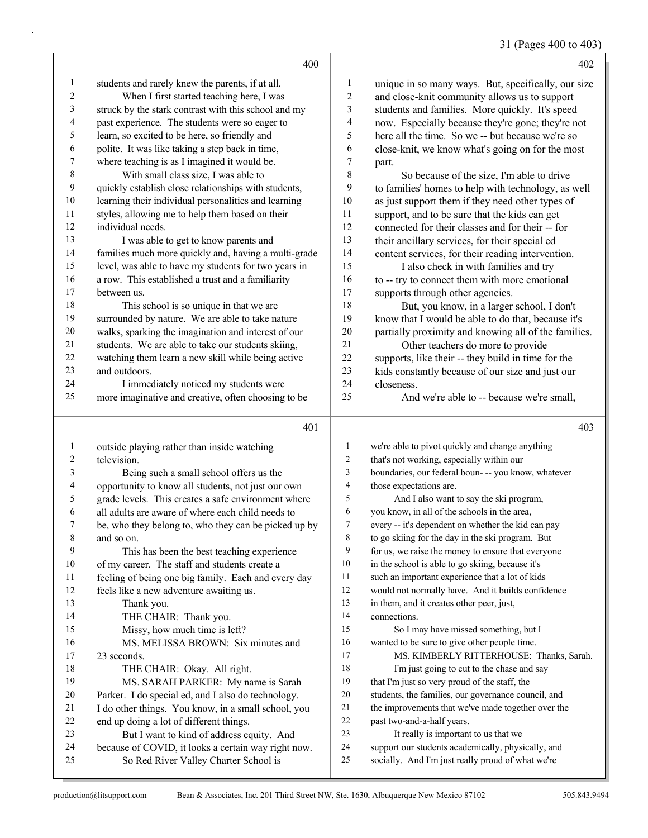## 31 (Pages 400 to 403)

|                | 400                                                  |                  | 402                                                  |
|----------------|------------------------------------------------------|------------------|------------------------------------------------------|
| $\mathbf{1}$   | students and rarely knew the parents, if at all.     | 1                | unique in so many ways. But, specifically, our size  |
| 2              | When I first started teaching here, I was            | $\overline{2}$   | and close-knit community allows us to support        |
| 3              | struck by the stark contrast with this school and my | 3                | students and families. More quickly. It's speed      |
| 4              | past experience. The students were so eager to       | 4                | now. Especially because they're gone; they're not    |
| 5              | learn, so excited to be here, so friendly and        | 5                | here all the time. So we -- but because we're so     |
| 6              | polite. It was like taking a step back in time,      | 6                | close-knit, we know what's going on for the most     |
| $\tau$         | where teaching is as I imagined it would be.         | $\boldsymbol{7}$ | part.                                                |
| $\,8\,$        | With small class size, I was able to                 | 8                | So because of the size, I'm able to drive            |
| $\overline{9}$ | quickly establish close relationships with students, | 9                | to families' homes to help with technology, as well  |
| 10             | learning their individual personalities and learning | 10               | as just support them if they need other types of     |
| 11             | styles, allowing me to help them based on their      | 11               | support, and to be sure that the kids can get        |
| 12             | individual needs.                                    | 12               | connected for their classes and for their -- for     |
| 13             | I was able to get to know parents and                | 13               | their ancillary services, for their special ed       |
| 14             | families much more quickly and, having a multi-grade | 14               | content services, for their reading intervention.    |
| 15             | level, was able to have my students for two years in | 15               | I also check in with families and try                |
| 16             | a row. This established a trust and a familiarity    | 16               | to -- try to connect them with more emotional        |
| 17             | between us.                                          | 17               | supports through other agencies.                     |
| 18             | This school is so unique in that we are              | 18               | But, you know, in a larger school, I don't           |
| 19             | surrounded by nature. We are able to take nature     | 19               | know that I would be able to do that, because it's   |
| 20             | walks, sparking the imagination and interest of our  | 20               | partially proximity and knowing all of the families. |
| 21             | students. We are able to take our students skiing,   | 21               | Other teachers do more to provide                    |
| 22             | watching them learn a new skill while being active   | 22               | supports, like their -- they build in time for the   |
| 23             | and outdoors.                                        | 23               | kids constantly because of our size and just our     |
| 24             | I immediately noticed my students were               | 24               | closeness.                                           |
| 25             | more imaginative and creative, often choosing to be  | 25               | And we're able to -- because we're small,            |
|                | 401                                                  |                  | 403                                                  |
| 1              | outside playing rather than inside watching          | 1                | we're able to pivot quickly and change anything      |
| 2              | television.                                          | $\overline{c}$   | that's not working, especially within our            |
| 3              | Being such a small school offers us the              | 3                | boundaries, our federal boun- -- you know, whatever  |

| $\overline{4}$ | opportunity to know all students, not just our own   | 4  | those expectations are.     |
|----------------|------------------------------------------------------|----|-----------------------------|
| 5              | grade levels. This creates a safe environment where  | 5  | And I also want to s        |
| 6              | all adults are aware of where each child needs to    | 6  | you know, in all of the scl |
|                | be, who they belong to, who they can be picked up by | 7  | every -- it's dependent on  |
| 8              | and so on.                                           | 8  | to go skiing for the day in |
| 9              | This has been the best teaching experience.          | 9  | for us, we raise the money  |
| 10             | of my career. The staff and students create a        | 10 | in the school is able to go |
| 11             | feeling of being one big family. Each and every day  | 11 | such an important experie   |
| 12             | feels like a new adventure awaiting us.              | 12 | would not normally have.    |
| 13             | Thank you.                                           | 13 | in them, and it creates oth |
| 14             | THE CHAIR: Thank you.                                | 14 | connections.                |
| 15             | Missy, how much time is left?                        | 15 | So I may have miss          |
| 16             | MS. MELISSA BROWN: Six minutes and                   | 16 | wanted to be sure to give   |
| 17             | 23 seconds.                                          | 17 | <b>MS. KIMBERLY R</b>       |
| 18             | THE CHAIR: Okay. All right.                          | 18 | I'm just going to cut       |
| 19             | MS. SARAH PARKER: My name is Sarah                   | 19 | that I'm just so very proud |
| 20             | Parker. I do special ed, and I also do technology.   | 20 | students, the families, our |
| 21             | I do other things. You know, in a small school, you  | 21 | the improvements that we    |
| 22             | end up doing a lot of different things.              | 22 | past two-and-a-half years.  |
| 23             | But I want to kind of address equity. And            | 23 | It really is importan       |
| 24             | because of COVID, it looks a certain way right now.  | 24 | support our students acade  |

 those expectations are. say the ski program,

chools in the area,

whether the kid can pay

n the ski program. But

y to ensure that everyone

o skiing, because it's

ence that a lot of kids

. And it builds confidence

ner peer, just,

sed something, but I

other people time. RITTERHOUSE: Thanks, Sarah.

it to the chase and say

d of the staff, the

r governance council, and

e've made together over the

nt to us that we

- lemically, physically, and
- socially. And I'm just really proud of what we're

25 So Red River Valley Charter School is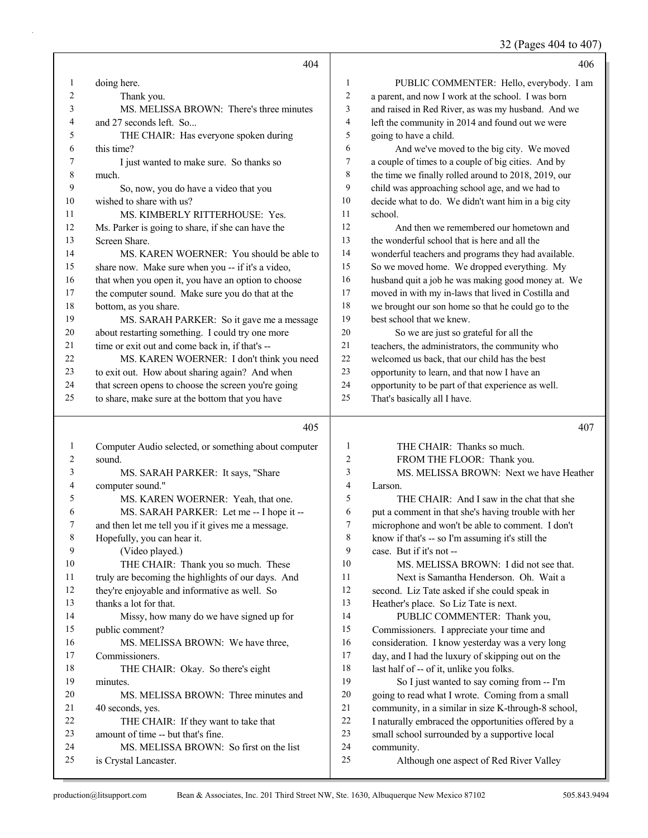32 (Pages 404 to 407)

|                | 404                                                                        |                  | 406                                                                                                  |
|----------------|----------------------------------------------------------------------------|------------------|------------------------------------------------------------------------------------------------------|
| 1              | doing here.                                                                | 1                | PUBLIC COMMENTER: Hello, everybody. I am                                                             |
| $\overline{c}$ | Thank you.                                                                 | $\sqrt{2}$       | a parent, and now I work at the school. I was born                                                   |
| 3              | MS. MELISSA BROWN: There's three minutes                                   | $\mathfrak{Z}$   | and raised in Red River, as was my husband. And we                                                   |
| 4              | and 27 seconds left. So                                                    | $\overline{4}$   | left the community in 2014 and found out we were                                                     |
| 5              | THE CHAIR: Has everyone spoken during                                      | 5                | going to have a child.                                                                               |
| 6              | this time?                                                                 | 6                | And we've moved to the big city. We moved                                                            |
| 7              | I just wanted to make sure. So thanks so                                   | $\boldsymbol{7}$ | a couple of times to a couple of big cities. And by                                                  |
| 8              | much.                                                                      | $\,8\,$          | the time we finally rolled around to 2018, 2019, our                                                 |
| 9              | So, now, you do have a video that you                                      | 9                | child was approaching school age, and we had to                                                      |
| 10             | wished to share with us?                                                   | 10               | decide what to do. We didn't want him in a big city                                                  |
| 11             | MS. KIMBERLY RITTERHOUSE: Yes.                                             | 11               | school.                                                                                              |
| $12\,$         | Ms. Parker is going to share, if she can have the                          | 12               | And then we remembered our hometown and                                                              |
| 13             | Screen Share.                                                              | 13               | the wonderful school that is here and all the                                                        |
| 14             | MS. KAREN WOERNER: You should be able to                                   | 14               | wonderful teachers and programs they had available.                                                  |
| 15             | share now. Make sure when you -- if it's a video,                          | 15               | So we moved home. We dropped everything. My                                                          |
| 16             | that when you open it, you have an option to choose                        | 16               | husband quit a job he was making good money at. We                                                   |
| 17             | the computer sound. Make sure you do that at the                           | 17               | moved in with my in-laws that lived in Costilla and                                                  |
| $18\,$         | bottom, as you share.                                                      | 18               | we brought our son home so that he could go to the                                                   |
| 19             | MS. SARAH PARKER: So it gave me a message                                  | 19               | best school that we knew.                                                                            |
| $20\,$         | about restarting something. I could try one more                           | 20               | So we are just so grateful for all the                                                               |
| 21             | time or exit out and come back in, if that's --                            | 21               | teachers, the administrators, the community who                                                      |
| 22             | MS. KAREN WOERNER: I don't think you need                                  | 22               | welcomed us back, that our child has the best                                                        |
| 23             | to exit out. How about sharing again? And when                             | 23               | opportunity to learn, and that now I have an                                                         |
| 24             | that screen opens to choose the screen you're going                        | 24               | opportunity to be part of that experience as well.                                                   |
| 25             | to share, make sure at the bottom that you have                            | 25               | That's basically all I have.                                                                         |
|                | 405                                                                        |                  |                                                                                                      |
|                |                                                                            |                  |                                                                                                      |
|                |                                                                            |                  | 407                                                                                                  |
| 1              | Computer Audio selected, or something about computer                       | 1                | THE CHAIR: Thanks so much.                                                                           |
| 2              | sound.                                                                     | 2                | FROM THE FLOOR: Thank you.                                                                           |
| 3              | MS. SARAH PARKER: It says, "Share                                          | 3                | MS. MELISSA BROWN: Next we have Heather                                                              |
| 4              | computer sound."                                                           | 4                | Larson.                                                                                              |
| 5              | MS. KAREN WOERNER: Yeah, that one.                                         | 5                | THE CHAIR: And I saw in the chat that she                                                            |
| 6              | MS. SARAH PARKER: Let me -- I hope it --                                   | 6                | put a comment in that she's having trouble with her                                                  |
| 7              | and then let me tell you if it gives me a message.                         | 7                | microphone and won't be able to comment. I don't                                                     |
| 8              | Hopefully, you can hear it.                                                | $8\,$            | know if that's -- so I'm assuming it's still the                                                     |
| 9              | (Video played.)                                                            | 9                | case. But if it's not --                                                                             |
| 10             | THE CHAIR: Thank you so much. These                                        | 10               | MS. MELISSA BROWN: I did not see that.                                                               |
| 11             | truly are becoming the highlights of our days. And                         | 11               | Next is Samantha Henderson. Oh. Wait a                                                               |
| 12             | they're enjoyable and informative as well. So                              | 12               | second. Liz Tate asked if she could speak in                                                         |
| 13             | thanks a lot for that.                                                     | 13               | Heather's place. So Liz Tate is next.                                                                |
| 14             | Missy, how many do we have signed up for                                   | 14               | PUBLIC COMMENTER: Thank you,                                                                         |
| 15             | public comment?                                                            | 15               | Commissioners. I appreciate your time and                                                            |
| 16             | MS. MELISSA BROWN: We have three,                                          | 16               | consideration. I know yesterday was a very long                                                      |
| 17             | Commissioners.                                                             | 17               | day, and I had the luxury of skipping out on the                                                     |
| $18\,$         | THE CHAIR: Okay. So there's eight                                          | $18\,$<br>19     | last half of -- of it, unlike you folks.                                                             |
| 19<br>$20\,$   | minutes.                                                                   | $20\,$           | So I just wanted to say coming from -- I'm                                                           |
| 21             | MS. MELISSA BROWN: Three minutes and                                       | 21               | going to read what I wrote. Coming from a small                                                      |
| 22             | 40 seconds, yes.                                                           | $22\,$           | community, in a similar in size K-through-8 school,                                                  |
| 23             | THE CHAIR: If they want to take that<br>amount of time -- but that's fine. | 23               | I naturally embraced the opportunities offered by a<br>small school surrounded by a supportive local |
| 24             | MS. MELISSA BROWN: So first on the list                                    | $24\,$           | community.                                                                                           |
| 25             | is Crystal Lancaster.                                                      | 25               | Although one aspect of Red River Valley                                                              |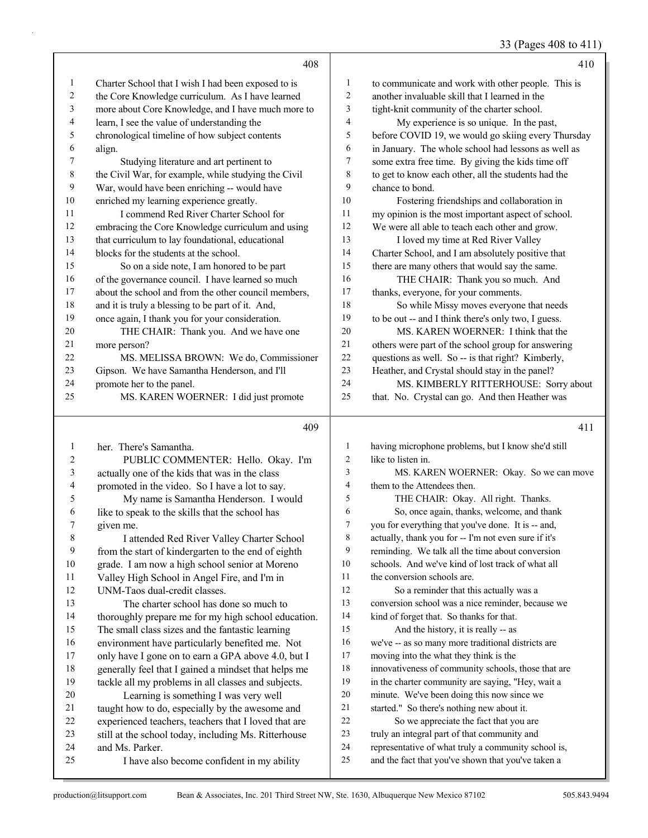33 (Pages 408 to 411)

|        |                                                      |                | 33 (Pages 408 to 411)                                |
|--------|------------------------------------------------------|----------------|------------------------------------------------------|
|        | 408                                                  |                | 410                                                  |
| 1      | Charter School that I wish I had been exposed to is  | $\mathbf{1}$   | to communicate and work with other people. This is   |
| 2      | the Core Knowledge curriculum. As I have learned     | 2              | another invaluable skill that I learned in the       |
| 3      | more about Core Knowledge, and I have much more to   | 3              | tight-knit community of the charter school.          |
| 4      | learn, I see the value of understanding the          | 4              | My experience is so unique. In the past,             |
| 5      | chronological timeline of how subject contents       | 5              | before COVID 19, we would go skiing every Thursday   |
| 6      | align.                                               | 6              | in January. The whole school had lessons as well as  |
| 7      | Studying literature and art pertinent to             | 7              | some extra free time. By giving the kids time off    |
| 8      | the Civil War, for example, while studying the Civil | 8              | to get to know each other, all the students had the  |
| 9      | War, would have been enriching -- would have         | 9              | chance to bond.                                      |
| $10\,$ | enriched my learning experience greatly.             | 10             | Fostering friendships and collaboration in           |
| 11     | I commend Red River Charter School for               | 11             | my opinion is the most important aspect of school.   |
| 12     | embracing the Core Knowledge curriculum and using    | 12             | We were all able to teach each other and grow.       |
| 13     | that curriculum to lay foundational, educational     | 13             | I loved my time at Red River Valley                  |
| 14     | blocks for the students at the school.               | 14             | Charter School, and I am absolutely positive that    |
| 15     | So on a side note, I am honored to be part           | 15             | there are many others that would say the same.       |
| 16     | of the governance council. I have learned so much    | 16             | THE CHAIR: Thank you so much. And                    |
| 17     | about the school and from the other council members, | 17             | thanks, everyone, for your comments.                 |
| 18     | and it is truly a blessing to be part of it. And,    | 18             | So while Missy moves everyone that needs             |
| 19     | once again, I thank you for your consideration.      | 19             | to be out -- and I think there's only two, I guess.  |
| 20     | THE CHAIR: Thank you. And we have one                | 20             | MS. KAREN WOERNER: I think that the                  |
| 21     | more person?                                         | 21             | others were part of the school group for answering   |
| 22     | MS. MELISSA BROWN: We do, Commissioner               | 22             | questions as well. So -- is that right? Kimberly,    |
| 23     | Gipson. We have Samantha Henderson, and I'll         | 23             | Heather, and Crystal should stay in the panel?       |
| 24     | promote her to the panel.                            | 24             | MS. KIMBERLY RITTERHOUSE: Sorry about                |
| 25     | MS. KAREN WOERNER: I did just promote                | 25             | that. No. Crystal can go. And then Heather was       |
|        |                                                      |                |                                                      |
|        | 409                                                  |                | 411                                                  |
| 1      | her. There's Samantha.                               | $\mathbf{1}$   | having microphone problems, but I know she'd still   |
| 2      | PUBLIC COMMENTER: Hello. Okay. I'm                   | $\overline{c}$ | like to listen in.                                   |
| 3      | actually one of the kids that was in the class       | 3              | MS. KAREN WOERNER: Okay. So we can move              |
| 4      | promoted in the video. So I have a lot to say.       | 4              | them to the Attendees then.                          |
| 5      | My name is Samantha Henderson. I would               | 5              | THE CHAIR: Okay. All right. Thanks.                  |
| 6      | like to speak to the skills that the school has      | 6              | So, once again, thanks, welcome, and thank           |
| 7      | given me.                                            | 7              | you for everything that you've done. It is -- and,   |
| 8      | I attended Red River Valley Charter School           | 8              | actually, thank you for -- I'm not even sure if it's |
| 9      | from the start of kindergarten to the end of eighth  | 9              | reminding. We talk all the time about conversion     |
| 10     | grade. I am now a high school senior at Moreno       | 10             | schools. And we've kind of lost track of what all    |
| 11     | Valley High School in Angel Fire, and I'm in         | 11             | the conversion schools are.                          |
| 12     | UNM-Taos dual-credit classes.                        | 12             | So a reminder that this actually was a               |
| 13     | The charter school has done so much to               | 13             | conversion school was a nice reminder, because we    |

 thoroughly prepare me for my high school education. The small class sizes and the fantastic learning environment have particularly benefited me. Not only have I gone on to earn a GPA above 4.0, but I generally feel that I gained a mindset that helps me tackle all my problems in all classes and subjects. 20 Learning is something I was very well taught how to do, especially by the awesome and experienced teachers, teachers that I loved that are still at the school today, including Ms. Ritterhouse

25 I have also become confident in my ability

and Ms. Parker.

 kind of forget that. So thanks for that. 15 And the history, it is really -- as

moving into the what they think is the

we've -- as so many more traditional districts are

 innovativeness of community schools, those that are in the charter community are saying, "Hey, wait a minute. We've been doing this now since we started." So there's nothing new about it. 22 So we appreciate the fact that you are truly an integral part of that community and

24 representative of what truly a community school is,<br>25 and the fact that you've shown that you've taken a and the fact that you've shown that you've taken a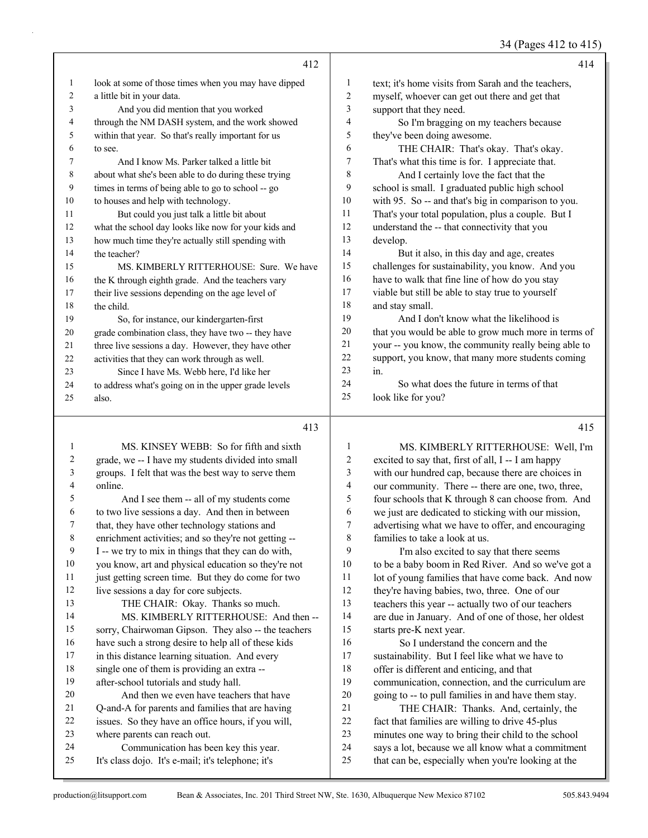34 (Pages 412 to 415)

|    | 412                                                  |                | 414                                                  |
|----|------------------------------------------------------|----------------|------------------------------------------------------|
| 1  | look at some of those times when you may have dipped | 1              | text; it's home visits from Sarah and the teachers,  |
| 2  | a little bit in your data.                           | $\overline{2}$ | myself, whoever can get out there and get that       |
| 3  | And you did mention that you worked                  | 3              | support that they need.                              |
| 4  | through the NM DASH system, and the work showed      | $\overline{4}$ | So I'm bragging on my teachers because               |
| 5  | within that year. So that's really important for us  | 5              | they've been doing awesome.                          |
| 6  | to see.                                              | 6              | THE CHAIR: That's okay. That's okay.                 |
| 7  | And I know Ms. Parker talked a little bit            | $\tau$         | That's what this time is for. I appreciate that.     |
| 8  | about what she's been able to do during these trying | 8              | And I certainly love the fact that the               |
| 9  | times in terms of being able to go to school -- go   | 9              | school is small. I graduated public high school      |
| 10 | to houses and help with technology.                  | 10             | with 95. So -- and that's big in comparison to you.  |
| 11 | But could you just talk a little bit about           | 11             | That's your total population, plus a couple. But I   |
| 12 | what the school day looks like now for your kids and | 12             | understand the -- that connectivity that you         |
| 13 | how much time they're actually still spending with   | 13             | develop.                                             |
| 14 | the teacher?                                         | 14             | But it also, in this day and age, creates            |
| 15 | MS. KIMBERLY RITTERHOUSE: Sure. We have              | 15             | challenges for sustainability, you know. And you     |
| 16 | the K through eighth grade. And the teachers vary    | 16             | have to walk that fine line of how do you stay       |
| 17 | their live sessions depending on the age level of    | 17             | viable but still be able to stay true to yourself    |
| 18 | the child.                                           | 18             | and stay small.                                      |
| 19 | So, for instance, our kindergarten-first             | 19             | And I don't know what the likelihood is              |
| 20 | grade combination class, they have two -- they have  | 20             | that you would be able to grow much more in terms of |
| 21 | three live sessions a day. However, they have other  | 21             | your -- you know, the community really being able to |
| 22 | activities that they can work through as well.       | 22             | support, you know, that many more students coming    |
| 23 | Since I have Ms. Webb here, I'd like her             | 23             | in.                                                  |
| 24 | to address what's going on in the upper grade levels | 24             | So what does the future in terms of that             |
| 25 | also.                                                | 25             | look like for you?                                   |
|    | 413                                                  |                | 415                                                  |

# 

|    | MS. KINSEY WEBB: So for fifth and sixth              |    | MS. KIMBERLY RITTERHOUSE: Well, I'm                 |
|----|------------------------------------------------------|----|-----------------------------------------------------|
| 2  | grade, we -- I have my students divided into small   | 2  | excited to say that, first of all, I -- I am happy  |
| 3  | groups. I felt that was the best way to serve them   | 3  | with our hundred cap, because there are choices in  |
| 4  | online.                                              | 4  | our community. There -- there are one, two, three,  |
| 5  | And I see them -- all of my students come            | 5  | four schools that K through 8 can choose from. And  |
| 6  | to two live sessions a day. And then in between      | 6  | we just are dedicated to sticking with our mission, |
| 7  | that, they have other technology stations and        | 7  | advertising what we have to offer, and encouraging  |
| 8  | enrichment activities; and so they're not getting -- | 8  | families to take a look at us.                      |
| 9  | I -- we try to mix in things that they can do with,  | 9  | I'm also excited to say that there seems            |
| 10 | you know, art and physical education so they're not  | 10 | to be a baby boom in Red River. And so we've got a  |
| 11 | just getting screen time. But they do come for two   | 11 | lot of young families that have come back. And now  |
| 12 | live sessions a day for core subjects.               | 12 | they're having babies, two, three. One of our       |
| 13 | THE CHAIR: Okay. Thanks so much.                     | 13 | teachers this year -- actually two of our teachers  |
| 14 | MS. KIMBERLY RITTERHOUSE: And then --                | 14 | are due in January. And of one of those, her oldest |
| 15 | sorry, Chairwoman Gipson. They also -- the teachers  | 15 | starts pre-K next year.                             |
| 16 | have such a strong desire to help all of these kids  | 16 | So I understand the concern and the                 |
| 17 | in this distance learning situation. And every       | 17 | sustainability. But I feel like what we have to     |
| 18 | single one of them is providing an extra --          | 18 | offer is different and enticing, and that           |
| 19 | after-school tutorials and study hall.               | 19 | communication, connection, and the curriculum are   |
| 20 | And then we even have teachers that have             | 20 | going to -- to pull families in and have them stay. |
| 21 | Q-and-A for parents and families that are having     | 21 | THE CHAIR: Thanks. And, certainly, the              |
| 22 | issues. So they have an office hours, if you will,   | 22 | fact that families are willing to drive 45-plus     |
| 23 | where parents can reach out.                         | 23 | minutes one way to bring their child to the school  |
| 24 | Communication has been key this year.                | 24 | says a lot, because we all know what a commitment   |
| 25 | It's class dojo. It's e-mail; it's telephone; it's   | 25 | that can be, especially when you're looking at the  |
|    |                                                      |    |                                                     |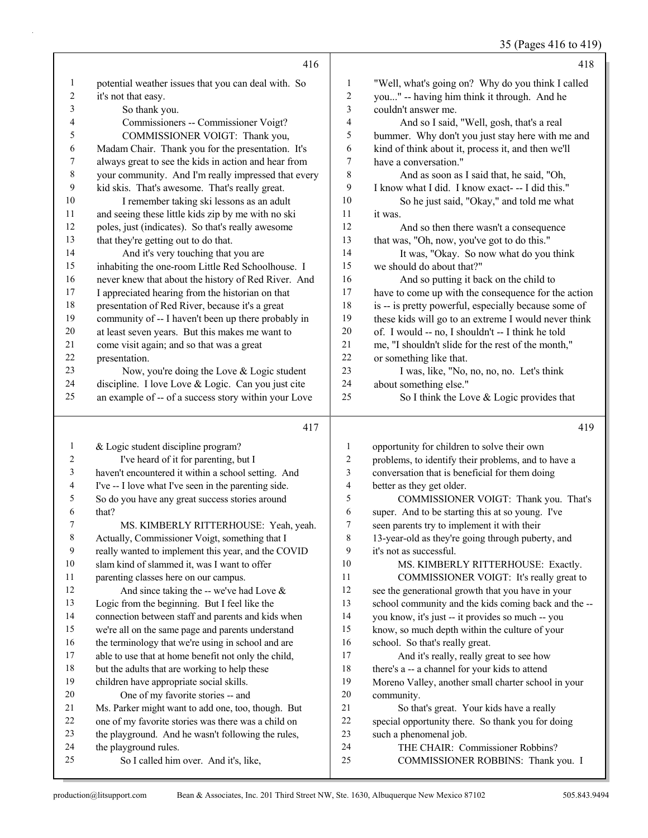35 (Pages 416 to 419)

|                  | 416                                                                                                         |                          | 418                                                                                                   |
|------------------|-------------------------------------------------------------------------------------------------------------|--------------------------|-------------------------------------------------------------------------------------------------------|
| $\mathbf{1}$     | potential weather issues that you can deal with. So                                                         | 1                        | "Well, what's going on? Why do you think I called                                                     |
| $\boldsymbol{2}$ | it's not that easy.                                                                                         | $\overline{c}$           | you" -- having him think it through. And he                                                           |
| 3                | So thank you.                                                                                               | 3                        | couldn't answer me.                                                                                   |
| 4                | Commissioners -- Commissioner Voigt?                                                                        | 4                        | And so I said, "Well, gosh, that's a real                                                             |
| 5                | COMMISSIONER VOIGT: Thank you,                                                                              | 5                        | bummer. Why don't you just stay here with me and                                                      |
| 6                | Madam Chair. Thank you for the presentation. It's                                                           | 6                        | kind of think about it, process it, and then we'll                                                    |
| 7                | always great to see the kids in action and hear from                                                        | 7                        | have a conversation."                                                                                 |
| 8                | your community. And I'm really impressed that every                                                         | 8                        | And as soon as I said that, he said, "Oh,                                                             |
| 9                | kid skis. That's awesome. That's really great.                                                              | 9                        | I know what I did. I know exact--- I did this."                                                       |
| 10               | I remember taking ski lessons as an adult                                                                   | 10                       | So he just said, "Okay," and told me what                                                             |
| 11               | and seeing these little kids zip by me with no ski                                                          | 11                       | it was.                                                                                               |
| 12               | poles, just (indicates). So that's really awesome                                                           | 12                       | And so then there wasn't a consequence                                                                |
| 13               | that they're getting out to do that.                                                                        | 13                       | that was, "Oh, now, you've got to do this."                                                           |
| 14               | And it's very touching that you are                                                                         | 14                       | It was, "Okay. So now what do you think                                                               |
| 15               | inhabiting the one-room Little Red Schoolhouse. I                                                           | 15                       | we should do about that?"                                                                             |
| 16               | never knew that about the history of Red River. And                                                         | 16                       | And so putting it back on the child to                                                                |
| 17               | I appreciated hearing from the historian on that                                                            | 17                       | have to come up with the consequence for the action                                                   |
| 18               | presentation of Red River, because it's a great                                                             | 18                       | is -- is pretty powerful, especially because some of                                                  |
| 19               | community of -- I haven't been up there probably in                                                         | 19                       | these kids will go to an extreme I would never think                                                  |
| 20               | at least seven years. But this makes me want to                                                             | $20\,$                   | of. I would -- no, I shouldn't -- I think he told                                                     |
| 21               | come visit again; and so that was a great                                                                   | $21\,$                   | me, "I shouldn't slide for the rest of the month,"                                                    |
| 22               | presentation.                                                                                               | 22                       | or something like that.                                                                               |
| 23               | Now, you're doing the Love & Logic student                                                                  | 23                       | I was, like, "No, no, no, no. Let's think                                                             |
| 24               | discipline. I love Love & Logic. Can you just cite                                                          | 24                       | about something else."                                                                                |
| 25               | an example of -- of a success story within your Love                                                        | 25                       | So I think the Love & Logic provides that                                                             |
|                  |                                                                                                             |                          |                                                                                                       |
|                  | 417                                                                                                         |                          | 419                                                                                                   |
| 1                |                                                                                                             | 1                        |                                                                                                       |
| 2                | & Logic student discipline program?                                                                         | 2                        | opportunity for children to solve their own                                                           |
| 3                | I've heard of it for parenting, but I                                                                       | 3                        | problems, to identify their problems, and to have a<br>conversation that is beneficial for them doing |
| 4                | haven't encountered it within a school setting. And<br>I've -- I love what I've seen in the parenting side. | $\overline{\mathcal{A}}$ | better as they get older.                                                                             |
| 5                |                                                                                                             | 5                        | COMMISSIONER VOIGT: Thank you. That's                                                                 |
| 6                | So do you have any great success stories around<br>that?                                                    | 6                        | super. And to be starting this at so young. I've                                                      |
| 7                | MS. KIMBERLY RITTERHOUSE: Yeah, yeah.                                                                       | 7                        | seen parents try to implement it with their                                                           |
| $\,$ 8 $\,$      | Actually, Commissioner Voigt, something that I                                                              | 8                        | 13-year-old as they're going through puberty, and                                                     |
| 9                | really wanted to implement this year, and the COVID                                                         | 9                        | it's not as successful.                                                                               |
| 10               | slam kind of slammed it, was I want to offer                                                                | 10                       | MS. KIMBERLY RITTERHOUSE: Exactly.                                                                    |
| 11               | parenting classes here on our campus.                                                                       | 11                       | COMMISSIONER VOIGT: It's really great to                                                              |
| 12               | And since taking the -- we've had Love $\&$                                                                 | $12\,$                   | see the generational growth that you have in your                                                     |
| 13               | Logic from the beginning. But I feel like the                                                               | 13                       | school community and the kids coming back and the --                                                  |
| 14               | connection between staff and parents and kids when                                                          | 14                       | you know, it's just -- it provides so much -- you                                                     |
| 15               | we're all on the same page and parents understand                                                           | 15                       | know, so much depth within the culture of your                                                        |
| 16               | the terminology that we're using in school and are                                                          | 16                       | school. So that's really great.                                                                       |
| 17               | able to use that at home benefit not only the child,                                                        | 17                       | And it's really, really great to see how                                                              |
| 18               | but the adults that are working to help these                                                               | 18                       | there's a -- a channel for your kids to attend                                                        |
| 19               | children have appropriate social skills.                                                                    | 19                       | Moreno Valley, another small charter school in your                                                   |
| 20               | One of my favorite stories -- and                                                                           | $20\,$                   | community.                                                                                            |
| 21               | Ms. Parker might want to add one, too, though. But                                                          | 21                       | So that's great. Your kids have a really                                                              |
| 22               | one of my favorite stories was there was a child on                                                         | $22\,$                   | special opportunity there. So thank you for doing                                                     |
| 23               | the playground. And he wasn't following the rules,                                                          | 23                       | such a phenomenal job.                                                                                |
| 24<br>25         | the playground rules.<br>So I called him over. And it's, like,                                              | 24<br>25                 | THE CHAIR: Commissioner Robbins?<br>COMMISSIONER ROBBINS: Thank you. I                                |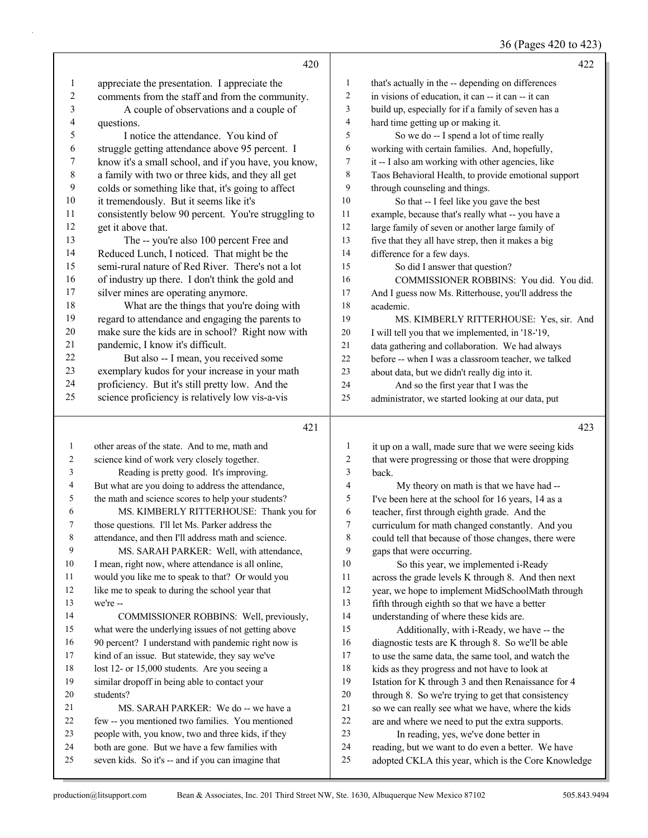36 (Pages 420 to 423)

|                | 420                                                                                               |                  | 422                                                                                        |
|----------------|---------------------------------------------------------------------------------------------------|------------------|--------------------------------------------------------------------------------------------|
| $\mathbf{1}$   | appreciate the presentation. I appreciate the                                                     | $\mathbf{1}$     | that's actually in the -- depending on differences                                         |
| $\overline{c}$ | comments from the staff and from the community.                                                   | 2                | in visions of education, it can -- it can -- it can                                        |
| 3              | A couple of observations and a couple of                                                          | 3                | build up, especially for if a family of seven has a                                        |
| 4              | questions.                                                                                        | $\overline{4}$   | hard time getting up or making it.                                                         |
| 5              | I notice the attendance. You kind of                                                              | 5                | So we do -- I spend a lot of time really                                                   |
| 6              | struggle getting attendance above 95 percent. I                                                   | 6                | working with certain families. And, hopefully,                                             |
| 7              | know it's a small school, and if you have, you know,                                              | 7                | it -- I also am working with other agencies, like                                          |
| $\,$ 8 $\,$    | a family with two or three kids, and they all get                                                 | 8                | Taos Behavioral Health, to provide emotional support                                       |
| 9              | colds or something like that, it's going to affect                                                | 9                | through counseling and things.                                                             |
| 10             | it tremendously. But it seems like it's                                                           | 10               | So that -- I feel like you gave the best                                                   |
| 11             | consistently below 90 percent. You're struggling to                                               | 11               | example, because that's really what -- you have a                                          |
| 12             | get it above that.                                                                                | $12\,$           | large family of seven or another large family of                                           |
| 13             | The -- you're also 100 percent Free and                                                           | 13               | five that they all have strep, then it makes a big                                         |
| 14             | Reduced Lunch, I noticed. That might be the                                                       | 14               | difference for a few days.                                                                 |
| 15             | semi-rural nature of Red River. There's not a lot                                                 | 15               | So did I answer that question?                                                             |
| 16             | of industry up there. I don't think the gold and                                                  | 16               | COMMISSIONER ROBBINS: You did. You did.                                                    |
| 17             | silver mines are operating anymore.                                                               | 17               | And I guess now Ms. Ritterhouse, you'll address the                                        |
| 18             | What are the things that you're doing with                                                        | 18               | academic.                                                                                  |
| 19             | regard to attendance and engaging the parents to                                                  | 19               | MS. KIMBERLY RITTERHOUSE: Yes, sir. And                                                    |
| $20\,$         | make sure the kids are in school? Right now with                                                  | $20\,$           | I will tell you that we implemented, in '18-'19,                                           |
| 21             | pandemic, I know it's difficult.                                                                  | $21\,$           | data gathering and collaboration. We had always                                            |
| $22\,$<br>23   | But also -- I mean, you received some                                                             | 22               | before -- when I was a classroom teacher, we talked                                        |
| 24             | exemplary kudos for your increase in your math<br>proficiency. But it's still pretty low. And the | 23<br>24         | about data, but we didn't really dig into it.                                              |
| 25             | science proficiency is relatively low vis-a-vis                                                   | 25               | And so the first year that I was the<br>administrator, we started looking at our data, put |
|                |                                                                                                   |                  |                                                                                            |
|                | 421                                                                                               |                  | 423                                                                                        |
| $\mathbf{1}$   | other areas of the state. And to me, math and                                                     | 1                | it up on a wall, made sure that we were seeing kids                                        |
| 2              | science kind of work very closely together.                                                       | $\boldsymbol{2}$ | that were progressing or those that were dropping                                          |
| 3              | Reading is pretty good. It's improving.                                                           | 3                | back.                                                                                      |
| 4              | But what are you doing to address the attendance,                                                 | 4                | My theory on math is that we have had --                                                   |
| 5              | the math and science scores to help your students?                                                | 5                | I've been here at the school for 16 years, 14 as a                                         |
| 6              | MS. KIMBERLY RITTERHOUSE: Thank you for                                                           | 6                | teacher, first through eighth grade. And the                                               |
|                | those questions. I'll let Ms. Parker address the                                                  | 7                | curriculum for math changed constantly. And you                                            |
| 8<br>9         | attendance, and then I'll address math and science.                                               | 8                | could tell that because of those changes, there were                                       |
| 10             | MS. SARAH PARKER: Well, with attendance,<br>I mean, right now, where attendance is all online,    | 9<br>10          | gaps that were occurring.                                                                  |
| 11             | would you like me to speak to that? Or would you                                                  | 11               | So this year, we implemented i-Ready<br>across the grade levels K through 8. And then next |
| 12             | like me to speak to during the school year that                                                   | 12               | year, we hope to implement MidSchoolMath through                                           |
| 13             | we're --                                                                                          | 13               | fifth through eighth so that we have a better                                              |
| 14             | COMMISSIONER ROBBINS: Well, previously,                                                           | 14               | understanding of where these kids are.                                                     |
| 15             | what were the underlying issues of not getting above                                              | 15               | Additionally, with i-Ready, we have -- the                                                 |
| 16             | 90 percent? I understand with pandemic right now is                                               | 16               | diagnostic tests are K through 8. So we'll be able                                         |
| 17             | kind of an issue. But statewide, they say we've                                                   | 17               | to use the same data, the same tool, and watch the                                         |
| 18             | lost 12- or 15,000 students. Are you seeing a                                                     | 18               | kids as they progress and not have to look at                                              |
| 19             | similar dropoff in being able to contact your                                                     | 19               | Istation for K through 3 and then Renaissance for 4                                        |
| 20             | students?                                                                                         | 20               | through 8. So we're trying to get that consistency                                         |
| 21             | MS. SARAH PARKER: We do -- we have a                                                              | 21               | so we can really see what we have, where the kids                                          |
| 22             | few -- you mentioned two families. You mentioned                                                  | 22               | are and where we need to put the extra supports.                                           |
| 23             | people with, you know, two and three kids, if they                                                | 23               | In reading, yes, we've done better in                                                      |
| 24             | both are gone. But we have a few families with                                                    | 24               | reading, but we want to do even a better. We have                                          |
| 25             | seven kids. So it's -- and if you can imagine that                                                | 25               | adopted CKLA this year, which is the Core Knowledge                                        |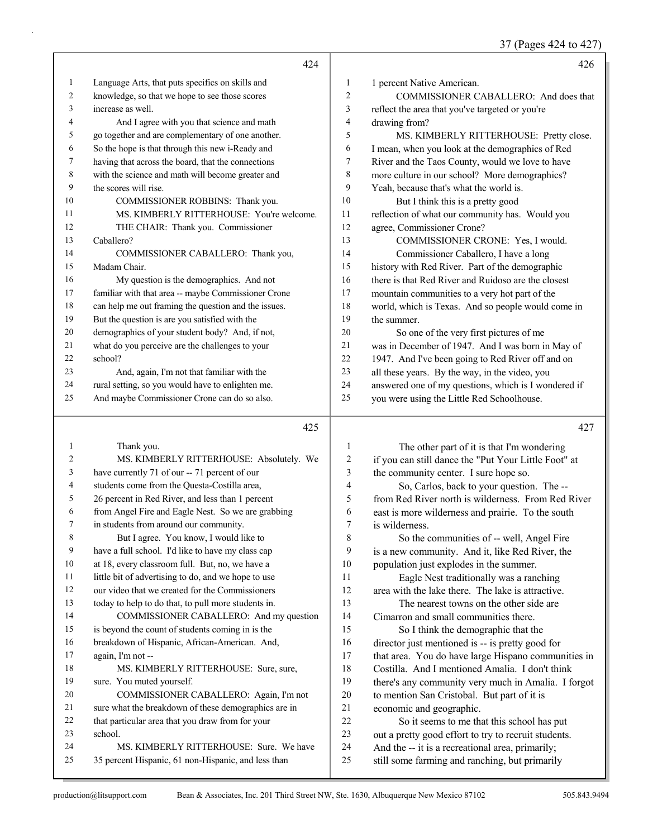37 (Pages 424 to 427)

|    | 42.4                                                 |    | 426                                                  |
|----|------------------------------------------------------|----|------------------------------------------------------|
| 1  | Language Arts, that puts specifics on skills and     | 1  | 1 percent Native American.                           |
| 2  | knowledge, so that we hope to see those scores       | 2  | COMMISSIONER CABALLERO: And does that                |
| 3  | increase as well.                                    | 3  | reflect the area that you've targeted or you're      |
| 4  | And I agree with you that science and math           | 4  | drawing from?                                        |
| 5  | go together and are complementary of one another.    | 5  | MS. KIMBERLY RITTERHOUSE: Pretty close.              |
| 6  | So the hope is that through this new i-Ready and     | 6  | I mean, when you look at the demographics of Red     |
| 7  | having that across the board, that the connections   | 7  | River and the Taos County, would we love to have     |
| 8  | with the science and math will become greater and    | 8  | more culture in our school? More demographics?       |
| 9  | the scores will rise.                                | 9  | Yeah, because that's what the world is.              |
| 10 | COMMISSIONER ROBBINS: Thank you.                     | 10 | But I think this is a pretty good                    |
| 11 | MS. KIMBERLY RITTERHOUSE: You're welcome.            | 11 | reflection of what our community has. Would you      |
| 12 | THE CHAIR: Thank you. Commissioner                   | 12 | agree, Commissioner Crone?                           |
| 13 | Caballero?                                           | 13 | COMMISSIONER CRONE: Yes, I would.                    |
| 14 | COMMISSIONER CABALLERO: Thank you,                   | 14 | Commissioner Caballero, I have a long                |
| 15 | Madam Chair.                                         | 15 | history with Red River. Part of the demographic      |
| 16 | My question is the demographics. And not             | 16 | there is that Red River and Ruidoso are the closest  |
| 17 | familiar with that area -- maybe Commissioner Crone  | 17 | mountain communities to a very hot part of the       |
| 18 | can help me out framing the question and the issues. | 18 | world, which is Texas. And so people would come in   |
| 19 | But the question is are you satisfied with the       | 19 | the summer.                                          |
| 20 | demographics of your student body? And, if not,      | 20 | So one of the very first pictures of me              |
| 21 | what do you perceive are the challenges to your      | 21 | was in December of 1947. And I was born in May of    |
| 22 | school?                                              | 22 | 1947. And I've been going to Red River off and on    |
| 23 | And, again, I'm not that familiar with the           | 23 | all these years. By the way, in the video, you       |
| 24 | rural setting, so you would have to enlighten me.    | 24 | answered one of my questions, which is I wondered if |
| 25 | And maybe Commissioner Crone can do so also.         | 25 | you were using the Little Red Schoolhouse.           |

## 

| 1  | Thank you.                                           | 1              | The other part of it is that I'm wondering           |
|----|------------------------------------------------------|----------------|------------------------------------------------------|
| 2  | MS. KIMBERLY RITTERHOUSE: Absolutely. We             | 2              | if you can still dance the "Put Your Little Foot" at |
| 3  | have currently 71 of our -- 71 percent of our        | 3              | the community center. I sure hope so.                |
| 4  | students come from the Questa-Costilla area,         | $\overline{4}$ | So, Carlos, back to your question. The --            |
| 5  | 26 percent in Red River, and less than 1 percent     | 5              | from Red River north is wilderness. From Red River   |
| 6  | from Angel Fire and Eagle Nest. So we are grabbing   | 6              | east is more wilderness and prairie. To the south    |
| 7  | in students from around our community.               | 7              | is wilderness.                                       |
| 8  | But I agree. You know, I would like to               | 8              | So the communities of -- well, Angel Fire            |
| 9  | have a full school. I'd like to have my class cap    | 9              | is a new community. And it, like Red River, the      |
| 10 | at 18, every classroom full. But, no, we have a      | 10             | population just explodes in the summer.              |
| 11 | little bit of advertising to do, and we hope to use  | 11             | Eagle Nest traditionally was a ranching              |
| 12 | our video that we created for the Commissioners      | 12             | area with the lake there. The lake is attractive.    |
| 13 | today to help to do that, to pull more students in.  | 13             | The nearest towns on the other side are              |
| 14 | COMMISSIONER CABALLERO: And my question              | 14             | Cimarron and small communities there.                |
| 15 | is beyond the count of students coming in is the     | 15             | So I think the demographic that the                  |
| 16 | breakdown of Hispanic, African-American. And,        | 16             | director just mentioned is -- is pretty good for     |
| 17 | again, I'm not --                                    | 17             | that area. You do have large Hispano communities in  |
| 18 | MS. KIMBERLY RITTERHOUSE: Sure, sure,                | 18             | Costilla. And I mentioned Amalia. I don't think      |
| 19 | sure. You muted yourself.                            | 19             | there's any community very much in Amalia. I forgot  |
| 20 | COMMISSIONER CABALLERO: Again, I'm not               | 20             | to mention San Cristobal. But part of it is          |
| 21 | sure what the breakdown of these demographics are in | 21             | economic and geographic.                             |
| 22 | that particular area that you draw from for your     | 22             | So it seems to me that this school has put           |
| 23 | school.                                              | 23             | out a pretty good effort to try to recruit students. |
| 24 | MS. KIMBERLY RITTERHOUSE: Sure. We have              | 24             | And the -- it is a recreational area, primarily;     |
| 25 | 35 percent Hispanic, 61 non-Hispanic, and less than  | 25             | still some farming and ranching, but primarily       |
|    |                                                      |                |                                                      |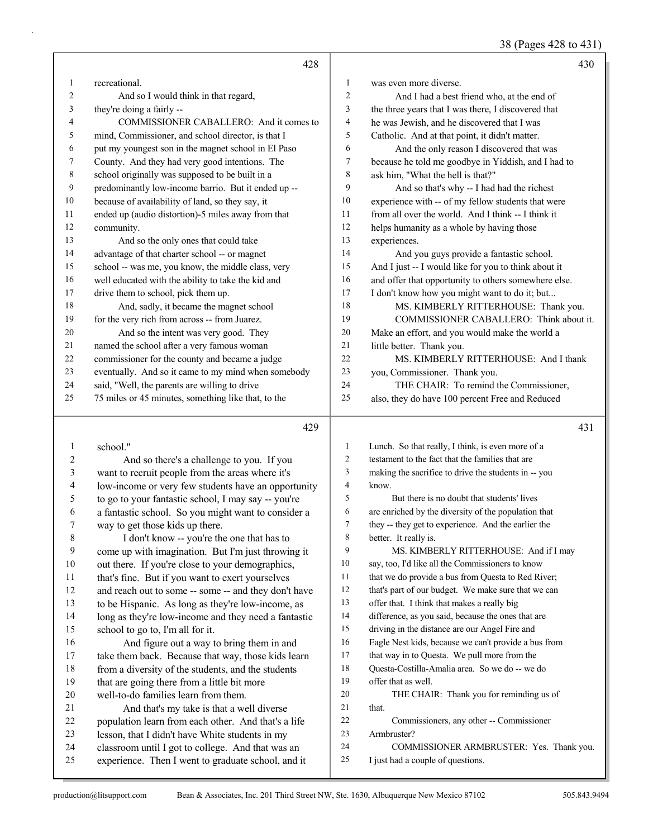(Pages  $428$  to  $431$ )

|    |                                                      |                          | 38 (Pages 428 to 431)                                |
|----|------------------------------------------------------|--------------------------|------------------------------------------------------|
|    | 428                                                  |                          | 430                                                  |
| 1  | recreational.                                        | 1                        | was even more diverse.                               |
| 2  | And so I would think in that regard,                 | $\mathbf{2}$             | And I had a best friend who, at the end of           |
| 3  | they're doing a fairly --                            | 3                        | the three years that I was there, I discovered that  |
| 4  | COMMISSIONER CABALLERO: And it comes to              | $\overline{\mathcal{A}}$ | he was Jewish, and he discovered that I was          |
| 5  | mind, Commissioner, and school director, is that I   | 5                        | Catholic. And at that point, it didn't matter.       |
| 6  | put my youngest son in the magnet school in El Paso  | 6                        | And the only reason I discovered that was            |
| 7  | County. And they had very good intentions. The       | $\tau$                   | because he told me goodbye in Yiddish, and I had to  |
| 8  | school originally was supposed to be built in a      | $\,$ $\,$                | ask him, "What the hell is that?"                    |
| 9  | predominantly low-income barrio. But it ended up --  | 9                        | And so that's why -- I had had the richest           |
| 10 | because of availability of land, so they say, it     | 10                       | experience with -- of my fellow students that were   |
| 11 | ended up (audio distortion)-5 miles away from that   | 11                       | from all over the world. And I think -- I think it   |
| 12 | community.                                           | 12                       | helps humanity as a whole by having those            |
| 13 | And so the only ones that could take                 | 13                       | experiences.                                         |
| 14 | advantage of that charter school -- or magnet        | 14                       | And you guys provide a fantastic school.             |
| 15 | school -- was me, you know, the middle class, very   | 15                       | And I just -- I would like for you to think about it |
| 16 | well educated with the ability to take the kid and   | 16                       | and offer that opportunity to others somewhere else. |
| 17 | drive them to school, pick them up.                  | 17                       | I don't know how you might want to do it; but        |
| 18 | And, sadly, it became the magnet school              | 18                       | MS. KIMBERLY RITTERHOUSE: Thank you.                 |
| 19 | for the very rich from across -- from Juarez.        | 19                       | COMMISSIONER CABALLERO: Think about it.              |
| 20 | And so the intent was very good. They                | 20                       | Make an effort, and you would make the world a       |
| 21 | named the school after a very famous woman           | 21                       | little better. Thank you.                            |
| 22 | commissioner for the county and became a judge       | 22                       | MS. KIMBERLY RITTERHOUSE: And I thank                |
| 23 | eventually. And so it came to my mind when somebody  | 23                       | you, Commissioner. Thank you.                        |
| 24 | said, "Well, the parents are willing to drive        | 24                       | THE CHAIR: To remind the Commissioner,               |
| 25 | 75 miles or 45 minutes, something like that, to the  | 25                       | also, they do have 100 percent Free and Reduced      |
|    | 429                                                  |                          | 431                                                  |
| 1  | school."                                             | $\mathbf{1}$             | Lunch. So that really, I think, is even more of a    |
| 2  | And so there's a challenge to you. If you            | $\overline{2}$           | testament to the fact that the families that are     |
| 3  | want to recruit people from the areas where it's     | 3                        | making the sacrifice to drive the students in -- you |
| 4  | low-income or very few students have an opportunity  | $\overline{4}$           | know.                                                |
| 5  | to go to your fantastic school, I may say -- you're  | 5                        | But there is no doubt that students' lives           |
| 6  | a fantastic school. So you might want to consider a  | 6                        | are enriched by the diversity of the population that |
| 7  | way to get those kids up there.                      | 7                        | they -- they get to experience. And the earlier the  |
| 8  | I don't know -- you're the one that has to           | 8                        | better. It really is.                                |
| 9  | come up with imagination. But I'm just throwing it   | 9                        | MS. KIMBERLY RITTERHOUSE: And if I may               |
| 10 | out there. If you're close to your demographics,     | 10                       | say, too, I'd like all the Commissioners to know     |
| 11 | that's fine. But if you want to exert yourselves     | 11                       | that we do provide a bus from Questa to Red River;   |
| 12 | and reach out to some -- some -- and they don't have | 12                       | that's part of our budget. We make sure that we can  |
| 13 | to be Hispanic. As long as they're low-income, as    | 13                       | offer that. I think that makes a really big          |
| 14 | long as they're low-income and they need a fantastic | 14                       | difference, as you said, because the ones that are   |
| 15 | school to go to, I'm all for it.                     | 15                       | driving in the distance are our Angel Fire and       |
| 16 | And figure out a way to bring them in and            | 16                       | Eagle Nest kids, because we can't provide a bus from |
| 17 | take them back. Because that way, those kids learn   | 17                       | that way in to Questa. We pull more from the         |
| 18 | from a diversity of the students, and the students   | 18                       | Questa-Costilla-Amalia area. So we do -- we do       |
| 19 | that are going there from a little bit more          | 19                       | offer that as well.                                  |
| 20 | well-to-do families learn from them.                 | 20                       | THE CHAIR: Thank you for reminding us of             |
| 21 | And that's my take is that a well diverse            | 21                       | that.                                                |

- 21 And that's my take is that a well diverse population learn from each other. And that's a life
- lesson, that I didn't have White students in my
- classroom until I got to college. And that was an
- experience. Then I went to graduate school, and it

Armbruster?

I just had a couple of questions.

22 Commissioners, any other -- Commissioner

24 COMMISSIONER ARMBRUSTER: Yes. Thank you.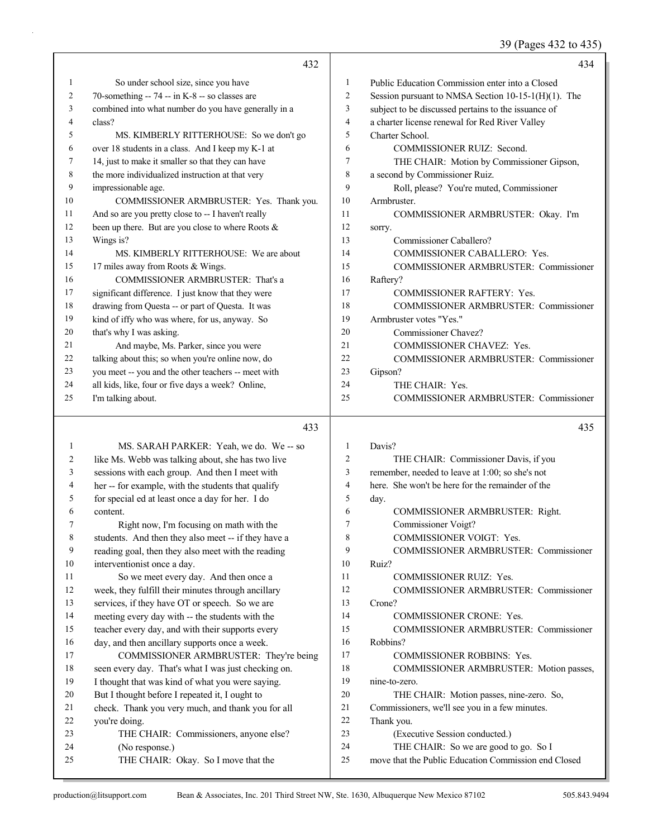39 (Pages 432 to 435)

|    |                                                      |                | 39 (Pages 432 to 433                                |
|----|------------------------------------------------------|----------------|-----------------------------------------------------|
|    | 432                                                  |                | 434                                                 |
| 1  | So under school size, since you have                 | 1              | Public Education Commission enter into a Closed     |
| 2  | 70-something -- 74 -- in K-8 -- so classes are       | $\overline{2}$ | Session pursuant to NMSA Section 10-15-1(H)(1). The |
| 3  | combined into what number do you have generally in a | 3              | subject to be discussed pertains to the issuance of |
| 4  | class?                                               | 4              | a charter license renewal for Red River Valley      |
| 5  | MS. KIMBERLY RITTERHOUSE: So we don't go             | 5              | Charter School.                                     |
| 6  | over 18 students in a class. And I keep my K-1 at    | 6              | <b>COMMISSIONER RUIZ: Second.</b>                   |
| 7  | 14, just to make it smaller so that they can have    | 7              | THE CHAIR: Motion by Commissioner Gipson,           |
| 8  | the more individualized instruction at that very     | 8              | a second by Commissioner Ruiz.                      |
| 9  | impressionable age.                                  | 9              | Roll, please? You're muted, Commissioner            |
| 10 | COMMISSIONER ARMBRUSTER: Yes. Thank you.             | 10             | Armbruster.                                         |
| 11 | And so are you pretty close to -- I haven't really   | 11             | COMMISSIONER ARMBRUSTER: Okay. I'm                  |
| 12 | been up there. But are you close to where Roots &    | 12             | sorry.                                              |
| 13 | Wings is?                                            | 13             | Commissioner Caballero?                             |
| 14 | MS. KIMBERLY RITTERHOUSE: We are about               | 14             | <b>COMMISSIONER CABALLERO: Yes.</b>                 |
| 15 | 17 miles away from Roots & Wings.                    | 15             | <b>COMMISSIONER ARMBRUSTER: Commissioner</b>        |
| 16 | COMMISSIONER ARMBRUSTER: That's a                    | 16             | Raftery?                                            |
| 17 | significant difference. I just know that they were   | 17             | <b>COMMISSIONER RAFTERY: Yes.</b>                   |
| 18 | drawing from Questa -- or part of Questa. It was     | 18             | COMMISSIONER ARMBRUSTER: Commissioner               |
| 19 | kind of iffy who was where, for us, anyway. So       | 19             | Armbruster votes "Yes."                             |
| 20 | that's why I was asking.                             | 20             | Commissioner Chavez?                                |
| 21 | And maybe, Ms. Parker, since you were                | 21             | COMMISSIONER CHAVEZ: Yes.                           |
| 22 | talking about this; so when you're online now, do    | 22             | COMMISSIONER ARMBRUSTER: Commissioner               |
| 23 | you meet -- you and the other teachers -- meet with  | 23             | Gipson?                                             |
| 24 | all kids, like, four or five days a week? Online,    | 24             | THE CHAIR: Yes.                                     |
| 25 | I'm talking about.                                   | 25             | COMMISSIONER ARMBRUSTER: Commissioner               |
|    | 433                                                  |                | 435                                                 |
| 1  | MS. SARAH PARKER: Yeah, we do. We -- so              | 1              | Davis?                                              |
| 2  | like Ms. Webb was talking about, she has two live    | 2              | THE CHAIR: Commissioner Davis, if you               |
| 3  | sessions with each group. And then I meet with       | 3              | remember, needed to leave at 1:00; so she's not     |
| 4  | her -- for example, with the students that qualify   | $\overline{4}$ | here. She won't be here for the remainder of the    |
| 5  | for special ed at least once a day for her. I do     | 5              | day.                                                |
| 6  | content.                                             | 6              | COMMISSIONER ARMBRUSTER: Right.                     |
| 7  | Right now, I'm focusing on math with the             | 7              | Commissioner Voigt?                                 |
| 8  | students. And then they also meet -- if they have a  | 8              | COMMISSIONER VOIGT: Yes.                            |
| 9  | reading goal, then they also meet with the reading   | 9              | COMMISSIONER ARMBRUSTER: Commissioner               |
| 10 | interventionist once a day.                          | 10             | Ruiz?                                               |
| 11 | So we meet every day. And then once a                | 11             | COMMISSIONER RUIZ: Yes.                             |
| 12 | week, they fulfill their minutes through ancillary   | 12             | COMMISSIONER ARMBRUSTER: Commissioner               |
| 13 | services, if they have OT or speech. So we are       | 13             | Crone?                                              |
| 14 | meeting every day with -- the students with the      | 14             | COMMISSIONER CRONE: Yes.                            |
| 15 | teacher every day, and with their supports every     | 15             | COMMISSIONER ARMBRUSTER: Commissioner               |
| 16 | day, and then ancillary supports once a week.        | 16             | Robbins?                                            |
| 17 | COMMISSIONER ARMBRUSTER: They're being               | 17             | COMMISSIONER ROBBINS: Yes.                          |
| 18 | seen every day. That's what I was just checking on.  | 18             | COMMISSIONER ARMBRUSTER: Motion passes,             |
| 19 | I thought that was kind of what you were saying.     | 19             | nine-to-zero.                                       |
| 20 | But I thought before I repeated it, I ought to       | 20             | THE CHAIR: Motion passes, nine-zero. So,            |

- 21 Commissioners, we'll see you in a few minutes.
- 22 Thank you.
- 23 (Executive Session conducted.)
- 24 THE CHAIR: So we are good to go. So I
- 25 move that the Public Education Commission end Closed

22 you're doing.<br>23 THE C

24 (No response.)

21 check. Thank you very much, and thank you for all

25 THE CHAIR: Okay. So I move that the

THE CHAIR: Commissioners, anyone else?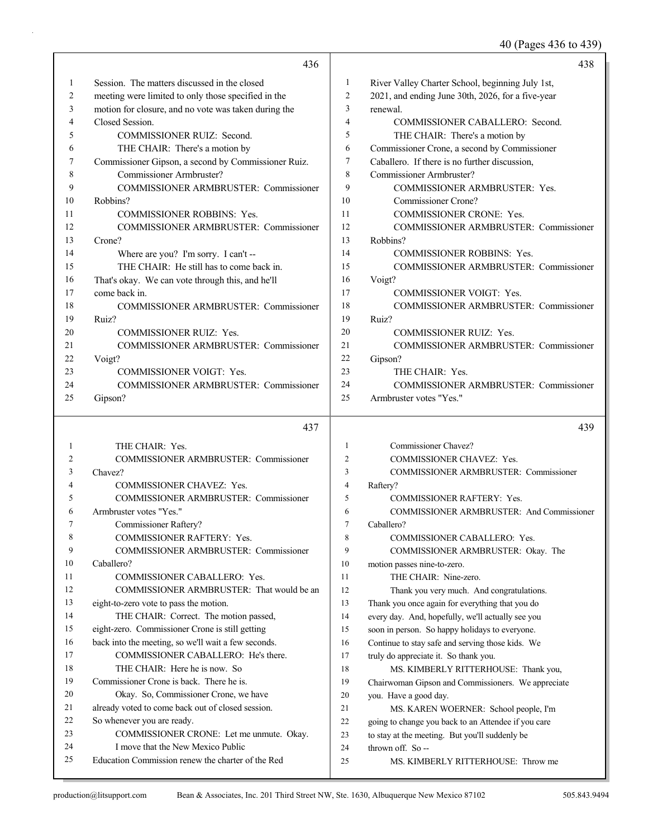40 (Pages 436 to 439)

|    |                                                      |                          | $70 \text{ (1 gcs } 70 \text{ w } 70)$            |
|----|------------------------------------------------------|--------------------------|---------------------------------------------------|
|    | 436                                                  |                          | 438                                               |
| 1  | Session. The matters discussed in the closed         | 1                        | River Valley Charter School, beginning July 1st,  |
| 2  | meeting were limited to only those specified in the  | $\overline{c}$           | 2021, and ending June 30th, 2026, for a five-year |
| 3  | motion for closure, and no vote was taken during the | 3                        | renewal.                                          |
| 4  | Closed Session.                                      | $\overline{4}$           | COMMISSIONER CABALLERO: Second.                   |
| 5  | COMMISSIONER RUIZ: Second.                           | $\mathfrak s$            | THE CHAIR: There's a motion by                    |
| 6  | THE CHAIR: There's a motion by                       | 6                        | Commissioner Crone, a second by Commissioner      |
| 7  | Commissioner Gipson, a second by Commissioner Ruiz.  | 7                        | Caballero. If there is no further discussion,     |
| 8  | Commissioner Armbruster?                             | 8                        | Commissioner Armbruster?                          |
| 9  | COMMISSIONER ARMBRUSTER: Commissioner                | 9                        | COMMISSIONER ARMBRUSTER: Yes.                     |
| 10 | Robbins?                                             | 10                       | Commissioner Crone?                               |
| 11 | COMMISSIONER ROBBINS: Yes.                           | 11                       | COMMISSIONER CRONE: Yes.                          |
| 12 | COMMISSIONER ARMBRUSTER: Commissioner                | 12                       | COMMISSIONER ARMBRUSTER: Commissioner             |
| 13 | Crone?                                               | 13                       | Robbins?                                          |
| 14 | Where are you? I'm sorry. I can't --                 | 14                       | COMMISSIONER ROBBINS: Yes.                        |
| 15 | THE CHAIR: He still has to come back in.             | 15                       | <b>COMMISSIONER ARMBRUSTER: Commissioner</b>      |
| 16 | That's okay. We can vote through this, and he'll     | 16                       | Voigt?                                            |
| 17 | come back in.                                        | 17                       | <b>COMMISSIONER VOIGT: Yes.</b>                   |
| 18 | <b>COMMISSIONER ARMBRUSTER: Commissioner</b>         | 18                       | COMMISSIONER ARMBRUSTER: Commissioner             |
| 19 | Ruiz?                                                | 19                       | Ruiz?                                             |
| 20 | <b>COMMISSIONER RUIZ: Yes.</b>                       | 20                       | <b>COMMISSIONER RUIZ: Yes.</b>                    |
| 21 | COMMISSIONER ARMBRUSTER: Commissioner                | 21                       | <b>COMMISSIONER ARMBRUSTER: Commissioner</b>      |
| 22 | Voigt?                                               | 22                       | Gipson?                                           |
| 23 | <b>COMMISSIONER VOIGT: Yes.</b>                      | 23                       | THE CHAIR: Yes.                                   |
| 24 | COMMISSIONER ARMBRUSTER: Commissioner                | 24                       | COMMISSIONER ARMBRUSTER: Commissioner             |
| 25 | Gipson?                                              | 25                       | Armbruster votes "Yes."                           |
|    | 437                                                  |                          | 439                                               |
| 1  | THE CHAIR: Yes.                                      | 1                        | Commissioner Chavez?                              |
| 2  | COMMISSIONER ARMBRUSTER: Commissioner                | $\overline{c}$           | COMMISSIONER CHAVEZ: Yes.                         |
| 3  | Chavez?                                              | 3                        | COMMISSIONER ARMBRUSTER: Commissioner             |
| 4  | <b>COMMISSIONER CHAVEZ: Yes.</b>                     | $\overline{\mathcal{A}}$ | Raftery?                                          |
| 5  | COMMISSIONER ARMBRUSTER: Commissioner                | 5                        | <b>COMMISSIONER RAFTERY: Yes.</b>                 |
| 6  | Armbruster votes "Yes."                              | 6                        | <b>COMMISSIONER ARMBRUSTER: And Commissioner</b>  |
|    | Commissioner Raftery?                                | 7                        | Caballero?                                        |
| 8  | COMMISSIONER RAFTERY: Yes.                           | 8                        | COMMISSIONER CABALLERO: Yes.                      |
| 9  | <b>COMMISSIONER ARMBRUSTER: Commissioner</b>         | 9                        | COMMISSIONER ARMBRUSTER: Okay. The                |
| 10 | Caballero?                                           | 10                       | motion passes nine-to-zero.                       |
| 11 | <b>COMMISSIONER CABALLERO: Yes.</b>                  | 11                       | THE CHAIR: Nine-zero.                             |
| 12 | COMMISSIONER ARMBRUSTER: That would be an            | 12                       | Thank you very much. And congratulations.         |
| 13 | eight-to-zero vote to pass the motion.               | 13                       | Thank you once again for everything that you do   |
| 14 | THE CHAIR: Correct. The motion passed,               | 14                       | every day. And, hopefully, we'll actually see you |
| 15 | eight-zero. Commissioner Crone is still getting      | 15                       | soon in person. So happy holidays to everyone.    |
| 16 | back into the meeting, so we'll wait a few seconds.  | 16                       | Continue to stay safe and serving those kids. We  |
|    |                                                      |                          |                                                   |

17 COMMISSIONER CABALLERO: He's there. 18 THE CHAIR: Here he is now. So 19 Commissioner Crone is back. There he is. 20 Okay. So, Commissioner Crone, we have 21 already voted to come back out of closed session. 22 So whenever you are ready. 23 COMMISSIONER CRONE: Let me unmute. Okay. 24 I move that the New Mexico Public 25 Education Commission renew the charter of the Red 17 truly do appreciate it. So thank you. 18 MS. KIMBERLY RITTERHOUSE: Thank you, 19 Chairwoman Gipson and Commissioners. We appreciate 20 you. Have a good day. 21 MS. KAREN WOERNER: School people, I'm 22 going to change you back to an Attendee if you care 23 to stay at the meeting. But you'll suddenly be 24 thrown off. So -- 25 MS. KIMBERLY RITTERHOUSE: Throw me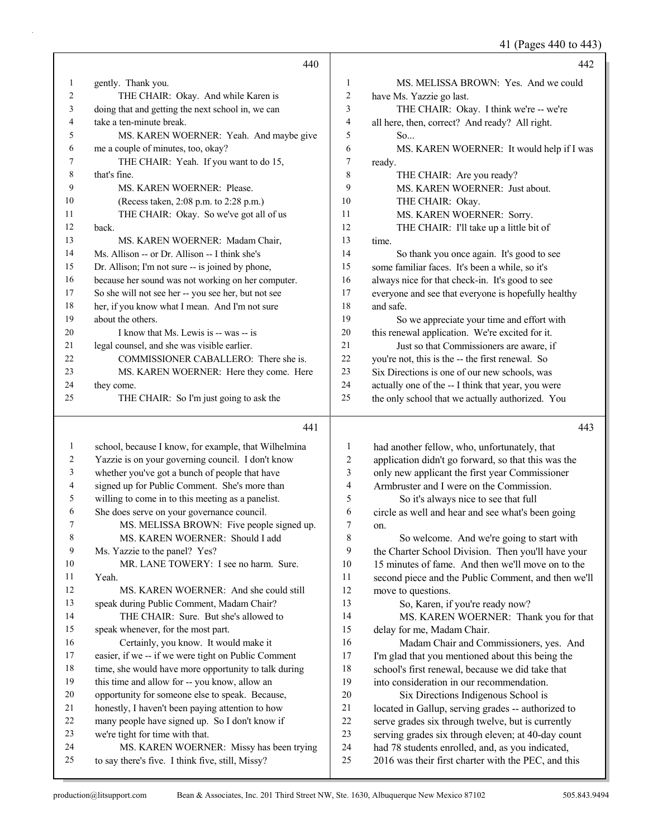41 (Pages 440 to 443)

|    | 440                                                  |                | 442                                                                           |
|----|------------------------------------------------------|----------------|-------------------------------------------------------------------------------|
| 1  | gently. Thank you.                                   | 1              | MS. MELISSA BROWN: Yes. And we could                                          |
| 2  | THE CHAIR: Okay. And while Karen is                  | 2              | have Ms. Yazzie go last.                                                      |
| 3  | doing that and getting the next school in, we can    | 3              | THE CHAIR: Okay. I think we're -- we're                                       |
| 4  | take a ten-minute break.                             | $\overline{4}$ | all here, then, correct? And ready? All right.                                |
| 5  | MS. KAREN WOERNER: Yeah. And maybe give              | 5              | So                                                                            |
| 6  | me a couple of minutes, too, okay?                   | 6              | MS. KAREN WOERNER: It would help if I was                                     |
| 7  | THE CHAIR: Yeah. If you want to do 15,               | 7              | ready.                                                                        |
| 8  | that's fine.                                         | 8              | THE CHAIR: Are you ready?                                                     |
| 9  | MS. KAREN WOERNER: Please.                           | 9              | MS. KAREN WOERNER: Just about.                                                |
| 10 | (Recess taken, 2:08 p.m. to 2:28 p.m.)               | 10             | THE CHAIR: Okay.                                                              |
| 11 | THE CHAIR: Okay. So we've got all of us              | 11             | MS. KAREN WOERNER: Sorry.                                                     |
| 12 | back.                                                | 12             | THE CHAIR: I'll take up a little bit of                                       |
| 13 | MS. KAREN WOERNER: Madam Chair,                      | 13             | time.                                                                         |
| 14 | Ms. Allison -- or Dr. Allison -- I think she's       | 14             | So thank you once again. It's good to see                                     |
| 15 | Dr. Allison; I'm not sure -- is joined by phone,     | 15             | some familiar faces. It's been a while, so it's                               |
| 16 | because her sound was not working on her computer.   | 16             | always nice for that check-in. It's good to see                               |
| 17 | So she will not see her -- you see her, but not see  | 17             | everyone and see that everyone is hopefully healthy                           |
| 18 | her, if you know what I mean. And I'm not sure       | 18             | and safe.                                                                     |
| 19 | about the others.                                    | 19             | So we appreciate your time and effort with                                    |
| 20 | I know that Ms. Lewis is -- was -- is                | 20             | this renewal application. We're excited for it.                               |
| 21 | legal counsel, and she was visible earlier.          | 21             | Just so that Commissioners are aware, if                                      |
| 22 | COMMISSIONER CABALLERO: There she is.                | 22             | you're not, this is the -- the first renewal. So                              |
| 23 | MS. KAREN WOERNER: Here they come. Here              | 23             | Six Directions is one of our new schools, was                                 |
| 24 | they come.                                           | 24             | actually one of the -- I think that year, you were                            |
| 25 | THE CHAIR: So I'm just going to ask the              | 25             | the only school that we actually authorized. You                              |
|    | 441                                                  |                | 443                                                                           |
| 1  | school, because I know, for example, that Wilhelmina | 1              | had another fellow, who, unfortunately, that                                  |
| 2  | Yazzie is on your governing council. I don't know    | 2              | application didn't go forward, so that this was the                           |
| 3  | whether you've got a bunch of people that have       | 3              | only new applicant the first year Commissioner                                |
| 4  | signed up for Public Comment. She's more than        | 4              | Armbruster and I were on the Commission.                                      |
|    |                                                      |                | $\alpha$ is the set of $\alpha$ in the set of $\alpha$ is the set of $\alpha$ |

 willing to come in to this meeting as a panelist. She does serve on your governance council.

| ν  | SHE GOES SETVE OIL YOUL GOVELHANCE COUNCIL.          |
|----|------------------------------------------------------|
| 7  | MS. MELISSA BROWN: Five people signed up.            |
| 8  | MS. KAREN WOERNER: Should I add                      |
| 9  | Ms. Yazzie to the panel? Yes?                        |
| 10 | MR. LANE TOWERY: I see no harm. Sure.                |
| 11 | Yeah.                                                |
| 12 | MS. KAREN WOERNER: And she could still               |
| 13 | speak during Public Comment, Madam Chair?            |
| 14 | THE CHAIR: Sure. But she's allowed to                |
| 15 | speak whenever, for the most part.                   |
| 16 | Certainly, you know. It would make it                |
| 17 | easier, if we -- if we were tight on Public Comment  |
| 18 | time, she would have more opportunity to talk during |
| 19 | this time and allow for -- you know, allow an        |
| 20 | opportunity for someone else to speak. Because,      |
| 21 | honestly, I haven't been paying attention to how     |
| 22 | many people have signed up. So I don't know if       |
| 23 | we're tight for time with that.                      |
| 24 | MS. KAREN WOERNER: Missy has been trying             |

to say there's five. I think five, still, Missy?

5 So it's always nice to see that full circle as well and hear and see what's been going on.

8 So welcome. And we're going to start with the Charter School Division. Then you'll have your 15 minutes of fame. And then we'll move on to the second piece and the Public Comment, and then we'll move to questions.

13 So, Karen, if you're ready now? 14 MS. KAREN WOERNER: Thank you for that delay for me, Madam Chair.

16 Madam Chair and Commissioners, yes. And I'm glad that you mentioned about this being the school's first renewal, because we did take that into consideration in our recommendation. 20 Six Directions Indigenous School is

located in Gallup, serving grades -- authorized to

- serve grades six through twelve, but is currently
- serving grades six through eleven; at 40-day count had 78 students enrolled, and, as you indicated,
- 25 2016 was their first charter with the PEC, and this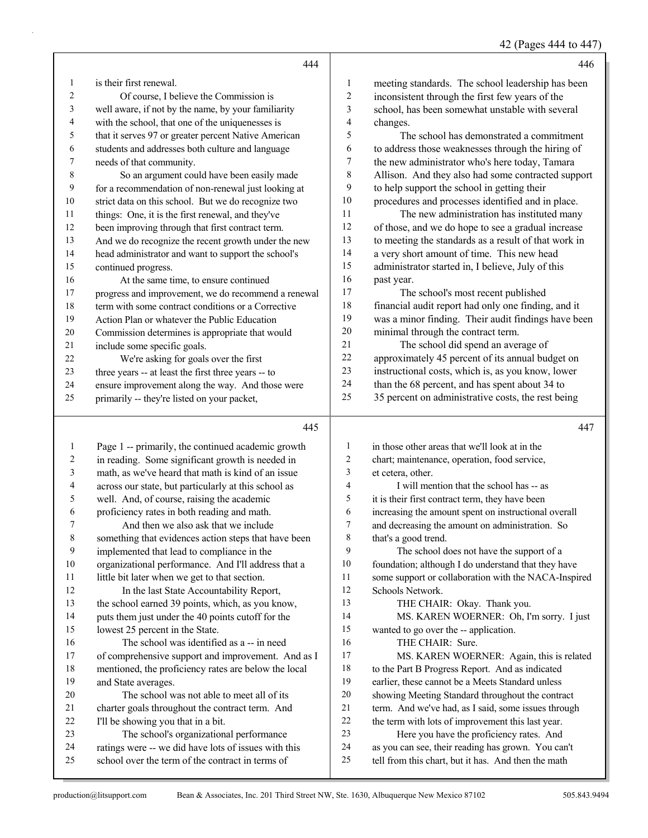|  | 42 (Pages 444 to 447) |  |  |  |
|--|-----------------------|--|--|--|
|--|-----------------------|--|--|--|

|                | 444                                                                                             |                          | 446                                                                                                     |
|----------------|-------------------------------------------------------------------------------------------------|--------------------------|---------------------------------------------------------------------------------------------------------|
| 1              | is their first renewal.                                                                         | 1                        | meeting standards. The school leadership has been                                                       |
| $\overline{c}$ | Of course, I believe the Commission is                                                          | $\overline{c}$           | inconsistent through the first few years of the                                                         |
| 3              | well aware, if not by the name, by your familiarity                                             | 3                        | school, has been somewhat unstable with several                                                         |
| 4              | with the school, that one of the uniquenesses is                                                | $\overline{\mathcal{L}}$ | changes.                                                                                                |
| 5              | that it serves 97 or greater percent Native American                                            | 5                        | The school has demonstrated a commitment                                                                |
| 6              | students and addresses both culture and language                                                | 6                        | to address those weaknesses through the hiring of                                                       |
| 7              | needs of that community.                                                                        | $\boldsymbol{7}$         | the new administrator who's here today, Tamara                                                          |
| $\,8\,$        | So an argument could have been easily made                                                      | 8                        | Allison. And they also had some contracted support                                                      |
| 9              | for a recommendation of non-renewal just looking at                                             | 9                        | to help support the school in getting their                                                             |
| 10             | strict data on this school. But we do recognize two                                             | 10                       | procedures and processes identified and in place.                                                       |
| 11             | things: One, it is the first renewal, and they've                                               | 11                       | The new administration has instituted many                                                              |
| 12             | been improving through that first contract term.                                                | 12                       | of those, and we do hope to see a gradual increase                                                      |
| 13             | And we do recognize the recent growth under the new                                             | 13                       | to meeting the standards as a result of that work in                                                    |
| 14             | head administrator and want to support the school's                                             | 14                       | a very short amount of time. This new head                                                              |
| 15             | continued progress.                                                                             | 15                       | administrator started in, I believe, July of this                                                       |
| 16             | At the same time, to ensure continued                                                           | 16                       | past year.                                                                                              |
| 17             | progress and improvement, we do recommend a renewal                                             | 17                       | The school's most recent published                                                                      |
| 18             | term with some contract conditions or a Corrective                                              | 18                       | financial audit report had only one finding, and it                                                     |
| 19             | Action Plan or whatever the Public Education                                                    | 19                       | was a minor finding. Their audit findings have been                                                     |
| 20             | Commission determines is appropriate that would                                                 | $20\,$                   | minimal through the contract term.                                                                      |
| 21             | include some specific goals.                                                                    | 21                       | The school did spend an average of                                                                      |
| 22             | We're asking for goals over the first                                                           | $22\,$                   | approximately 45 percent of its annual budget on                                                        |
| 23             | three years -- at least the first three years -- to                                             | 23                       | instructional costs, which is, as you know, lower                                                       |
| 24             | ensure improvement along the way. And those were                                                | 24                       | than the 68 percent, and has spent about 34 to                                                          |
| 25             | primarily -- they're listed on your packet,                                                     | 25                       | 35 percent on administrative costs, the rest being                                                      |
|                |                                                                                                 |                          |                                                                                                         |
|                | 445                                                                                             |                          | 447                                                                                                     |
| $\mathbf{1}$   |                                                                                                 | 1                        | in those other areas that we'll look at in the                                                          |
| 2              | Page 1 -- primarily, the continued academic growth                                              | $\overline{c}$           |                                                                                                         |
| 3              | in reading. Some significant growth is needed in                                                | 3                        | chart; maintenance, operation, food service,                                                            |
| 4              | math, as we've heard that math is kind of an issue                                              | $\overline{4}$           | et cetera, other.<br>I will mention that the school has -- as                                           |
| 5              | across our state, but particularly at this school as                                            | 5                        |                                                                                                         |
| 6              | well. And, of course, raising the academic<br>proficiency rates in both reading and math.       | 6                        | it is their first contract term, they have been<br>increasing the amount spent on instructional overall |
| 7              | And then we also ask that we include                                                            | 7                        | and decreasing the amount on administration. So                                                         |
| $\,$ 8 $\,$    | something that evidences action steps that have been                                            | 8                        | that's a good trend.                                                                                    |
| 9              | implemented that lead to compliance in the                                                      | 9                        | The school does not have the support of a                                                               |
| 10             | organizational performance. And I'll address that a                                             | 10                       | foundation; although I do understand that they have                                                     |
| 11             | little bit later when we get to that section.                                                   | 11                       | some support or collaboration with the NACA-Inspired                                                    |
| 12             | In the last State Accountability Report,                                                        | 12                       | Schools Network.                                                                                        |
| 13             | the school earned 39 points, which, as you know,                                                | 13                       | THE CHAIR: Okay. Thank you.                                                                             |
| 14             | puts them just under the 40 points cutoff for the                                               | 14                       | MS. KAREN WOERNER: Oh, I'm sorry. I just                                                                |
| 15             | lowest 25 percent in the State.                                                                 | 15                       | wanted to go over the -- application.                                                                   |
| 16             | The school was identified as a -- in need                                                       | 16                       | THE CHAIR: Sure.                                                                                        |
| 17             | of comprehensive support and improvement. And as I                                              | 17                       | MS. KAREN WOERNER: Again, this is related                                                               |
| 18             | mentioned, the proficiency rates are below the local                                            | 18                       | to the Part B Progress Report. And as indicated                                                         |
| 19             | and State averages.                                                                             | 19                       | earlier, these cannot be a Meets Standard unless                                                        |
| 20             | The school was not able to meet all of its                                                      | $20\,$                   | showing Meeting Standard throughout the contract                                                        |
| 21             | charter goals throughout the contract term. And                                                 | 21                       | term. And we've had, as I said, some issues through                                                     |
| 22             | I'll be showing you that in a bit.                                                              | 22                       | the term with lots of improvement this last year.                                                       |
| 23<br>24       | The school's organizational performance<br>ratings were -- we did have lots of issues with this | 23<br>24                 | Here you have the proficiency rates. And<br>as you can see, their reading has grown. You can't          |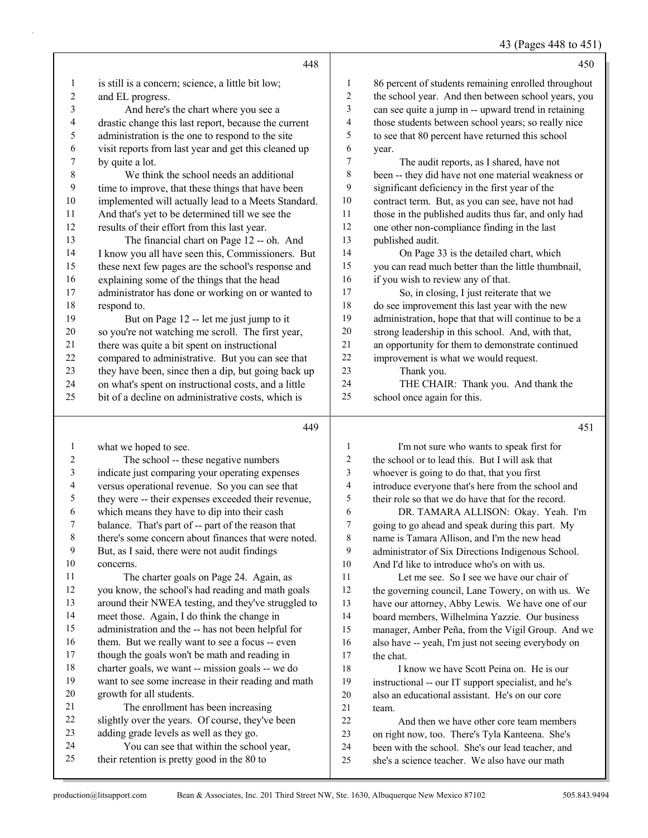43 (Pages 448 to 451)

|                | 448                                                                                 |              | 450                                                                                                  |
|----------------|-------------------------------------------------------------------------------------|--------------|------------------------------------------------------------------------------------------------------|
| 1              | is still is a concern; science, a little bit low;                                   | $\mathbf{1}$ | 86 percent of students remaining enrolled throughout                                                 |
| $\overline{c}$ | and EL progress.                                                                    | 2            | the school year. And then between school years, you                                                  |
| 3              | And here's the chart where you see a                                                | 3            | can see quite a jump in -- upward trend in retaining                                                 |
| 4              | drastic change this last report, because the current                                | 4            | those students between school years; so really nice                                                  |
| 5              | administration is the one to respond to the site                                    | 5            | to see that 80 percent have returned this school                                                     |
| 6              | visit reports from last year and get this cleaned up                                | 6            | year.                                                                                                |
| 7              | by quite a lot.                                                                     | 7            | The audit reports, as I shared, have not                                                             |
| $\,8\,$        | We think the school needs an additional                                             | 8            | been -- they did have not one material weakness or                                                   |
| 9              | time to improve, that these things that have been                                   | 9            | significant deficiency in the first year of the                                                      |
| $10\,$         | implemented will actually lead to a Meets Standard.                                 | $10\,$       | contract term. But, as you can see, have not had                                                     |
| 11             | And that's yet to be determined till we see the                                     | 11           | those in the published audits thus far, and only had                                                 |
| 12             | results of their effort from this last year.                                        | 12           | one other non-compliance finding in the last                                                         |
| 13             | The financial chart on Page 12 -- oh. And                                           | 13           | published audit.                                                                                     |
| 14             | I know you all have seen this, Commissioners. But                                   | 14           | On Page 33 is the detailed chart, which                                                              |
| 15             | these next few pages are the school's response and                                  | 15           | you can read much better than the little thumbnail,                                                  |
| 16             | explaining some of the things that the head                                         | 16           | if you wish to review any of that.                                                                   |
| 17             | administrator has done or working on or wanted to                                   | 17           | So, in closing, I just reiterate that we                                                             |
| 18             | respond to.                                                                         | 18           | do see improvement this last year with the new                                                       |
| 19             | But on Page 12 -- let me just jump to it                                            | 19           | administration, hope that that will continue to be a                                                 |
| $20\,$         | so you're not watching me scroll. The first year,                                   | $20\,$       | strong leadership in this school. And, with that,                                                    |
| 21             | there was quite a bit spent on instructional                                        | 21           | an opportunity for them to demonstrate continued                                                     |
| $22\,$         | compared to administrative. But you can see that                                    | 22           | improvement is what we would request.                                                                |
| 23             | they have been, since then a dip, but going back up                                 | 23<br>24     | Thank you.                                                                                           |
| 24             | on what's spent on instructional costs, and a little                                | 25           | THE CHAIR: Thank you. And thank the                                                                  |
| 25             | bit of a decline on administrative costs, which is                                  |              | school once again for this.                                                                          |
|                |                                                                                     |              |                                                                                                      |
|                | 449                                                                                 |              | 451                                                                                                  |
| 1              | what we hoped to see.                                                               | 1            | I'm not sure who wants to speak first for                                                            |
| $\overline{c}$ | The school -- these negative numbers                                                | 2            | the school or to lead this. But I will ask that                                                      |
| $\mathfrak{Z}$ | indicate just comparing your operating expenses                                     | 3            | whoever is going to do that, that you first                                                          |
| $\overline{4}$ | versus operational revenue. So you can see that                                     | 4            | introduce everyone that's here from the school and                                                   |
| $\mathfrak s$  | they were -- their expenses exceeded their revenue,                                 | 5            | their role so that we do have that for the record.                                                   |
| 6              | which means they have to dip into their cash                                        | 6            | DR. TAMARA ALLISON: Okay. Yeah. I'm                                                                  |
| 7              | balance. That's part of -- part of the reason that                                  | 7            | going to go ahead and speak during this part. My                                                     |
| 8              | there's some concern about finances that were noted.                                | 8            | name is Tamara Allison, and I'm the new head                                                         |
| 9              | But, as I said, there were not audit findings                                       | 9            | administrator of Six Directions Indigenous School.                                                   |
| 10             | concerns.                                                                           | 10           | And I'd like to introduce who's on with us.                                                          |
| 11             | The charter goals on Page 24. Again, as                                             | 11           | Let me see. So I see we have our chair of                                                            |
| 12             | you know, the school's had reading and math goals                                   | 12           | the governing council, Lane Towery, on with us. We                                                   |
| 13             | around their NWEA testing, and they've struggled to                                 | 13           | have our attorney, Abby Lewis. We have one of our                                                    |
| 14             | meet those. Again, I do think the change in                                         | 14           | board members, Wilhelmina Yazzie. Our business                                                       |
| 15             | administration and the -- has not been helpful for                                  | 15           | manager, Amber Peña, from the Vigil Group. And we                                                    |
| 16             | them. But we really want to see a focus -- even                                     | 16           | also have -- yeah, I'm just not seeing everybody on                                                  |
| 17             | though the goals won't be math and reading in                                       | 17           | the chat.                                                                                            |
| 18             | charter goals, we want -- mission goals -- we do                                    | 18           | I know we have Scott Peina on. He is our                                                             |
| 19             | want to see some increase in their reading and math                                 | 19           | instructional -- our IT support specialist, and he's                                                 |
| 20<br>21       | growth for all students.                                                            | $20\,$       | also an educational assistant. He's on our core                                                      |
| 22             | The enrollment has been increasing                                                  | 21           | team.                                                                                                |
| 23             | slightly over the years. Of course, they've been                                    | $22\,$       | And then we have other core team members                                                             |
| 24             | adding grade levels as well as they go.<br>You can see that within the school year, | 23<br>24     | on right now, too. There's Tyla Kanteena. She's<br>been with the school. She's our lead teacher, and |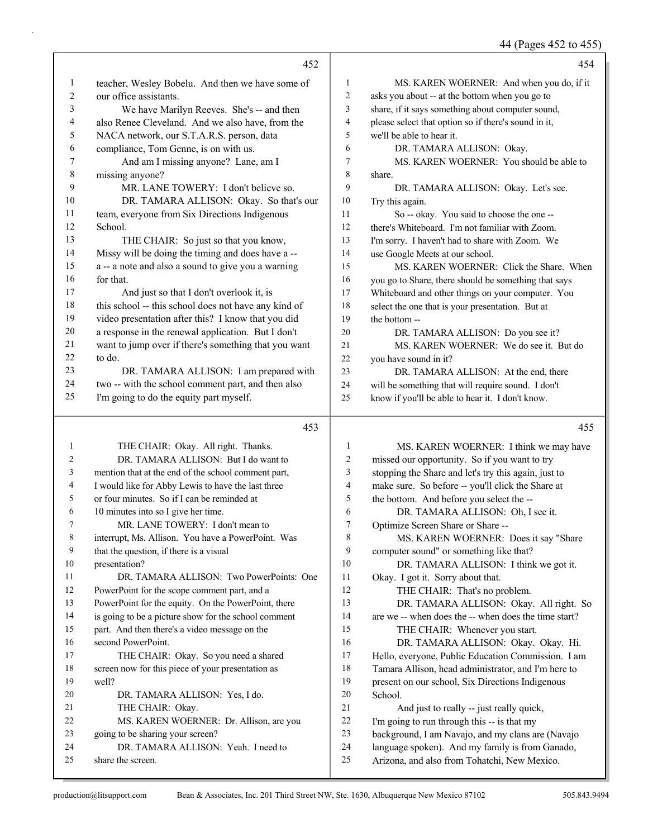44 (Pages 452 to 455)

|                | 452                                                                     |                  | 454                                                                                                  |
|----------------|-------------------------------------------------------------------------|------------------|------------------------------------------------------------------------------------------------------|
| $\mathbf{1}$   | teacher, Wesley Bobelu. And then we have some of                        | 1                | MS. KAREN WOERNER: And when you do, if it                                                            |
| $\overline{c}$ | our office assistants.                                                  | 2                | asks you about -- at the bottom when you go to                                                       |
| 3              | We have Marilyn Reeves. She's -- and then                               | 3                | share, if it says something about computer sound,                                                    |
| 4              | also Renee Cleveland. And we also have, from the                        | 4                | please select that option so if there's sound in it,                                                 |
| 5              | NACA network, our S.T.A.R.S. person, data                               | 5                | we'll be able to hear it.                                                                            |
| 6              | compliance, Tom Genne, is on with us.                                   | 6                | DR. TAMARA ALLISON: Okay.                                                                            |
| 7              | And am I missing anyone? Lane, am I                                     | 7                | MS. KAREN WOERNER: You should be able to                                                             |
| $\,8\,$        | missing anyone?                                                         | 8                | share.                                                                                               |
| 9              | MR. LANE TOWERY: I don't believe so.                                    | 9                | DR. TAMARA ALLISON: Okay. Let's see.                                                                 |
| $10\,$         | DR. TAMARA ALLISON: Okay. So that's our                                 | $10\,$           | Try this again.                                                                                      |
| 11             | team, everyone from Six Directions Indigenous                           | 11               | So -- okay. You said to choose the one --                                                            |
| 12             | School.                                                                 | 12               | there's Whiteboard. I'm not familiar with Zoom.                                                      |
| 13             | THE CHAIR: So just so that you know,                                    | 13               | I'm sorry. I haven't had to share with Zoom. We                                                      |
| 14             | Missy will be doing the timing and does have a --                       | 14               | use Google Meets at our school.                                                                      |
| 15             | a -- a note and also a sound to give you a warning                      | 15               | MS. KAREN WOERNER: Click the Share. When                                                             |
| 16             | for that.                                                               | 16               | you go to Share, there should be something that says                                                 |
| 17             | And just so that I don't overlook it, is                                | 17               | Whiteboard and other things on your computer. You                                                    |
| 18             | this school -- this school does not have any kind of                    | $18\,$           | select the one that is your presentation. But at                                                     |
| 19             | video presentation after this? I know that you did                      | 19               | the bottom --                                                                                        |
| $20\,$         | a response in the renewal application. But I don't                      | 20               | DR. TAMARA ALLISON: Do you see it?                                                                   |
| 21             | want to jump over if there's something that you want                    | 21               | MS. KAREN WOERNER: We do see it. But do                                                              |
| 22             | to do.                                                                  | $22\,$           | you have sound in it?                                                                                |
| 23             | DR. TAMARA ALLISON: I am prepared with                                  | 23               | DR. TAMARA ALLISON: At the end, there                                                                |
| 24             | two -- with the school comment part, and then also                      | 24               | will be something that will require sound. I don't                                                   |
| 25             | I'm going to do the equity part myself.                                 | 25               | know if you'll be able to hear it. I don't know.                                                     |
|                |                                                                         |                  |                                                                                                      |
|                | 453                                                                     |                  | 455                                                                                                  |
| 1              | THE CHAIR: Okay. All right. Thanks.                                     | 1                | MS. KAREN WOERNER: I think we may have                                                               |
| 2              | DR. TAMARA ALLISON: But I do want to                                    | $\sqrt{2}$       | missed our opportunity. So if you want to try                                                        |
| 3              | mention that at the end of the school comment part,                     | 3                | stopping the Share and let's try this again, just to                                                 |
| 4              | I would like for Abby Lewis to have the last three                      | $\overline{4}$   | make sure. So before -- you'll click the Share at                                                    |
| 5              | or four minutes. So if I can be reminded at                             | 5                | the bottom. And before you select the --                                                             |
| 6              | 10 minutes into so I give her time.                                     | 6                | DR. TAMARA ALLISON: Oh, I see it.                                                                    |
| 7              | MR. LANE TOWERY: I don't mean to                                        | 7                | Optimize Screen Share or Share --                                                                    |
| 8              | interrupt, Ms. Allison. You have a PowerPoint. Was                      | 8                | MS. KAREN WOERNER: Does it say "Share                                                                |
| 9              | that the question, if there is a visual                                 | 9                | computer sound" or something like that?                                                              |
| 10             | presentation?                                                           | 10               | DR. TAMARA ALLISON: I think we got it.                                                               |
| 11             | DR. TAMARA ALLISON: Two PowerPoints: One                                | 11               | Okay. I got it. Sorry about that.                                                                    |
| 12             | PowerPoint for the scope comment part, and a                            | 12               | THE CHAIR: That's no problem.                                                                        |
| 13             | PowerPoint for the equity. On the PowerPoint, there                     | 13               | DR. TAMARA ALLISON: Okay. All right. So                                                              |
| 14             | is going to be a picture show for the school comment                    | 14               | are we -- when does the -- when does the time start?                                                 |
| 15             | part. And then there's a video message on the                           | 15               | THE CHAIR: Whenever you start.                                                                       |
| 16             | second PowerPoint.                                                      | 16               | DR. TAMARA ALLISON: Okay. Okay. Hi.                                                                  |
| 17             | THE CHAIR: Okay. So you need a shared                                   | 17               | Hello, everyone, Public Education Commission. I am                                                   |
| 18             | screen now for this piece of your presentation as                       | 18               | Tamara Allison, head administrator, and I'm here to                                                  |
| 19             | well?                                                                   | 19               | present on our school, Six Directions Indigenous                                                     |
| 20<br>21       | DR. TAMARA ALLISON: Yes, I do.                                          | 20               | School.                                                                                              |
| 22             | THE CHAIR: Okay.                                                        | $21\,$<br>$22\,$ | And just to really -- just really quick,                                                             |
| 23             | MS. KAREN WOERNER: Dr. Allison, are you                                 | 23               | I'm going to run through this -- is that my                                                          |
| 24             | going to be sharing your screen?<br>DR. TAMARA ALLISON: Yeah. I need to | $24\,$           | background, I am Navajo, and my clans are (Navajo<br>language spoken). And my family is from Ganado, |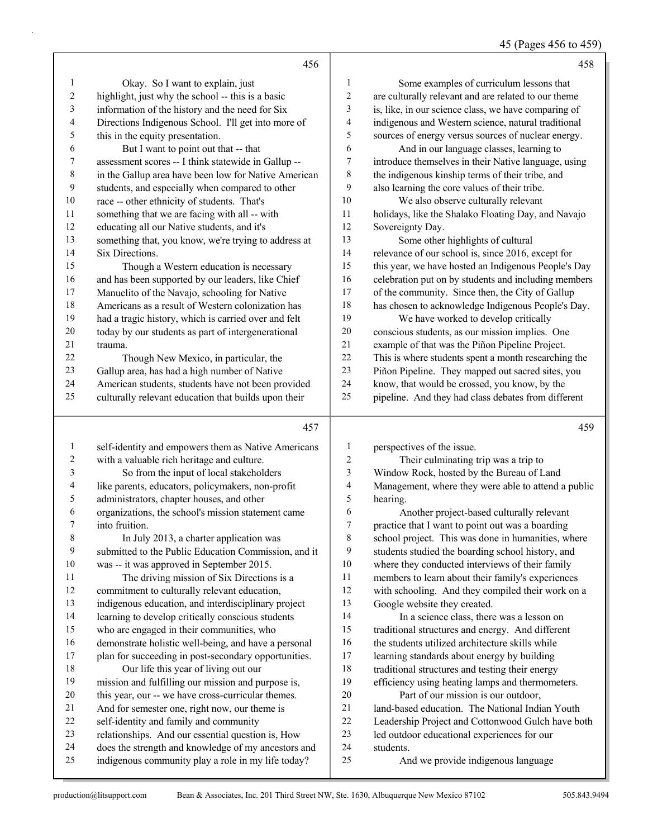45 (Pages 456 to 459)

|                       | 456                                                                                                       |                          | 458                                                  |
|-----------------------|-----------------------------------------------------------------------------------------------------------|--------------------------|------------------------------------------------------|
| 1                     | Okay. So I want to explain, just                                                                          | 1                        | Some examples of curriculum lessons that             |
| $\boldsymbol{2}$      | highlight, just why the school -- this is a basic                                                         | $\sqrt{2}$               | are culturally relevant and are related to our theme |
| $\mathfrak{Z}$        | information of the history and the need for Six                                                           | 3                        | is, like, in our science class, we have comparing of |
| $\overline{4}$        | Directions Indigenous School. I'll get into more of                                                       | $\overline{\mathcal{A}}$ | indigenous and Western science, natural traditional  |
| 5                     | this in the equity presentation.                                                                          | 5                        | sources of energy versus sources of nuclear energy.  |
| 6                     | But I want to point out that -- that                                                                      | 6                        | And in our language classes, learning to             |
| 7                     | assessment scores -- I think statewide in Gallup --                                                       | 7                        | introduce themselves in their Native language, using |
| $\,$ $\,$             | in the Gallup area have been low for Native American                                                      | $\,$ 8 $\,$              | the indigenous kinship terms of their tribe, and     |
| 9                     | students, and especially when compared to other                                                           | $\boldsymbol{9}$         | also learning the core values of their tribe.        |
| $10\,$                | race -- other ethnicity of students. That's                                                               | 10                       | We also observe culturally relevant                  |
| 11                    | something that we are facing with all -- with                                                             | 11                       | holidays, like the Shalako Floating Day, and Navajo  |
| 12                    | educating all our Native students, and it's                                                               | 12                       | Sovereignty Day.                                     |
| 13                    | something that, you know, we're trying to address at                                                      | 13                       | Some other highlights of cultural                    |
| 14                    | Six Directions.                                                                                           | 14                       | relevance of our school is, since 2016, except for   |
| 15                    | Though a Western education is necessary                                                                   | 15                       | this year, we have hosted an Indigenous People's Day |
| 16                    | and has been supported by our leaders, like Chief                                                         | 16                       | celebration put on by students and including members |
| $17\,$                |                                                                                                           | 17                       |                                                      |
| 18                    | Manuelito of the Navajo, schooling for Native                                                             | 18                       | of the community. Since then, the City of Gallup     |
| 19                    | Americans as a result of Western colonization has                                                         | 19                       | has chosen to acknowledge Indigenous People's Day.   |
|                       | had a tragic history, which is carried over and felt                                                      |                          | We have worked to develop critically                 |
| $20\,$                | today by our students as part of intergenerational                                                        | $20\,$                   | conscious students, as our mission implies. One      |
| $21\,$                | trauma.                                                                                                   | 21                       | example of that was the Piñon Pipeline Project.      |
| 22                    | Though New Mexico, in particular, the                                                                     | 22                       | This is where students spent a month researching the |
| 23                    | Gallup area, has had a high number of Native                                                              | 23                       | Piñon Pipeline. They mapped out sacred sites, you    |
| 24                    | American students, students have not been provided                                                        | 24                       | know, that would be crossed, you know, by the        |
| 25                    | culturally relevant education that builds upon their                                                      | 25                       | pipeline. And they had class debates from different  |
|                       |                                                                                                           |                          |                                                      |
|                       | 457                                                                                                       |                          | 459                                                  |
| $\mathbf{1}$          |                                                                                                           | 1                        |                                                      |
|                       | self-identity and empowers them as Native Americans                                                       | $\boldsymbol{2}$         | perspectives of the issue.                           |
| $\boldsymbol{2}$<br>3 | with a valuable rich heritage and culture.                                                                | 3                        | Their culminating trip was a trip to                 |
| 4                     | So from the input of local stakeholders                                                                   | $\overline{\mathcal{A}}$ | Window Rock, hosted by the Bureau of Land            |
| 5                     | like parents, educators, policymakers, non-profit                                                         | 5                        | Management, where they were able to attend a public  |
| 6                     | administrators, chapter houses, and other                                                                 | 6                        | hearing.                                             |
| 7                     | organizations, the school's mission statement came                                                        | 7                        | Another project-based culturally relevant            |
|                       | into fruition.                                                                                            |                          | practice that I want to point out was a boarding     |
| 8                     | In July 2013, a charter application was                                                                   | 8<br>9                   | school project. This was done in humanities, where   |
| 9                     | submitted to the Public Education Commission, and it                                                      |                          | students studied the boarding school history, and    |
| $10\,$                | was -- it was approved in September 2015.                                                                 | $10\,$                   | where they conducted interviews of their family      |
| 11                    | The driving mission of Six Directions is a                                                                | 11                       | members to learn about their family's experiences    |
| 12                    | commitment to culturally relevant education,                                                              | $12\,$                   | with schooling. And they compiled their work on a    |
| 13                    | indigenous education, and interdisciplinary project                                                       | 13                       | Google website they created.                         |
| 14                    | learning to develop critically conscious students                                                         | 14                       | In a science class, there was a lesson on            |
| 15                    | who are engaged in their communities, who                                                                 | 15                       | traditional structures and energy. And different     |
| 16                    | demonstrate holistic well-being, and have a personal                                                      | 16                       | the students utilized architecture skills while      |
| $17\,$                | plan for succeeding in post-secondary opportunities.                                                      | 17                       | learning standards about energy by building          |
| 18                    | Our life this year of living out our                                                                      | 18                       | traditional structures and testing their energy      |
| 19                    | mission and fulfilling our mission and purpose is,                                                        | 19                       | efficiency using heating lamps and thermometers.     |
| $20\,$                | this year, our -- we have cross-curricular themes.                                                        | $20\,$                   | Part of our mission is our outdoor,                  |
| 21                    | And for semester one, right now, our theme is                                                             | 21                       | land-based education. The National Indian Youth      |
| $22\,$                | self-identity and family and community                                                                    | 22                       | Leadership Project and Cottonwood Gulch have both    |
| 23                    | relationships. And our essential question is, How                                                         | 23                       | led outdoor educational experiences for our          |
| 24<br>$25\,$          | does the strength and knowledge of my ancestors and<br>indigenous community play a role in my life today? | 24<br>25                 | students.<br>And we provide indigenous language      |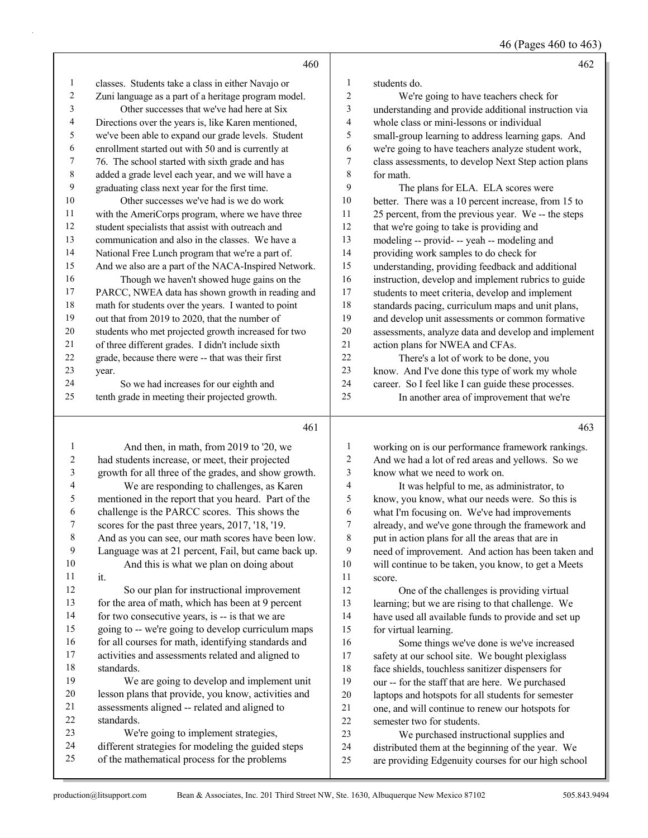46 (Pages 460 to 463)

|                         | 460                                                                                                     |                  | 462                                                                                                     |
|-------------------------|---------------------------------------------------------------------------------------------------------|------------------|---------------------------------------------------------------------------------------------------------|
| 1                       | classes. Students take a class in either Navajo or                                                      | 1                | students do.                                                                                            |
| 2                       | Zuni language as a part of a heritage program model.                                                    | $\overline{c}$   | We're going to have teachers check for                                                                  |
| 3                       | Other successes that we've had here at Six                                                              | 3                | understanding and provide additional instruction via                                                    |
| 4                       | Directions over the years is, like Karen mentioned,                                                     | 4                | whole class or mini-lessons or individual                                                               |
| 5                       | we've been able to expand our grade levels. Student                                                     | 5                | small-group learning to address learning gaps. And                                                      |
| 6                       | enrollment started out with 50 and is currently at                                                      | 6                | we're going to have teachers analyze student work,                                                      |
| 7                       | 76. The school started with sixth grade and has                                                         | $\boldsymbol{7}$ | class assessments, to develop Next Step action plans                                                    |
| 8                       | added a grade level each year, and we will have a                                                       | 8                | for math.                                                                                               |
| 9                       | graduating class next year for the first time.                                                          | 9                | The plans for ELA. ELA scores were                                                                      |
| 10                      | Other successes we've had is we do work                                                                 | 10               | better. There was a 10 percent increase, from 15 to                                                     |
| 11                      | with the AmeriCorps program, where we have three                                                        | 11               | 25 percent, from the previous year. We -- the steps                                                     |
| 12                      | student specialists that assist with outreach and                                                       | 12               | that we're going to take is providing and                                                               |
| 13                      | communication and also in the classes. We have a                                                        | 13               | modeling -- provid- -- yeah -- modeling and                                                             |
| 14                      | National Free Lunch program that we're a part of.                                                       | 14               | providing work samples to do check for                                                                  |
| 15                      | And we also are a part of the NACA-Inspired Network.                                                    | 15               | understanding, providing feedback and additional                                                        |
| 16                      | Though we haven't showed huge gains on the                                                              | 16               | instruction, develop and implement rubrics to guide                                                     |
| 17                      | PARCC, NWEA data has shown growth in reading and                                                        | 17               | students to meet criteria, develop and implement                                                        |
| 18                      | math for students over the years. I wanted to point                                                     | 18               | standards pacing, curriculum maps and unit plans,                                                       |
| 19                      | out that from 2019 to 2020, that the number of                                                          | 19               | and develop unit assessments or common formative                                                        |
| $20\,$                  | students who met projected growth increased for two                                                     | $20\,$           | assessments, analyze data and develop and implement                                                     |
| 21                      | of three different grades. I didn't include sixth                                                       | 21               | action plans for NWEA and CFAs.                                                                         |
| 22                      | grade, because there were -- that was their first                                                       | 22               | There's a lot of work to be done, you                                                                   |
| 23                      | year.                                                                                                   | 23               | know. And I've done this type of work my whole                                                          |
| 24                      | So we had increases for our eighth and                                                                  | 24               | career. So I feel like I can guide these processes.                                                     |
| 25                      | tenth grade in meeting their projected growth.                                                          | 25               | In another area of improvement that we're                                                               |
|                         |                                                                                                         |                  |                                                                                                         |
|                         |                                                                                                         |                  |                                                                                                         |
|                         | 461                                                                                                     |                  | 463                                                                                                     |
| 1                       |                                                                                                         | 1                |                                                                                                         |
| $\overline{\mathbf{c}}$ | And then, in math, from 2019 to '20, we                                                                 | $\overline{c}$   | working on is our performance framework rankings.                                                       |
| 3                       | had students increase, or meet, their projected<br>growth for all three of the grades, and show growth. | 3                | And we had a lot of red areas and yellows. So we<br>know what we need to work on.                       |
| 4                       | We are responding to challenges, as Karen                                                               | 4                |                                                                                                         |
| 5                       | mentioned in the report that you heard. Part of the                                                     | 5                | It was helpful to me, as administrator, to<br>know, you know, what our needs were. So this is           |
| 6                       | challenge is the PARCC scores. This shows the                                                           | 6                | what I'm focusing on. We've had improvements                                                            |
| 7                       | scores for the past three years, 2017, '18, '19.                                                        | $\overline{7}$   | already, and we've gone through the framework and                                                       |
| $\,$ $\,$               | And as you can see, our math scores have been low.                                                      | 8                |                                                                                                         |
| 9                       | Language was at 21 percent, Fail, but came back up.                                                     | 9                | put in action plans for all the areas that are in<br>need of improvement. And action has been taken and |
| 10                      | And this is what we plan on doing about                                                                 | 10               | will continue to be taken, you know, to get a Meets                                                     |
| 11                      | it.                                                                                                     | 11               | score.                                                                                                  |
| 12                      | So our plan for instructional improvement                                                               | 12               | One of the challenges is providing virtual                                                              |
| 13                      | for the area of math, which has been at 9 percent                                                       | 13               | learning; but we are rising to that challenge. We                                                       |
| 14                      | for two consecutive years, is -- is that we are                                                         | 14               | have used all available funds to provide and set up                                                     |
| 15                      | going to -- we're going to develop curriculum maps                                                      | 15               | for virtual learning.                                                                                   |
| 16                      | for all courses for math, identifying standards and                                                     | 16               | Some things we've done is we've increased                                                               |
| 17                      | activities and assessments related and aligned to                                                       | 17               | safety at our school site. We bought plexiglass                                                         |
| 18                      | standards.                                                                                              | 18               | face shields, touchless sanitizer dispensers for                                                        |
| 19                      | We are going to develop and implement unit                                                              | 19               | our -- for the staff that are here. We purchased                                                        |
| 20                      | lesson plans that provide, you know, activities and                                                     | $20\,$           | laptops and hotspots for all students for semester                                                      |
| 21                      | assessments aligned -- related and aligned to                                                           | 21               | one, and will continue to renew our hotspots for                                                        |
| 22                      | standards.                                                                                              | 22               | semester two for students.                                                                              |
| 23<br>24                | We're going to implement strategies,<br>different strategies for modeling the guided steps              | 23               | We purchased instructional supplies and                                                                 |

of the mathematical process for the problems

are providing Edgenuity courses for our high school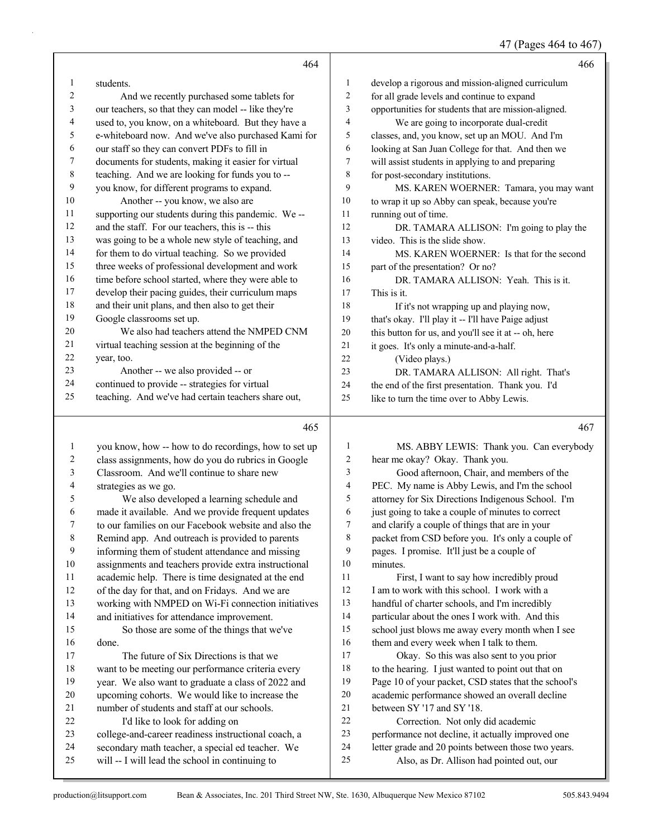# 47 (Pages 464 to 467)

|                         | 464                                                  |                         | 466                                                                                                 |
|-------------------------|------------------------------------------------------|-------------------------|-----------------------------------------------------------------------------------------------------|
| 1                       | students.                                            | 1                       | develop a rigorous and mission-aligned curriculum                                                   |
| 2                       | And we recently purchased some tablets for           | 2                       | for all grade levels and continue to expand                                                         |
| 3                       | our teachers, so that they can model -- like they're | 3                       | opportunities for students that are mission-aligned.                                                |
| 4                       | used to, you know, on a whiteboard. But they have a  | 4                       | We are going to incorporate dual-credit                                                             |
| 5                       | e-whiteboard now. And we've also purchased Kami for  | 5                       | classes, and, you know, set up an MOU. And I'm                                                      |
| 6                       | our staff so they can convert PDFs to fill in        | 6                       | looking at San Juan College for that. And then we                                                   |
| 7                       | documents for students, making it easier for virtual | 7                       | will assist students in applying to and preparing                                                   |
| $\,$ 8 $\,$             | teaching. And we are looking for funds you to --     | 8                       | for post-secondary institutions.                                                                    |
| 9                       | you know, for different programs to expand.          | 9                       | MS. KAREN WOERNER: Tamara, you may want                                                             |
| 10                      | Another -- you know, we also are                     | 10                      | to wrap it up so Abby can speak, because you're                                                     |
| 11                      | supporting our students during this pandemic. We--   | 11                      | running out of time.                                                                                |
| 12                      | and the staff. For our teachers, this is -- this     | 12                      | DR. TAMARA ALLISON: I'm going to play the                                                           |
| 13                      | was going to be a whole new style of teaching, and   | 13                      | video. This is the slide show.                                                                      |
| 14                      | for them to do virtual teaching. So we provided      | 14                      | MS. KAREN WOERNER: Is that for the second                                                           |
| 15                      | three weeks of professional development and work     | 15                      | part of the presentation? Or no?                                                                    |
| 16                      | time before school started, where they were able to  | 16                      | DR. TAMARA ALLISON: Yeah. This is it.                                                               |
| 17                      | develop their pacing guides, their curriculum maps   | 17                      | This is it.                                                                                         |
| 18                      | and their unit plans, and then also to get their     | 18                      | If it's not wrapping up and playing now,                                                            |
| 19                      | Google classrooms set up.                            | 19                      | that's okay. I'll play it -- I'll have Paige adjust                                                 |
| 20                      | We also had teachers attend the NMPED CNM            | 20                      | this button for us, and you'll see it at -- oh, here                                                |
| 21                      | virtual teaching session at the beginning of the     | 21                      | it goes. It's only a minute-and-a-half.                                                             |
| 22                      | year, too.                                           | 22                      | (Video plays.)                                                                                      |
| 23                      | Another -- we also provided -- or                    | 23                      | DR. TAMARA ALLISON: All right. That's                                                               |
| 24                      | continued to provide -- strategies for virtual       | 24                      | the end of the first presentation. Thank you. I'd                                                   |
| 25                      | teaching. And we've had certain teachers share out,  | 25                      | like to turn the time over to Abby Lewis.                                                           |
|                         | 465                                                  |                         | 467                                                                                                 |
| $\mathbf{1}$            |                                                      |                         |                                                                                                     |
|                         |                                                      |                         |                                                                                                     |
|                         | you know, how -- how to do recordings, how to set up | 1                       | MS. ABBY LEWIS: Thank you. Can everybody                                                            |
| $\overline{\mathbf{c}}$ | class assignments, how do you do rubrics in Google   | $\overline{\mathbf{c}}$ | hear me okay? Okay. Thank you.                                                                      |
| 3                       | Classroom. And we'll continue to share new           | 3                       | Good afternoon, Chair, and members of the                                                           |
| 4                       | strategies as we go.                                 | 4                       | PEC. My name is Abby Lewis, and I'm the school                                                      |
| 5                       | We also developed a learning schedule and            | 5                       | attorney for Six Directions Indigenous School. I'm                                                  |
| 6                       | made it available. And we provide frequent updates   | 6<br>7                  | just going to take a couple of minutes to correct                                                   |
| 7                       | to our families on our Facebook website and also the |                         | and clarify a couple of things that are in your                                                     |
| $\,$ 8 $\,$<br>9        | Remind app. And outreach is provided to parents      | 8<br>9                  | packet from CSD before you. It's only a couple of                                                   |
|                         | informing them of student attendance and missing     | 10                      | pages. I promise. It'll just be a couple of                                                         |
| 10<br>11                | assignments and teachers provide extra instructional | 11                      | minutes.                                                                                            |
| 12                      | academic help. There is time designated at the end   | 12                      | First, I want to say how incredibly proud                                                           |
| 13                      | of the day for that, and on Fridays. And we are      | 13                      | I am to work with this school. I work with a                                                        |
| 14                      | working with NMPED on Wi-Fi connection initiatives   | 14                      | handful of charter schools, and I'm incredibly                                                      |
| 15                      | and initiatives for attendance improvement.          | 15                      | particular about the ones I work with. And this<br>school just blows me away every month when I see |
| 16                      | So those are some of the things that we've<br>done.  | 16                      | them and every week when I talk to them.                                                            |
| 17                      | The future of Six Directions is that we              | 17                      | Okay. So this was also sent to you prior                                                            |
| 18                      | want to be meeting our performance criteria every    | 18                      | to the hearing. I just wanted to point out that on                                                  |
| 19                      | year. We also want to graduate a class of 2022 and   | 19                      | Page 10 of your packet, CSD states that the school's                                                |
| 20                      | upcoming cohorts. We would like to increase the      | 20                      | academic performance showed an overall decline                                                      |
| 21                      | number of students and staff at our schools.         | $21$                    | between SY '17 and SY '18.                                                                          |
| 22                      | I'd like to look for adding on                       | 22                      | Correction. Not only did academic                                                                   |
| 23                      | college-and-career readiness instructional coach, a  | 23                      | performance not decline, it actually improved one                                                   |
| 24                      | secondary math teacher, a special ed teacher. We     | 24                      | letter grade and 20 points between those two years.                                                 |
| 25                      | will -- I will lead the school in continuing to      | 25                      | Also, as Dr. Allison had pointed out, our                                                           |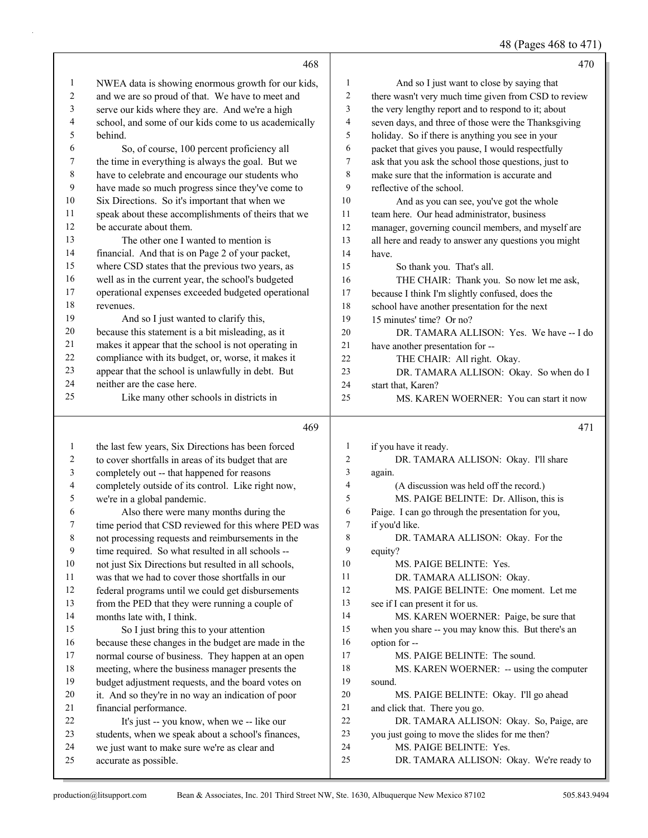48 (Pages 468 to 471)

|              | 468                                                                          |                | 470                                                                     |
|--------------|------------------------------------------------------------------------------|----------------|-------------------------------------------------------------------------|
| $\mathbf{1}$ | NWEA data is showing enormous growth for our kids,                           | 1              | And so I just want to close by saying that                              |
| 2            | and we are so proud of that. We have to meet and                             | 2              | there wasn't very much time given from CSD to review                    |
| 3            | serve our kids where they are. And we're a high                              | 3              | the very lengthy report and to respond to it; about                     |
| 4            | school, and some of our kids come to us academically                         | 4              | seven days, and three of those were the Thanksgiving                    |
| 5            | behind.                                                                      | 5              | holiday. So if there is anything you see in your                        |
| 6            | So, of course, 100 percent proficiency all                                   | 6              | packet that gives you pause, I would respectfully                       |
| 7            | the time in everything is always the goal. But we                            | 7              | ask that you ask the school those questions, just to                    |
| 8            | have to celebrate and encourage our students who                             | 8              | make sure that the information is accurate and                          |
| 9            | have made so much progress since they've come to                             | 9              | reflective of the school.                                               |
| 10           | Six Directions. So it's important that when we                               | 10             | And as you can see, you've got the whole                                |
| 11           | speak about these accomplishments of theirs that we                          | 11             | team here. Our head administrator, business                             |
| 12           | be accurate about them.                                                      | 12             | manager, governing council members, and myself are                      |
| 13           | The other one I wanted to mention is                                         | 13             | all here and ready to answer any questions you might                    |
| 14           | financial. And that is on Page 2 of your packet,                             | 14             | have.                                                                   |
| 15           | where CSD states that the previous two years, as                             | 15             | So thank you. That's all.                                               |
| 16           | well as in the current year, the school's budgeted                           | 16             | THE CHAIR: Thank you. So now let me ask,                                |
| 17           | operational expenses exceeded budgeted operational                           | 17             | because I think I'm slightly confused, does the                         |
| 18           | revenues.                                                                    | 18             | school have another presentation for the next                           |
| 19           | And so I just wanted to clarify this,                                        | 19             | 15 minutes' time? Or no?                                                |
| 20           | because this statement is a bit misleading, as it                            | 20             | DR. TAMARA ALLISON: Yes. We have -- I do                                |
| 21           | makes it appear that the school is not operating in                          | 21             | have another presentation for --                                        |
| 22           | compliance with its budget, or, worse, it makes it                           | 22             | THE CHAIR: All right. Okay.                                             |
| 23           | appear that the school is unlawfully in debt. But                            | 23             | DR. TAMARA ALLISON: Okay. So when do I                                  |
| 24           | neither are the case here.                                                   | 24             | start that, Karen?                                                      |
| 25           | Like many other schools in districts in                                      | 25             | MS. KAREN WOERNER: You can start it now                                 |
|              |                                                                              |                |                                                                         |
|              | 469                                                                          |                | 471                                                                     |
| 1            | the last few years, Six Directions has been forced                           | 1              | if you have it ready.                                                   |
| 2            | to cover shortfalls in areas of its budget that are                          | 2              | DR. TAMARA ALLISON: Okay. I'll share                                    |
| 3            | completely out -- that happened for reasons                                  | 3              | again.                                                                  |
| 4            | completely outside of its control. Like right now,                           | $\overline{4}$ | (A discussion was held off the record.)                                 |
| 5            | we're in a global pandemic.                                                  | 5              | MS. PAIGE BELINTE: Dr. Allison, this is                                 |
| 6            | Also there were many months during the                                       | 6              | Paige. I can go through the presentation for you,                       |
|              | time period that CSD reviewed for this where PED was                         | 7              | if you'd like.                                                          |
| 8            | not processing requests and reimbursements in the                            | 8              | DR. TAMARA ALLISON: Okay. For the                                       |
| 9            | time required. So what resulted in all schools --                            | 9              | equity?                                                                 |
| 10           | not just Six Directions but resulted in all schools,                         | 10             | MS. PAIGE BELINTE: Yes.                                                 |
| 11           | was that we had to cover those shortfalls in our                             | 11             | DR. TAMARA ALLISON: Okay.                                               |
| 12           | federal programs until we could get disbursements                            | 12             | MS. PAIGE BELINTE: One moment. Let me                                   |
| 13           | from the PED that they were running a couple of                              | 13             | see if I can present it for us.                                         |
| 14           | months late with, I think.                                                   | 14             | MS. KAREN WOERNER: Paige, be sure that                                  |
| 15           | So I just bring this to your attention                                       | 15             | when you share -- you may know this. But there's an                     |
| 16           | because these changes in the budget are made in the                          | 16<br>17       | option for --                                                           |
| 17           | normal course of business. They happen at an open                            | 18             | MS. PAIGE BELINTE: The sound.                                           |
| 18           | meeting, where the business manager presents the                             | 19             | MS. KAREN WOERNER: -- using the computer<br>sound.                      |
| 19<br>20     | budget adjustment requests, and the board votes on                           | 20             |                                                                         |
| 21           | it. And so they're in no way an indication of poor<br>financial performance. | 21             | MS. PAIGE BELINTE: Okay. I'll go ahead<br>and click that. There you go. |
| 22           | It's just -- you know, when we -- like our                                   | 22             | DR. TAMARA ALLISON: Okay. So, Paige, are                                |
| 23           | students, when we speak about a school's finances,                           | 23             | you just going to move the slides for me then?                          |
| 24           | we just want to make sure we're as clear and                                 | 24             | MS. PAIGE BELINTE: Yes.                                                 |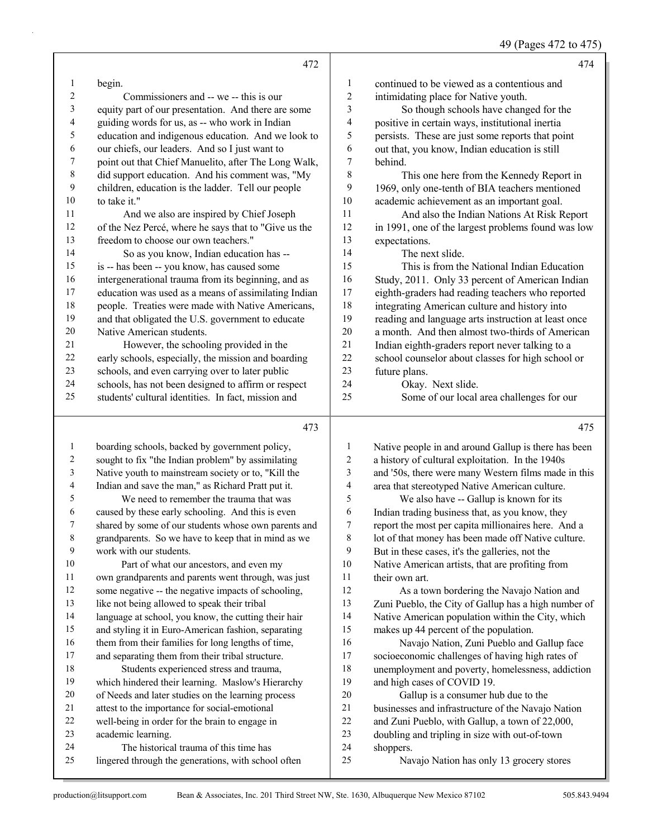## 49 (Pages 472 to 475)

|                  | 472                                                  |                         | 474                                                  |
|------------------|------------------------------------------------------|-------------------------|------------------------------------------------------|
| 1                | begin.                                               | 1                       | continued to be viewed as a contentious and          |
| 2                | Commissioners and -- we -- this is our               | $\overline{\mathbf{c}}$ | intimidating place for Native youth.                 |
| 3                | equity part of our presentation. And there are some  | 3                       | So though schools have changed for the               |
| 4                | guiding words for us, as -- who work in Indian       | 4                       | positive in certain ways, institutional inertia      |
| 5                | education and indigenous education. And we look to   | 5                       | persists. These are just some reports that point     |
| 6                | our chiefs, our leaders. And so I just want to       | 6                       | out that, you know, Indian education is still        |
| $\boldsymbol{7}$ | point out that Chief Manuelito, after The Long Walk, | 7                       | behind.                                              |
| $\,$ $\,$        | did support education. And his comment was, "My      | 8                       | This one here from the Kennedy Report in             |
| 9                | children, education is the ladder. Tell our people   | 9                       | 1969, only one-tenth of BIA teachers mentioned       |
| $10\,$           | to take it."                                         | 10                      | academic achievement as an important goal.           |
| 11               | And we also are inspired by Chief Joseph             | 11                      | And also the Indian Nations At Risk Report           |
| 12               | of the Nez Percé, where he says that to "Give us the | 12                      | in 1991, one of the largest problems found was low   |
| 13               | freedom to choose our own teachers."                 | 13                      | expectations.                                        |
| 14               | So as you know, Indian education has --              | 14                      | The next slide.                                      |
| 15               | is -- has been -- you know, has caused some          | 15                      | This is from the National Indian Education           |
| 16               | intergenerational trauma from its beginning, and as  | 16                      | Study, 2011. Only 33 percent of American Indian      |
| 17               | education was used as a means of assimilating Indian | 17                      | eighth-graders had reading teachers who reported     |
| 18               | people. Treaties were made with Native Americans,    | 18                      | integrating American culture and history into        |
| 19               | and that obligated the U.S. government to educate    | 19                      | reading and language arts instruction at least once  |
| $20\,$           | Native American students.                            | 20                      | a month. And then almost two-thirds of American      |
| 21               | However, the schooling provided in the               | $21\,$                  | Indian eighth-graders report never talking to a      |
| 22               | early schools, especially, the mission and boarding  | 22                      | school counselor about classes for high school or    |
| 23               | schools, and even carrying over to later public      | 23                      | future plans.                                        |
| 24               | schools, has not been designed to affirm or respect  | 24                      | Okay. Next slide.                                    |
| 25               | students' cultural identities. In fact, mission and  | 25                      | Some of our local area challenges for our            |
|                  | 473                                                  |                         | 475                                                  |
| $\mathbf{1}$     | boarding schools, backed by government policy,       | $\mathbf{1}$            | Native people in and around Gallup is there has been |
| 2                | sought to fix "the Indian problem" by assimilating   | $\boldsymbol{2}$        | a history of cultural exploitation. In the 1940s     |
| 3                | Native youth to mainstream society or to, "Kill the  | 3                       | and '50s, there were many Western films made in this |
| 4                | Indian and save the man," as Richard Pratt put it.   | 4                       | area that stereotyped Native American culture.       |
| 5                | We need to remember the trauma that was              | 5                       | We also have -- Gallup is known for its              |
| 6                | caused by these early schooling. And this is even    | 6                       | Indian trading business that, as you know, they      |
| 7                | shared by some of our students whose own parents and | 7                       | report the most per capita millionaires here. And a  |
| $\,8\,$          | grandparents. So we have to keep that in mind as we  | 8                       | lot of that money has been made off Native culture.  |
| $\mathbf{9}$     | work with our students.                              | 9                       | But in these cases, it's the galleries, not the      |
| $10\,$           | Part of what our ancestors, and even my              | $10\,$                  | Native American artists, that are profiting from     |
| 11               | own grandparents and parents went through, was just  | 11                      | their own art.                                       |
| 12               | some negative -- the negative impacts of schooling,  | 12                      | As a town bordering the Navajo Nation and            |
| 13               | like not being allowed to speak their tribal         | 13                      | Zuni Pueblo, the City of Gallup has a high number of |
| 14               | language at school, you know, the cutting their hair | 14                      | Native American population within the City, which    |
| 15               | and styling it in Euro-American fashion, separating  | 15                      | makes up 44 percent of the population.               |
| 16               | them from their families for long lengths of time,   | 16                      | Navajo Nation, Zuni Pueblo and Gallup face           |
| $17\,$           | and separating them from their tribal structure.     | 17                      | socioeconomic challenges of having high rates of     |
| $18\,$           | Students experienced stress and trauma,              | 18                      | unemployment and poverty, homelessness, addiction    |
| 19               | which hindered their learning. Maslow's Hierarchy    | 19                      | and high cases of COVID 19.                          |
| 20               | of Needs and later studies on the learning process   | $20\,$                  | Gallup is a consumer hub due to the                  |

- 20 Gallup is a consumer hub due to the
- businesses and infrastructure of the Navajo Nation
- and Zuni Pueblo, with Gallup, a town of 22,000,
- doubling and tripling in size with out-of-town shoppers.
- 
- 25 Navajo Nation has only 13 grocery stores

academic learning.

 attest to the importance for social-emotional well-being in order for the brain to engage in

24 The historical trauma of this time has lingered through the generations, with school often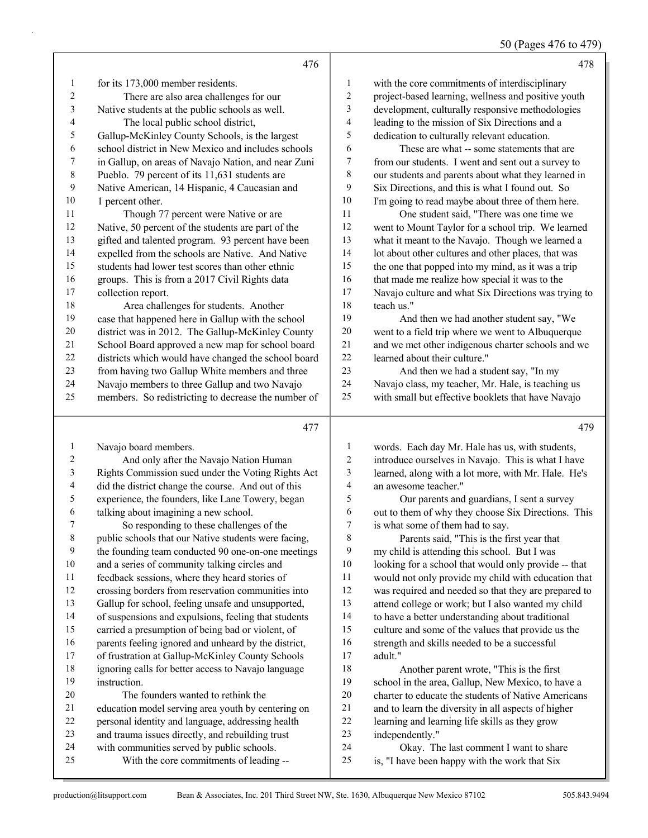50 (Pages 476 to 479)

|                | 476                                                                                   |                          | 478                                                                                     |
|----------------|---------------------------------------------------------------------------------------|--------------------------|-----------------------------------------------------------------------------------------|
| $\mathbf{1}$   | for its 173,000 member residents.                                                     | 1                        | with the core commitments of interdisciplinary                                          |
| 2              | There are also area challenges for our                                                | 2                        | project-based learning, wellness and positive youth                                     |
| 3              | Native students at the public schools as well.                                        | 3                        | development, culturally responsive methodologies                                        |
| 4              | The local public school district,                                                     | 4                        | leading to the mission of Six Directions and a                                          |
| 5              | Gallup-McKinley County Schools, is the largest                                        | 5                        | dedication to culturally relevant education.                                            |
| 6              | school district in New Mexico and includes schools                                    | 6                        | These are what -- some statements that are                                              |
| 7              | in Gallup, on areas of Navajo Nation, and near Zuni                                   | 7                        | from our students. I went and sent out a survey to                                      |
| 8              | Pueblo. 79 percent of its 11,631 students are                                         | $\,$ $\,$                | our students and parents about what they learned in                                     |
| 9              | Native American, 14 Hispanic, 4 Caucasian and                                         | 9                        | Six Directions, and this is what I found out. So                                        |
| 10             | 1 percent other.                                                                      | 10                       | I'm going to read maybe about three of them here.                                       |
| 11             | Though 77 percent were Native or are                                                  | 11                       | One student said, "There was one time we                                                |
| 12             | Native, 50 percent of the students are part of the                                    | 12                       | went to Mount Taylor for a school trip. We learned                                      |
| 13             | gifted and talented program. 93 percent have been                                     | 13                       | what it meant to the Navajo. Though we learned a                                        |
| 14             | expelled from the schools are Native. And Native                                      | 14                       | lot about other cultures and other places, that was                                     |
| 15             | students had lower test scores than other ethnic                                      | 15                       | the one that popped into my mind, as it was a trip                                      |
| 16             | groups. This is from a 2017 Civil Rights data                                         | 16                       | that made me realize how special it was to the                                          |
| 17             | collection report.                                                                    | 17                       | Navajo culture and what Six Directions was trying to                                    |
| 18             | Area challenges for students. Another                                                 | 18                       | teach us."                                                                              |
| 19             | case that happened here in Gallup with the school                                     | 19                       | And then we had another student say, "We                                                |
| 20             | district was in 2012. The Gallup-McKinley County                                      | 20                       | went to a field trip where we went to Albuquerque                                       |
| 21             | School Board approved a new map for school board                                      | 21                       | and we met other indigenous charter schools and we                                      |
| 22             | districts which would have changed the school board                                   | 22                       | learned about their culture."                                                           |
| 23             | from having two Gallup White members and three                                        | 23                       | And then we had a student say, "In my                                                   |
| 24             | Navajo members to three Gallup and two Navajo                                         | 24                       | Navajo class, my teacher, Mr. Hale, is teaching us                                      |
| 25             | members. So redistricting to decrease the number of                                   | 25                       | with small but effective booklets that have Navajo                                      |
|                |                                                                                       |                          |                                                                                         |
|                | 477                                                                                   |                          | 479                                                                                     |
| 1              | Navajo board members.                                                                 | 1                        | words. Each day Mr. Hale has us, with students,                                         |
| 2              | And only after the Navajo Nation Human                                                | $\overline{\mathbf{c}}$  | introduce ourselves in Navajo. This is what I have                                      |
| $\mathfrak{Z}$ | Rights Commission sued under the Voting Rights Act                                    | 3                        | learned, along with a lot more, with Mr. Hale. He's                                     |
| 4              | did the district change the course. And out of this                                   | $\overline{\mathcal{A}}$ | an awesome teacher."                                                                    |
| 5              | experience, the founders, like Lane Towery, began                                     | 5                        | Our parents and guardians, I sent a survey                                              |
| 6              | talking about imagining a new school.                                                 | 6                        | out to them of why they choose Six Directions. This                                     |
| $\tau$         | So responding to these challenges of the                                              | 7                        | is what some of them had to say.                                                        |
| 8              | public schools that our Native students were facing,                                  | 8                        | Parents said, "This is the first year that                                              |
| 9              | the founding team conducted 90 one-on-one meetings                                    | 9                        | my child is attending this school. But I was                                            |
| 10             | and a series of community talking circles and                                         | 10                       | looking for a school that would only provide -- that                                    |
| 11             | feedback sessions, where they heard stories of                                        | 11                       | would not only provide my child with education that                                     |
| 12             | crossing borders from reservation communities into                                    | 12                       | was required and needed so that they are prepared to                                    |
| 13             | Gallup for school, feeling unsafe and unsupported,                                    | 13                       | attend college or work; but I also wanted my child                                      |
| 14             | of suspensions and expulsions, feeling that students                                  | 14                       | to have a better understanding about traditional                                        |
| 15             | carried a presumption of being bad or violent, of                                     | 15                       | culture and some of the values that provide us the                                      |
| 16             | parents feeling ignored and unheard by the district,                                  | 16                       | strength and skills needed to be a successful                                           |
| 17             | of frustration at Gallup-McKinley County Schools                                      | 17                       | adult."                                                                                 |
| 18             | ignoring calls for better access to Navajo language                                   | 18                       | Another parent wrote, "This is the first                                                |
| 19             | instruction.                                                                          | 19                       | school in the area, Gallup, New Mexico, to have a                                       |
| 20             | The founders wanted to rethink the                                                    | $20\,$                   | charter to educate the students of Native Americans                                     |
| 21             | education model serving area youth by centering on                                    | 21                       | and to learn the diversity in all aspects of higher                                     |
| 22             | personal identity and language, addressing health                                     | 22                       | learning and learning life skills as they grow                                          |
| 23             | and trauma issues directly, and rebuilding trust                                      | 23                       | independently."                                                                         |
| 24<br>25       | with communities served by public schools.<br>With the core commitments of leading -- | 24<br>$25\,$             | Okay. The last comment I want to share<br>is, "I have been happy with the work that Six |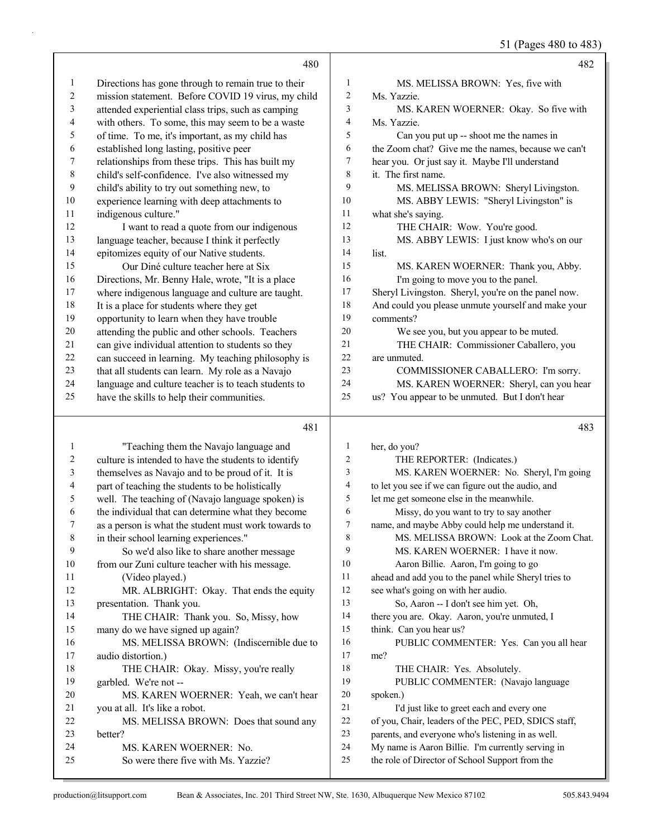51 (Pages 480 to 483)

|                  | 480                                                                                                        |                              | 482                                                                                                  |
|------------------|------------------------------------------------------------------------------------------------------------|------------------------------|------------------------------------------------------------------------------------------------------|
| 1                | Directions has gone through to remain true to their                                                        | 1                            | MS. MELISSA BROWN: Yes, five with                                                                    |
| 2                | mission statement. Before COVID 19 virus, my child                                                         | 2                            | Ms. Yazzie.                                                                                          |
| 3                | attended experiential class trips, such as camping                                                         | 3                            | MS. KAREN WOERNER: Okay. So five with                                                                |
| 4                | with others. To some, this may seem to be a waste                                                          | 4                            | Ms. Yazzie.                                                                                          |
| 5                | of time. To me, it's important, as my child has                                                            | 5                            | Can you put up -- shoot me the names in                                                              |
| 6                | established long lasting, positive peer                                                                    | 6                            | the Zoom chat? Give me the names, because we can't                                                   |
| $\boldsymbol{7}$ | relationships from these trips. This has built my                                                          | 7                            | hear you. Or just say it. Maybe I'll understand                                                      |
| $\,$ $\,$        | child's self-confidence. I've also witnessed my                                                            | 8                            | it. The first name.                                                                                  |
| 9                | child's ability to try out something new, to                                                               | 9                            | MS. MELISSA BROWN: Sheryl Livingston.                                                                |
| $10\,$           | experience learning with deep attachments to                                                               | 10                           | MS. ABBY LEWIS: "Sheryl Livingston" is                                                               |
| 11               | indigenous culture."                                                                                       | 11                           | what she's saying.                                                                                   |
| 12               | I want to read a quote from our indigenous                                                                 | 12                           | THE CHAIR: Wow. You're good.                                                                         |
| 13               | language teacher, because I think it perfectly                                                             | 13                           | MS. ABBY LEWIS: I just know who's on our                                                             |
| 14               | epitomizes equity of our Native students.                                                                  | 14                           | list.                                                                                                |
| 15               | Our Diné culture teacher here at Six                                                                       | 15                           | MS. KAREN WOERNER: Thank you, Abby.                                                                  |
| 16               | Directions, Mr. Benny Hale, wrote, "It is a place                                                          | 16                           | I'm going to move you to the panel.                                                                  |
| 17               | where indigenous language and culture are taught.                                                          | 17                           | Sheryl Livingston. Sheryl, you're on the panel now.                                                  |
| 18               | It is a place for students where they get                                                                  | 18                           | And could you please unmute yourself and make your                                                   |
| 19               | opportunity to learn when they have trouble                                                                | 19                           | comments?                                                                                            |
| 20               | attending the public and other schools. Teachers                                                           | 20                           | We see you, but you appear to be muted.                                                              |
| 21               | can give individual attention to students so they                                                          | 21                           | THE CHAIR: Commissioner Caballero, you                                                               |
| 22               | can succeed in learning. My teaching philosophy is                                                         | $22\,$                       | are unmuted.                                                                                         |
| 23               | that all students can learn. My role as a Navajo                                                           | 23                           | COMMISSIONER CABALLERO: I'm sorry.                                                                   |
| 24               | language and culture teacher is to teach students to                                                       | 24                           | MS. KAREN WOERNER: Sheryl, can you hear                                                              |
| 25               | have the skills to help their communities.                                                                 | 25                           | us? You appear to be unmuted. But I don't hear                                                       |
|                  |                                                                                                            |                              |                                                                                                      |
|                  | 481                                                                                                        |                              | 483                                                                                                  |
|                  |                                                                                                            |                              |                                                                                                      |
| 1                | "Teaching them the Navajo language and                                                                     | $\mathbf{1}$                 | her, do you?                                                                                         |
| $\overline{c}$   | culture is intended to have the students to identify                                                       | $\overline{\mathbf{c}}$<br>3 | THE REPORTER: (Indicates.)                                                                           |
| 3                | themselves as Navajo and to be proud of it. It is                                                          | $\overline{4}$               | MS. KAREN WOERNER: No. Sheryl, I'm going                                                             |
| 4<br>5           | part of teaching the students to be holistically                                                           | 5                            | to let you see if we can figure out the audio, and                                                   |
| 6                | well. The teaching of (Navajo language spoken) is                                                          | 6                            | let me get someone else in the meanwhile.<br>Missy, do you want to try to say another                |
| 7                | the individual that can determine what they become<br>as a person is what the student must work towards to | 7                            | name, and maybe Abby could help me understand it.                                                    |
| 8                | in their school learning experiences."                                                                     | 8                            | MS. MELISSA BROWN: Look at the Zoom Chat.                                                            |
| 9                | So we'd also like to share another message                                                                 | 9                            | MS. KAREN WOERNER: I have it now.                                                                    |
| 10               | from our Zuni culture teacher with his message.                                                            | 10                           | Aaron Billie. Aaron, I'm going to go                                                                 |
| 11               | (Video played.)                                                                                            | 11                           | ahead and add you to the panel while Sheryl tries to                                                 |
| 12               | MR. ALBRIGHT: Okay. That ends the equity                                                                   | 12                           | see what's going on with her audio.                                                                  |
| 13               | presentation. Thank you.                                                                                   | 13                           | So, Aaron -- I don't see him yet. Oh,                                                                |
| 14               | THE CHAIR: Thank you. So, Missy, how                                                                       | 14                           | there you are. Okay. Aaron, you're unmuted, I                                                        |
| 15               | many do we have signed up again?                                                                           | 15                           | think. Can you hear us?                                                                              |
| 16               | MS. MELISSA BROWN: (Indiscernible due to                                                                   | 16                           | PUBLIC COMMENTER: Yes. Can you all hear                                                              |
| 17               | audio distortion.)                                                                                         | 17                           | me?                                                                                                  |
| 18               | THE CHAIR: Okay. Missy, you're really                                                                      | 18                           | THE CHAIR: Yes. Absolutely.                                                                          |
| 19               | garbled. We're not --                                                                                      | 19                           | PUBLIC COMMENTER: (Navajo language                                                                   |
| 20               | MS. KAREN WOERNER: Yeah, we can't hear                                                                     | 20                           | spoken.)                                                                                             |
| 21               | you at all. It's like a robot.                                                                             | 21                           | I'd just like to greet each and every one                                                            |
| 22               | MS. MELISSA BROWN: Does that sound any                                                                     | $22\,$                       | of you, Chair, leaders of the PEC, PED, SDICS staff,                                                 |
| 23               | better?                                                                                                    | 23                           | parents, and everyone who's listening in as well.                                                    |
| 24<br>25         | MS. KAREN WOERNER: No.<br>So were there five with Ms. Yazzie?                                              | 24<br>25                     | My name is Aaron Billie. I'm currently serving in<br>the role of Director of School Support from the |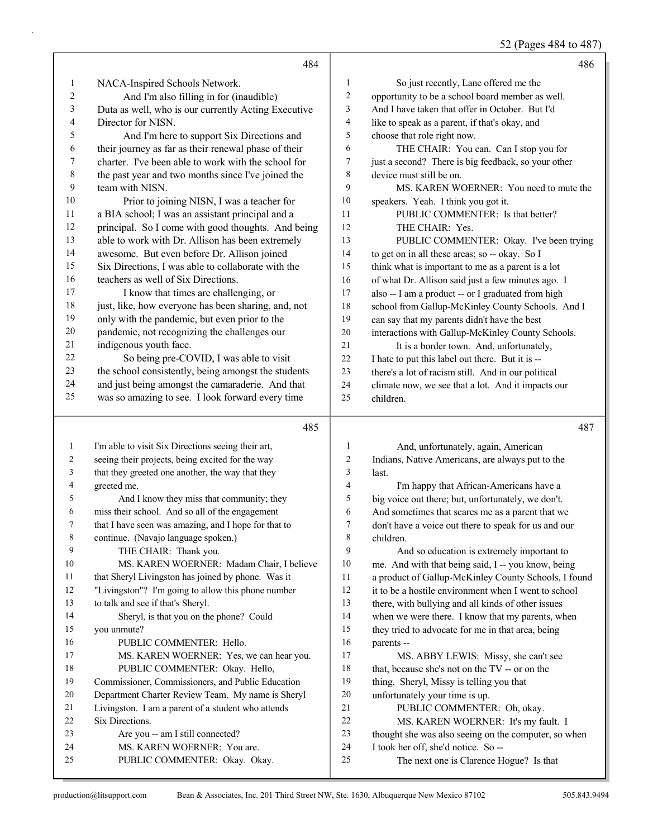52 (Pages 484 to 487)

|              | 484                                                          |                  | 486                                                                            |
|--------------|--------------------------------------------------------------|------------------|--------------------------------------------------------------------------------|
| 1            | NACA-Inspired Schools Network.                               | $\mathbf{1}$     | So just recently, Lane offered me the                                          |
| 2            | And I'm also filling in for (inaudible)                      | $\sqrt{2}$       | opportunity to be a school board member as well.                               |
| 3            | Duta as well, who is our currently Acting Executive          | 3                | And I have taken that offer in October. But I'd                                |
| 4            | Director for NISN.                                           | $\overline{4}$   | like to speak as a parent, if that's okay, and                                 |
| 5            | And I'm here to support Six Directions and                   | 5                | choose that role right now.                                                    |
| 6            | their journey as far as their renewal phase of their         | 6                | THE CHAIR: You can. Can I stop you for                                         |
| 7            | charter. I've been able to work with the school for          | 7                | just a second? There is big feedback, so your other                            |
| 8            | the past year and two months since I've joined the           | 8                | device must still be on.                                                       |
| 9            | team with NISN.                                              | 9                | MS. KAREN WOERNER: You need to mute the                                        |
| 10           | Prior to joining NISN, I was a teacher for                   | 10               | speakers. Yeah. I think you got it.                                            |
| 11           | a BIA school; I was an assistant principal and a             | 11               | PUBLIC COMMENTER: Is that better?                                              |
| 12           | principal. So I come with good thoughts. And being           | 12               | THE CHAIR: Yes.                                                                |
| 13           | able to work with Dr. Allison has been extremely             | 13               | PUBLIC COMMENTER: Okay. I've been trying                                       |
| 14           | awesome. But even before Dr. Allison joined                  | 14               | to get on in all these areas; so -- okay. So I                                 |
| 15           | Six Directions, I was able to collaborate with the           | 15               | think what is important to me as a parent is a lot                             |
| 16           | teachers as well of Six Directions.                          | 16               | of what Dr. Allison said just a few minutes ago. I                             |
| 17           | I know that times are challenging, or                        | 17               | also -- I am a product -- or I graduated from high                             |
| 18           | just, like, how everyone has been sharing, and, not          | 18               | school from Gallup-McKinley County Schools. And I                              |
| 19           | only with the pandemic, but even prior to the                | 19               | can say that my parents didn't have the best                                   |
| $20\,$       | pandemic, not recognizing the challenges our                 | $20\,$           | interactions with Gallup-McKinley County Schools.                              |
| 21           | indigenous youth face.                                       | 21               | It is a border town. And, unfortunately,                                       |
| $22\,$       | So being pre-COVID, I was able to visit                      | 22               | I hate to put this label out there. But it is --                               |
| 23           | the school consistently, being amongst the students          | 23               | there's a lot of racism still. And in our political                            |
| 24           | and just being amongst the camaraderie. And that             | 24               | climate now, we see that a lot. And it impacts our                             |
| 25           | was so amazing to see. I look forward every time             | 25               | children.                                                                      |
|              |                                                              |                  |                                                                                |
|              |                                                              |                  |                                                                                |
|              | 485                                                          |                  | 487                                                                            |
| $\mathbf{1}$ | I'm able to visit Six Directions seeing their art,           | $\mathbf{1}$     | And, unfortunately, again, American                                            |
| 2            | seeing their projects, being excited for the way             | $\boldsymbol{2}$ | Indians, Native Americans, are always put to the                               |
| 3            | that they greeted one another, the way that they             | 3                | last.                                                                          |
| 4            | greeted me.                                                  | 4                | I'm happy that African-Americans have a                                        |
| 5            | And I know they miss that community; they                    | 5                | big voice out there; but, unfortunately, we don't.                             |
| 6            | miss their school. And so all of the engagement              | 6                | And sometimes that scares me as a parent that we                               |
| 7            | that I have seen was amazing, and I hope for that to         | 7                | don't have a voice out there to speak for us and our                           |
| 8            | continue. (Navajo language spoken.)                          | 8                | children.                                                                      |
| 9            | THE CHAIR: Thank you.                                        | 9                | And so education is extremely important to                                     |
| 10           | MS. KAREN WOERNER: Madam Chair, I believe                    | 10               | me. And with that being said, I -- you know, being                             |
| 11           | that Sheryl Livingston has joined by phone. Was it           | 11               | a product of Gallup-McKinley County Schools, I found                           |
| 12           | "Livingston"? I'm going to allow this phone number           | $12\,$           | it to be a hostile environment when I went to school                           |
| 13           | to talk and see if that's Sheryl.                            | 13               | there, with bullying and all kinds of other issues                             |
| 14           | Sheryl, is that you on the phone? Could                      | 14               | when we were there. I know that my parents, when                               |
| 15           | you unmute?                                                  | 15               | they tried to advocate for me in that area, being                              |
| 16           | PUBLIC COMMENTER: Hello.                                     | 16               | parents --                                                                     |
| 17           | MS. KAREN WOERNER: Yes, we can hear you.                     | 17               | MS. ABBY LEWIS: Missy, she can't see                                           |
| 18           | PUBLIC COMMENTER: Okay. Hello,                               | $18\,$           | that, because she's not on the TV -- or on the                                 |
| 19           | Commissioner, Commissioners, and Public Education            | 19               | thing. Sheryl, Missy is telling you that                                       |
| 20           | Department Charter Review Team. My name is Sheryl            | $20\,$           | unfortunately your time is up.                                                 |
| 21           | Livingston. I am a parent of a student who attends           | 21               | PUBLIC COMMENTER: Oh, okay.                                                    |
| 22           | Six Directions.                                              | $22\,$           | MS. KAREN WOERNER: It's my fault. I                                            |
| 23           | Are you -- am I still connected?                             | 23               | thought she was also seeing on the computer, so when                           |
| 24<br>25     | MS. KAREN WOERNER: You are.<br>PUBLIC COMMENTER: Okay. Okay. | 24<br>25         | I took her off, she'd notice. So --<br>The next one is Clarence Hogue? Is that |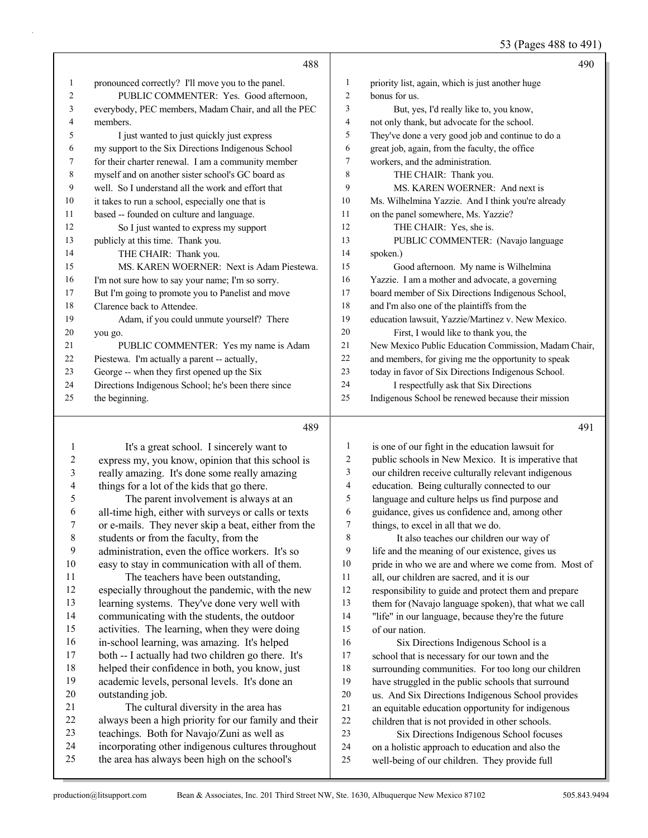53 (Pages 488 to 491)

|    | 488                                                  |                |                                                      | 490 |
|----|------------------------------------------------------|----------------|------------------------------------------------------|-----|
| 1  | pronounced correctly? I'll move you to the panel.    | 1              | priority list, again, which is just another huge     |     |
| 2  | PUBLIC COMMENTER: Yes. Good afternoon,               | $\overline{2}$ | bonus for us.                                        |     |
| 3  | everybody, PEC members, Madam Chair, and all the PEC | 3              | But, yes, I'd really like to, you know,              |     |
| 4  | members.                                             | $\overline{4}$ | not only thank, but advocate for the school.         |     |
| 5  | I just wanted to just quickly just express           | 5              | They've done a very good job and continue to do a    |     |
| 6  | my support to the Six Directions Indigenous School   | 6              | great job, again, from the faculty, the office       |     |
| 7  | for their charter renewal. I am a community member   | 7              | workers, and the administration.                     |     |
| 8  | myself and on another sister school's GC board as    | 8              | THE CHAIR: Thank you.                                |     |
| 9  | well. So I understand all the work and effort that   | 9              | MS. KAREN WOERNER: And next is                       |     |
| 10 | it takes to run a school, especially one that is     | 10             | Ms. Wilhelmina Yazzie. And I think you're already    |     |
| 11 | based -- founded on culture and language.            | 11             | on the panel somewhere, Ms. Yazzie?                  |     |
| 12 | So I just wanted to express my support               | 12             | THE CHAIR: Yes, she is.                              |     |
| 13 | publicly at this time. Thank you.                    | 13             | PUBLIC COMMENTER: (Navajo language                   |     |
| 14 | THE CHAIR: Thank you.                                | 14             | spoken.)                                             |     |
| 15 | MS. KAREN WOERNER: Next is Adam Piestewa.            | 15             | Good afternoon. My name is Wilhelmina                |     |
| 16 | I'm not sure how to say your name; I'm so sorry.     | 16             | Yazzie. I am a mother and advocate, a governing      |     |
| 17 | But I'm going to promote you to Panelist and move    | 17             | board member of Six Directions Indigenous School,    |     |
| 18 | Clarence back to Attendee.                           | 18             | and I'm also one of the plaintiffs from the          |     |
| 19 | Adam, if you could unmute yourself? There            | 19             | education lawsuit, Yazzie/Martinez v. New Mexico.    |     |
| 20 | you go.                                              | 20             | First, I would like to thank you, the                |     |
| 21 | PUBLIC COMMENTER: Yes my name is Adam                | 21             | New Mexico Public Education Commission, Madam Chair, |     |
| 22 | Piestewa. I'm actually a parent -- actually,         | 22             | and members, for giving me the opportunity to speak  |     |
| 23 | George -- when they first opened up the Six          | 23             | today in favor of Six Directions Indigenous School.  |     |
| 24 | Directions Indigenous School; he's been there since  | 24             | I respectfully ask that Six Directions               |     |
| 25 | the beginning.                                       | 25             | Indigenous School be renewed because their mission   |     |
|    | 489                                                  |                |                                                      | 491 |

# 

| -1             | It's a great school. I sincerely want to             | 1  | is one of our fight in the education lawsuit for     |
|----------------|------------------------------------------------------|----|------------------------------------------------------|
| $\overline{2}$ | express my, you know, opinion that this school is    | 2  | public schools in New Mexico. It is imperative that  |
| $\mathfrak{Z}$ | really amazing. It's done some really amazing        | 3  | our children receive culturally relevant indigenous  |
| $\overline{4}$ | things for a lot of the kids that go there.          | 4  | education. Being culturally connected to our         |
| 5              | The parent involvement is always at an               | 5  | language and culture helps us find purpose and       |
| 6              | all-time high, either with surveys or calls or texts | 6  | guidance, gives us confidence and, among other       |
| 7              | or e-mails. They never skip a beat, either from the  | 7  | things, to excel in all that we do.                  |
| 8              | students or from the faculty, from the               | 8  | It also teaches our children our way of              |
| 9              | administration, even the office workers. It's so     | 9  | life and the meaning of our existence, gives us      |
| 10             | easy to stay in communication with all of them.      | 10 | pride in who we are and where we come from. Most of  |
| 11             | The teachers have been outstanding,                  | 11 | all, our children are sacred, and it is our          |
| 12             | especially throughout the pandemic, with the new     | 12 | responsibility to guide and protect them and prepare |
| 13             | learning systems. They've done very well with        | 13 | them for (Navajo language spoken), that what we call |
| 14             | communicating with the students, the outdoor         | 14 | "life" in our language, because they're the future   |
| 15             | activities. The learning, when they were doing       | 15 | of our nation.                                       |
| 16             | in-school learning, was amazing. It's helped         | 16 | Six Directions Indigenous School is a                |
| 17             | both -- I actually had two children go there. It's   | 17 | school that is necessary for our town and the        |
| 18             | helped their confidence in both, you know, just      | 18 | surrounding communities. For too long our children   |
| 19             | academic levels, personal levels. It's done an       | 19 | have struggled in the public schools that surround   |
| 20             | outstanding job.                                     | 20 | us. And Six Directions Indigenous School provides    |
| 21             | The cultural diversity in the area has               | 21 | an equitable education opportunity for indigenous    |
| 22             | always been a high priority for our family and their | 22 | children that is not provided in other schools.      |
| 23             | teachings. Both for Navajo/Zuni as well as           | 23 | Six Directions Indigenous School focuses             |
| 24             | incorporating other indigenous cultures throughout   | 24 | on a holistic approach to education and also the     |
| 25             | the area has always been high on the school's        | 25 | well-being of our children. They provide full        |
|                |                                                      |    |                                                      |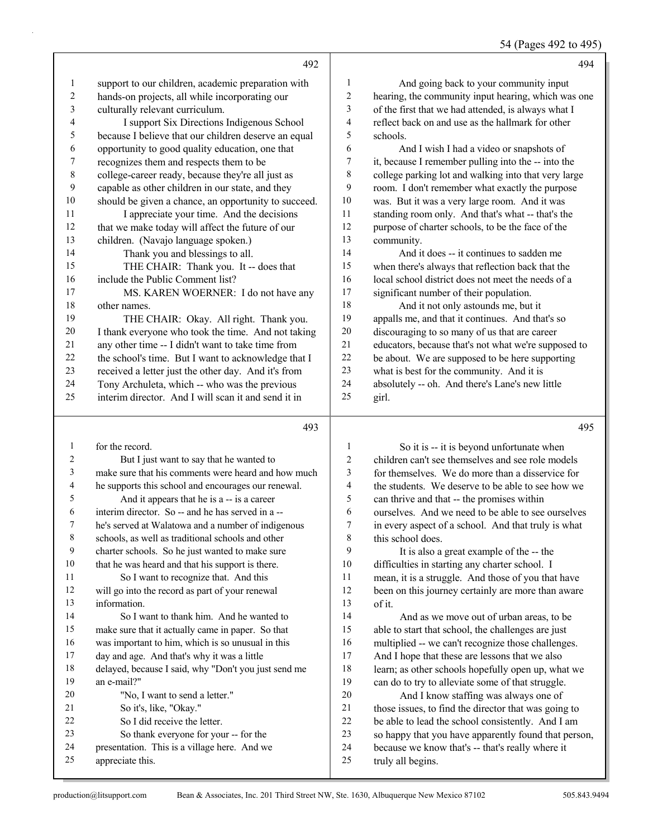54 (Pages 492 to 495)

|                |                                                        |                          | 54 (Pages 492 to 495                                                                                      |
|----------------|--------------------------------------------------------|--------------------------|-----------------------------------------------------------------------------------------------------------|
|                | 492                                                    |                          | 494                                                                                                       |
| 1              | support to our children, academic preparation with     | 1                        | And going back to your community input                                                                    |
| $\overline{c}$ | hands-on projects, all while incorporating our         | $\overline{c}$           | hearing, the community input hearing, which was one                                                       |
| 3              | culturally relevant curriculum.                        | 3                        | of the first that we had attended, is always what I                                                       |
| 4              | I support Six Directions Indigenous School             | 4                        | reflect back on and use as the hallmark for other                                                         |
| 5              | because I believe that our children deserve an equal   | 5                        | schools.                                                                                                  |
| 6              | opportunity to good quality education, one that        | 6                        | And I wish I had a video or snapshots of                                                                  |
| 7              | recognizes them and respects them to be                | 7                        | it, because I remember pulling into the -- into the                                                       |
| $\,$ $\,$      | college-career ready, because they're all just as      | 8                        | college parking lot and walking into that very large                                                      |
| 9              | capable as other children in our state, and they       | 9                        | room. I don't remember what exactly the purpose                                                           |
| $10\,$         | should be given a chance, an opportunity to succeed.   | 10                       | was. But it was a very large room. And it was                                                             |
| 11             | I appreciate your time. And the decisions              | 11                       | standing room only. And that's what -- that's the                                                         |
| 12             | that we make today will affect the future of our       | 12                       | purpose of charter schools, to be the face of the                                                         |
| 13             | children. (Navajo language spoken.)                    | 13                       | community.                                                                                                |
| 14             | Thank you and blessings to all.                        | 14                       | And it does -- it continues to sadden me                                                                  |
| 15             | THE CHAIR: Thank you. It -- does that                  | 15                       | when there's always that reflection back that the                                                         |
| 16             | include the Public Comment list?                       | 16                       | local school district does not meet the needs of a                                                        |
| 17             | MS. KAREN WOERNER: I do not have any                   | 17                       | significant number of their population.                                                                   |
| 18             | other names.                                           | 18                       | And it not only astounds me, but it                                                                       |
| 19             | THE CHAIR: Okay. All right. Thank you.                 | 19                       | appalls me, and that it continues. And that's so                                                          |
| 20             | I thank everyone who took the time. And not taking     | 20                       | discouraging to so many of us that are career                                                             |
| 21             | any other time -- I didn't want to take time from      | 21                       | educators, because that's not what we're supposed to                                                      |
| 22             | the school's time. But I want to acknowledge that I    | 22                       | be about. We are supposed to be here supporting                                                           |
| 23             | received a letter just the other day. And it's from    | 23                       | what is best for the community. And it is                                                                 |
| 24             | Tony Archuleta, which -- who was the previous          | 24                       | absolutely -- oh. And there's Lane's new little                                                           |
| 25             | interim director. And I will scan it and send it in    | 25                       | girl.                                                                                                     |
|                | 493                                                    |                          | 495                                                                                                       |
| $\mathbf{1}$   | for the record.                                        | 1                        | So it is -- it is beyond unfortunate when                                                                 |
| 2              | But I just want to say that he wanted to               | 2                        | children can't see themselves and see role models                                                         |
| 3              | make sure that his comments were heard and how much    | $\mathfrak{Z}$           | for themselves. We do more than a disservice for                                                          |
| 4              | he supports this school and encourages our renewal.    | $\overline{\mathcal{L}}$ | the students. We deserve to be able to see how we                                                         |
| 5              | And it appears that he is a -- is a career             | 5                        | can thrive and that -- the promises within                                                                |
| 6              | interim director. So -- and he has served in a --      | 6                        | ourselves. And we need to be able to see ourselves                                                        |
| 7              | he's served at Walatowa and a number of indigenous     | 7                        | in every aspect of a school. And that truly is what                                                       |
| 8              | schools, as well as traditional schools and other      | 8                        | this school does.                                                                                         |
| 9              | charter schools. So he just wanted to make sure        | 9                        | It is also a great example of the -- the                                                                  |
| 10             | that he was heard and that his support is there.       | 10                       | difficulties in starting any charter school. I                                                            |
| 11             | So I want to recognize that. And this                  | 11                       | mean, it is a struggle. And those of you that have                                                        |
| 12             | will go into the record as part of your renewal        | 12                       | been on this journey certainly are more than aware                                                        |
| 13             | information.                                           | 13                       | of it.                                                                                                    |
| 14             | So I want to thank him. And he wanted to               | 14                       | And as we move out of urban areas, to be                                                                  |
| 15             | make sure that it actually came in paper. So that      | 15                       | able to start that school, the challenges are just                                                        |
| 16             | was important to him, which is so unusual in this      | 16                       | multiplied -- we can't recognize those challenges.                                                        |
| 17             | day and age. And that's why it was a little            | 17                       | And I hope that these are lessons that we also                                                            |
| 18             | delayed, because I said, why "Don't you just send me   | 18                       | learn; as other schools hopefully open up, what we                                                        |
| 19<br>20       | an e-mail?"                                            | 19<br>$20\,$             | can do to try to alleviate some of that struggle.                                                         |
| 21             | "No, I want to send a letter."                         | $21\,$                   | And I know staffing was always one of                                                                     |
| 22             | So it's, like, "Okay."<br>So I did receive the letter. | 22                       | those issues, to find the director that was going to<br>be able to lead the school consistently. And I am |
| 23             | So thank everyone for your -- for the                  | 23                       | so happy that you have apparently found that person,                                                      |
|                |                                                        |                          |                                                                                                           |

- presentation. This is a village here. And we
- appreciate this.

because we know that's -- that's really where it

truly all begins.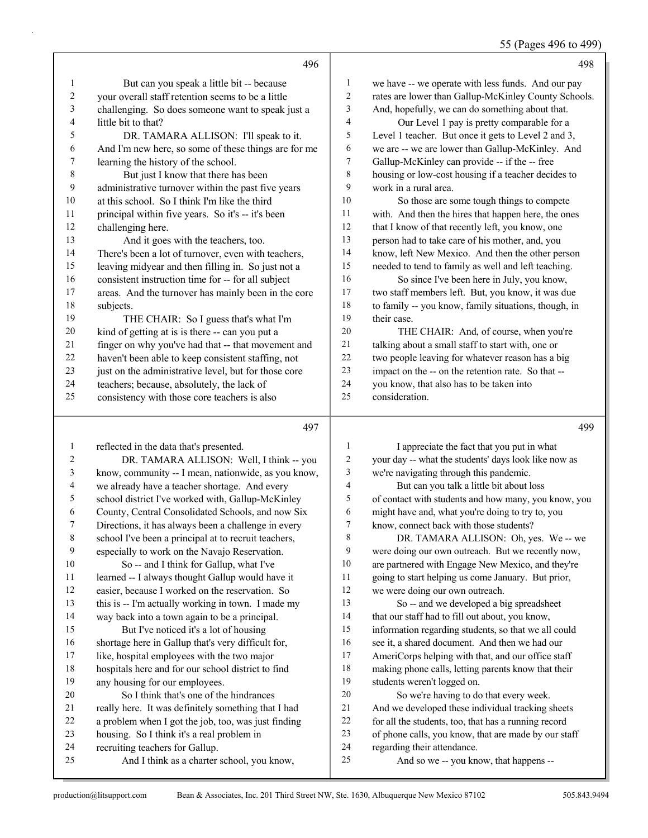55 (Pages 496 to 499)

|    | 496                                                  |    | 498                                                  |
|----|------------------------------------------------------|----|------------------------------------------------------|
| 1  | But can you speak a little bit -- because            | 1  | we have -- we operate with less funds. And our pay   |
| 2  | your overall staff retention seems to be a little    | 2  | rates are lower than Gallup-McKinley County Schools. |
| 3  | challenging. So does someone want to speak just a    | 3  | And, hopefully, we can do something about that.      |
| 4  | little bit to that?                                  | 4  | Our Level 1 pay is pretty comparable for a           |
| 5  | DR. TAMARA ALLISON: I'll speak to it.                | 5  | Level 1 teacher. But once it gets to Level 2 and 3,  |
| 6  | And I'm new here, so some of these things are for me | 6  | we are -- we are lower than Gallup-McKinley. And     |
| 7  | learning the history of the school.                  | 7  | Gallup-McKinley can provide -- if the -- free        |
| 8  | But just I know that there has been                  | 8  | housing or low-cost housing if a teacher decides to  |
| 9  | administrative turnover within the past five years   | 9  | work in a rural area.                                |
| 10 | at this school. So I think I'm like the third        | 10 | So those are some tough things to compete            |
| 11 | principal within five years. So it's -- it's been    | 11 | with. And then the hires that happen here, the ones  |
| 12 | challenging here.                                    | 12 | that I know of that recently left, you know, one     |
| 13 | And it goes with the teachers, too.                  | 13 | person had to take care of his mother, and, you      |
| 14 | There's been a lot of turnover, even with teachers,  | 14 | know, left New Mexico. And then the other person     |
| 15 | leaving midyear and then filling in. So just not a   | 15 | needed to tend to family as well and left teaching.  |
| 16 | consistent instruction time for -- for all subject   | 16 | So since I've been here in July, you know,           |
| 17 | areas. And the turnover has mainly been in the core  | 17 | two staff members left. But, you know, it was due    |
| 18 | subjects.                                            | 18 | to family -- you know, family situations, though, in |
| 19 | THE CHAIR: So I guess that's what I'm                | 19 | their case.                                          |
| 20 | kind of getting at is is there -- can you put a      | 20 | THE CHAIR: And, of course, when you're               |
| 21 | finger on why you've had that -- that movement and   | 21 | talking about a small staff to start with, one or    |
| 22 | haven't been able to keep consistent staffing, not   | 22 | two people leaving for whatever reason has a big     |
| 23 | just on the administrative level, but for those core | 23 | impact on the -- on the retention rate. So that --   |
| 24 | teachers; because, absolutely, the lack of           | 24 | you know, that also has to be taken into             |
| 25 | consistency with those core teachers is also         | 25 | consideration.                                       |
|    | 497                                                  |    | 499                                                  |

| 1  | reflected in the data that's presented.              | 1  | I appreciate the fact that you put in what           |
|----|------------------------------------------------------|----|------------------------------------------------------|
| 2  | DR. TAMARA ALLISON: Well, I think -- you             | 2  | your day -- what the students' days look like now as |
| 3  | know, community -- I mean, nationwide, as you know,  | 3  | we're navigating through this pandemic.              |
| 4  | we already have a teacher shortage. And every        | 4  | But can you talk a little bit about loss             |
| 5  | school district I've worked with, Gallup-McKinley    | 5  | of contact with students and how many, you know, you |
| 6  | County, Central Consolidated Schools, and now Six    | 6  | might have and, what you're doing to try to, you     |
| 7  | Directions, it has always been a challenge in every  | 7  | know, connect back with those students?              |
| 8  | school I've been a principal at to recruit teachers, | 8  | DR. TAMARA ALLISON: Oh, yes. We-- we                 |
| 9  | especially to work on the Navajo Reservation.        | 9  | were doing our own outreach. But we recently now,    |
| 10 | So -- and I think for Gallup, what I've              | 10 | are partnered with Engage New Mexico, and they're    |
| 11 | learned -- I always thought Gallup would have it     | 11 | going to start helping us come January. But prior,   |
| 12 | easier, because I worked on the reservation. So      | 12 | we were doing our own outreach.                      |
| 13 | this is -- I'm actually working in town. I made my   | 13 | So -- and we developed a big spreadsheet             |
| 14 | way back into a town again to be a principal.        | 14 | that our staff had to fill out about, you know,      |
| 15 | But I've noticed it's a lot of housing               | 15 | information regarding students, so that we all could |
| 16 | shortage here in Gallup that's very difficult for,   | 16 | see it, a shared document. And then we had our       |
| 17 | like, hospital employees with the two major          | 17 | AmeriCorps helping with that, and our office staff   |
| 18 | hospitals here and for our school district to find   | 18 | making phone calls, letting parents know that their  |
| 19 | any housing for our employees.                       | 19 | students weren't logged on.                          |
| 20 | So I think that's one of the hindrances              | 20 | So we're having to do that every week.               |
| 21 | really here. It was definitely something that I had  | 21 | And we developed these individual tracking sheets    |
| 22 | a problem when I got the job, too, was just finding  | 22 | for all the students, too, that has a running record |
| 23 | housing. So I think it's a real problem in           | 23 | of phone calls, you know, that are made by our staff |
| 24 | recruiting teachers for Gallup.                      | 24 | regarding their attendance.                          |
| 25 | And I think as a charter school, you know,           | 25 | And so we -- you know, that happens --               |
|    |                                                      |    |                                                      |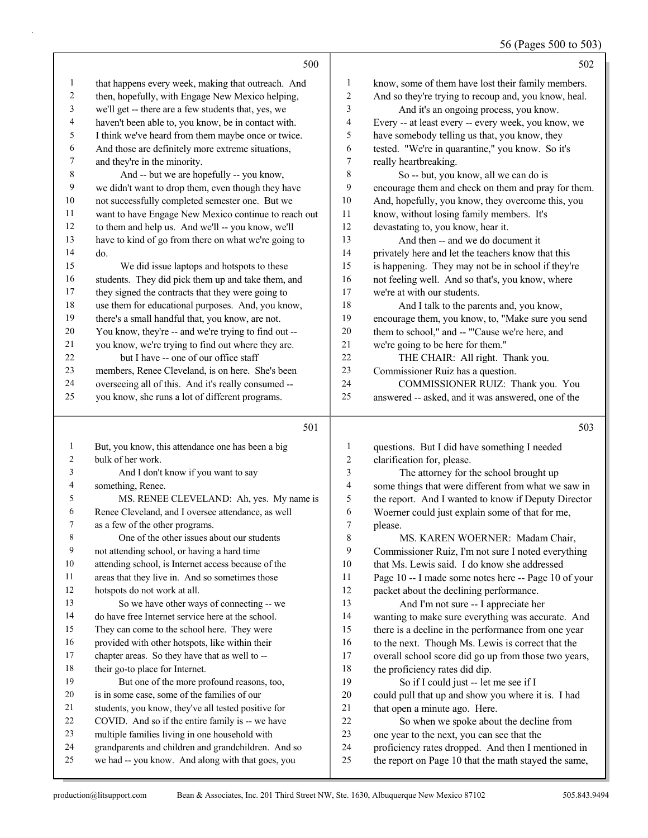#### 56 (Pages 500 to 503)

|                         |                                                      |                         | 0                                                    |
|-------------------------|------------------------------------------------------|-------------------------|------------------------------------------------------|
|                         | 500                                                  |                         | 502                                                  |
| 1                       | that happens every week, making that outreach. And   | $\mathbf{1}$            | know, some of them have lost their family members.   |
| 2                       | then, hopefully, with Engage New Mexico helping,     | $\boldsymbol{2}$        | And so they're trying to recoup and, you know, heal. |
| 3                       | we'll get -- there are a few students that, yes, we  | 3                       | And it's an ongoing process, you know.               |
| 4                       | haven't been able to, you know, be in contact with.  | 4                       | Every -- at least every -- every week, you know, we  |
| 5                       | I think we've heard from them maybe once or twice.   | 5                       | have somebody telling us that, you know, they        |
| 6                       | And those are definitely more extreme situations,    | 6                       | tested. "We're in quarantine," you know. So it's     |
| $\overline{7}$          | and they're in the minority.                         | $\tau$                  | really heartbreaking.                                |
| $\,$ 8 $\,$             | And -- but we are hopefully -- you know,             | $\,$ $\,$               | So -- but, you know, all we can do is                |
| $\overline{9}$          | we didn't want to drop them, even though they have   | 9                       | encourage them and check on them and pray for them.  |
| $10\,$                  | not successfully completed semester one. But we      | 10                      | And, hopefully, you know, they overcome this, you    |
| 11                      | want to have Engage New Mexico continue to reach out | 11                      | know, without losing family members. It's            |
| 12                      | to them and help us. And we'll -- you know, we'll    | 12                      | devastating to, you know, hear it.                   |
| 13                      | have to kind of go from there on what we're going to | 13                      | And then -- and we do document it                    |
| 14                      | do.                                                  | 14                      | privately here and let the teachers know that this   |
| 15                      | We did issue laptops and hotspots to these           | 15                      | is happening. They may not be in school if they're   |
| 16                      | students. They did pick them up and take them, and   | 16                      | not feeling well. And so that's, you know, where     |
| 17                      | they signed the contracts that they were going to    | 17                      | we're at with our students.                          |
| $18\,$                  | use them for educational purposes. And, you know,    | 18                      | And I talk to the parents and, you know,             |
| 19                      | there's a small handful that, you know, are not.     | 19                      | encourage them, you know, to, "Make sure you send    |
| $20\,$                  | You know, they're -- and we're trying to find out -- | $20\,$                  | them to school," and -- "'Cause we're here, and      |
| $21$                    | you know, we're trying to find out where they are.   | $21\,$                  | we're going to be here for them."                    |
| 22                      | but I have -- one of our office staff                | $22\,$                  | THE CHAIR: All right. Thank you.                     |
| 23                      | members, Renee Cleveland, is on here. She's been     | 23                      | Commissioner Ruiz has a question.                    |
| 24                      | overseeing all of this. And it's really consumed --  | 24                      | COMMISSIONER RUIZ: Thank you. You                    |
| 25                      | you know, she runs a lot of different programs.      | 25                      | answered -- asked, and it was answered, one of the   |
|                         | 501                                                  |                         | 503                                                  |
| 1                       | But, you know, this attendance one has been a big    | $\mathbf{1}$            | questions. But I did have something I needed         |
| $\overline{\mathbf{c}}$ | bulk of her work.                                    | $\overline{\mathbf{c}}$ | clarification for, please.                           |
| 3                       | And I don't know if you want to say                  | 3                       | The attorney for the school brought up               |
| 4                       | something, Renee.                                    | 4                       | some things that were different from what we saw in  |
| 5                       | MS. RENEE CLEVELAND: Ah, yes. My name is             | 5                       | the report. And I wanted to know if Deputy Director  |
| 6                       | Renee Cleveland, and I oversee attendance, as well   | 6                       | Woerner could just explain some of that for me,      |
| 7                       | as a few of the other programs.                      | $\overline{7}$          | please.                                              |
| 8                       | One of the other issues about our students           | 8                       | MS. KAREN WOERNER: Madam Chair,                      |
| 9                       | not attending school, or having a hard time          | 9                       | Commissioner Ruiz, I'm not sure I noted everything   |
| 10                      | attending school, is Internet access because of the  | 10                      | that Ms. Lewis said. I do know she addressed         |
| 11                      | areas that they live in. And so sometimes those      | 11                      | Page 10 -- I made some notes here -- Page 10 of your |
| 12                      | hotspots do not work at all.                         | 12                      | packet about the declining performance.              |
| 13                      | So we have other ways of connecting -- we            | 13                      | And I'm not sure -- I appreciate her                 |
| 14                      | do have free Internet service here at the school.    | 14                      | wanting to make sure everything was accurate. And    |
| 15                      | They can come to the school here. They were          | 15                      | there is a decline in the performance from one year  |

 there is a decline in the performance from one year 16 to the next. Though Ms. Lewis is correct that the

- overall school score did go up from those two years,
- the proficiency rates did dip.
- 19 So if I could just -- let me see if I
- could pull that up and show you where it is. I had 21 that open a minute ago. Here.
- 22 So when we spoke about the decline from
- one year to the next, you can see that the
- proficiency rates dropped. And then I mentioned in
- the report on Page 10 that the math stayed the same,

16 provided with other hotspots, like within their chapter areas. So they have that as well to --

19 But one of the more profound reasons, too, is in some case, some of the families of our students, you know, they've all tested positive for COVID. And so if the entire family is -- we have multiple families living in one household with grandparents and children and grandchildren. And so we had -- you know. And along with that goes, you

18 their go-to place for Internet.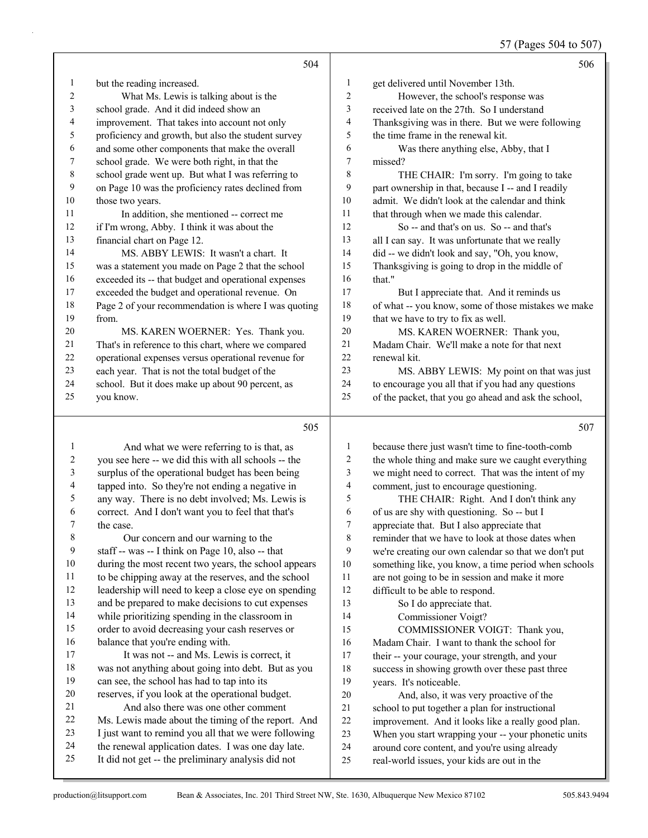57 (Pages 504 to 507)

|                  |                                                      |                         | ъ<br>- -                                             |
|------------------|------------------------------------------------------|-------------------------|------------------------------------------------------|
|                  | 504                                                  |                         | 506                                                  |
| $\mathbf{1}$     | but the reading increased.                           | $\mathbf{1}$            | get delivered until November 13th.                   |
| $\overline{2}$   | What Ms. Lewis is talking about is the               | $\overline{c}$          | However, the school's response was                   |
| 3                | school grade. And it did indeed show an              | 3                       | received late on the 27th. So I understand           |
| 4                | improvement. That takes into account not only        | $\overline{4}$          | Thanksgiving was in there. But we were following     |
| 5                | proficiency and growth, but also the student survey  | 5                       | the time frame in the renewal kit.                   |
| 6                | and some other components that make the overall      | 6                       | Was there anything else, Abby, that I                |
| 7                | school grade. We were both right, in that the        | $\boldsymbol{7}$        | missed?                                              |
| 8                | school grade went up. But what I was referring to    | 8                       | THE CHAIR: I'm sorry. I'm going to take              |
| 9                | on Page 10 was the proficiency rates declined from   | 9                       | part ownership in that, because I -- and I readily   |
| 10               | those two years.                                     | 10                      | admit. We didn't look at the calendar and think      |
| 11               | In addition, she mentioned -- correct me             | 11                      | that through when we made this calendar.             |
| 12               | if I'm wrong, Abby. I think it was about the         | 12                      | So -- and that's on us. So -- and that's             |
| 13               | financial chart on Page 12.                          | 13                      | all I can say. It was unfortunate that we really     |
| 14               | MS. ABBY LEWIS: It wasn't a chart. It                | 14                      | did -- we didn't look and say, "Oh, you know,        |
| 15               | was a statement you made on Page 2 that the school   | 15                      | Thanksgiving is going to drop in the middle of       |
| 16               | exceeded its -- that budget and operational expenses | 16                      | that."                                               |
| 17               | exceeded the budget and operational revenue. On      | 17                      | But I appreciate that. And it reminds us             |
| 18               | Page 2 of your recommendation is where I was quoting | 18                      | of what -- you know, some of those mistakes we make  |
| 19               | from.                                                | 19                      | that we have to try to fix as well.                  |
| 20               | MS. KAREN WOERNER: Yes. Thank you.                   | 20                      | MS. KAREN WOERNER: Thank you,                        |
| 21               | That's in reference to this chart, where we compared | 21                      | Madam Chair. We'll make a note for that next         |
| 22               | operational expenses versus operational revenue for  | 22                      | renewal kit.                                         |
| 23               | each year. That is not the total budget of the       | 23                      | MS. ABBY LEWIS: My point on that was just            |
| 24               | school. But it does make up about 90 percent, as     | 24                      | to encourage you all that if you had any questions   |
| 25               | you know.                                            | 25                      | of the packet, that you go ahead and ask the school, |
|                  | 505                                                  |                         | 507                                                  |
| $\mathbf{1}$     | And what we were referring to is that, as            | $\mathbf{1}$            | because there just wasn't time to fine-tooth-comb    |
| $\boldsymbol{2}$ | you see here -- we did this with all schools -- the  | $\boldsymbol{2}$        | the whole thing and make sure we caught everything   |
| $\mathfrak{Z}$   | surplus of the operational budget has been being     | $\overline{\mathbf{3}}$ | we might need to correct. That was the intent of my  |
| 4                | tapped into. So they're not ending a negative in     | $\overline{4}$          | comment, just to encourage questioning.              |
| 5                | any way. There is no debt involved; Ms. Lewis is     | 5                       | THE CHAIR: Right. And I don't think any              |
| 6                | correct. And I don't want you to feel that that's    | 6                       | of us are shy with questioning. So -- but I          |
| 7                | the case.                                            | $\overline{7}$          | appreciate that. But I also appreciate that          |

8 Our concern and our warning to the staff -- was -- I think on Page 10, also -- that during the most recent two years, the school appears to be chipping away at the reserves, and the school leadership will need to keep a close eye on spending and be prepared to make decisions to cut expenses while prioritizing spending in the classroom in order to avoid decreasing your cash reserves or balance that you're ending with.

17 It was not -- and Ms. Lewis is correct, it was not anything about going into debt. But as you can see, the school has had to tap into its reserves, if you look at the operational budget. 21 And also there was one other comment Ms. Lewis made about the timing of the report. And I just want to remind you all that we were following the renewal application dates. I was one day late. It did not get -- the preliminary analysis did not

 reminder that we have to look at those dates when we're creating our own calendar so that we don't put something like, you know, a time period when schools

- are not going to be in session and make it more difficult to be able to respond.
- 13 So I do appreciate that.
- 14 Commissioner Voigt?
- 15 COMMISSIONER VOIGT: Thank you,
- Madam Chair. I want to thank the school for their -- your courage, your strength, and your success in showing growth over these past three
- years. It's noticeable. 20 And, also, it was very proactive of the
- school to put together a plan for instructional
- improvement. And it looks like a really good plan.
- When you start wrapping your -- your phonetic units
- around core content, and you're using already
- real-world issues, your kids are out in the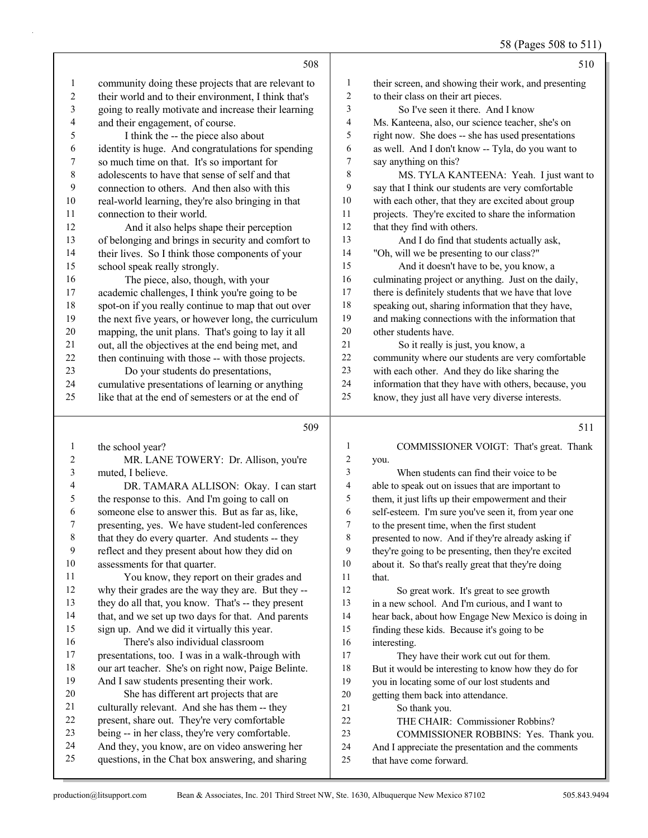58 (Pages 508 to 511)

|                | 508                                                                                                 |                          | 510                                                                           |
|----------------|-----------------------------------------------------------------------------------------------------|--------------------------|-------------------------------------------------------------------------------|
| $\mathbf{1}$   | community doing these projects that are relevant to                                                 | $\mathbf{1}$             | their screen, and showing their work, and presenting                          |
| $\overline{c}$ | their world and to their environment, I think that's                                                | $\sqrt{2}$               | to their class on their art pieces.                                           |
| 3              | going to really motivate and increase their learning                                                | 3                        | So I've seen it there. And I know                                             |
| 4              | and their engagement, of course.                                                                    | $\overline{\mathcal{A}}$ | Ms. Kanteena, also, our science teacher, she's on                             |
| 5              | I think the -- the piece also about                                                                 | 5                        | right now. She does -- she has used presentations                             |
| 6              | identity is huge. And congratulations for spending                                                  | 6                        | as well. And I don't know -- Tyla, do you want to                             |
| 7              | so much time on that. It's so important for                                                         | 7                        | say anything on this?                                                         |
| $\,8\,$        | adolescents to have that sense of self and that                                                     | 8                        | MS. TYLA KANTEENA: Yeah. I just want to                                       |
| 9              | connection to others. And then also with this                                                       | 9                        | say that I think our students are very comfortable                            |
| $10\,$         | real-world learning, they're also bringing in that                                                  | $10\,$                   | with each other, that they are excited about group                            |
| 11             | connection to their world.                                                                          | 11                       | projects. They're excited to share the information                            |
| 12             | And it also helps shape their perception                                                            | $12\,$                   | that they find with others.                                                   |
| 13             | of belonging and brings in security and comfort to                                                  | 13                       | And I do find that students actually ask,                                     |
| 14             | their lives. So I think those components of your                                                    | 14                       | "Oh, will we be presenting to our class?"                                     |
| 15             | school speak really strongly.                                                                       | 15                       | And it doesn't have to be, you know, a                                        |
| 16             | The piece, also, though, with your                                                                  | 16                       | culminating project or anything. Just on the daily,                           |
| 17             | academic challenges, I think you're going to be                                                     | 17                       | there is definitely students that we have that love                           |
| 18             | spot-on if you really continue to map that out over                                                 | 18                       | speaking out, sharing information that they have,                             |
| 19             | the next five years, or however long, the curriculum                                                | 19                       | and making connections with the information that                              |
| $20\,$         | mapping, the unit plans. That's going to lay it all                                                 | $20\,$                   | other students have.                                                          |
| 21             | out, all the objectives at the end being met, and                                                   | 21                       | So it really is just, you know, a                                             |
| 22             | then continuing with those -- with those projects.                                                  | $22\,$                   | community where our students are very comfortable                             |
| 23             | Do your students do presentations,                                                                  | 23                       | with each other. And they do like sharing the                                 |
| 24             | cumulative presentations of learning or anything                                                    | 24                       | information that they have with others, because, you                          |
| 25             | like that at the end of semesters or at the end of                                                  | 25                       | know, they just all have very diverse interests.                              |
|                |                                                                                                     |                          |                                                                               |
|                | 509                                                                                                 |                          | 511                                                                           |
| 1              |                                                                                                     | 1                        |                                                                               |
| 2              | the school year?<br>MR. LANE TOWERY: Dr. Allison, you're                                            | $\overline{\mathbf{c}}$  | COMMISSIONER VOIGT: That's great. Thank<br>you.                               |
| $\mathfrak{Z}$ | muted, I believe.                                                                                   | 3                        | When students can find their voice to be                                      |
| 4              | DR. TAMARA ALLISON: Okay. I can start                                                               | $\overline{4}$           | able to speak out on issues that are important to                             |
| $\sqrt{5}$     | the response to this. And I'm going to call on                                                      | 5                        | them, it just lifts up their empowerment and their                            |
| 6              | someone else to answer this. But as far as, like,                                                   | 6                        | self-esteem. I'm sure you've seen it, from year one                           |
| 7              | presenting, yes. We have student-led conferences                                                    | 7                        | to the present time, when the first student                                   |
| 8              | that they do every quarter. And students -- they                                                    | 8                        | presented to now. And if they're already asking if                            |
| 9              | reflect and they present about how they did on                                                      | 9                        | they're going to be presenting, then they're excited                          |
| 10             | assessments for that quarter.                                                                       | 10                       | about it. So that's really great that they're doing                           |
| 11             | You know, they report on their grades and                                                           | 11                       | that.                                                                         |
| 12             | why their grades are the way they are. But they --                                                  | 12                       | So great work. It's great to see growth                                       |
| 13             | they do all that, you know. That's -- they present                                                  | 13                       | in a new school. And I'm curious, and I want to                               |
| 14             | that, and we set up two days for that. And parents                                                  | 14                       | hear back, about how Engage New Mexico is doing in                            |
| 15             | sign up. And we did it virtually this year.                                                         | 15                       | finding these kids. Because it's going to be                                  |
| 16             | There's also individual classroom                                                                   | 16                       | interesting.                                                                  |
| 17             | presentations, too. I was in a walk-through with                                                    | 17                       | They have their work cut out for them.                                        |
| 18             | our art teacher. She's on right now, Paige Belinte.                                                 | 18                       | But it would be interesting to know how they do for                           |
| 19             | And I saw students presenting their work.                                                           | 19                       | you in locating some of our lost students and                                 |
| 20             | She has different art projects that are                                                             | 20                       | getting them back into attendance.                                            |
| 21             | culturally relevant. And she has them -- they                                                       | 21                       | So thank you.                                                                 |
| 22             | present, share out. They're very comfortable                                                        | 22                       | THE CHAIR: Commissioner Robbins?                                              |
| 23             | being -- in her class, they're very comfortable.                                                    | 23                       | COMMISSIONER ROBBINS: Yes. Thank you.                                         |
| 24<br>25       | And they, you know, are on video answering her<br>questions, in the Chat box answering, and sharing | 24<br>25                 | And I appreciate the presentation and the comments<br>that have come forward. |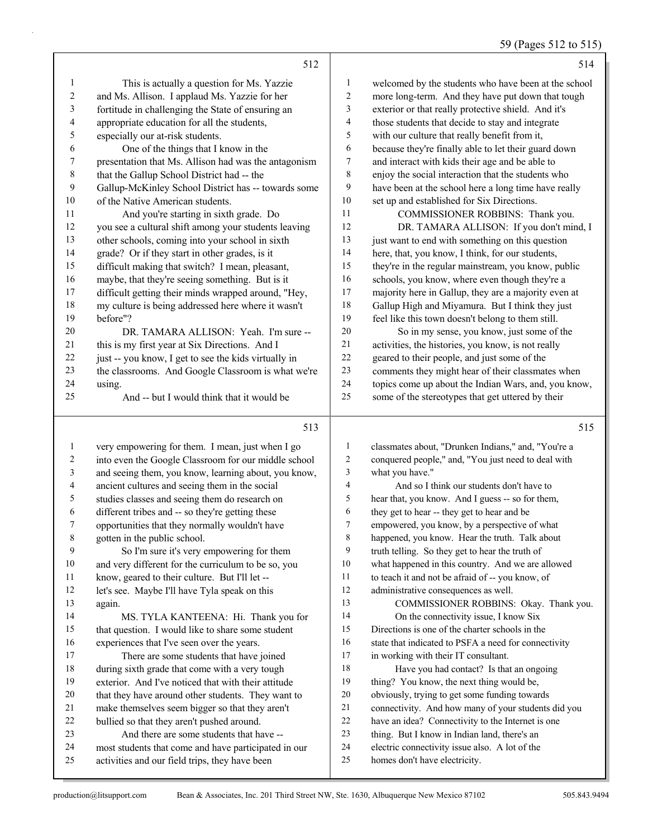# 59 (Pages 512 to 515)

|                | 512                                                  |    | 514                                                  |
|----------------|------------------------------------------------------|----|------------------------------------------------------|
| 1              | This is actually a question for Ms. Yazzie           | 1  | welcomed by the students who have been at the school |
| $\overline{2}$ | and Ms. Allison. I applaud Ms. Yazzie for her        | 2  | more long-term. And they have put down that tough    |
| 3              | fortitude in challenging the State of ensuring an    | 3  | exterior or that really protective shield. And it's  |
| 4              | appropriate education for all the students,          | 4  | those students that decide to stay and integrate     |
| 5              | especially our at-risk students.                     | 5  | with our culture that really benefit from it,        |
| 6              | One of the things that I know in the                 | 6  | because they're finally able to let their guard down |
| 7              | presentation that Ms. Allison had was the antagonism | 7  | and interact with kids their age and be able to      |
| $\,$ 8 $\,$    | that the Gallup School District had -- the           | 8  | enjoy the social interaction that the students who   |
| 9              | Gallup-McKinley School District has -- towards some  | 9  | have been at the school here a long time have really |
| 10             | of the Native American students.                     | 10 | set up and established for Six Directions.           |
| 11             | And you're starting in sixth grade. Do               | 11 | COMMISSIONER ROBBINS: Thank you.                     |
| 12             | you see a cultural shift among your students leaving | 12 | DR. TAMARA ALLISON: If you don't mind, I             |
| 13             | other schools, coming into your school in sixth      | 13 | just want to end with something on this question     |
| 14             | grade? Or if they start in other grades, is it       | 14 | here, that, you know, I think, for our students,     |
| 15             | difficult making that switch? I mean, pleasant,      | 15 | they're in the regular mainstream, you know, public  |
| 16             | maybe, that they're seeing something. But is it      | 16 | schools, you know, where even though they're a       |
| 17             | difficult getting their minds wrapped around, "Hey,  | 17 | majority here in Gallup, they are a majority even at |
| 18             | my culture is being addressed here where it wasn't   | 18 | Gallup High and Miyamura. But I think they just      |
| 19             | hefore"?                                             | 19 | feel like this town doesn't belong to them still.    |
| 20             | DR. TAMARA ALLISON: Yeah. I'm sure --                | 20 | So in my sense, you know, just some of the           |
| 21             | this is my first year at Six Directions. And I       | 21 | activities, the histories, you know, is not really   |
| 22             | just -- you know, I get to see the kids virtually in | 22 | geared to their people, and just some of the         |
| 23             | the classrooms. And Google Classroom is what we're   | 23 | comments they might hear of their classmates when    |
| 24             | using.                                               | 24 | topics come up about the Indian Wars, and, you know, |
| 25             | And -- but I would think that it would be            | 25 | some of the stereotypes that get uttered by their    |
|                | 513                                                  |    | 515                                                  |

| $\mathbf{1}$ | very empowering for them. I mean, just when I go     | 1              | classmates about, "Drunken Indians," and, "You're a  |
|--------------|------------------------------------------------------|----------------|------------------------------------------------------|
| 2            | into even the Google Classroom for our middle school | $\overline{c}$ | conquered people," and, "You just need to deal with  |
| 3            | and seeing them, you know, learning about, you know, | 3              | what you have."                                      |
| 4            | ancient cultures and seeing them in the social       | $\overline{4}$ | And so I think our students don't have to            |
| 5            | studies classes and seeing them do research on       | 5              | hear that, you know. And I guess -- so for them,     |
| 6            | different tribes and -- so they're getting these     | 6              | they get to hear -- they get to hear and be          |
| 7            | opportunities that they normally wouldn't have       | 7              | empowered, you know, by a perspective of what        |
| $\,$ 8 $\,$  | gotten in the public school.                         | 8              | happened, you know. Hear the truth. Talk about       |
| 9            | So I'm sure it's very empowering for them            | 9              | truth telling. So they get to hear the truth of      |
| 10           | and very different for the curriculum to be so, you  | 10             | what happened in this country. And we are allowed    |
| 11           | know, geared to their culture. But I'll let --       | 11             | to teach it and not be afraid of -- you know, of     |
| 12           | let's see. Maybe I'll have Tyla speak on this        | 12             | administrative consequences as well.                 |
| 13           | again.                                               | 13             | COMMISSIONER ROBBINS: Okay. Thank you.               |
| 14           | MS. TYLA KANTEENA: Hi. Thank you for                 | 14             | On the connectivity issue, I know Six                |
| 15           | that question. I would like to share some student    | 15             | Directions is one of the charter schools in the      |
| 16           | experiences that I've seen over the years.           | 16             | state that indicated to PSFA a need for connectivity |
| 17           | There are some students that have joined             | 17             | in working with their IT consultant.                 |
| 18           | during sixth grade that come with a very tough       | 18             | Have you had contact? Is that an ongoing             |
| 19           | exterior. And I've noticed that with their attitude  | 19             | thing? You know, the next thing would be,            |
| 20           | that they have around other students. They want to   | 20             | obviously, trying to get some funding towards        |
| 21           | make themselves seem bigger so that they aren't      | 21             | connectivity. And how many of your students did you  |
| 22           | bullied so that they aren't pushed around.           | 22             | have an idea? Connectivity to the Internet is one    |
| 23           | And there are some students that have --             | 23             | thing. But I know in Indian land, there's an         |
| 24           | most students that come and have participated in our | 24             | electric connectivity issue also. A lot of the       |
| 25           | activities and our field trips, they have been       | 25             | homes don't have electricity.                        |
|              |                                                      |                |                                                      |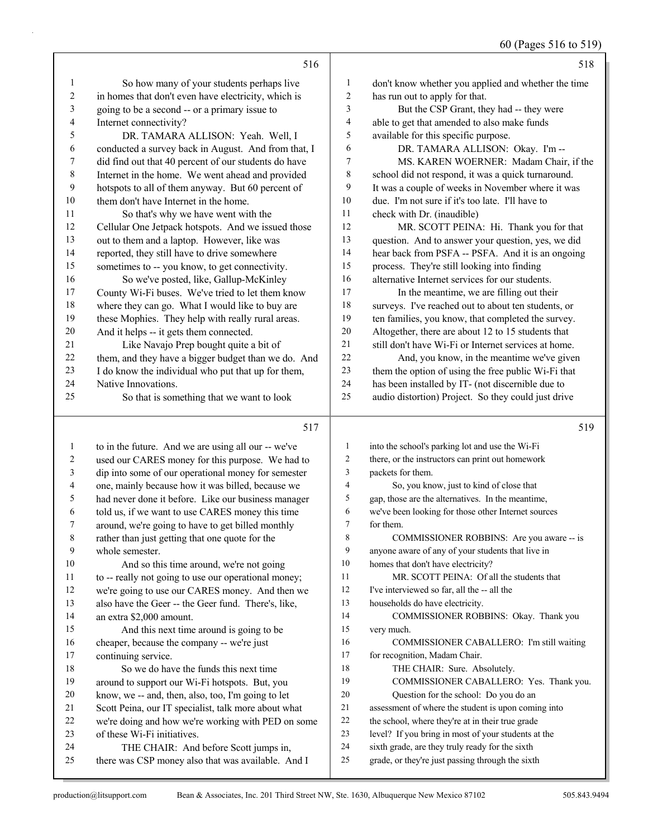60 (Pages 516 to 519)

|                |                                                                      |                | $00$ (Fages 310 to 319)                                                                                |
|----------------|----------------------------------------------------------------------|----------------|--------------------------------------------------------------------------------------------------------|
|                | 516                                                                  |                | 518                                                                                                    |
| $\mathbf{1}$   | So how many of your students perhaps live                            | 1              | don't know whether you applied and whether the time                                                    |
| $\overline{c}$ | in homes that don't even have electricity, which is                  | $\sqrt{2}$     | has run out to apply for that.                                                                         |
| $\sqrt{3}$     | going to be a second -- or a primary issue to                        | 3              | But the CSP Grant, they had -- they were                                                               |
| $\overline{4}$ | Internet connectivity?                                               | $\overline{4}$ | able to get that amended to also make funds                                                            |
| 5              | DR. TAMARA ALLISON: Yeah. Well, I                                    | 5              | available for this specific purpose.                                                                   |
| 6              | conducted a survey back in August. And from that, I                  | 6              | DR. TAMARA ALLISON: Okay. I'm --                                                                       |
| 7              | did find out that 40 percent of our students do have                 | 7              | MS. KAREN WOERNER: Madam Chair, if the                                                                 |
| 8              | Internet in the home. We went ahead and provided                     | $\,8\,$        | school did not respond, it was a quick turnaround.                                                     |
| 9              | hotspots to all of them anyway. But 60 percent of                    | 9              | It was a couple of weeks in November where it was                                                      |
| 10             | them don't have Internet in the home.                                | 10             | due. I'm not sure if it's too late. I'll have to                                                       |
| 11             | So that's why we have went with the                                  | 11             | check with Dr. (inaudible)                                                                             |
| 12             | Cellular One Jetpack hotspots. And we issued those                   | 12             | MR. SCOTT PEINA: Hi. Thank you for that                                                                |
| 13             | out to them and a laptop. However, like was                          | 13             | question. And to answer your question, yes, we did                                                     |
| 14             | reported, they still have to drive somewhere                         | 14             | hear back from PSFA -- PSFA. And it is an ongoing                                                      |
| 15             | sometimes to -- you know, to get connectivity.                       | 15             | process. They're still looking into finding                                                            |
| 16             | So we've posted, like, Gallup-McKinley                               | 16             | alternative Internet services for our students.                                                        |
| 17             | County Wi-Fi buses. We've tried to let them know                     | 17             | In the meantime, we are filling out their                                                              |
| 18             | where they can go. What I would like to buy are                      | $18\,$         | surveys. I've reached out to about ten students, or                                                    |
| 19             | these Mophies. They help with really rural areas.                    | 19             | ten families, you know, that completed the survey.                                                     |
| 20             | And it helps -- it gets them connected.                              | 20             | Altogether, there are about 12 to 15 students that                                                     |
| 21             | Like Navajo Prep bought quite a bit of                               | 21             | still don't have Wi-Fi or Internet services at home.                                                   |
| 22             | them, and they have a bigger budget than we do. And                  | 22             | And, you know, in the meantime we've given                                                             |
| 23             | I do know the individual who put that up for them,                   | 23             | them the option of using the free public Wi-Fi that                                                    |
| 24             | Native Innovations.                                                  | 24             | has been installed by IT- (not discernible due to                                                      |
| 25             | So that is something that we want to look                            | 25             | audio distortion) Project. So they could just drive                                                    |
|                | 517                                                                  |                | 519                                                                                                    |
| $\mathbf{1}$   | to in the future. And we are using all our -- we've                  | $\mathbf{1}$   | into the school's parking lot and use the Wi-Fi                                                        |
| 2              | used our CARES money for this purpose. We had to                     | $\overline{c}$ | there, or the instructors can print out homework                                                       |
| 3              | dip into some of our operational money for semester                  | 3              | packets for them.                                                                                      |
| 4              | one, mainly because how it was billed, because we                    | 4              | So, you know, just to kind of close that                                                               |
| 5              | had never done it before. Like our business manager                  | 5              | gap, those are the alternatives. In the meantime,                                                      |
| 6              | told us, if we want to use CARES money this time                     | 6              | we've been looking for those other Internet sources                                                    |
| 7              | around, we're going to have to get billed monthly                    | 7              | for them.                                                                                              |
| 8              | rather than just getting that one quote for the                      | 8              | COMMISSIONER ROBBINS: Are you aware -- is                                                              |
| 9              | whole semester.                                                      | 9              | anyone aware of any of your students that live in                                                      |
| 10             | And so this time around, we're not going                             | 10             | homes that don't have electricity?                                                                     |
| 11             | to -- really not going to use our operational money;                 | 11             | MR. SCOTT PEINA: Of all the students that                                                              |
| 12             | we're going to use our CARES money. And then we                      | 12             | I've interviewed so far, all the -- all the                                                            |
| 13             | also have the Geer -- the Geer fund. There's, like,                  | 13             | households do have electricity.                                                                        |
| 14             | an extra \$2,000 amount.                                             | 14             | COMMISSIONER ROBBINS: Okay. Thank you                                                                  |
| 15             | And this next time around is going to be                             | 15             | very much.                                                                                             |
| 16             | cheaper, because the company -- we're just                           | 16             | COMMISSIONER CABALLERO: I'm still waiting                                                              |
| 17             | continuing service.                                                  | 17             | for recognition, Madam Chair.                                                                          |
| 18             | So we do have the funds this next time                               | 18             | THE CHAIR: Sure. Absolutely.                                                                           |
| 19             | around to support our Wi-Fi hotspots. But, you                       | 19             | COMMISSIONER CABALLERO: Yes. Thank you.                                                                |
| 20             | know, we -- and, then, also, too, I'm going to let                   | 20             | Question for the school: Do you do an                                                                  |
| 21             | Scott Peina, our IT specialist, talk more about what                 | 21             | assessment of where the student is upon coming into                                                    |
| 22             | we're doing and how we're working with PED on some                   | 22<br>23       | the school, where they're at in their true grade                                                       |
| 23<br>24       | of these Wi-Fi initiatives.<br>THE CHAIR: And before Scott jumps in, | 24             | level? If you bring in most of your students at the<br>sixth grade, are they truly ready for the sixth |
| 25             | there was CSP money also that was available. And I                   | 25             | grade, or they're just passing through the sixth                                                       |
|                |                                                                      |                |                                                                                                        |

there was CSP money also that was available. And I

production@litsupport.com Bean & Associates, Inc. 201 Third Street NW, Ste. 1630, Albuquerque New Mexico 87102 505.843.9494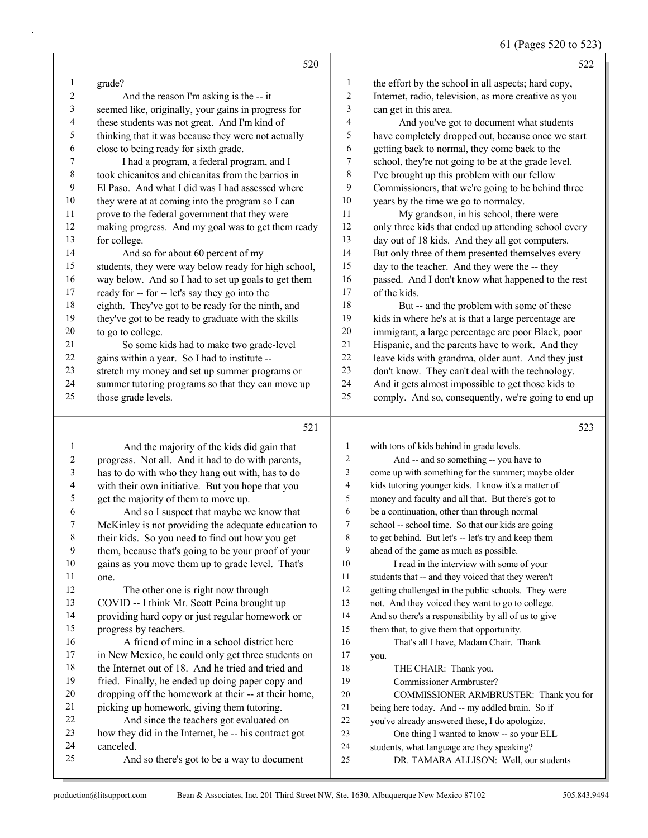|    | 520                                                  |                | 522                                                  |
|----|------------------------------------------------------|----------------|------------------------------------------------------|
| 1  | grade?                                               | 1              | the effort by the school in all aspects; hard copy,  |
| 2  | And the reason I'm asking is the -- it               | $\overline{c}$ | Internet, radio, television, as more creative as you |
| 3  | seemed like, originally, your gains in progress for  | 3              | can get in this area.                                |
| 4  | these students was not great. And I'm kind of        | 4              | And you've got to document what students             |
| 5  | thinking that it was because they were not actually  | 5              | have completely dropped out, because once we start   |
| 6  | close to being ready for sixth grade.                | 6              | getting back to normal, they come back to the        |
| 7  | I had a program, a federal program, and I            | 7              | school, they're not going to be at the grade level.  |
| 8  | took chicanitos and chicanitas from the barrios in   | 8              | I've brought up this problem with our fellow         |
| 9  | El Paso. And what I did was I had assessed where     | 9              | Commissioners, that we're going to be behind three   |
| 10 | they were at at coming into the program so I can     | 10             | years by the time we go to normalcy.                 |
| 11 | prove to the federal government that they were       | 11             | My grandson, in his school, there were               |
| 12 | making progress. And my goal was to get them ready   | 12             | only three kids that ended up attending school every |
| 13 | for college.                                         | 13             | day out of 18 kids. And they all got computers.      |
| 14 | And so for about 60 percent of my                    | 14             | But only three of them presented themselves every    |
| 15 | students, they were way below ready for high school, | 15             | day to the teacher. And they were the -- they        |
| 16 | way below. And so I had to set up goals to get them  | 16             | passed. And I don't know what happened to the rest   |
| 17 | ready for -- for -- let's say they go into the       | 17             | of the kids.                                         |
| 18 | eighth. They've got to be ready for the ninth, and   | 18             | But -- and the problem with some of these            |
| 19 | they've got to be ready to graduate with the skills  | 19             | kids in where he's at is that a large percentage are |
| 20 | to go to college.                                    | 20             | immigrant, a large percentage are poor Black, poor   |
| 21 | So some kids had to make two grade-level             | 21             | Hispanic, and the parents have to work. And they     |
| 22 | gains within a year. So I had to institute --        | 22             | leave kids with grandma, older aunt. And they just   |
| 23 | stretch my money and set up summer programs or       | 23             | don't know. They can't deal with the technology.     |
| 24 | summer tutoring programs so that they can move up    | 24             | And it gets almost impossible to get those kids to   |
| 25 | those grade levels.                                  | 25             | comply. And so, consequently, we're going to end up  |
|    | 521                                                  |                | 523                                                  |

|    | And the majority of the kids did gain that           | 1              | with tons of kids behind in grade levels.            |
|----|------------------------------------------------------|----------------|------------------------------------------------------|
| 2  | progress. Not all. And it had to do with parents,    | $\overline{2}$ | And -- and so something -- you have to               |
| 3  | has to do with who they hang out with, has to do     | 3              | come up with something for the summer; maybe older   |
| 4  | with their own initiative. But you hope that you     | 4              | kids tutoring younger kids. I know it's a matter of  |
| 5  | get the majority of them to move up.                 | 5              | money and faculty and all that. But there's got to   |
| 6  | And so I suspect that maybe we know that             | 6              | be a continuation, other than through normal         |
| 7  | McKinley is not providing the adequate education to  | 7              | school -- school time. So that our kids are going    |
| 8  | their kids. So you need to find out how you get      | 8              | to get behind. But let's -- let's try and keep them  |
| 9  | them, because that's going to be your proof of your  | 9              | ahead of the game as much as possible.               |
| 10 | gains as you move them up to grade level. That's     | 10             | I read in the interview with some of your            |
| 11 | one.                                                 | 11             | students that -- and they voiced that they weren't   |
| 12 | The other one is right now through                   | 12             | getting challenged in the public schools. They were  |
| 13 | COVID -- I think Mr. Scott Peina brought up          | 13             | not. And they voiced they want to go to college.     |
| 14 | providing hard copy or just regular homework or      | 14             | And so there's a responsibility by all of us to give |
| 15 | progress by teachers.                                | 15             | them that, to give them that opportunity.            |
| 16 | A friend of mine in a school district here           | 16             | That's all I have, Madam Chair. Thank                |
| 17 | in New Mexico, he could only get three students on   | 17             | you.                                                 |
| 18 | the Internet out of 18. And he tried and tried and   | 18             | THE CHAIR: Thank you.                                |
| 19 | fried. Finally, he ended up doing paper copy and     | 19             | Commissioner Armbruster?                             |
| 20 | dropping off the homework at their -- at their home, | 20             | COMMISSIONER ARMBRUSTER: Thank you for               |
| 21 | picking up homework, giving them tutoring.           | 21             | being here today. And -- my addled brain. So if      |
| 22 | And since the teachers got evaluated on              | 22             | you've already answered these, I do apologize.       |
| 23 | how they did in the Internet, he -- his contract got | 23             | One thing I wanted to know -- so your ELL            |
| 24 | canceled.                                            | 24             | students, what language are they speaking?           |
| 25 | And so there's got to be a way to document           | 25             | DR. TAMARA ALLISON: Well, our students               |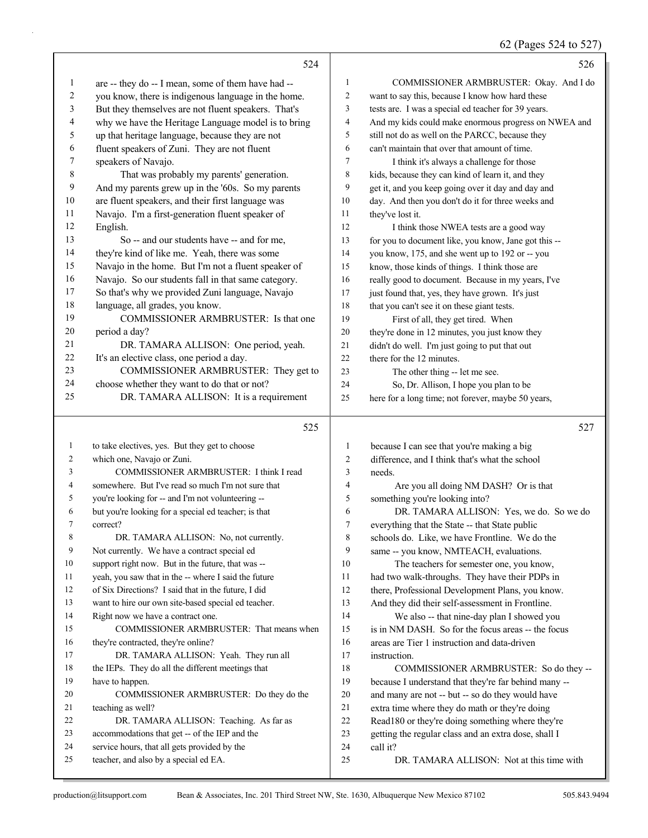| 62 (Pages 524 to 527) |  |  |  |  |
|-----------------------|--|--|--|--|
|-----------------------|--|--|--|--|

|          | 524                                                                                           |                | 526                                                              |
|----------|-----------------------------------------------------------------------------------------------|----------------|------------------------------------------------------------------|
| 1        | are -- they do -- I mean, some of them have had --                                            | 1              | COMMISSIONER ARMBRUSTER: Okay. And I do                          |
| 2        | you know, there is indigenous language in the home.                                           | $\overline{c}$ | want to say this, because I know how hard these                  |
| 3        | But they themselves are not fluent speakers. That's                                           | 3              | tests are. I was a special ed teacher for 39 years.              |
| 4        | why we have the Heritage Language model is to bring                                           | 4              | And my kids could make enormous progress on NWEA and             |
| 5        | up that heritage language, because they are not                                               | 5              | still not do as well on the PARCC, because they                  |
| 6        | fluent speakers of Zuni. They are not fluent                                                  | 6              | can't maintain that over that amount of time.                    |
| 7        | speakers of Navajo.                                                                           | 7              | I think it's always a challenge for those                        |
| 8        | That was probably my parents' generation.                                                     | 8              | kids, because they can kind of learn it, and they                |
| 9        | And my parents grew up in the '60s. So my parents                                             | 9              | get it, and you keep going over it day and day and               |
| 10       | are fluent speakers, and their first language was                                             | 10             | day. And then you don't do it for three weeks and                |
| 11       | Navajo. I'm a first-generation fluent speaker of                                              | 11             | they've lost it.                                                 |
| 12       | English.                                                                                      | 12             | I think those NWEA tests are a good way                          |
| 13       | So -- and our students have -- and for me,                                                    | 13             | for you to document like, you know, Jane got this --             |
| 14       | they're kind of like me. Yeah, there was some                                                 | 14             | you know, 175, and she went up to 192 or -- you                  |
| 15       | Navajo in the home. But I'm not a fluent speaker of                                           | 15             | know, those kinds of things. I think those are                   |
| 16       | Navajo. So our students fall in that same category.                                           | 16             | really good to document. Because in my years, I've               |
| 17       | So that's why we provided Zuni language, Navajo                                               | 17             | just found that, yes, they have grown. It's just                 |
| 18       | language, all grades, you know.                                                               | 18             | that you can't see it on these giant tests.                      |
| 19       | COMMISSIONER ARMBRUSTER: Is that one                                                          | 19             | First of all, they get tired. When                               |
| 20       | period a day?                                                                                 | 20             | they're done in 12 minutes, you just know they                   |
| 21       | DR. TAMARA ALLISON: One period, yeah.                                                         | 21             | didn't do well. I'm just going to put that out                   |
| 22       | It's an elective class, one period a day.                                                     | 22             | there for the 12 minutes.                                        |
| 23       | COMMISSIONER ARMBRUSTER: They get to                                                          | 23             | The other thing -- let me see.                                   |
| 24       | choose whether they want to do that or not?                                                   | 24             | So, Dr. Allison, I hope you plan to be                           |
| 25       | DR. TAMARA ALLISON: It is a requirement                                                       | 25             | here for a long time; not forever, maybe 50 years,               |
|          | 525                                                                                           |                | 527                                                              |
| 1        | to take electives, yes. But they get to choose                                                | 1              | because I can see that you're making a big                       |
| 2        | which one, Navajo or Zuni.                                                                    | 2              | difference, and I think that's what the school                   |
| 3        | COMMISSIONER ARMBRUSTER: I think I read                                                       | 3              | needs.                                                           |
| 4        | somewhere. But I've read so much I'm not sure that                                            | 4              | Are you all doing NM DASH? Or is that                            |
| 5        | you're looking for -- and I'm not volunteering --                                             | 5              | something you're looking into?                                   |
| 6        | but you're looking for a special ed teacher; is that                                          | 6              | DR. TAMARA ALLISON: Yes, we do. So we do                         |
| 7        | correct?                                                                                      | 7              | everything that the State -- that State public                   |
| 8        | DR. TAMARA ALLISON: No, not currently.                                                        | 8              | schools do. Like, we have Frontline. We do the                   |
| 9        | Not currently. We have a contract special ed                                                  | 9              | same -- you know, NMTEACH, evaluations.                          |
| 10       | support right now. But in the future, that was --                                             | 10             | The teachers for semester one, you know,                         |
| 11       | yeah, you saw that in the -- where I said the future                                          | 11             | had two walk-throughs. They have their PDPs in                   |
| 12       | of Six Directions? I said that in the future, I did                                           | 12             | there, Professional Development Plans, you know.                 |
| 13       | want to hire our own site-based special ed teacher.                                           | 13             | And they did their self-assessment in Frontline.                 |
| 14       | Right now we have a contract one.                                                             | 14             | We also -- that nine-day plan I showed you                       |
| 15       | COMMISSIONER ARMBRUSTER: That means when                                                      | 15             | is in NM DASH. So for the focus areas -- the focus               |
| 16       | they're contracted, they're online?                                                           | 16             | areas are Tier 1 instruction and data-driven                     |
| 17       | DR. TAMARA ALLISON: Yeah. They run all                                                        | 17             | instruction.                                                     |
| 18       | the IEPs. They do all the different meetings that                                             | 18             | COMMISSIONER ARMBRUSTER: So do they --                           |
| 19       | have to happen.                                                                               | 19             | because I understand that they're far behind many --             |
| 20       | COMMISSIONER ARMBRUSTER: Do they do the                                                       | 20             | and many are not -- but -- so do they would have                 |
| 21       | teaching as well?                                                                             | 21             | extra time where they do math or they're doing                   |
| 22       | DR. TAMARA ALLISON: Teaching. As far as                                                       | 22             | Read180 or they're doing something where they're                 |
| 23<br>24 | accommodations that get -- of the IEP and the<br>service hours, that all gets provided by the | 23<br>24       | getting the regular class and an extra dose, shall I<br>call it? |
|          |                                                                                               |                |                                                                  |
| 25       | teacher, and also by a special ed EA.                                                         | 25             | DR. TAMARA ALLISON: Not at this time with                        |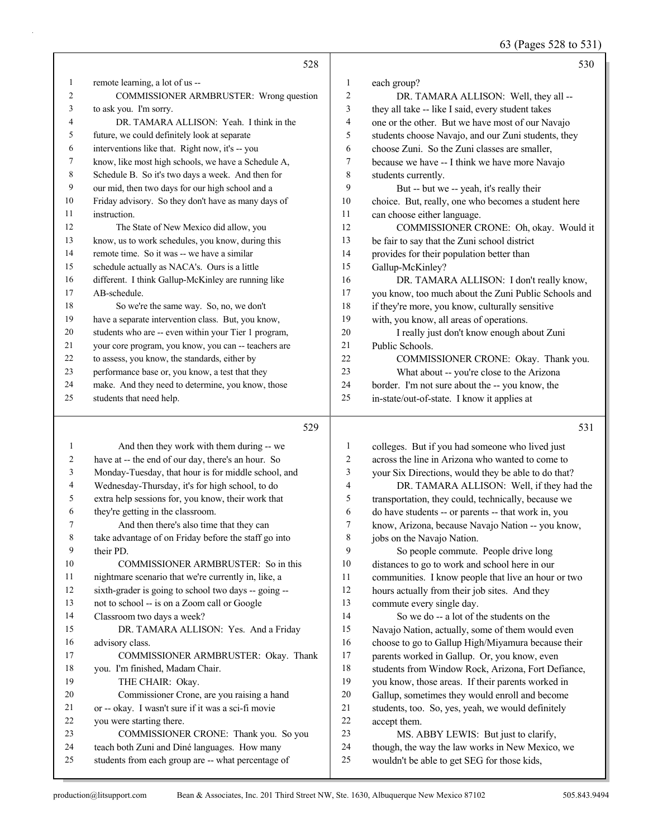63 (Pages 528 to 531)

|              | 528                                                                                                  |                | 530                                                                                                     |
|--------------|------------------------------------------------------------------------------------------------------|----------------|---------------------------------------------------------------------------------------------------------|
| 1            | remote learning, a lot of us --                                                                      | $\mathbf{1}$   | each group?                                                                                             |
| 2            | COMMISSIONER ARMBRUSTER: Wrong question                                                              | $\overline{2}$ | DR. TAMARA ALLISON: Well, they all --                                                                   |
| 3            | to ask you. I'm sorry.                                                                               | $\mathfrak{Z}$ | they all take -- like I said, every student takes                                                       |
| 4            | DR. TAMARA ALLISON: Yeah. I think in the                                                             | $\overline{4}$ | one or the other. But we have most of our Navajo                                                        |
| 5            | future, we could definitely look at separate                                                         | 5              | students choose Navajo, and our Zuni students, they                                                     |
| 6            | interventions like that. Right now, it's -- you                                                      | 6              | choose Zuni. So the Zuni classes are smaller,                                                           |
| 7            | know, like most high schools, we have a Schedule A,                                                  | 7              | because we have -- I think we have more Navajo                                                          |
| 8            | Schedule B. So it's two days a week. And then for                                                    | 8              | students currently.                                                                                     |
| 9            | our mid, then two days for our high school and a                                                     | 9              | But -- but we -- yeah, it's really their                                                                |
| 10           | Friday advisory. So they don't have as many days of                                                  | 10             | choice. But, really, one who becomes a student here                                                     |
| 11           | instruction.                                                                                         | 11             | can choose either language.                                                                             |
| 12           | The State of New Mexico did allow, you                                                               | 12             | COMMISSIONER CRONE: Oh, okay. Would it                                                                  |
| 13           | know, us to work schedules, you know, during this                                                    | 13             | be fair to say that the Zuni school district                                                            |
| 14           | remote time. So it was -- we have a similar                                                          | 14             | provides for their population better than                                                               |
| 15           | schedule actually as NACA's. Ours is a little                                                        | 15             | Gallup-McKinley?                                                                                        |
| 16           | different. I think Gallup-McKinley are running like                                                  | 16             | DR. TAMARA ALLISON: I don't really know,                                                                |
| 17           | AB-schedule.                                                                                         | 17             | you know, too much about the Zuni Public Schools and                                                    |
| 18           | So we're the same way. So, no, we don't                                                              | 18             | if they're more, you know, culturally sensitive                                                         |
| 19           | have a separate intervention class. But, you know,                                                   | 19             | with, you know, all areas of operations.                                                                |
| 20           | students who are -- even within your Tier 1 program,                                                 | 20             | I really just don't know enough about Zuni                                                              |
| 21           | your core program, you know, you can -- teachers are                                                 | 21             | Public Schools.                                                                                         |
| 22           | to assess, you know, the standards, either by                                                        | 22             | COMMISSIONER CRONE: Okay. Thank you.                                                                    |
| 23           | performance base or, you know, a test that they                                                      | 23             | What about -- you're close to the Arizona                                                               |
| 24           | make. And they need to determine, you know, those                                                    | 24             | border. I'm not sure about the -- you know, the                                                         |
| 25           | students that need help.                                                                             | 25             | in-state/out-of-state. I know it applies at                                                             |
|              |                                                                                                      |                |                                                                                                         |
|              |                                                                                                      |                |                                                                                                         |
|              | 529                                                                                                  |                | 531                                                                                                     |
| $\mathbf{1}$ |                                                                                                      | $\mathbf{1}$   |                                                                                                         |
| 2            | And then they work with them during -- we                                                            | 2              | colleges. But if you had someone who lived just<br>across the line in Arizona who wanted to come to     |
| 3            | have at -- the end of our day, there's an hour. So                                                   | 3              |                                                                                                         |
| 4            | Monday-Tuesday, that hour is for middle school, and                                                  | $\overline{4}$ | your Six Directions, would they be able to do that?                                                     |
| 5            | Wednesday-Thursday, it's for high school, to do                                                      | 5              | DR. TAMARA ALLISON: Well, if they had the                                                               |
| 6            | extra help sessions for, you know, their work that<br>they're getting in the classroom.              | 6              | transportation, they could, technically, because we                                                     |
| 7            | And then there's also time that they can                                                             | $\tau$         | do have students -- or parents -- that work in, you                                                     |
| 8            |                                                                                                      | $\,8\,$        | know, Arizona, because Navajo Nation -- you know,                                                       |
| 9            | take advantage of on Friday before the staff go into<br>their PD.                                    | 9              | jobs on the Navajo Nation.                                                                              |
| 10           | COMMISSIONER ARMBRUSTER: So in this                                                                  | 10             | So people commute. People drive long                                                                    |
| 11           | nightmare scenario that we're currently in, like, a                                                  | 11             | distances to go to work and school here in our                                                          |
| 12           |                                                                                                      | $12\,$         | communities. I know people that live an hour or two                                                     |
| 13           | sixth-grader is going to school two days -- going --<br>not to school -- is on a Zoom call or Google | 13             | hours actually from their job sites. And they                                                           |
| 14           |                                                                                                      | 14             | commute every single day.<br>So we do -- a lot of the students on the                                   |
| 15           | Classroom two days a week?                                                                           | 15             |                                                                                                         |
| 16           | DR. TAMARA ALLISON: Yes. And a Friday<br>advisory class.                                             | 16             | Navajo Nation, actually, some of them would even                                                        |
| 17           | COMMISSIONER ARMBRUSTER: Okay. Thank                                                                 | $17\,$         | choose to go to Gallup High/Miyamura because their                                                      |
| 18           | you. I'm finished, Madam Chair.                                                                      | 18             | parents worked in Gallup. Or, you know, even                                                            |
| 19           | THE CHAIR: Okay.                                                                                     | 19             | students from Window Rock, Arizona, Fort Defiance,<br>you know, those areas. If their parents worked in |
| 20           | Commissioner Crone, are you raising a hand                                                           | 20             | Gallup, sometimes they would enroll and become                                                          |
| 21           | or -- okay. I wasn't sure if it was a sci-fi movie                                                   | 21             | students, too. So, yes, yeah, we would definitely                                                       |
| 22           | you were starting there.                                                                             | 22             | accept them.                                                                                            |
| 23           | COMMISSIONER CRONE: Thank you. So you                                                                | 23             | MS. ABBY LEWIS: But just to clarify,                                                                    |
| 24           | teach both Zuni and Diné languages. How many                                                         | 24             | though, the way the law works in New Mexico, we                                                         |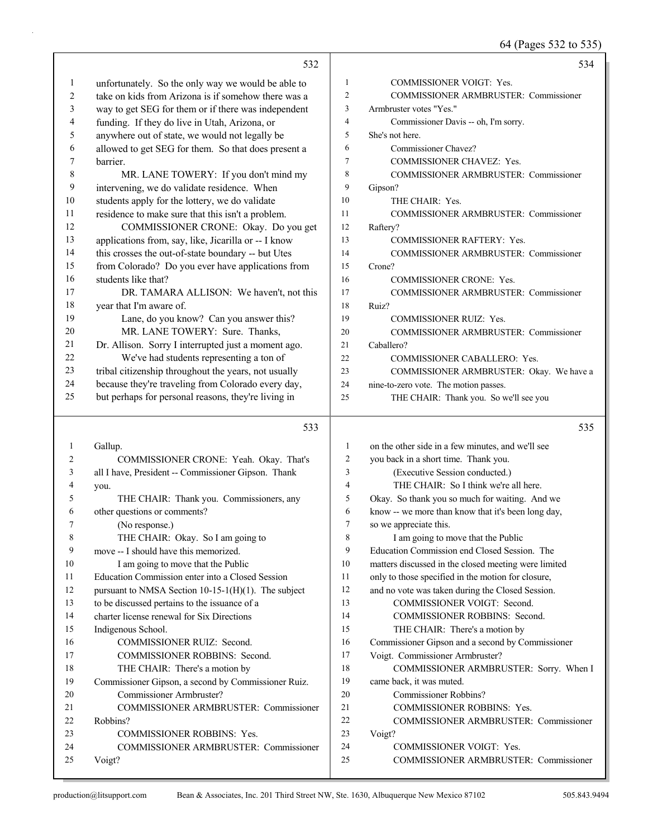## 64 (Pages 532 to 535)

|              |                                                        |                | 64 (Pages 532 to 535)                                |
|--------------|--------------------------------------------------------|----------------|------------------------------------------------------|
|              | 532                                                    |                | 534                                                  |
| $\mathbf{1}$ | unfortunately. So the only way we would be able to     | 1              | COMMISSIONER VOIGT: Yes.                             |
| 2            | take on kids from Arizona is if somehow there was a    | $\overline{c}$ | COMMISSIONER ARMBRUSTER: Commissioner                |
| 3            | way to get SEG for them or if there was independent    | 3              | Armbruster votes "Yes."                              |
| 4            | funding. If they do live in Utah, Arizona, or          | 4              | Commissioner Davis -- oh, I'm sorry.                 |
| 5            | anywhere out of state, we would not legally be         | 5              | She's not here.                                      |
| 6            | allowed to get SEG for them. So that does present a    | 6              | Commissioner Chavez?                                 |
| 7            | barrier.                                               | 7              | COMMISSIONER CHAVEZ: Yes.                            |
| 8            | MR. LANE TOWERY: If you don't mind my                  | 8              | <b>COMMISSIONER ARMBRUSTER: Commissioner</b>         |
| 9            | intervening, we do validate residence. When            | 9              | Gipson?                                              |
| 10           | students apply for the lottery, we do validate         | 10             | THE CHAIR: Yes.                                      |
| 11           | residence to make sure that this isn't a problem.      | 11             | COMMISSIONER ARMBRUSTER: Commissioner                |
| 12           | COMMISSIONER CRONE: Okay. Do you get                   | 12             | Raftery?                                             |
| 13           | applications from, say, like, Jicarilla or -- I know   | 13             | <b>COMMISSIONER RAFTERY: Yes.</b>                    |
| 14           | this crosses the out-of-state boundary -- but Utes     | 14             | COMMISSIONER ARMBRUSTER: Commissioner                |
| 15           | from Colorado? Do you ever have applications from      | 15             | Crone?                                               |
| 16           | students like that?                                    | 16             | COMMISSIONER CRONE: Yes.                             |
| 17           | DR. TAMARA ALLISON: We haven't, not this               | 17             | COMMISSIONER ARMBRUSTER: Commissioner                |
| 18           | year that I'm aware of.                                | 18             | Ruiz?                                                |
| 19           | Lane, do you know? Can you answer this?                | 19             | COMMISSIONER RUIZ: Yes.                              |
| 20           | MR. LANE TOWERY: Sure. Thanks,                         | 20             | COMMISSIONER ARMBRUSTER: Commissioner                |
| 21           | Dr. Allison. Sorry I interrupted just a moment ago.    | 21             | Caballero?                                           |
| 22           | We've had students representing a ton of               | 22             | COMMISSIONER CABALLERO: Yes.                         |
| 23           | tribal citizenship throughout the years, not usually   | 23             | COMMISSIONER ARMBRUSTER: Okay. We have a             |
| 24           | because they're traveling from Colorado every day,     | 24             | nine-to-zero vote. The motion passes.                |
| 25           | but perhaps for personal reasons, they're living in    | 25             | THE CHAIR: Thank you. So we'll see you               |
|              | 533                                                    |                | 535                                                  |
| 1            | Gallup.                                                | $\mathbf{1}$   | on the other side in a few minutes, and we'll see    |
| 2            | COMMISSIONER CRONE: Yeah. Okay. That's                 | $\overline{c}$ | you back in a short time. Thank you.                 |
| 3            | all I have, President -- Commissioner Gipson. Thank    | 3              | (Executive Session conducted.)                       |
| 4            | you.                                                   | 4              | THE CHAIR: So I think we're all here.                |
| 5            | THE CHAIR: Thank you. Commissioners, any               | 5              | Okay. So thank you so much for waiting. And we       |
| 6            | other questions or comments?                           | 6              | know -- we more than know that it's been long day,   |
| 7            | (No response.)                                         | 7              | so we appreciate this.                               |
| 8            | THE CHAIR: Okay. So I am going to                      | 8              | I am going to move that the Public                   |
| 9            | move -- I should have this memorized.                  | 9              | Education Commission end Closed Session. The         |
| 10           | I am going to move that the Public                     | 10             | matters discussed in the closed meeting were limited |
| 11           | Education Commission enter into a Closed Session       | 11             | only to those specified in the motion for closure,   |
| 12           | pursuant to NMSA Section $10-15-1(H)(1)$ . The subject | 12             | and no vote was taken during the Closed Session.     |
| 13           | to be discussed pertains to the issuance of a          | 13             | COMMISSIONER VOIGT: Second.                          |
| 14           | charter license renewal for Six Directions             | 14             | COMMISSIONER ROBBINS: Second.                        |
| 15           | Indigenous School.                                     | 15             | THE CHAIR: There's a motion by                       |
| 16           | COMMISSIONER RUIZ: Second.                             | 16             | Commissioner Gipson and a second by Commissioner     |
|              |                                                        |                |                                                      |

- 17 COMMISSIONER ROBBINS: Second. 18 THE CHAIR: There's a motion by 19 Commissioner Gipson, a second by Commissioner Ruiz.
- 20 Commissioner Armbruster? 21 COMMISSIONER ARMBRUSTER: Commissioner 22 Robbins? 23 COMMISSIONER ROBBINS: Yes. 24 COMMISSIONER ARMBRUSTER: Commissioner
- 19 came back, it was muted. 20 Commissioner Robbins?
	- 21 COMMISSIONER ROBBINS: Yes.
	- 22 COMMISSIONER ARMBRUSTER: Commissioner

18 COMMISSIONER ARMBRUSTER: Sorry. When I

- 23 Voigt?
- 24 COMMISSIONER VOIGT: Yes.

17 Voigt. Commissioner Armbruster?

25 COMMISSIONER ARMBRUSTER: Commissioner

25 Voigt?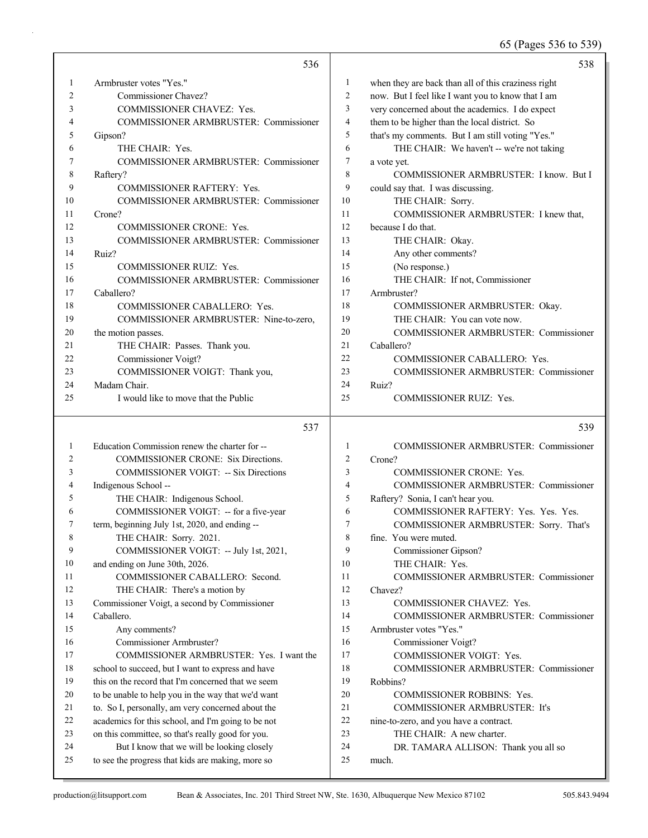65 (Pages 536 to 539)

|              | 536                                                                                             |                         | 538                                                 |
|--------------|-------------------------------------------------------------------------------------------------|-------------------------|-----------------------------------------------------|
| 1            | Armbruster votes "Yes."                                                                         | 1                       | when they are back than all of this craziness right |
| 2            | Commissioner Chavez?                                                                            | $\overline{c}$          | now. But I feel like I want you to know that I am   |
| 3            | COMMISSIONER CHAVEZ: Yes.                                                                       | 3                       | very concerned about the academics. I do expect     |
| 4            | COMMISSIONER ARMBRUSTER: Commissioner                                                           | $\overline{\mathbf{4}}$ | them to be higher than the local district. So       |
| 5            | Gipson?                                                                                         | 5                       | that's my comments. But I am still voting "Yes."    |
| 6            | THE CHAIR: Yes.                                                                                 | 6                       | THE CHAIR: We haven't -- we're not taking           |
| 7            | COMMISSIONER ARMBRUSTER: Commissioner                                                           | 7                       | a vote yet.                                         |
| 8            | Raftery?                                                                                        | 8                       | COMMISSIONER ARMBRUSTER: I know. But I              |
| 9            | <b>COMMISSIONER RAFTERY: Yes.</b>                                                               | 9                       | could say that. I was discussing.                   |
| 10           | COMMISSIONER ARMBRUSTER: Commissioner                                                           | 10                      | THE CHAIR: Sorry.                                   |
| 11           | Crone?                                                                                          | 11                      | COMMISSIONER ARMBRUSTER: I knew that,               |
| 12           | <b>COMMISSIONER CRONE: Yes.</b>                                                                 | 12                      | because I do that.                                  |
| 13           | COMMISSIONER ARMBRUSTER: Commissioner                                                           | 13                      | THE CHAIR: Okay.                                    |
| 14           | Ruiz?                                                                                           | 14                      | Any other comments?                                 |
| 15           | COMMISSIONER RUIZ: Yes.                                                                         | 15                      | (No response.)                                      |
| 16           | COMMISSIONER ARMBRUSTER: Commissioner                                                           | 16                      | THE CHAIR: If not, Commissioner                     |
| 17           | Caballero?                                                                                      | 17                      | Armbruster?                                         |
| 18           | COMMISSIONER CABALLERO: Yes.                                                                    | 18                      | COMMISSIONER ARMBRUSTER: Okay.                      |
| 19           | COMMISSIONER ARMBRUSTER: Nine-to-zero,                                                          | 19                      | THE CHAIR: You can vote now.                        |
| 20           | the motion passes.                                                                              | 20                      | COMMISSIONER ARMBRUSTER: Commissioner               |
| 21           | THE CHAIR: Passes. Thank you.                                                                   | 21                      | Caballero?                                          |
| 22           | Commissioner Voigt?                                                                             | 22                      | COMMISSIONER CABALLERO: Yes.                        |
| 23           | COMMISSIONER VOIGT: Thank you,                                                                  | 23                      | <b>COMMISSIONER ARMBRUSTER: Commissioner</b>        |
| 24           | Madam Chair.                                                                                    | 24                      | Ruiz?                                               |
| 25           | I would like to move that the Public                                                            | 25                      | <b>COMMISSIONER RUIZ: Yes.</b>                      |
|              |                                                                                                 |                         |                                                     |
|              | 537                                                                                             |                         | 539                                                 |
| $\mathbf{1}$ | Education Commission renew the charter for --                                                   | $\mathbf{1}$            | <b>COMMISSIONER ARMBRUSTER: Commissioner</b>        |
| 2            | <b>COMMISSIONER CRONE: Six Directions.</b>                                                      | $\overline{c}$          | Crone?                                              |
| 3            | <b>COMMISSIONER VOIGT: -- Six Directions</b>                                                    | 3                       | <b>COMMISSIONER CRONE: Yes.</b>                     |
| 4            |                                                                                                 | 4                       | <b>COMMISSIONER ARMBRUSTER: Commissioner</b>        |
| 5            | Indigenous School --<br>THE CHAIR: Indigenous School.                                           | 5                       | Raftery? Sonia, I can't hear you.                   |
| 6            | COMMISSIONER VOIGT: -- for a five-year                                                          | 6                       | COMMISSIONER RAFTERY: Yes. Yes. Yes.                |
| 7            | term, beginning July 1st, 2020, and ending --                                                   | 7                       | COMMISSIONER ARMBRUSTER: Sorry. That's              |
| 8            | THE CHAIR: Sorry. 2021.                                                                         | 8                       | fine. You were muted.                               |
| 9            | COMMISSIONER VOIGT: -- July 1st, 2021,                                                          | 9                       | Commissioner Gipson?                                |
| 10           | and ending on June 30th, 2026.                                                                  | 10                      | THE CHAIR: Yes.                                     |
| 11           | COMMISSIONER CABALLERO: Second.                                                                 | 11                      | COMMISSIONER ARMBRUSTER: Commissioner               |
| 12           | THE CHAIR: There's a motion by                                                                  | 12                      | Chavez?                                             |
| 13           | Commissioner Voigt, a second by Commissioner                                                    | 13                      | COMMISSIONER CHAVEZ: Yes.                           |
| 14           | Caballero.                                                                                      | 14                      | COMMISSIONER ARMBRUSTER: Commissioner               |
| 15           | Any comments?                                                                                   | 15                      | Armbruster votes "Yes."                             |
| 16           | Commissioner Armbruster?                                                                        | 16                      | Commissioner Voigt?                                 |
| 17           | COMMISSIONER ARMBRUSTER: Yes. I want the                                                        | 17                      | COMMISSIONER VOIGT: Yes.                            |
| 18           | school to succeed, but I want to express and have                                               | 18                      | COMMISSIONER ARMBRUSTER: Commissioner               |
| 19           | this on the record that I'm concerned that we seem                                              | 19                      | Robbins?                                            |
| 20           | to be unable to help you in the way that we'd want                                              | 20                      | COMMISSIONER ROBBINS: Yes.                          |
| 21           | to. So I, personally, am very concerned about the                                               | 21                      | <b>COMMISSIONER ARMBRUSTER: It's</b>                |
| 22           | academics for this school, and I'm going to be not                                              | $22\,$                  | nine-to-zero, and you have a contract.              |
| 23           | on this committee, so that's really good for you.                                               | 23                      | THE CHAIR: A new charter.                           |
| 24<br>25     | But I know that we will be looking closely<br>to see the progress that kids are making, more so | 24<br>25                | DR. TAMARA ALLISON: Thank you all so<br>much.       |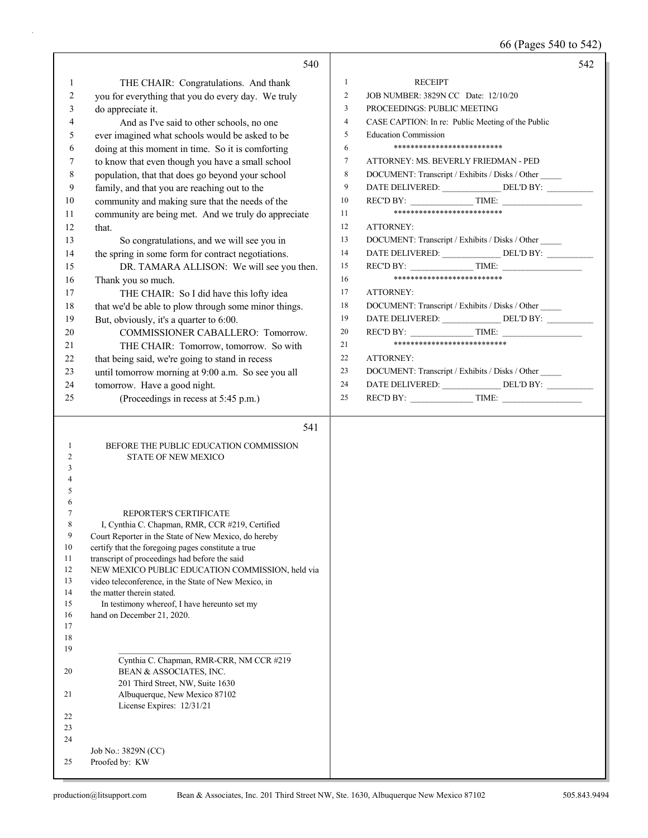66 (Pages 540 to 542)

|          | 540                                                                                                        | 542                                                                 |
|----------|------------------------------------------------------------------------------------------------------------|---------------------------------------------------------------------|
| 1        | THE CHAIR: Congratulations. And thank                                                                      | $\mathbf{1}$<br><b>RECEIPT</b>                                      |
| 2        | you for everything that you do every day. We truly                                                         | $\overline{c}$<br>JOB NUMBER: 3829N CC Date: 12/10/20               |
| 3        | do appreciate it.                                                                                          | 3<br>PROCEEDINGS: PUBLIC MEETING                                    |
| 4        | And as I've said to other schools, no one                                                                  | CASE CAPTION: In re: Public Meeting of the Public<br>$\overline{4}$ |
| 5        | ever imagined what schools would be asked to be                                                            | <b>Education Commission</b><br>5                                    |
| 6        | doing at this moment in time. So it is comforting                                                          | **************************<br>6                                     |
| 7        | to know that even though you have a small school                                                           | $\tau$<br>ATTORNEY: MS. BEVERLY FRIEDMAN - PED                      |
| 8        | population, that that does go beyond your school                                                           | $\,$ 8 $\,$<br>DOCUMENT: Transcript / Exhibits / Disks / Other      |
| 9        | family, and that you are reaching out to the                                                               | 9<br>DATE DELIVERED: ________________DEL'D BY: ____________         |
| 10       | community and making sure that the needs of the                                                            | 10                                                                  |
| 11       | community are being met. And we truly do appreciate                                                        | *************************<br>11                                     |
| 12       | that.                                                                                                      | 12<br>ATTORNEY:                                                     |
| 13       | So congratulations, and we will see you in                                                                 | DOCUMENT: Transcript / Exhibits / Disks / Other<br>13               |
| 14       | the spring in some form for contract negotiations.                                                         | DATE DELIVERED: ________________ DEL'D BY: _________<br>14          |
| 15       | DR. TAMARA ALLISON: We will see you then.                                                                  | $RECD BY:$ TIME:<br>15                                              |
| 16       | Thank you so much.                                                                                         | **************************<br>16                                    |
| 17       | THE CHAIR: So I did have this lofty idea                                                                   | 17<br>ATTORNEY:                                                     |
| 18       | that we'd be able to plow through some minor things.                                                       | 18<br>DOCUMENT: Transcript / Exhibits / Disks / Other               |
| 19       | But, obviously, it's a quarter to 6:00.                                                                    | DATE DELIVERED: ________________ DEL'D BY: ___________<br>19        |
| 20       | COMMISSIONER CABALLERO: Tomorrow.                                                                          | $RECD BY:$ TIME:<br>20                                              |
| 21       | THE CHAIR: Tomorrow, tomorrow. So with                                                                     | ***************************<br>21                                   |
| 22       | that being said, we're going to stand in recess                                                            | 22<br>ATTORNEY:                                                     |
| 23       | until tomorrow morning at 9:00 a.m. So see you all                                                         | 23<br>DOCUMENT: Transcript / Exhibits / Disks / Other               |
| 24       | tomorrow. Have a good night.                                                                               | 24<br>DATE DELIVERED: ________________ DEL'D BY: __________         |
| 25       | (Proceedings in recess at 5:45 p.m.)                                                                       | 25                                                                  |
|          |                                                                                                            |                                                                     |
|          |                                                                                                            |                                                                     |
|          | 541                                                                                                        |                                                                     |
|          |                                                                                                            |                                                                     |
| 1<br>2   | BEFORE THE PUBLIC EDUCATION COMMISSION<br>STATE OF NEW MEXICO                                              |                                                                     |
| 3        |                                                                                                            |                                                                     |
|          |                                                                                                            |                                                                     |
| 5        |                                                                                                            |                                                                     |
| 6        |                                                                                                            |                                                                     |
| 7<br>8   | REPORTER'S CERTIFICATE                                                                                     |                                                                     |
| 9        | I, Cynthia C. Chapman, RMR, CCR #219, Certified                                                            |                                                                     |
| 10       | Court Reporter in the State of New Mexico, do hereby<br>certify that the foregoing pages constitute a true |                                                                     |
| 11       | transcript of proceedings had before the said                                                              |                                                                     |
| 12       | NEW MEXICO PUBLIC EDUCATION COMMISSION, held via                                                           |                                                                     |
| 13       | video teleconference, in the State of New Mexico, in                                                       |                                                                     |
| 14       | the matter therein stated.                                                                                 |                                                                     |
| 15<br>16 | In testimony whereof, I have hereunto set my<br>hand on December 21, 2020.                                 |                                                                     |
| 17       |                                                                                                            |                                                                     |
| 18       |                                                                                                            |                                                                     |
| 19       |                                                                                                            |                                                                     |
|          | Cynthia C. Chapman, RMR-CRR, NM CCR #219                                                                   |                                                                     |
| 20       | BEAN & ASSOCIATES, INC.                                                                                    |                                                                     |
| 21       | 201 Third Street, NW, Suite 1630                                                                           |                                                                     |
|          | Albuquerque, New Mexico 87102<br>License Expires: 12/31/21                                                 |                                                                     |
| 22       |                                                                                                            |                                                                     |
| 23       |                                                                                                            |                                                                     |
| 24       |                                                                                                            |                                                                     |
| 25       | Job No.: 3829N (CC)<br>Proofed by: KW                                                                      |                                                                     |